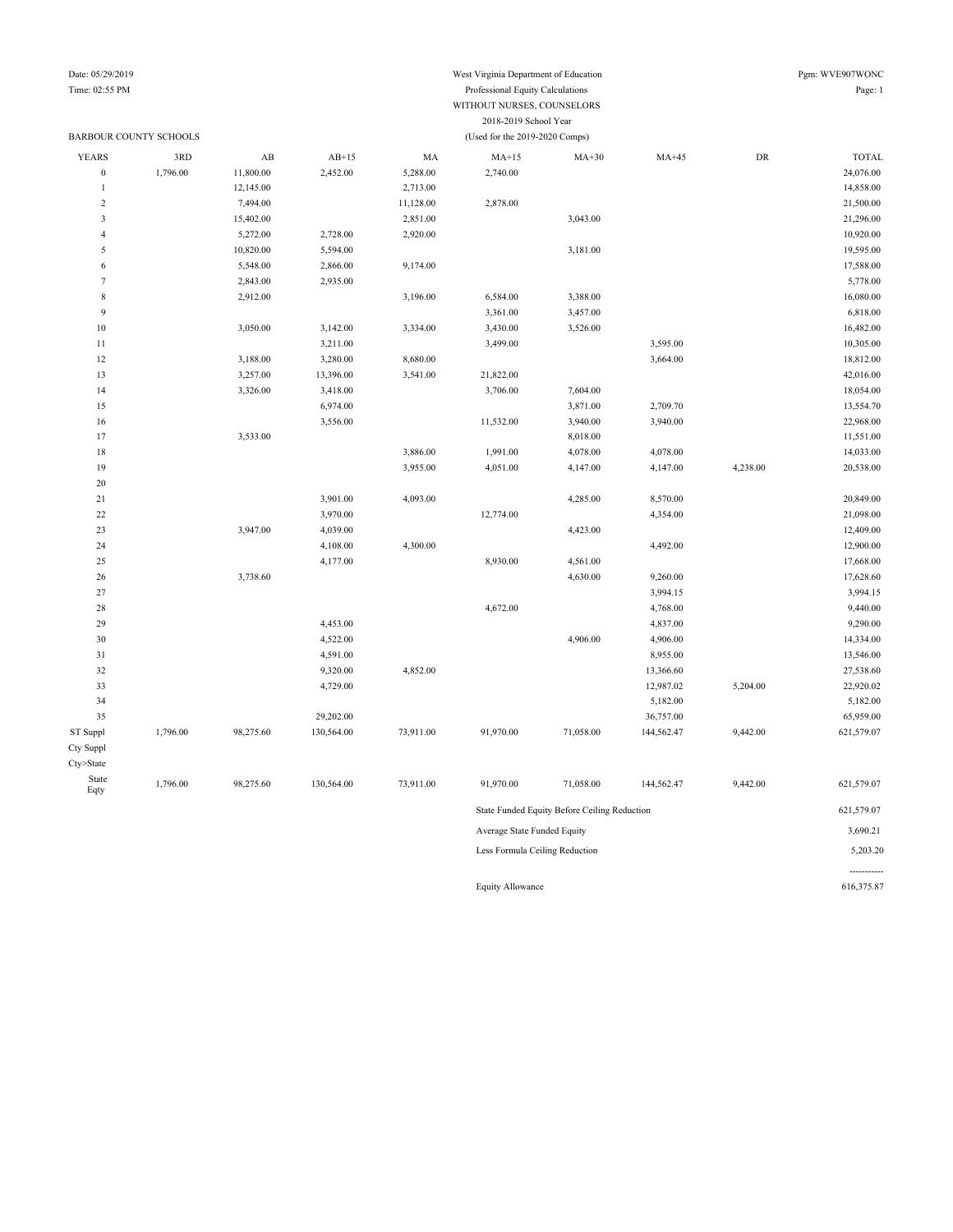Date: 05/29/2019 West Virginia Department of Education Pgm: WVE907WONC Time: 02:55 PM Professional Equity Calculations Page: 1 WITHOUT NURSES, COUNSELORS

#### 2018-2019 School Year BARBOUR COUNTY SCHOOLS (Used for the 2019-2020 Comps) YEARS 3RD AB AB+15 MA MA+15 MA+30 MA+45 DR TOTAL 0 1,796.00 11,800.00 2,452.00 5,288.00 2,740.00 2,740.00 2,740.00 12,145.00 2,713.00 14,858.00 14,858.00 14,858.00 15 2 7,494.00 11,128.00 2,878.00 2 1500.00 2 2,500.00 3 15,402.00 21,296.00 2,851.00 3,043.00 3,043.00 2,251.00 3,043.00 4 5,272.00 2,728.00 2,920.00 2,920.00 10,920.00 5 10,820.00 5,594.00 5,594.00 3,181.00 3,181.00 3,181.00 3,181.00 19,595.00 6 5,548.00 2,866.00 9,174.00 9,174.00 7 2,843.00 2,935.00 5,778.00 8 2,912.00 3,196.00 6,584.00 3,388.00 16,080.00 16,080.00 9 3,361.00 3,457.00 3,457.00 6,818.00 10 3,050.00 3,142.00 3,334.00 3,430.00 3,526.00 16,482.00 16,482.00 11 3,211.00 3,499.00 3,595.00 3,595.00 10,305.00 12 3,188.00 3,280.00 8,680.00 3,680.00 3,668.00 3,664.00 3,664.00 18,812.00 13 3,257.00 13,396.00 3,541.00 21,822.00 42,016.00 42,016.00 14 3,326.00 3,418.00 3,400 3,706.00 7,604.00 18,054.00 18,054.00 15 6,974.00 6,974.00 3,871.00 2,709.70 13,554.70 16 3,556.00 11,532.00 3,940.00 3,940.00 22,968.00 11,551.00 11,551.00 11,551.00 8,018.00 11,551.00 18 3,886.00 1,991.00 4,078.00 4,078.00 11,033.00 14,033.00 19 3,955.00 4,051.00 4,147.00 4,147.00 4,238.00 20,538.00 20 21 3,901.00 4,093.00 4,285.00 8,570.00 20,849.00 22 3,970.00 12,774.00 4,354.00 4,354.00 21,098.00 23 3,947.00 4,039.00 4,039.00 4,039.00 4,423.00 4,423.00 12,409.00 24 **4,108.00** 4,108.00 4,300.00 4,300.00 4,492.00 4,492.00 4,492.00 12,900.00 25 4,177.00 4,177.00 8,930.00 4,561.00 17,668.00 17,668.00 26 3,738.60 3,738.60 3,738.60 3,738.60 4,630.00 9,260.00 4,630.00 4,630.00 4,630.00 4,630.00 4,630.00 4,630.00 27 3,994.15 3,994.15 28 4,672.00 4,768.00 4,768.00 9,440.00 29 4,453.00 4,837.00 9,290.00 30 4,522.00 4,906.00 4,906.00 14,334.00 31 4,591.00 4,595.00 8,955.00 13,546.00 32 9,320.00 4,852.00 13,366.60 13,366.60 27,538.60 33 4,729.00 12,987.02 5,204.00 22,920.02 34 5,182.00 5,182.00 35 29,202.00 36,757.00 65,959.00 ST Suppl 1,796.00 98,275.60 130,564.00 73,911.00 91,970.00 71,058.00 144,562.47 9,442.00 621,579.07 Cty Suppl Cty>State State Eqty 1,796.00 98,275.60 130,564.00 73,911.00 91,970.00 71,058.00 144,562.47 9,442.00 621,579.07 State Funded Equity Before Ceiling Reduction 621,579.07 Average State Funded Equity 3,690.21 Less Formula Ceiling Reduction 5,203.20 -----------

Equity Allowance 616,375.87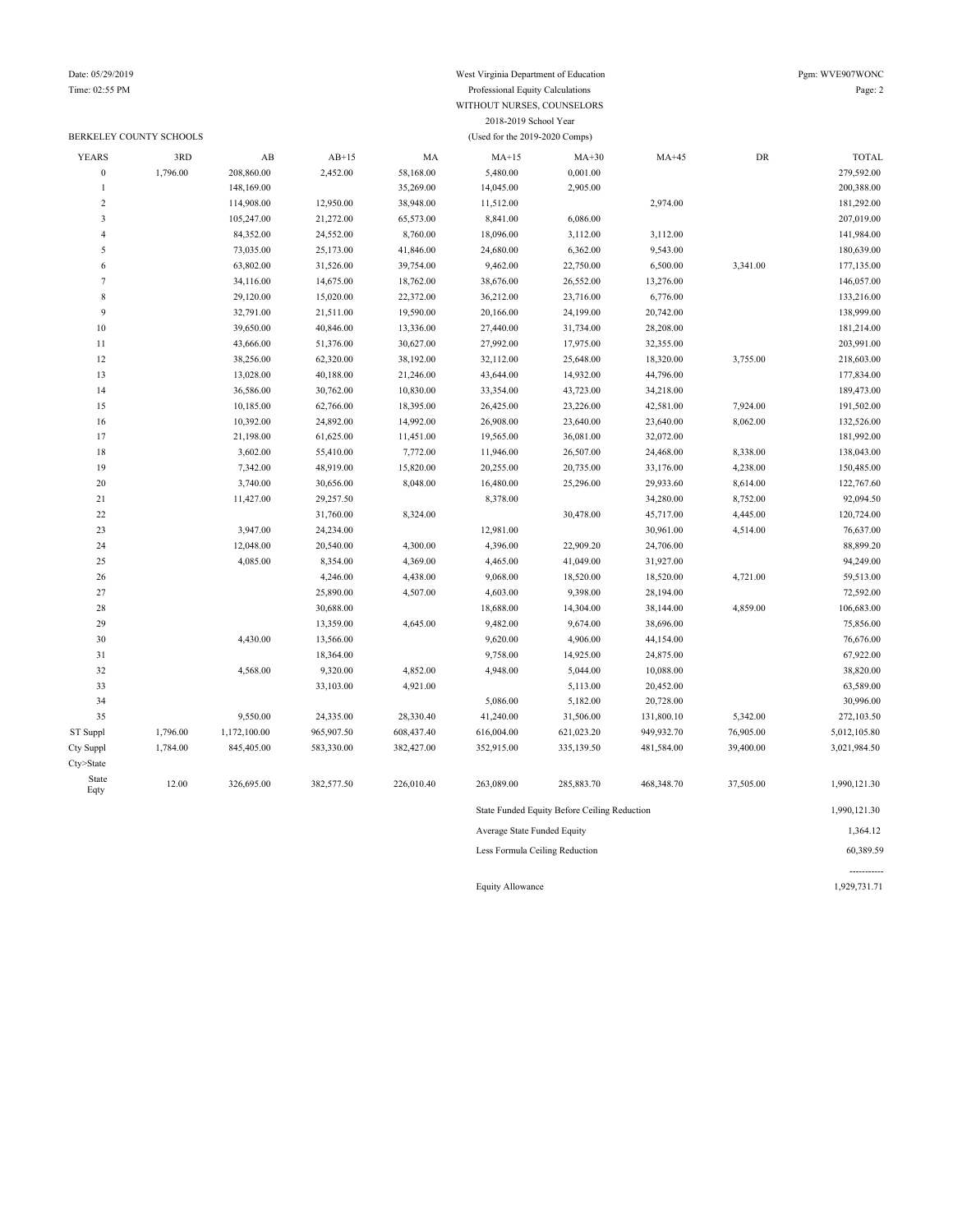#### Date: 05/29/2019 West Virginia Department of Education Pgm: WVE907WONC Time: 02:55 PM Professional Equity Calculations Page: 2 WITHOUT NURSES, COUNSELORS 2018-2019 School Year

|                             | BERKELEY COUNTY SCHOOLS |              | (Used for the 2019-2020 Comps) |            |            |                                              |            |            |              |  |  |  |
|-----------------------------|-------------------------|--------------|--------------------------------|------------|------------|----------------------------------------------|------------|------------|--------------|--|--|--|
| <b>YEARS</b>                | 3RD                     | AB           | $AB+15$                        | MA         | $MA+15$    | $MA+30$                                      | $MA+45$    | ${\rm DR}$ | <b>TOTAL</b> |  |  |  |
| $\boldsymbol{0}$            | 1,796.00                | 208,860.00   | 2,452.00                       | 58,168.00  | 5,480.00   | 0,001.00                                     |            |            | 279,592.00   |  |  |  |
| $\mathbf{1}$                |                         | 148,169.00   |                                | 35,269.00  | 14,045.00  | 2,905.00                                     |            |            | 200,388.00   |  |  |  |
| $\overline{\mathbf{c}}$     |                         | 114,908.00   | 12,950.00                      | 38,948.00  | 11,512.00  |                                              | 2,974.00   |            | 181,292.00   |  |  |  |
| 3                           |                         | 105,247.00   | 21,272.00                      | 65,573.00  | 8,841.00   | 6,086.00                                     |            |            | 207,019.00   |  |  |  |
| 4                           |                         | 84,352.00    | 24,552.00                      | 8,760.00   | 18,096.00  | 3,112.00                                     | 3,112.00   |            | 141,984.00   |  |  |  |
| 5                           |                         | 73,035.00    | 25,173.00                      | 41,846.00  | 24,680.00  | 6,362.00                                     | 9,543.00   |            | 180,639.00   |  |  |  |
| 6                           |                         | 63,802.00    | 31,526.00                      | 39,754.00  | 9,462.00   | 22,750.00                                    | 6,500.00   | 3,341.00   | 177,135.00   |  |  |  |
| $\tau$                      |                         | 34,116.00    | 14,675.00                      | 18,762.00  | 38,676.00  | 26,552.00                                    | 13,276.00  |            | 146,057.00   |  |  |  |
| $\,$ 8 $\,$                 |                         | 29,120.00    | 15,020.00                      | 22,372.00  | 36,212.00  | 23,716.00                                    | 6,776.00   |            | 133,216.00   |  |  |  |
| 9                           |                         | 32,791.00    | 21,511.00                      | 19,590.00  | 20,166.00  | 24,199.00                                    | 20,742.00  |            | 138,999.00   |  |  |  |
| 10                          |                         | 39,650.00    | 40,846.00                      | 13,336.00  | 27,440.00  | 31,734.00                                    | 28,208.00  |            | 181,214.00   |  |  |  |
| $11\,$                      |                         | 43,666.00    | 51,376.00                      | 30,627.00  | 27,992.00  | 17,975.00                                    | 32,355.00  |            | 203,991.00   |  |  |  |
| 12                          |                         | 38,256.00    | 62,320.00                      | 38,192.00  | 32,112.00  | 25,648.00                                    | 18,320.00  | 3,755.00   | 218,603.00   |  |  |  |
| 13                          |                         | 13,028.00    | 40,188.00                      | 21,246.00  | 43,644.00  | 14,932.00                                    | 44,796.00  |            | 177,834.00   |  |  |  |
| 14                          |                         | 36,586.00    | 30,762.00                      | 10,830.00  | 33,354.00  | 43,723.00                                    | 34,218.00  |            | 189,473.00   |  |  |  |
| 15                          |                         | 10,185.00    | 62,766.00                      | 18,395.00  | 26,425.00  | 23,226.00                                    | 42,581.00  | 7,924.00   | 191,502.00   |  |  |  |
| 16                          |                         | 10,392.00    | 24,892.00                      | 14,992.00  | 26,908.00  | 23,640.00                                    | 23,640.00  | 8,062.00   | 132,526.00   |  |  |  |
| 17                          |                         | 21,198.00    | 61,625.00                      | 11,451.00  | 19,565.00  | 36,081.00                                    | 32,072.00  |            | 181,992.00   |  |  |  |
| 18                          |                         | 3,602.00     | 55,410.00                      | 7,772.00   | 11,946.00  | 26,507.00                                    | 24,468.00  | 8,338.00   | 138,043.00   |  |  |  |
| 19                          |                         | 7,342.00     | 48,919.00                      | 15,820.00  | 20,255.00  | 20,735.00                                    | 33,176.00  | 4,238.00   | 150,485.00   |  |  |  |
| $20\,$                      |                         | 3,740.00     | 30,656.00                      | 8,048.00   | 16,480.00  | 25,296.00                                    | 29,933.60  | 8,614.00   | 122,767.60   |  |  |  |
| 21                          |                         | 11,427.00    | 29,257.50                      |            | 8,378.00   |                                              | 34,280.00  | 8,752.00   | 92,094.50    |  |  |  |
| $22\,$                      |                         |              | 31,760.00                      | 8,324.00   |            | 30,478.00                                    | 45,717.00  | 4,445.00   | 120,724.00   |  |  |  |
| 23                          |                         | 3,947.00     | 24,234.00                      |            | 12,981.00  |                                              | 30,961.00  | 4,514.00   | 76,637.00    |  |  |  |
| 24                          |                         | 12,048.00    | 20,540.00                      | 4,300.00   | 4,396.00   | 22,909.20                                    | 24,706.00  |            | 88,899.20    |  |  |  |
| 25                          |                         | 4,085.00     | 8,354.00                       | 4,369.00   | 4,465.00   | 41,049.00                                    | 31,927.00  |            | 94,249.00    |  |  |  |
| 26                          |                         |              | 4,246.00                       | 4,438.00   | 9,068.00   | 18,520.00                                    | 18,520.00  | 4,721.00   | 59,513.00    |  |  |  |
| 27                          |                         |              | 25,890.00                      | 4,507.00   | 4,603.00   | 9,398.00                                     | 28,194.00  |            | 72,592.00    |  |  |  |
| 28                          |                         |              | 30,688.00                      |            | 18,688.00  | 14,304.00                                    | 38,144.00  | 4,859.00   | 106,683.00   |  |  |  |
| 29                          |                         |              | 13,359.00                      | 4,645.00   | 9,482.00   | 9,674.00                                     | 38,696.00  |            | 75,856.00    |  |  |  |
| 30                          |                         | 4,430.00     | 13,566.00                      |            | 9,620.00   | 4,906.00                                     | 44,154.00  |            | 76,676.00    |  |  |  |
| 31                          |                         |              | 18,364.00                      |            | 9,758.00   | 14,925.00                                    | 24,875.00  |            | 67,922.00    |  |  |  |
| 32                          |                         | 4,568.00     | 9,320.00                       | 4,852.00   | 4,948.00   | 5,044.00                                     | 10,088.00  |            | 38,820.00    |  |  |  |
| 33                          |                         |              | 33,103.00                      | 4,921.00   |            | 5,113.00                                     | 20,452.00  |            | 63,589.00    |  |  |  |
| 34                          |                         |              |                                |            | 5,086.00   | 5,182.00                                     | 20,728.00  |            | 30,996.00    |  |  |  |
| 35                          |                         | 9,550.00     | 24,335.00                      | 28,330.40  | 41,240.00  | 31,506.00                                    | 131,800.10 | 5,342.00   | 272,103.50   |  |  |  |
| ST Suppl                    | 1,796.00                | 1,172,100.00 | 965,907.50                     | 608,437.40 | 616,004.00 | 621,023.20                                   | 949,932.70 | 76,905.00  | 5,012,105.80 |  |  |  |
| Cty Suppl                   | 1,784.00                | 845,405.00   | 583,330.00                     | 382,427.00 | 352,915.00 | 335,139.50                                   | 481,584.00 | 39,400.00  | 3,021,984.50 |  |  |  |
| Cty>State                   |                         |              |                                |            |            |                                              |            |            |              |  |  |  |
| State<br>Eqty               | 12.00                   | 326,695.00   | 382,577.50                     | 226,010.40 | 263,089.00 | 285,883.70                                   | 468,348.70 | 37,505.00  | 1,990,121.30 |  |  |  |
|                             |                         |              |                                |            |            | State Funded Equity Before Ceiling Reduction |            |            | 1,990,121.30 |  |  |  |
| Average State Funded Equity |                         |              |                                |            |            |                                              |            |            | 1,364.12     |  |  |  |

Less Formula Ceiling Reduction 60,389.59

----------- Equity Allowance 1,929,731.71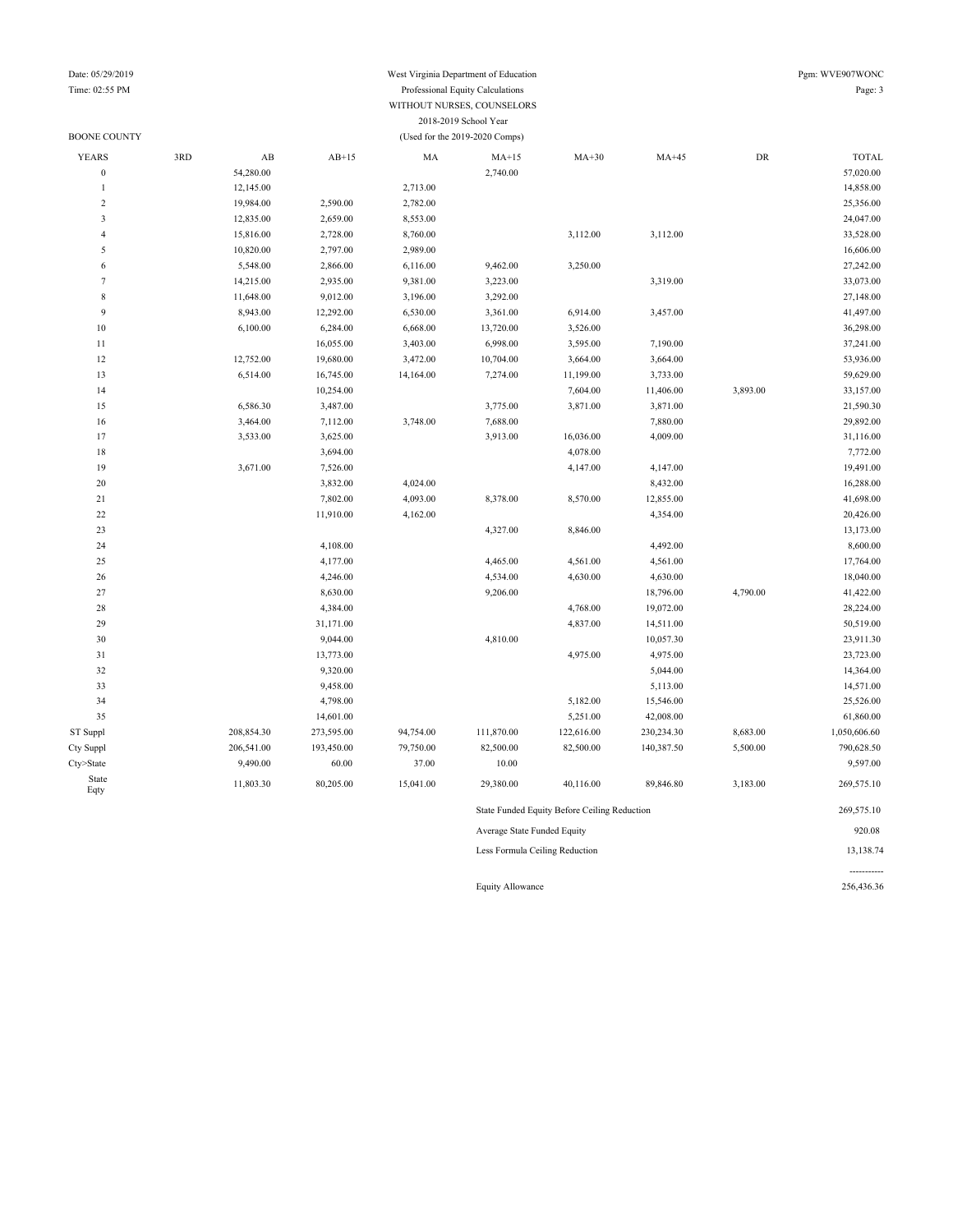### Date: 05/29/2019 West Virginia Department of Education Pgm: WVE907WONC Time: 02:55 PM Professional Equity Calculations Page: 3 WITHOUT NURSES, COUNSELORS 2018-2019 School Year

| Date: 05/29/2019                              |
|-----------------------------------------------|
| $T_{max}$ $\Omega$ , $\epsilon$ $\epsilon$ DM |

| <b>BOONE COUNTY</b> |     |            |            |           | (Used for the 2019-2020 Comps) |                                              |            |            |              |
|---------------------|-----|------------|------------|-----------|--------------------------------|----------------------------------------------|------------|------------|--------------|
| <b>YEARS</b>        | 3RD | AB         | $AB+15$    | MA        | $MA+15$                        | $MA+30$                                      | $MA+45$    | ${\rm DR}$ | <b>TOTAL</b> |
| $\overline{0}$      |     | 54,280.00  |            |           | 2,740.00                       |                                              |            |            | 57,020.00    |
| $\mathbf{1}$        |     | 12,145.00  |            | 2,713.00  |                                |                                              |            |            | 14,858.00    |
| $\overline{c}$      |     | 19,984.00  | 2,590.00   | 2,782.00  |                                |                                              |            |            | 25,356.00    |
| 3                   |     | 12,835.00  | 2,659.00   | 8,553.00  |                                |                                              |            |            | 24,047.00    |
| $\overline{4}$      |     | 15,816.00  | 2,728.00   | 8,760.00  |                                | 3,112.00                                     | 3,112.00   |            | 33,528.00    |
| 5                   |     | 10,820.00  | 2,797.00   | 2,989.00  |                                |                                              |            |            | 16,606.00    |
| 6                   |     | 5,548.00   | 2,866.00   | 6,116.00  | 9,462.00                       | 3,250.00                                     |            |            | 27,242.00    |
| $\overline{7}$      |     | 14,215.00  | 2,935.00   | 9,381.00  | 3,223.00                       |                                              | 3,319.00   |            | 33,073.00    |
| $\,$ 8 $\,$         |     | 11,648.00  | 9,012.00   | 3,196.00  | 3,292.00                       |                                              |            |            | 27,148.00    |
| 9                   |     | 8,943.00   | 12,292.00  | 6,530.00  | 3,361.00                       | 6,914.00                                     | 3,457.00   |            | 41,497.00    |
| 10                  |     | 6,100.00   | 6,284.00   | 6,668.00  | 13,720.00                      | 3,526.00                                     |            |            | 36,298.00    |
| 11                  |     |            | 16,055.00  | 3,403.00  | 6,998.00                       | 3,595.00                                     | 7,190.00   |            | 37,241.00    |
| 12                  |     | 12,752.00  | 19,680.00  | 3,472.00  | 10,704.00                      | 3,664.00                                     | 3,664.00   |            | 53,936.00    |
| 13                  |     | 6,514.00   | 16,745.00  | 14,164.00 | 7,274.00                       | 11,199.00                                    | 3,733.00   |            | 59,629.00    |
| 14                  |     |            | 10,254.00  |           |                                | 7,604.00                                     | 11,406.00  | 3,893.00   | 33,157.00    |
| 15                  |     | 6,586.30   | 3,487.00   |           | 3,775.00                       | 3,871.00                                     | 3,871.00   |            | 21,590.30    |
| 16                  |     | 3,464.00   | 7,112.00   | 3,748.00  | 7,688.00                       |                                              | 7,880.00   |            | 29,892.00    |
| 17                  |     | 3,533.00   | 3,625.00   |           | 3,913.00                       | 16,036.00                                    | 4,009.00   |            | 31,116.00    |
| 18                  |     |            | 3,694.00   |           |                                | 4,078.00                                     |            |            | 7,772.00     |
| 19                  |     | 3,671.00   | 7,526.00   |           |                                | 4,147.00                                     | 4,147.00   |            | 19,491.00    |
| 20                  |     |            | 3,832.00   | 4,024.00  |                                |                                              | 8,432.00   |            | 16,288.00    |
| 21                  |     |            | 7,802.00   | 4,093.00  | 8,378.00                       | 8,570.00                                     | 12,855.00  |            | 41,698.00    |
| 22                  |     |            | 11,910.00  | 4,162.00  |                                |                                              | 4,354.00   |            | 20,426.00    |
| 23                  |     |            |            |           | 4,327.00                       | 8,846.00                                     |            |            | 13,173.00    |
| 24                  |     |            | 4,108.00   |           |                                |                                              | 4,492.00   |            | 8,600.00     |
| 25                  |     |            | 4,177.00   |           | 4,465.00                       | 4,561.00                                     | 4,561.00   |            | 17,764.00    |
| 26                  |     |            | 4,246.00   |           | 4,534.00                       | 4,630.00                                     | 4,630.00   |            | 18,040.00    |
| 27                  |     |            | 8,630.00   |           | 9,206.00                       |                                              | 18,796.00  | 4,790.00   | 41,422.00    |
| 28                  |     |            | 4,384.00   |           |                                | 4,768.00                                     | 19,072.00  |            | 28,224.00    |
| 29                  |     |            | 31,171.00  |           |                                | 4,837.00                                     | 14,511.00  |            | 50,519.00    |
| 30                  |     |            | 9,044.00   |           | 4,810.00                       |                                              | 10,057.30  |            | 23,911.30    |
| 31                  |     |            | 13,773.00  |           |                                | 4,975.00                                     | 4,975.00   |            | 23,723.00    |
| 32                  |     |            | 9,320.00   |           |                                |                                              | 5,044.00   |            | 14,364.00    |
| 33                  |     |            | 9,458.00   |           |                                |                                              | 5,113.00   |            | 14,571.00    |
| 34                  |     |            | 4,798.00   |           |                                | 5,182.00                                     | 15,546.00  |            | 25,526.00    |
| 35                  |     |            | 14,601.00  |           |                                | 5,251.00                                     | 42,008.00  |            | 61,860.00    |
| ST Suppl            |     | 208,854.30 | 273,595.00 | 94,754.00 | 111,870.00                     | 122,616.00                                   | 230,234.30 | 8,683.00   | 1,050,606.60 |
| Cty Suppl           |     | 206,541.00 | 193,450.00 | 79,750.00 | 82,500.00                      | 82,500.00                                    | 140,387.50 | 5,500.00   | 790,628.50   |
| Cty>State           |     | 9,490.00   | 60.00      | 37.00     | 10.00                          |                                              |            |            | 9,597.00     |
| State<br>Eqty       |     | 11,803.30  | 80,205.00  | 15,041.00 | 29,380.00                      | 40,116.00                                    | 89,846.80  | 3,183.00   | 269,575.10   |
|                     |     |            |            |           |                                | State Funded Equity Before Ceiling Reduction |            |            | 269,575.10   |
|                     |     |            |            |           | Average State Funded Equity    |                                              |            |            | 920.08       |
|                     |     |            |            |           | Less Formula Ceiling Reduction |                                              |            |            | 13,138.74    |

Equity Allowance 256,436.36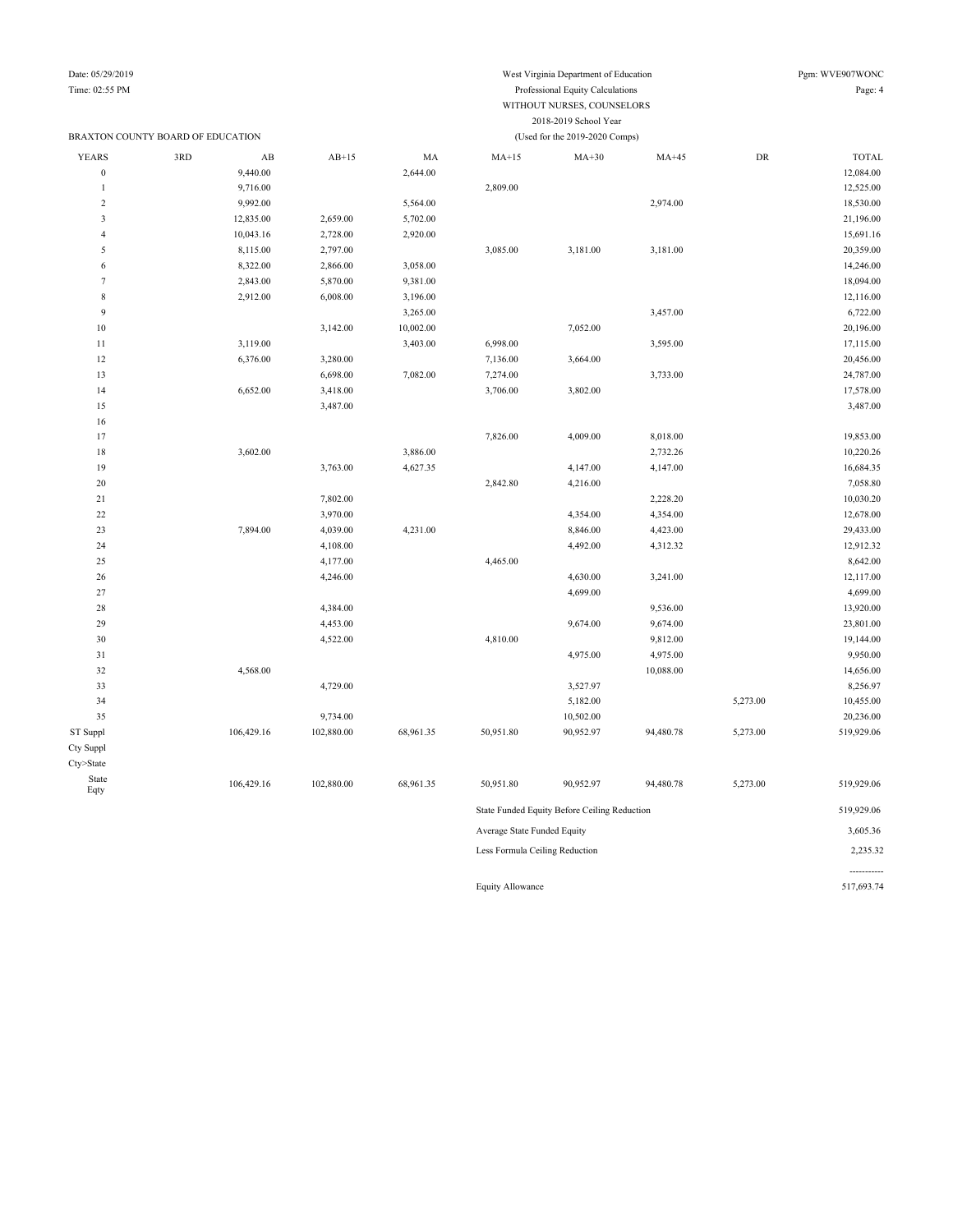### Time: 02:55 PM Professional Equity Calculations Page: 4 WITHOUT NURSES, COUNSELORS 2018-2019 School Year BRAXTON COUNTY BOARD OF EDUCATION (Used for the 2019-2020 Comps) YEARS 3RD AB AB+15 MA MA+15 MA+30 MA+45 DR TOTAL

| YEARS            | 3RD | ΑВ         | $AB+15$    | МA        | $MA+15$                        | $MA+30$                                      | MA+45     | DK       | TOTAL      |
|------------------|-----|------------|------------|-----------|--------------------------------|----------------------------------------------|-----------|----------|------------|
| $\boldsymbol{0}$ |     | 9,440.00   |            | 2,644.00  |                                |                                              |           |          | 12,084.00  |
| $\overline{1}$   |     | 9,716.00   |            |           | 2,809.00                       |                                              |           |          | 12,525.00  |
| $\sqrt{2}$       |     | 9,992.00   |            | 5,564.00  |                                |                                              | 2,974.00  |          | 18,530.00  |
| $\mathfrak z$    |     | 12,835.00  | 2,659.00   | 5,702.00  |                                |                                              |           |          | 21,196.00  |
| $\overline{4}$   |     | 10,043.16  | 2,728.00   | 2,920.00  |                                |                                              |           |          | 15,691.16  |
| 5                |     | 8,115.00   | 2,797.00   |           | 3,085.00                       | 3,181.00                                     | 3,181.00  |          | 20,359.00  |
| 6                |     | 8,322.00   | 2,866.00   | 3,058.00  |                                |                                              |           |          | 14,246.00  |
| $\tau$           |     | 2,843.00   | 5,870.00   | 9,381.00  |                                |                                              |           |          | 18,094.00  |
| $\,$ 8 $\,$      |     | 2,912.00   | 6,008.00   | 3,196.00  |                                |                                              |           |          | 12,116.00  |
| $\overline{9}$   |     |            |            | 3,265.00  |                                |                                              | 3,457.00  |          | 6,722.00   |
| $10\,$           |     |            | 3,142.00   | 10,002.00 |                                | 7,052.00                                     |           |          | 20,196.00  |
| $1\,1$           |     | 3,119.00   |            | 3,403.00  | 6,998.00                       |                                              | 3,595.00  |          | 17,115.00  |
| $12 \,$          |     | 6,376.00   | 3,280.00   |           | 7,136.00                       | 3,664.00                                     |           |          | 20,456.00  |
| 13               |     |            | 6,698.00   | 7,082.00  | 7,274.00                       |                                              | 3,733.00  |          | 24,787.00  |
| 14               |     | 6,652.00   | 3,418.00   |           | 3,706.00                       | 3,802.00                                     |           |          | 17,578.00  |
| 15               |     |            | 3,487.00   |           |                                |                                              |           |          | 3,487.00   |
| 16               |     |            |            |           |                                |                                              |           |          |            |
| 17               |     |            |            |           | 7,826.00                       | 4,009.00                                     | 8,018.00  |          | 19,853.00  |
| $18\,$           |     | 3,602.00   |            | 3,886.00  |                                |                                              | 2,732.26  |          | 10,220.26  |
| 19               |     |            | 3,763.00   | 4,627.35  |                                | 4,147.00                                     | 4,147.00  |          | 16,684.35  |
| 20               |     |            |            |           | 2,842.80                       | 4,216.00                                     |           |          | 7,058.80   |
| $21\,$           |     |            | 7,802.00   |           |                                |                                              | 2,228.20  |          | 10,030.20  |
| $22\,$           |     |            | 3,970.00   |           |                                | 4,354.00                                     | 4,354.00  |          | 12,678.00  |
| 23               |     | 7,894.00   | 4,039.00   | 4,231.00  |                                | 8,846.00                                     | 4,423.00  |          | 29,433.00  |
| 24               |     |            | 4,108.00   |           |                                | 4,492.00                                     | 4,312.32  |          | 12,912.32  |
| 25               |     |            | 4,177.00   |           | 4,465.00                       |                                              |           |          | 8,642.00   |
| 26               |     |            | 4,246.00   |           |                                | 4,630.00                                     | 3,241.00  |          | 12,117.00  |
| 27               |     |            |            |           |                                | 4,699.00                                     |           |          | 4,699.00   |
| 28               |     |            | 4,384.00   |           |                                |                                              | 9,536.00  |          | 13,920.00  |
| 29               |     |            | 4,453.00   |           |                                | 9,674.00                                     | 9,674.00  |          | 23,801.00  |
| 30               |     |            | 4,522.00   |           | 4,810.00                       |                                              | 9,812.00  |          | 19,144.00  |
| $3\sqrt{1}$      |     |            |            |           |                                | 4,975.00                                     | 4,975.00  |          | 9,950.00   |
| 32               |     | 4,568.00   |            |           |                                |                                              | 10,088.00 |          | 14,656.00  |
| 33               |     |            | 4,729.00   |           |                                | 3,527.97                                     |           |          | 8,256.97   |
| 34               |     |            |            |           |                                | 5,182.00                                     |           | 5,273.00 | 10,455.00  |
| 35               |     |            | 9,734.00   |           |                                | 10,502.00                                    |           |          | 20,236.00  |
| ST Suppl         |     | 106,429.16 | 102,880.00 | 68,961.35 | 50,951.80                      | 90,952.97                                    | 94,480.78 | 5,273.00 | 519,929.06 |
| Cty Suppl        |     |            |            |           |                                |                                              |           |          |            |
| Cty>State        |     |            |            |           |                                |                                              |           |          |            |
| State<br>Eqty    |     | 106,429.16 | 102,880.00 | 68,961.35 | 50,951.80                      | 90,952.97                                    | 94,480.78 | 5,273.00 | 519,929.06 |
|                  |     |            |            |           |                                | State Funded Equity Before Ceiling Reduction |           |          | 519,929.06 |
|                  |     |            |            |           | Average State Funded Equity    |                                              |           |          | 3,605.36   |
|                  |     |            |            |           | Less Formula Ceiling Reduction |                                              |           |          | 2,235.32   |
|                  |     |            |            |           |                                |                                              |           |          |            |

Equity Allowance 517,693.74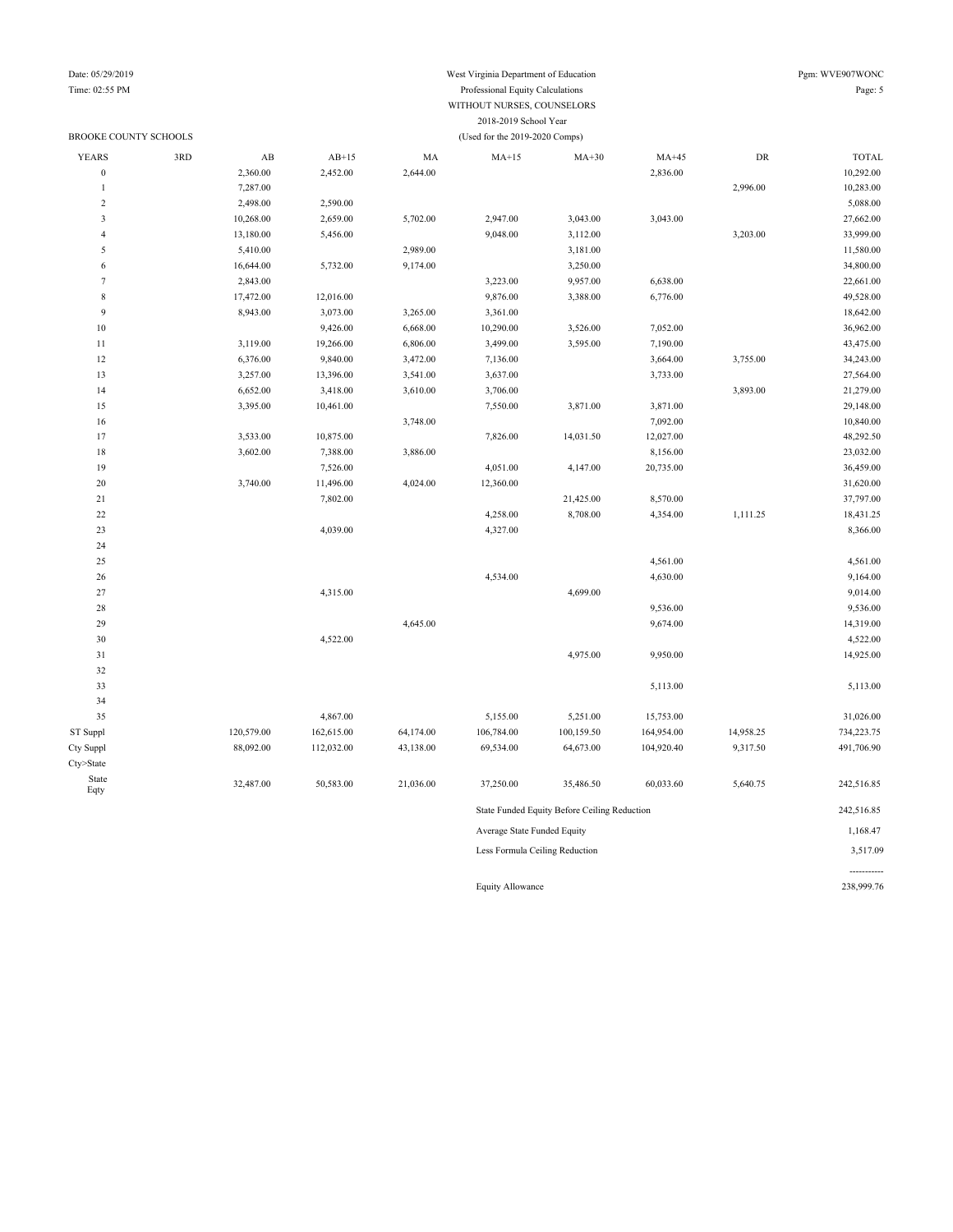#### Date: 05/29/2019 West Virginia Department of Education Pgm: WVE907WONC Time: 02:55 PM Professional Equity Calculations Page: 5 WITHOUT NURSES, COUNSELORS 2018-2019 School Year BROOKE COUNTY SCHOOLS (Used for the 2019-2020 Comps)

| <b>YEARS</b>            | 3RD | AB         | $AB+15$    | MA        | $MA+15$                     | $MA+30$                                      | $MA+45$    | DR        | <b>TOTAL</b> |
|-------------------------|-----|------------|------------|-----------|-----------------------------|----------------------------------------------|------------|-----------|--------------|
| $\boldsymbol{0}$        |     | 2,360.00   | 2,452.00   | 2,644.00  |                             |                                              | 2,836.00   |           | 10,292.00    |
| $\mathbf{1}$            |     | 7,287.00   |            |           |                             |                                              |            | 2,996.00  | 10,283.00    |
| $\overline{c}$          |     | 2,498.00   | 2,590.00   |           |                             |                                              |            |           | 5,088.00     |
| $\overline{\mathbf{3}}$ |     | 10,268.00  | 2,659.00   | 5,702.00  | 2,947.00                    | 3,043.00                                     | 3,043.00   |           | 27,662.00    |
| $\overline{4}$          |     | 13,180.00  | 5,456.00   |           | 9,048.00                    | 3,112.00                                     |            | 3,203.00  | 33,999.00    |
| 5                       |     | 5,410.00   |            | 2,989.00  |                             | 3,181.00                                     |            |           | 11,580.00    |
| 6                       |     | 16,644.00  | 5,732.00   | 9,174.00  |                             | 3,250.00                                     |            |           | 34,800.00    |
| $\tau$                  |     | 2,843.00   |            |           | 3,223.00                    | 9,957.00                                     | 6,638.00   |           | 22,661.00    |
| $\,$ 8 $\,$             |     | 17,472.00  | 12,016.00  |           | 9,876.00                    | 3,388.00                                     | 6,776.00   |           | 49,528.00    |
| 9                       |     | 8,943.00   | 3,073.00   | 3,265.00  | 3,361.00                    |                                              |            |           | 18,642.00    |
| $10\,$                  |     |            | 9,426.00   | 6,668.00  | 10,290.00                   | 3,526.00                                     | 7,052.00   |           | 36,962.00    |
| $11\,$                  |     | 3,119.00   | 19,266.00  | 6,806.00  | 3,499.00                    | 3,595.00                                     | 7,190.00   |           | 43,475.00    |
| 12                      |     | 6,376.00   | 9,840.00   | 3,472.00  | 7,136.00                    |                                              | 3,664.00   | 3,755.00  | 34,243.00    |
| 13                      |     | 3,257.00   | 13,396.00  | 3,541.00  | 3,637.00                    |                                              | 3,733.00   |           | 27,564.00    |
| 14                      |     | 6,652.00   | 3,418.00   | 3,610.00  | 3,706.00                    |                                              |            | 3,893.00  | 21,279.00    |
| 15                      |     | 3,395.00   | 10,461.00  |           | 7,550.00                    | 3,871.00                                     | 3,871.00   |           | 29,148.00    |
| $16\,$                  |     |            |            | 3,748.00  |                             |                                              | 7,092.00   |           | 10,840.00    |
| 17                      |     | 3,533.00   | 10,875.00  |           | 7,826.00                    | 14,031.50                                    | 12,027.00  |           | 48,292.50    |
| 18                      |     | 3,602.00   | 7,388.00   | 3,886.00  |                             |                                              | 8,156.00   |           | 23,032.00    |
| 19                      |     |            | 7,526.00   |           | 4,051.00                    | 4,147.00                                     | 20,735.00  |           | 36,459.00    |
| $20\,$                  |     | 3,740.00   | 11,496.00  | 4,024.00  | 12,360.00                   |                                              |            |           | 31,620.00    |
| $21\,$                  |     |            | 7,802.00   |           |                             | 21,425.00                                    | 8,570.00   |           | 37,797.00    |
| $22\,$                  |     |            |            |           | 4,258.00                    | 8,708.00                                     | 4,354.00   | 1,111.25  | 18,431.25    |
| 23                      |     |            | 4,039.00   |           | 4,327.00                    |                                              |            |           | 8,366.00     |
| 24                      |     |            |            |           |                             |                                              |            |           |              |
| 25                      |     |            |            |           |                             |                                              | 4,561.00   |           | 4,561.00     |
| $26\,$                  |     |            |            |           | 4,534.00                    |                                              | 4,630.00   |           | 9,164.00     |
| 27                      |     |            | 4,315.00   |           |                             | 4,699.00                                     |            |           | 9,014.00     |
| $28\,$                  |     |            |            |           |                             |                                              | 9,536.00   |           | 9,536.00     |
| 29                      |     |            |            | 4,645.00  |                             |                                              | 9,674.00   |           | 14,319.00    |
| 30                      |     |            | 4,522.00   |           |                             |                                              |            |           | 4,522.00     |
| $31\,$                  |     |            |            |           |                             | 4,975.00                                     | 9,950.00   |           | 14,925.00    |
| 32                      |     |            |            |           |                             |                                              |            |           |              |
| 33                      |     |            |            |           |                             |                                              | 5,113.00   |           | 5,113.00     |
| 34                      |     |            |            |           |                             |                                              |            |           |              |
| 35                      |     |            | 4,867.00   |           | 5,155.00                    | 5,251.00                                     | 15,753.00  |           | 31,026.00    |
| ST Suppl                |     | 120,579.00 | 162,615.00 | 64,174.00 | 106,784.00                  | 100,159.50                                   | 164,954.00 | 14,958.25 | 734,223.75   |
| Cty Suppl               |     | 88,092.00  | 112,032.00 | 43,138.00 | 69,534.00                   | 64,673.00                                    | 104,920.40 | 9,317.50  | 491,706.90   |
| Cty>State               |     |            |            |           |                             |                                              |            |           |              |
| State<br>Eqty           |     | 32,487.00  | 50,583.00  | 21,036.00 | 37,250.00                   | 35,486.50                                    | 60,033.60  | 5,640.75  | 242,516.85   |
|                         |     |            |            |           |                             | State Funded Equity Before Ceiling Reduction |            |           | 242,516.85   |
|                         |     |            |            |           | Average State Funded Equity |                                              |            |           | 1,168.47     |
|                         |     |            |            |           |                             | Less Formula Ceiling Reduction               |            |           | 3,517.09     |

Equity Allowance 238,999.76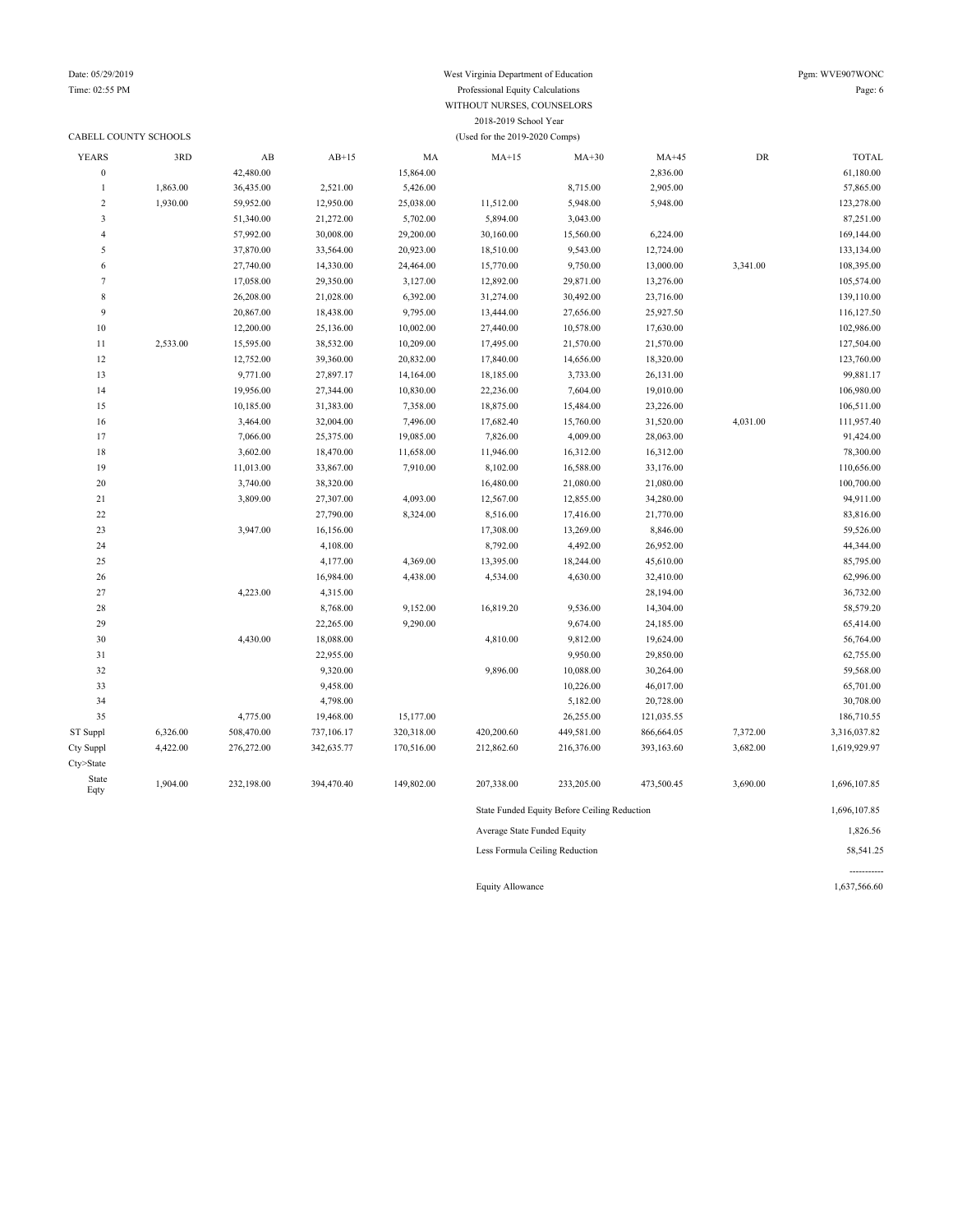#### Date: 05/29/2019 West Virginia Department of Education Pgm: WVE907WONC Time: 02:55 PM Professional Equity Calculations Page: 6 WITHOUT NURSES, COUNSELORS 2018-2019 School Year CABELL COUNTY SCHOOLS (Used for the 2019-2020 Comps)

| <b>YEARS</b>     | 3RD      | AB         | $AB+15$    | MA         | $MA+15$                     | $MA+30$                                      | $MA+45$    | ${\rm DR}$ | <b>TOTAL</b> |
|------------------|----------|------------|------------|------------|-----------------------------|----------------------------------------------|------------|------------|--------------|
| $\boldsymbol{0}$ |          | 42,480.00  |            | 15,864.00  |                             |                                              | 2,836.00   |            | 61,180.00    |
| $\mathbf{1}$     | 1,863.00 | 36,435.00  | 2,521.00   | 5,426.00   |                             | 8,715.00                                     | 2,905.00   |            | 57,865.00    |
| $\boldsymbol{2}$ | 1,930.00 | 59,952.00  | 12,950.00  | 25,038.00  | 11,512.00                   | 5,948.00                                     | 5,948.00   |            | 123,278.00   |
| 3                |          | 51,340.00  | 21,272.00  | 5,702.00   | 5,894.00                    | 3,043.00                                     |            |            | 87,251.00    |
| 4                |          | 57,992.00  | 30,008.00  | 29,200.00  | 30,160.00                   | 15,560.00                                    | 6,224.00   |            | 169,144.00   |
| 5                |          | 37,870.00  | 33,564.00  | 20,923.00  | 18,510.00                   | 9,543.00                                     | 12,724.00  |            | 133,134.00   |
| 6                |          | 27,740.00  | 14,330.00  | 24,464.00  | 15,770.00                   | 9,750.00                                     | 13,000.00  | 3,341.00   | 108,395.00   |
| $\tau$           |          | 17,058.00  | 29,350.00  | 3,127.00   | 12,892.00                   | 29,871.00                                    | 13,276.00  |            | 105,574.00   |
| $\,$ 8 $\,$      |          | 26,208.00  | 21,028.00  | 6,392.00   | 31,274.00                   | 30,492.00                                    | 23,716.00  |            | 139,110.00   |
| 9                |          | 20,867.00  | 18,438.00  | 9,795.00   | 13,444.00                   | 27,656.00                                    | 25,927.50  |            | 116,127.50   |
| $10\,$           |          | 12,200.00  | 25,136.00  | 10,002.00  | 27,440.00                   | 10,578.00                                    | 17,630.00  |            | 102,986.00   |
| 11               | 2,533.00 | 15,595.00  | 38,532.00  | 10,209.00  | 17,495.00                   | 21,570.00                                    | 21,570.00  |            | 127,504.00   |
| 12               |          | 12,752.00  | 39,360.00  | 20,832.00  | 17,840.00                   | 14,656.00                                    | 18,320.00  |            | 123,760.00   |
| 13               |          | 9,771.00   | 27,897.17  | 14,164.00  | 18,185.00                   | 3,733.00                                     | 26,131.00  |            | 99,881.17    |
| 14               |          | 19,956.00  | 27,344.00  | 10,830.00  | 22,236.00                   | 7,604.00                                     | 19,010.00  |            | 106,980.00   |
| 15               |          | 10,185.00  | 31,383.00  | 7,358.00   | 18,875.00                   | 15,484.00                                    | 23,226.00  |            | 106,511.00   |
| 16               |          | 3,464.00   | 32,004.00  | 7,496.00   | 17,682.40                   | 15,760.00                                    | 31,520.00  | 4,031.00   | 111,957.40   |
| 17               |          | 7,066.00   | 25,375.00  | 19,085.00  | 7,826.00                    | 4,009.00                                     | 28,063.00  |            | 91,424.00    |
| 18               |          | 3,602.00   | 18,470.00  | 11,658.00  | 11,946.00                   | 16,312.00                                    | 16,312.00  |            | 78,300.00    |
| 19               |          | 11,013.00  | 33,867.00  | 7,910.00   | 8,102.00                    | 16,588.00                                    | 33,176.00  |            | 110,656.00   |
| 20               |          | 3,740.00   | 38,320.00  |            | 16,480.00                   | 21,080.00                                    | 21,080.00  |            | 100,700.00   |
| 21               |          | 3,809.00   | 27,307.00  | 4,093.00   | 12,567.00                   | 12,855.00                                    | 34,280.00  |            | 94,911.00    |
| $22\,$           |          |            | 27,790.00  | 8,324.00   | 8,516.00                    | 17,416.00                                    | 21,770.00  |            | 83,816.00    |
| 23               |          | 3,947.00   | 16,156.00  |            | 17,308.00                   | 13,269.00                                    | 8,846.00   |            | 59,526.00    |
| 24               |          |            | 4,108.00   |            | 8,792.00                    | 4,492.00                                     | 26,952.00  |            | 44,344.00    |
| 25               |          |            | 4,177.00   | 4,369.00   | 13,395.00                   | 18,244.00                                    | 45,610.00  |            | 85,795.00    |
| 26               |          |            | 16,984.00  | 4,438.00   | 4,534.00                    | 4,630.00                                     | 32,410.00  |            | 62,996.00    |
| 27               |          | 4,223.00   | 4,315.00   |            |                             |                                              | 28,194.00  |            | 36,732.00    |
| 28               |          |            | 8,768.00   | 9,152.00   | 16,819.20                   | 9,536.00                                     | 14,304.00  |            | 58,579.20    |
| 29               |          |            | 22,265.00  | 9,290.00   |                             | 9,674.00                                     | 24,185.00  |            | 65,414.00    |
| 30               |          | 4,430.00   | 18,088.00  |            | 4,810.00                    | 9,812.00                                     | 19,624.00  |            | 56,764.00    |
| 31               |          |            | 22,955.00  |            |                             | 9,950.00                                     | 29,850.00  |            | 62,755.00    |
| 32               |          |            | 9,320.00   |            | 9,896.00                    | 10,088.00                                    | 30,264.00  |            | 59,568.00    |
| 33               |          |            | 9,458.00   |            |                             | 10,226.00                                    | 46,017.00  |            | 65,701.00    |
| 34               |          |            | 4,798.00   |            |                             | 5,182.00                                     | 20,728.00  |            | 30,708.00    |
| 35               |          | 4,775.00   | 19,468.00  | 15,177.00  |                             | 26,255.00                                    | 121,035.55 |            | 186,710.55   |
| ST Suppl         | 6,326.00 | 508,470.00 | 737,106.17 | 320,318.00 | 420,200.60                  | 449,581.00                                   | 866,664.05 | 7,372.00   | 3,316,037.82 |
| Cty Suppl        | 4,422.00 | 276,272.00 | 342,635.77 | 170,516.00 | 212,862.60                  | 216,376.00                                   | 393,163.60 | 3,682.00   | 1,619,929.97 |
| Cty>State        |          |            |            |            |                             |                                              |            |            |              |
| State<br>Eqty    | 1,904.00 | 232,198.00 | 394,470.40 | 149,802.00 | 207,338.00                  | 233,205.00                                   | 473,500.45 | 3,690.00   | 1,696,107.85 |
|                  |          |            |            |            |                             | State Funded Equity Before Ceiling Reduction |            |            | 1,696,107.85 |
|                  |          |            |            |            | Average State Funded Equity |                                              | 1,826.56   |            |              |

Less Formula Ceiling Reduction 58,541.25

Equity Allowance 1,637,566.60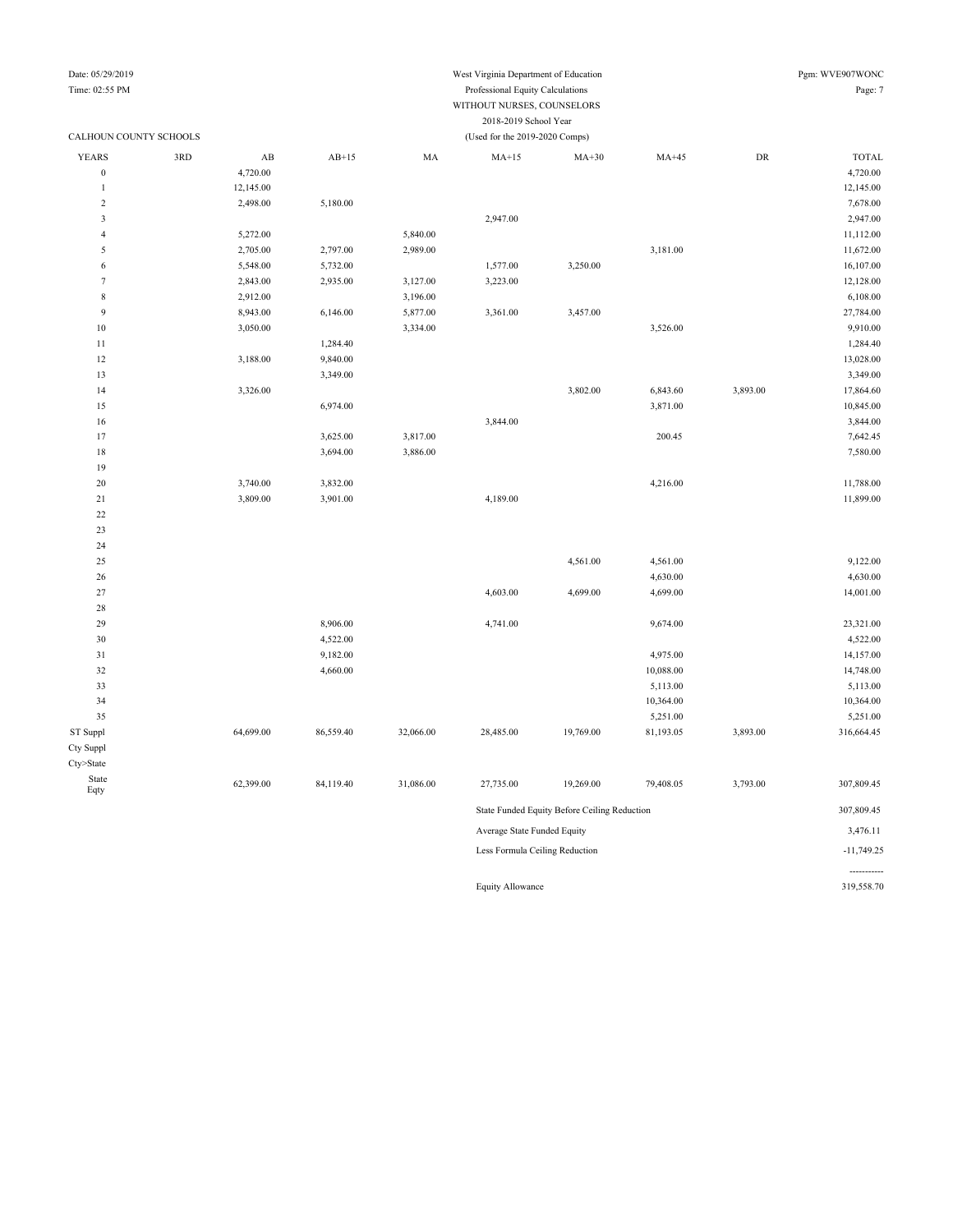## Date: 05/29/2019 West Virginia Department of Education Pgm: WVE907WONC

#### Time: 02:55 PM Professional Equity Calculations Page: 7 WITHOUT NURSES, COUNSELORS 2018-2019 School Year

| CALHOUN COUNTY SCHOOLS |     |                        | (Used for the 2019-2020 Comps) |           |                                |                                              |           |            |              |  |
|------------------------|-----|------------------------|--------------------------------|-----------|--------------------------------|----------------------------------------------|-----------|------------|--------------|--|
| <b>YEARS</b>           | 3RD | $\mathbf{A}\mathbf{B}$ | $AB+15$                        | MA        | $MA+15$                        | $MA+30$                                      | $MA+45$   | ${\rm DR}$ | <b>TOTAL</b> |  |
| $\boldsymbol{0}$       |     | 4,720.00               |                                |           |                                |                                              |           |            | 4,720.00     |  |
| 1                      |     | 12,145.00              |                                |           |                                |                                              |           |            | 12,145.00    |  |
| $\sqrt{2}$             |     | 2,498.00               | 5,180.00                       |           |                                |                                              |           |            | 7,678.00     |  |
| $\mathfrak{Z}$         |     |                        |                                |           | 2,947.00                       |                                              |           |            | 2,947.00     |  |
| $\overline{4}$         |     | 5,272.00               |                                | 5,840.00  |                                |                                              |           |            | 11,112.00    |  |
| 5                      |     | 2,705.00               | 2,797.00                       | 2,989.00  |                                |                                              | 3,181.00  |            | 11,672.00    |  |
| 6                      |     | 5,548.00               | 5,732.00                       |           | 1,577.00                       | 3,250.00                                     |           |            | 16,107.00    |  |
| $\overline{7}$         |     | 2,843.00               | 2,935.00                       | 3,127.00  | 3,223.00                       |                                              |           |            | 12,128.00    |  |
| $\,$ 8 $\,$            |     | 2,912.00               |                                | 3,196.00  |                                |                                              |           |            | 6,108.00     |  |
| 9                      |     | 8,943.00               | 6,146.00                       | 5,877.00  | 3,361.00                       | 3,457.00                                     |           |            | 27,784.00    |  |
| $10$                   |     | 3,050.00               |                                | 3,334.00  |                                |                                              | 3,526.00  |            | 9,910.00     |  |
| 11                     |     |                        | 1,284.40                       |           |                                |                                              |           |            | 1,284.40     |  |
| 12                     |     | 3,188.00               | 9,840.00                       |           |                                |                                              |           |            | 13,028.00    |  |
| 13                     |     |                        | 3,349.00                       |           |                                |                                              |           |            | 3,349.00     |  |
| 14                     |     | 3,326.00               |                                |           |                                | 3,802.00                                     | 6,843.60  | 3,893.00   | 17,864.60    |  |
| 15                     |     |                        | 6,974.00                       |           |                                |                                              | 3,871.00  |            | 10,845.00    |  |
| 16                     |     |                        |                                |           | 3,844.00                       |                                              |           |            | 3,844.00     |  |
| 17                     |     |                        | 3,625.00                       | 3,817.00  |                                |                                              | 200.45    |            | 7,642.45     |  |
| 18                     |     |                        | 3,694.00                       | 3,886.00  |                                |                                              |           |            | 7,580.00     |  |
| 19                     |     |                        |                                |           |                                |                                              |           |            |              |  |
| 20                     |     | 3,740.00               | 3,832.00                       |           |                                |                                              | 4,216.00  |            | 11,788.00    |  |
| 21                     |     | 3,809.00               | 3,901.00                       |           | 4,189.00                       |                                              |           |            | 11,899.00    |  |
| $22\,$                 |     |                        |                                |           |                                |                                              |           |            |              |  |
| 23                     |     |                        |                                |           |                                |                                              |           |            |              |  |
| 24                     |     |                        |                                |           |                                |                                              |           |            |              |  |
| 25                     |     |                        |                                |           |                                | 4,561.00                                     | 4,561.00  |            | 9,122.00     |  |
| 26                     |     |                        |                                |           |                                |                                              | 4,630.00  |            | 4,630.00     |  |
| 27                     |     |                        |                                |           | 4,603.00                       | 4,699.00                                     | 4,699.00  |            | 14,001.00    |  |
| 28                     |     |                        |                                |           |                                |                                              |           |            |              |  |
| 29                     |     |                        | 8,906.00                       |           | 4,741.00                       |                                              | 9,674.00  |            | 23,321.00    |  |
| 30                     |     |                        | 4,522.00                       |           |                                |                                              |           |            | 4,522.00     |  |
| 31                     |     |                        | 9,182.00                       |           |                                |                                              | 4,975.00  |            | 14,157.00    |  |
| 32                     |     |                        | 4,660.00                       |           |                                |                                              | 10,088.00 |            | 14,748.00    |  |
| 33                     |     |                        |                                |           |                                |                                              | 5,113.00  |            | 5,113.00     |  |
| 34                     |     |                        |                                |           |                                |                                              | 10,364.00 |            | 10,364.00    |  |
| 35                     |     |                        |                                |           |                                |                                              | 5,251.00  |            | 5,251.00     |  |
| ST Suppl               |     | 64,699.00              | 86,559.40                      | 32,066.00 | 28,485.00                      | 19,769.00                                    | 81,193.05 | 3,893.00   | 316,664.45   |  |
| Cty Suppl              |     |                        |                                |           |                                |                                              |           |            |              |  |
| Cty>State              |     |                        |                                |           |                                |                                              |           |            |              |  |
| State<br>Eqty          |     | 62,399.00              | 84,119.40                      | 31,086.00 | 27,735.00                      | 19,269.00                                    | 79,408.05 | 3,793.00   | 307,809.45   |  |
|                        |     |                        |                                |           |                                | State Funded Equity Before Ceiling Reduction |           |            | 307,809.45   |  |
|                        |     |                        |                                |           | Average State Funded Equity    |                                              |           |            | 3,476.11     |  |
|                        |     |                        |                                |           | Less Formula Ceiling Reduction |                                              |           |            | $-11,749.25$ |  |
|                        |     |                        |                                |           |                                |                                              |           |            |              |  |

Equity Allowance 319,558.70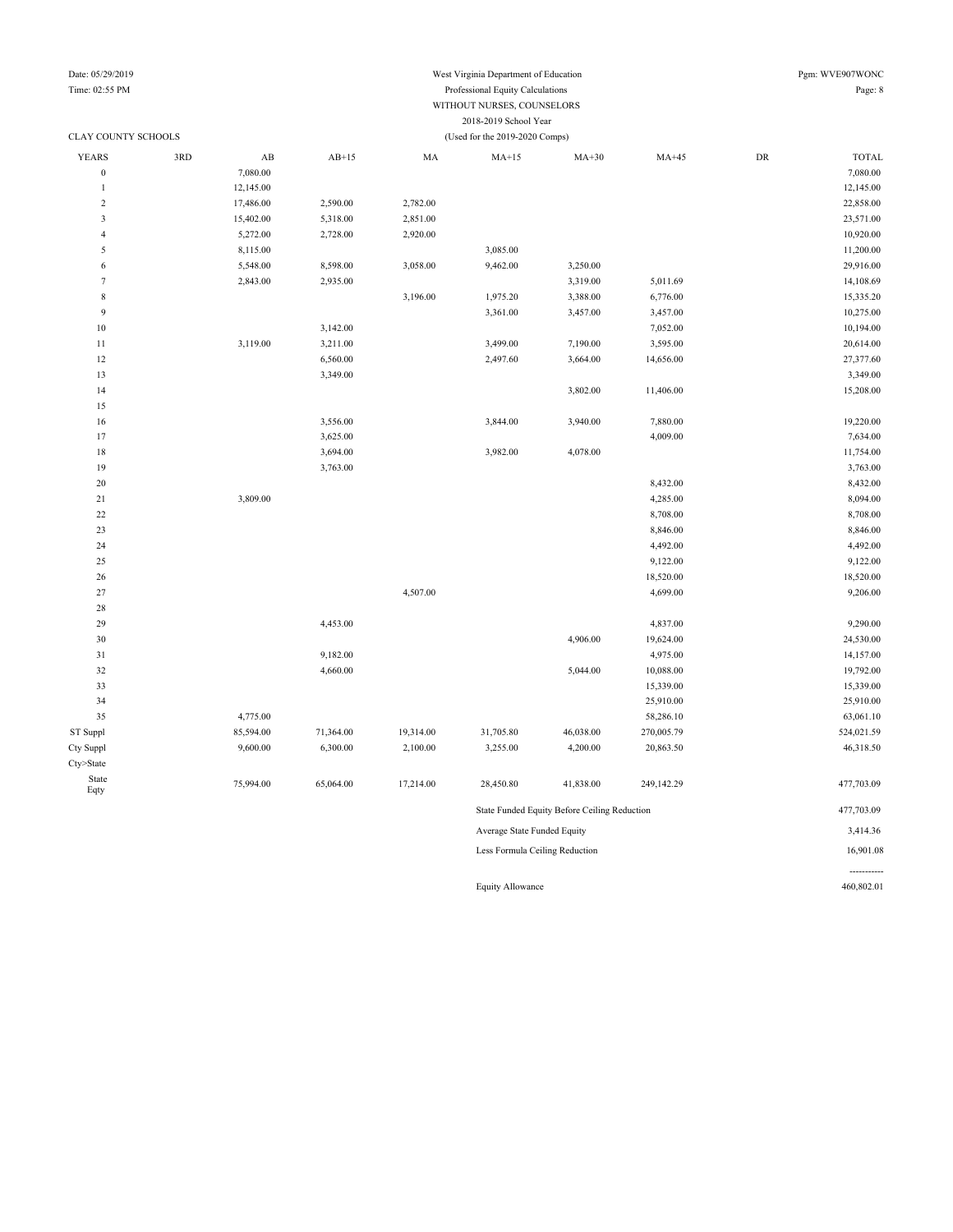## Date: 05/29/2019 West Virginia Department of Education Pgm: WVE907WONC

#### Time: 02:55 PM Professional Equity Calculations Page: 8 WITHOUT NURSES, COUNSELORS 2018-2019 School Year CLAY COUNTY SCHOOLS (Used for the 2019-2020 Comps)

| YEARS                   | 3RD | $\mathbf{A}\mathbf{B}$ | $AB+15$   | MA        | $MA+15$                        | $MA+30$                                      | $MA+45$    | DR | <b>TOTAL</b> |
|-------------------------|-----|------------------------|-----------|-----------|--------------------------------|----------------------------------------------|------------|----|--------------|
| $\boldsymbol{0}$        |     | 7,080.00               |           |           |                                |                                              |            |    | 7,080.00     |
| $\mathbf{1}$            |     | 12,145.00              |           |           |                                |                                              |            |    | 12,145.00    |
| $\sqrt{2}$              |     | 17,486.00              | 2,590.00  | 2,782.00  |                                |                                              |            |    | 22,858.00    |
| $\overline{\mathbf{3}}$ |     | 15,402.00              | 5,318.00  | 2,851.00  |                                |                                              |            |    | 23,571.00    |
| $\overline{4}$          |     | 5,272.00               | 2,728.00  | 2,920.00  |                                |                                              |            |    | 10,920.00    |
| 5                       |     | 8,115.00               |           |           | 3,085.00                       |                                              |            |    | 11,200.00    |
| $\sqrt{6}$              |     | 5,548.00               | 8,598.00  | 3,058.00  | 9,462.00                       | 3,250.00                                     |            |    | 29,916.00    |
| $\tau$                  |     | 2,843.00               | 2,935.00  |           |                                | 3,319.00                                     | 5,011.69   |    | 14,108.69    |
| $\,$ 8 $\,$             |     |                        |           | 3,196.00  | 1,975.20                       | 3,388.00                                     | 6,776.00   |    | 15,335.20    |
| 9                       |     |                        |           |           | 3,361.00                       | 3,457.00                                     | 3,457.00   |    | 10,275.00    |
| $10\,$                  |     |                        | 3,142.00  |           |                                |                                              | 7,052.00   |    | 10,194.00    |
| $11\,$                  |     | 3,119.00               | 3,211.00  |           | 3,499.00                       | 7,190.00                                     | 3,595.00   |    | 20,614.00    |
| 12                      |     |                        | 6,560.00  |           | 2,497.60                       | 3,664.00                                     | 14,656.00  |    | 27,377.60    |
| 13                      |     |                        | 3,349.00  |           |                                |                                              |            |    | 3,349.00     |
| 14                      |     |                        |           |           |                                | 3,802.00                                     | 11,406.00  |    | 15,208.00    |
| 15                      |     |                        |           |           |                                |                                              |            |    |              |
| 16                      |     |                        | 3,556.00  |           | 3,844.00                       | 3,940.00                                     | 7,880.00   |    | 19,220.00    |
| 17                      |     |                        | 3,625.00  |           |                                |                                              | 4,009.00   |    | 7,634.00     |
| $18\,$                  |     |                        | 3,694.00  |           | 3,982.00                       | 4,078.00                                     |            |    | 11,754.00    |
| 19                      |     |                        | 3,763.00  |           |                                |                                              |            |    | 3,763.00     |
| $20\,$                  |     |                        |           |           |                                |                                              | 8,432.00   |    | 8,432.00     |
| 21                      |     | 3,809.00               |           |           |                                |                                              | 4,285.00   |    | 8,094.00     |
| $22\,$                  |     |                        |           |           |                                |                                              | 8,708.00   |    | 8,708.00     |
| 23                      |     |                        |           |           |                                |                                              | 8,846.00   |    | 8,846.00     |
| 24                      |     |                        |           |           |                                |                                              | 4,492.00   |    | 4,492.00     |
| 25                      |     |                        |           |           |                                |                                              | 9,122.00   |    | 9,122.00     |
| $26\,$                  |     |                        |           |           |                                |                                              | 18,520.00  |    | 18,520.00    |
| 27                      |     |                        |           | 4,507.00  |                                |                                              | 4,699.00   |    | 9,206.00     |
| $28\,$                  |     |                        |           |           |                                |                                              |            |    |              |
| 29                      |     |                        | 4,453.00  |           |                                |                                              | 4,837.00   |    | 9,290.00     |
| 30                      |     |                        |           |           |                                | 4,906.00                                     | 19,624.00  |    | 24,530.00    |
| $3\sqrt{1}$             |     |                        | 9,182.00  |           |                                |                                              | 4,975.00   |    | 14,157.00    |
| 32                      |     |                        | 4,660.00  |           |                                | 5,044.00                                     | 10,088.00  |    | 19,792.00    |
| 33                      |     |                        |           |           |                                |                                              | 15,339.00  |    | 15,339.00    |
| 34                      |     |                        |           |           |                                |                                              | 25,910.00  |    | 25,910.00    |
| 35                      |     | 4,775.00               |           |           |                                |                                              | 58,286.10  |    | 63,061.10    |
| ST Suppl                |     | 85,594.00              | 71,364.00 | 19,314.00 | 31,705.80                      | 46,038.00                                    | 270,005.79 |    | 524,021.59   |
| Cty Suppl               |     | 9,600.00               | 6,300.00  | 2,100.00  | 3,255.00                       | 4,200.00                                     | 20,863.50  |    | 46,318.50    |
| Cty>State               |     |                        |           |           |                                |                                              |            |    |              |
| State                   |     | 75,994.00              | 65,064.00 | 17,214.00 | 28,450.80                      | 41,838.00                                    | 249,142.29 |    | 477,703.09   |
| Eqty                    |     |                        |           |           |                                | State Funded Equity Before Ceiling Reduction |            |    |              |
|                         |     |                        |           |           |                                | 477,703.09                                   |            |    |              |
|                         |     |                        |           |           | Average State Funded Equity    |                                              |            |    | 3,414.36     |
|                         |     |                        |           |           | Less Formula Ceiling Reduction |                                              |            |    | 16,901.08    |

Equity Allowance 460,802.01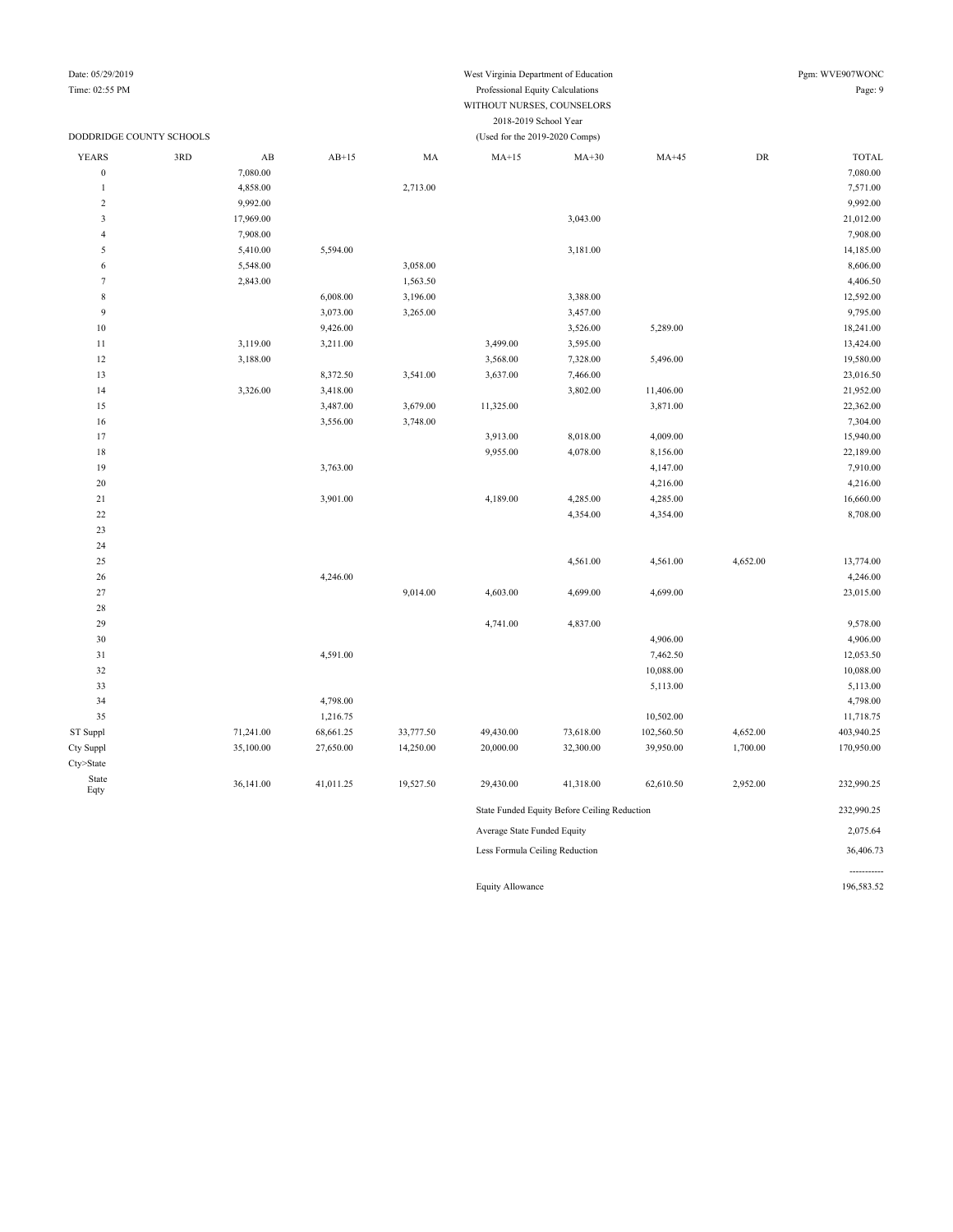## Date: 05/29/2019 Pgm: WVE907WONC

-----------

#### Time: 02:55 PM Professional Equity Calculations Page: 9 WITHOUT NURSES, COUNSELORS 2018-2019 School Year

|                         | DODDRIDGE COUNTY SCHOOLS |                        | (Used for the 2019-2020 Comps) |           |                                |                                              |            |            |              |  |
|-------------------------|--------------------------|------------------------|--------------------------------|-----------|--------------------------------|----------------------------------------------|------------|------------|--------------|--|
| <b>YEARS</b>            | 3RD                      | $\mathbf{A}\mathbf{B}$ | $AB+15$                        | MA        | $MA+15$                        | $MA+30$                                      | $MA+45$    | ${\rm DR}$ | <b>TOTAL</b> |  |
| $\boldsymbol{0}$        |                          | 7,080.00               |                                |           |                                |                                              |            |            | 7,080.00     |  |
| $\mathbf{1}$            |                          | 4,858.00               |                                | 2,713.00  |                                |                                              |            |            | 7,571.00     |  |
| $\sqrt{2}$              |                          | 9,992.00               |                                |           |                                |                                              |            |            | 9,992.00     |  |
| $\overline{\mathbf{3}}$ |                          | 17,969.00              |                                |           |                                | 3,043.00                                     |            |            | 21,012.00    |  |
| $\overline{4}$          |                          | 7,908.00               |                                |           |                                |                                              |            |            | 7,908.00     |  |
| 5                       |                          | 5,410.00               | 5,594.00                       |           |                                | 3,181.00                                     |            |            | 14,185.00    |  |
| 6                       |                          | 5,548.00               |                                | 3,058.00  |                                |                                              |            |            | 8,606.00     |  |
| $\tau$                  |                          | 2,843.00               |                                | 1,563.50  |                                |                                              |            |            | 4,406.50     |  |
| $\,$ 8 $\,$             |                          |                        | 6,008.00                       | 3,196.00  |                                | 3,388.00                                     |            |            | 12,592.00    |  |
| 9                       |                          |                        | 3,073.00                       | 3,265.00  |                                | 3,457.00                                     |            |            | 9,795.00     |  |
| $10\,$                  |                          |                        | 9,426.00                       |           |                                | 3,526.00                                     | 5,289.00   |            | 18,241.00    |  |
| $1\,1$                  |                          | 3,119.00               | 3,211.00                       |           | 3,499.00                       | 3,595.00                                     |            |            | 13,424.00    |  |
| 12                      |                          | 3,188.00               |                                |           | 3,568.00                       | 7,328.00                                     | 5,496.00   |            | 19,580.00    |  |
| 13                      |                          |                        | 8,372.50                       | 3,541.00  | 3,637.00                       | 7,466.00                                     |            |            | 23,016.50    |  |
| 14                      |                          | 3,326.00               | 3,418.00                       |           |                                | 3,802.00                                     | 11,406.00  |            | 21,952.00    |  |
| 15                      |                          |                        | 3,487.00                       | 3,679.00  | 11,325.00                      |                                              | 3,871.00   |            | 22,362.00    |  |
| $16\,$                  |                          |                        | 3,556.00                       | 3,748.00  |                                |                                              |            |            | 7,304.00     |  |
| 17                      |                          |                        |                                |           | 3,913.00                       | 8,018.00                                     | 4,009.00   |            | 15,940.00    |  |
| 18                      |                          |                        |                                |           | 9,955.00                       | 4,078.00                                     | 8,156.00   |            | 22,189.00    |  |
| 19                      |                          |                        | 3,763.00                       |           |                                |                                              | 4,147.00   |            | 7,910.00     |  |
| $20\,$                  |                          |                        |                                |           |                                |                                              | 4,216.00   |            | 4,216.00     |  |
| $21\,$                  |                          |                        | 3,901.00                       |           | 4,189.00                       | 4,285.00                                     | 4,285.00   |            | 16,660.00    |  |
| $22\,$                  |                          |                        |                                |           |                                | 4,354.00                                     | 4,354.00   |            | 8,708.00     |  |
| 23                      |                          |                        |                                |           |                                |                                              |            |            |              |  |
| 24                      |                          |                        |                                |           |                                |                                              |            |            |              |  |
| $25\,$                  |                          |                        |                                |           |                                | 4,561.00                                     | 4,561.00   | 4,652.00   | 13,774.00    |  |
| $26\,$                  |                          |                        | 4,246.00                       |           |                                |                                              |            |            | 4,246.00     |  |
| 27                      |                          |                        |                                | 9,014.00  | 4,603.00                       | 4,699.00                                     | 4,699.00   |            | 23,015.00    |  |
| 28                      |                          |                        |                                |           |                                |                                              |            |            |              |  |
| 29                      |                          |                        |                                |           | 4,741.00                       | 4,837.00                                     |            |            | 9,578.00     |  |
| $30\,$                  |                          |                        |                                |           |                                |                                              | 4,906.00   |            | 4,906.00     |  |
| $31\,$                  |                          |                        | 4,591.00                       |           |                                |                                              | 7,462.50   |            | 12,053.50    |  |
| 32                      |                          |                        |                                |           |                                |                                              | 10,088.00  |            | 10,088.00    |  |
| 33                      |                          |                        |                                |           |                                |                                              | 5,113.00   |            | 5,113.00     |  |
| 34                      |                          |                        | 4,798.00                       |           |                                |                                              |            |            | 4,798.00     |  |
| 35                      |                          |                        | 1,216.75                       |           |                                |                                              | 10,502.00  |            | 11,718.75    |  |
| ST Suppl                |                          | 71,241.00              | 68,661.25                      | 33,777.50 | 49,430.00                      | 73,618.00                                    | 102,560.50 | 4,652.00   | 403,940.25   |  |
| Cty Suppl               |                          | 35,100.00              | 27,650.00                      | 14,250.00 | 20,000.00                      | 32,300.00                                    | 39,950.00  | 1,700.00   | 170,950.00   |  |
| Cty>State               |                          |                        |                                |           |                                |                                              |            |            |              |  |
| State<br>Eqty           |                          | 36,141.00              | 41,011.25                      | 19,527.50 | 29,430.00                      | 41,318.00                                    | 62,610.50  | 2,952.00   | 232,990.25   |  |
|                         |                          |                        |                                |           |                                | State Funded Equity Before Ceiling Reduction |            |            | 232,990.25   |  |
|                         |                          |                        |                                |           | Average State Funded Equity    |                                              |            |            | 2,075.64     |  |
|                         |                          |                        |                                |           | Less Formula Ceiling Reduction |                                              |            |            | 36,406.73    |  |

Equity Allowance 196,583.52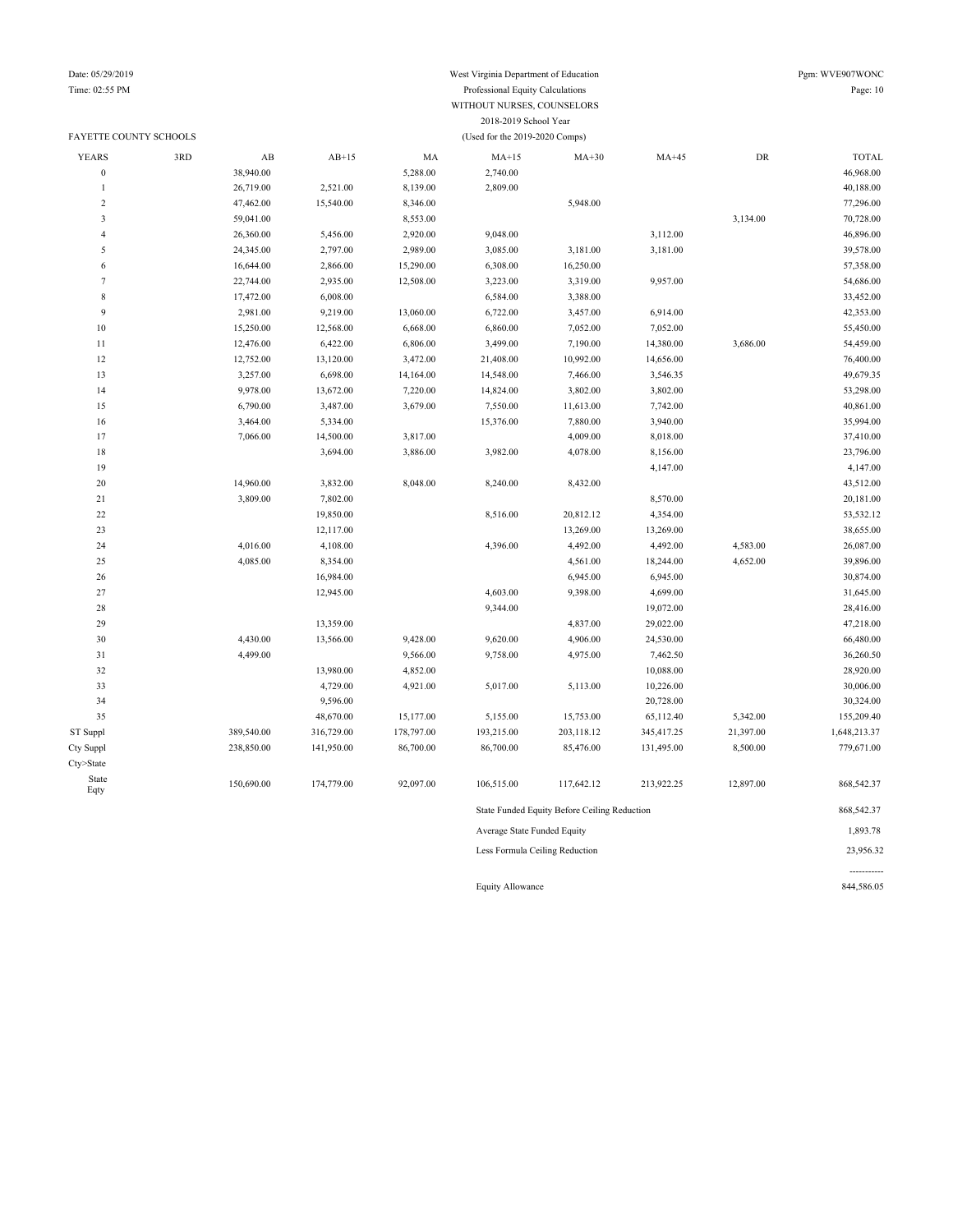### FAYETTE COUNTY SCHOOLS (Used for the 2019-2020 Comps)

### Date: 05/29/2019 West Virginia Department of Education Pgm: WVE907WONC Time: 02:55 PM Professional Equity Calculations Page: 10 WITHOUT NURSES, COUNSELORS 2018-2019 School Year

| <b>YEARS</b>            | 3RD | AB         | $AB+15$    | MA         | $MA+15$                     | $MA+30$                                      | $MA+45$    | ${\rm DR}$ | <b>TOTAL</b> |
|-------------------------|-----|------------|------------|------------|-----------------------------|----------------------------------------------|------------|------------|--------------|
| $\boldsymbol{0}$        |     | 38,940.00  |            | 5,288.00   | 2,740.00                    |                                              |            |            | 46,968.00    |
|                         |     | 26,719.00  | 2,521.00   | 8,139.00   | 2,809.00                    |                                              |            |            | 40,188.00    |
| $\overline{2}$          |     | 47,462.00  | 15,540.00  | 8,346.00   |                             | 5,948.00                                     |            |            | 77,296.00    |
| $\overline{\mathbf{3}}$ |     | 59,041.00  |            | 8,553.00   |                             |                                              |            | 3,134.00   | 70,728.00    |
| $\overline{4}$          |     | 26,360.00  | 5,456.00   | 2,920.00   | 9,048.00                    |                                              | 3,112.00   |            | 46,896.00    |
| 5                       |     | 24,345.00  | 2,797.00   | 2,989.00   | 3,085.00                    | 3,181.00                                     | 3,181.00   |            | 39,578.00    |
| 6                       |     | 16,644.00  | 2,866.00   | 15,290.00  | 6,308.00                    | 16,250.00                                    |            |            | 57,358.00    |
| $\tau$                  |     | 22,744.00  | 2,935.00   | 12,508.00  | 3,223.00                    | 3,319.00                                     | 9,957.00   |            | 54,686.00    |
| $\,$ 8 $\,$             |     | 17,472.00  | 6,008.00   |            | 6,584.00                    | 3,388.00                                     |            |            | 33,452.00    |
| $\overline{9}$          |     | 2,981.00   | 9,219.00   | 13,060.00  | 6,722.00                    | 3,457.00                                     | 6,914.00   |            | 42,353.00    |
| 10                      |     | 15,250.00  | 12,568.00  | 6,668.00   | 6,860.00                    | 7,052.00                                     | 7,052.00   |            | 55,450.00    |
| $1\,1$                  |     | 12,476.00  | 6,422.00   | 6,806.00   | 3,499.00                    | 7,190.00                                     | 14,380.00  | 3,686.00   | 54,459.00    |
| 12                      |     | 12,752.00  | 13,120.00  | 3,472.00   | 21,408.00                   | 10,992.00                                    | 14,656.00  |            | 76,400.00    |
| 13                      |     | 3,257.00   | 6,698.00   | 14,164.00  | 14,548.00                   | 7,466.00                                     | 3,546.35   |            | 49,679.35    |
| 14                      |     | 9,978.00   | 13,672.00  | 7,220.00   | 14,824.00                   | 3,802.00                                     | 3,802.00   |            | 53,298.00    |
| 15                      |     | 6,790.00   | 3,487.00   | 3,679.00   | 7,550.00                    | 11,613.00                                    | 7,742.00   |            | 40,861.00    |
| 16                      |     | 3,464.00   | 5,334.00   |            | 15,376.00                   | 7,880.00                                     | 3,940.00   |            | 35,994.00    |
| 17                      |     | 7,066.00   | 14,500.00  | 3,817.00   |                             | 4,009.00                                     | 8,018.00   |            | 37,410.00    |
| 18                      |     |            | 3,694.00   | 3,886.00   | 3,982.00                    | 4,078.00                                     | 8,156.00   |            | 23,796.00    |
| 19                      |     |            |            |            |                             |                                              | 4,147.00   |            | 4,147.00     |
| 20                      |     | 14,960.00  | 3,832.00   | 8,048.00   | 8,240.00                    | 8,432.00                                     |            |            | 43,512.00    |
| 21                      |     | 3,809.00   | 7,802.00   |            |                             |                                              | 8,570.00   |            | 20,181.00    |
| $22\,$                  |     |            | 19,850.00  |            | 8,516.00                    | 20,812.12                                    | 4,354.00   |            | 53,532.12    |
| 23                      |     |            | 12,117.00  |            |                             | 13,269.00                                    | 13,269.00  |            | 38,655.00    |
| 24                      |     | 4,016.00   | 4,108.00   |            | 4,396.00                    | 4,492.00                                     | 4,492.00   | 4,583.00   | 26,087.00    |
| 25                      |     | 4,085.00   | 8,354.00   |            |                             | 4,561.00                                     | 18,244.00  | 4,652.00   | 39,896.00    |
| 26                      |     |            | 16,984.00  |            |                             | 6,945.00                                     | 6,945.00   |            | 30,874.00    |
| 27                      |     |            | 12,945.00  |            | 4,603.00                    | 9,398.00                                     | 4,699.00   |            | 31,645.00    |
| 28                      |     |            |            |            | 9,344.00                    |                                              | 19,072.00  |            | 28,416.00    |
| 29                      |     |            | 13,359.00  |            |                             | 4,837.00                                     | 29,022.00  |            | 47,218.00    |
| 30                      |     | 4,430.00   | 13,566.00  | 9,428.00   | 9,620.00                    | 4,906.00                                     | 24,530.00  |            | 66,480.00    |
| 31                      |     | 4,499.00   |            | 9,566.00   | 9,758.00                    | 4,975.00                                     | 7,462.50   |            | 36,260.50    |
| 32                      |     |            | 13,980.00  | 4,852.00   |                             |                                              | 10,088.00  |            | 28,920.00    |
| 33                      |     |            | 4,729.00   | 4,921.00   | 5,017.00                    | 5,113.00                                     | 10,226.00  |            | 30,006.00    |
| 34                      |     |            | 9,596.00   |            |                             |                                              | 20,728.00  |            | 30,324.00    |
| 35                      |     |            | 48,670.00  | 15,177.00  | 5,155.00                    | 15,753.00                                    | 65,112.40  | 5,342.00   | 155,209.40   |
| ST Suppl                |     | 389,540.00 | 316,729.00 | 178,797.00 | 193,215.00                  | 203,118.12                                   | 345,417.25 | 21,397.00  | 1,648,213.37 |
| Cty Suppl               |     | 238,850.00 | 141,950.00 | 86,700.00  | 86,700.00                   | 85,476.00                                    | 131,495.00 | 8,500.00   | 779,671.00   |
| Cty>State               |     |            |            |            |                             |                                              |            |            |              |
| State<br>Eqty           |     | 150,690.00 | 174,779.00 | 92,097.00  | 106,515.00                  | 117,642.12                                   | 213,922.25 | 12,897.00  | 868,542.37   |
|                         |     |            |            |            |                             | State Funded Equity Before Ceiling Reduction |            |            | 868,542.37   |
|                         |     |            |            |            | Average State Funded Equity |                                              |            |            | 1,893.78     |

Less Formula Ceiling Reduction 23,956.32

Equity Allowance 844,586.05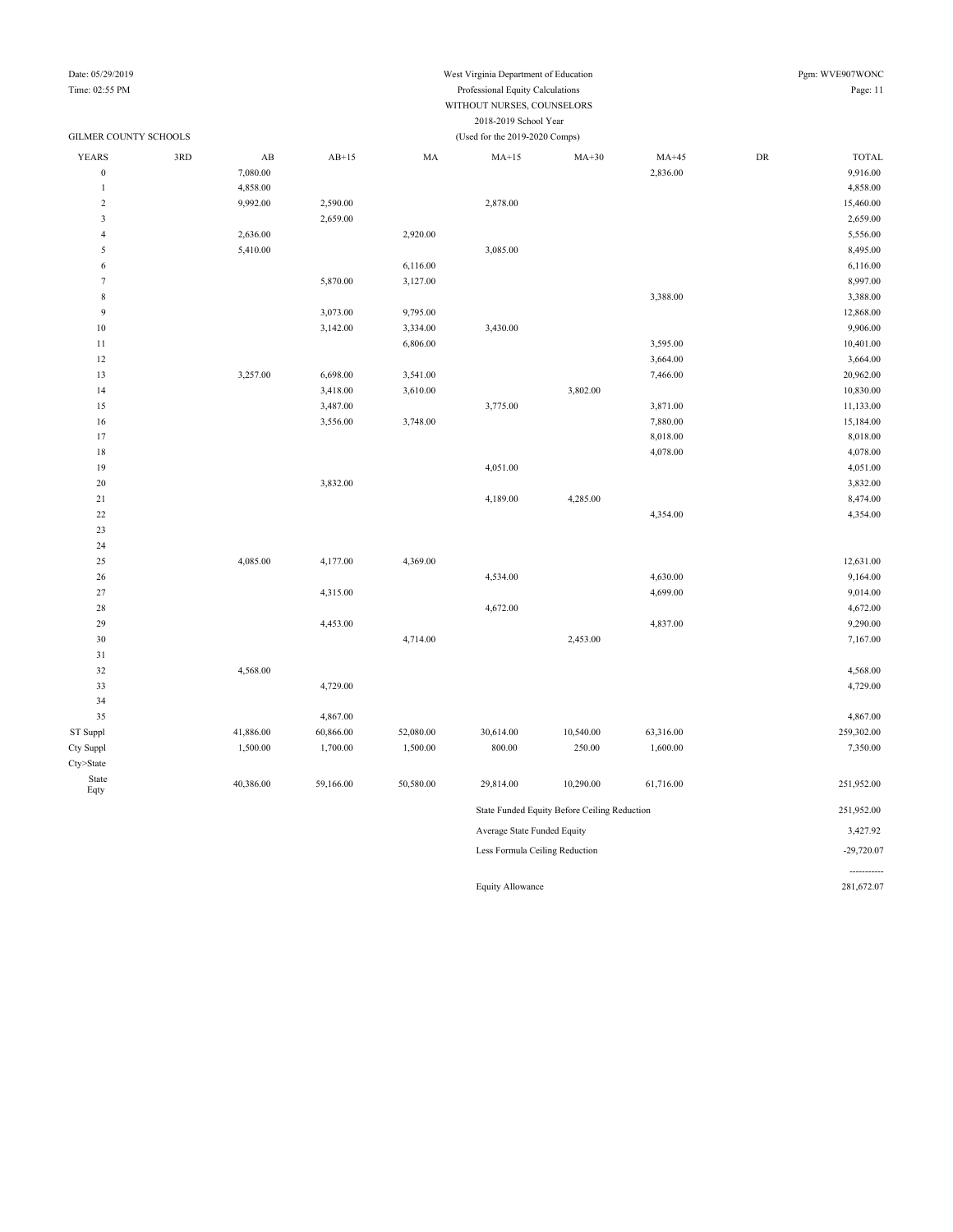## Date: 05/29/2019 West Virginia Department of Education Pgm: WVE907WONC

### Time: 02:55 PM Professional Equity Calculations Page: 11 WITHOUT NURSES, COUNSELORS 2018-2019 School Year

| GILMER COUNTY SCHOOLS   |     |                        |           |           | (Used for the 2019-2020 Comps) |                                              |           |    |              |
|-------------------------|-----|------------------------|-----------|-----------|--------------------------------|----------------------------------------------|-----------|----|--------------|
| <b>YEARS</b>            | 3RD | $\mathbf{A}\mathbf{B}$ | $AB+15$   | $\rm MA$  | $MA+15$                        | $MA+30$                                      | $MA+45$   | DR | <b>TOTAL</b> |
| $\boldsymbol{0}$        |     | 7,080.00               |           |           |                                |                                              | 2,836.00  |    | 9,916.00     |
| $\mathbf{1}$            |     | 4,858.00               |           |           |                                |                                              |           |    | 4,858.00     |
| $\sqrt{2}$              |     | 9,992.00               | 2,590.00  |           | 2,878.00                       |                                              |           |    | 15,460.00    |
| $\overline{\mathbf{3}}$ |     |                        | 2,659.00  |           |                                |                                              |           |    | 2,659.00     |
| $\overline{4}$          |     | 2,636.00               |           | 2,920.00  |                                |                                              |           |    | 5,556.00     |
| 5                       |     | 5,410.00               |           |           | 3,085.00                       |                                              |           |    | 8,495.00     |
| 6                       |     |                        |           | 6,116.00  |                                |                                              |           |    | 6,116.00     |
| $\boldsymbol{7}$        |     |                        | 5,870.00  | 3,127.00  |                                |                                              |           |    | 8,997.00     |
| $\,$ 8 $\,$             |     |                        |           |           |                                |                                              | 3,388.00  |    | 3,388.00     |
| $\overline{9}$          |     |                        | 3,073.00  | 9,795.00  |                                |                                              |           |    | 12,868.00    |
| 10                      |     |                        | 3,142.00  | 3,334.00  | 3,430.00                       |                                              |           |    | 9,906.00     |
| $11\,$                  |     |                        |           | 6,806.00  |                                |                                              | 3,595.00  |    | 10,401.00    |
| 12                      |     |                        |           |           |                                |                                              | 3,664.00  |    | 3,664.00     |
| 13                      |     | 3,257.00               | 6,698.00  | 3,541.00  |                                |                                              | 7,466.00  |    | 20,962.00    |
| 14                      |     |                        | 3,418.00  | 3,610.00  |                                | 3,802.00                                     |           |    | 10,830.00    |
| 15                      |     |                        | 3,487.00  |           | 3,775.00                       |                                              | 3,871.00  |    | 11,133.00    |
| 16                      |     |                        | 3,556.00  | 3,748.00  |                                |                                              | 7,880.00  |    | 15,184.00    |
| 17                      |     |                        |           |           |                                |                                              | 8,018.00  |    | 8,018.00     |
| 18                      |     |                        |           |           |                                |                                              | 4,078.00  |    | 4,078.00     |
| 19                      |     |                        |           |           | 4,051.00                       |                                              |           |    | 4,051.00     |
| 20                      |     |                        | 3,832.00  |           |                                |                                              |           |    | 3,832.00     |
| 21                      |     |                        |           |           | 4,189.00                       | 4,285.00                                     |           |    | 8,474.00     |
| 22                      |     |                        |           |           |                                |                                              | 4,354.00  |    | 4,354.00     |
| 23                      |     |                        |           |           |                                |                                              |           |    |              |
| 24                      |     |                        |           |           |                                |                                              |           |    |              |
| 25                      |     | 4,085.00               | 4,177.00  | 4,369.00  |                                |                                              |           |    | 12,631.00    |
| 26                      |     |                        |           |           | 4,534.00                       |                                              | 4,630.00  |    | 9,164.00     |
| 27                      |     |                        | 4,315.00  |           |                                |                                              | 4,699.00  |    | 9,014.00     |
| 28                      |     |                        |           |           | 4,672.00                       |                                              |           |    | 4,672.00     |
| 29                      |     |                        | 4,453.00  |           |                                |                                              | 4,837.00  |    | 9,290.00     |
| 30                      |     |                        |           | 4,714.00  |                                | 2,453.00                                     |           |    | 7,167.00     |
| 31                      |     |                        |           |           |                                |                                              |           |    |              |
| 32                      |     | 4,568.00               |           |           |                                |                                              |           |    | 4,568.00     |
| 33                      |     |                        | 4,729.00  |           |                                |                                              |           |    | 4,729.00     |
| 34                      |     |                        |           |           |                                |                                              |           |    |              |
| 35                      |     |                        | 4,867.00  |           |                                |                                              |           |    | 4,867.00     |
| ST Suppl                |     | 41,886.00              | 60,866.00 | 52,080.00 | 30,614.00                      | 10,540.00                                    | 63,316.00 |    | 259,302.00   |
| Cty Suppl               |     | 1,500.00               | 1,700.00  | 1,500.00  | 800.00                         | 250.00                                       | 1,600.00  |    | 7,350.00     |
| Cty>State               |     |                        |           |           |                                |                                              |           |    |              |
| State                   |     |                        |           |           |                                |                                              |           |    |              |
| Eqty                    |     | 40,386.00              | 59,166.00 | 50,580.00 | 29,814.00                      | 10,290.00                                    | 61,716.00 |    | 251,952.00   |
|                         |     |                        |           |           |                                | State Funded Equity Before Ceiling Reduction |           |    | 251,952.00   |
|                         |     |                        |           |           | Average State Funded Equity    |                                              |           |    | 3,427.92     |
|                         |     |                        |           |           | Less Formula Ceiling Reduction |                                              |           |    | $-29,720.07$ |
|                         |     |                        |           |           |                                |                                              |           |    |              |

Equity Allowance 281,672.07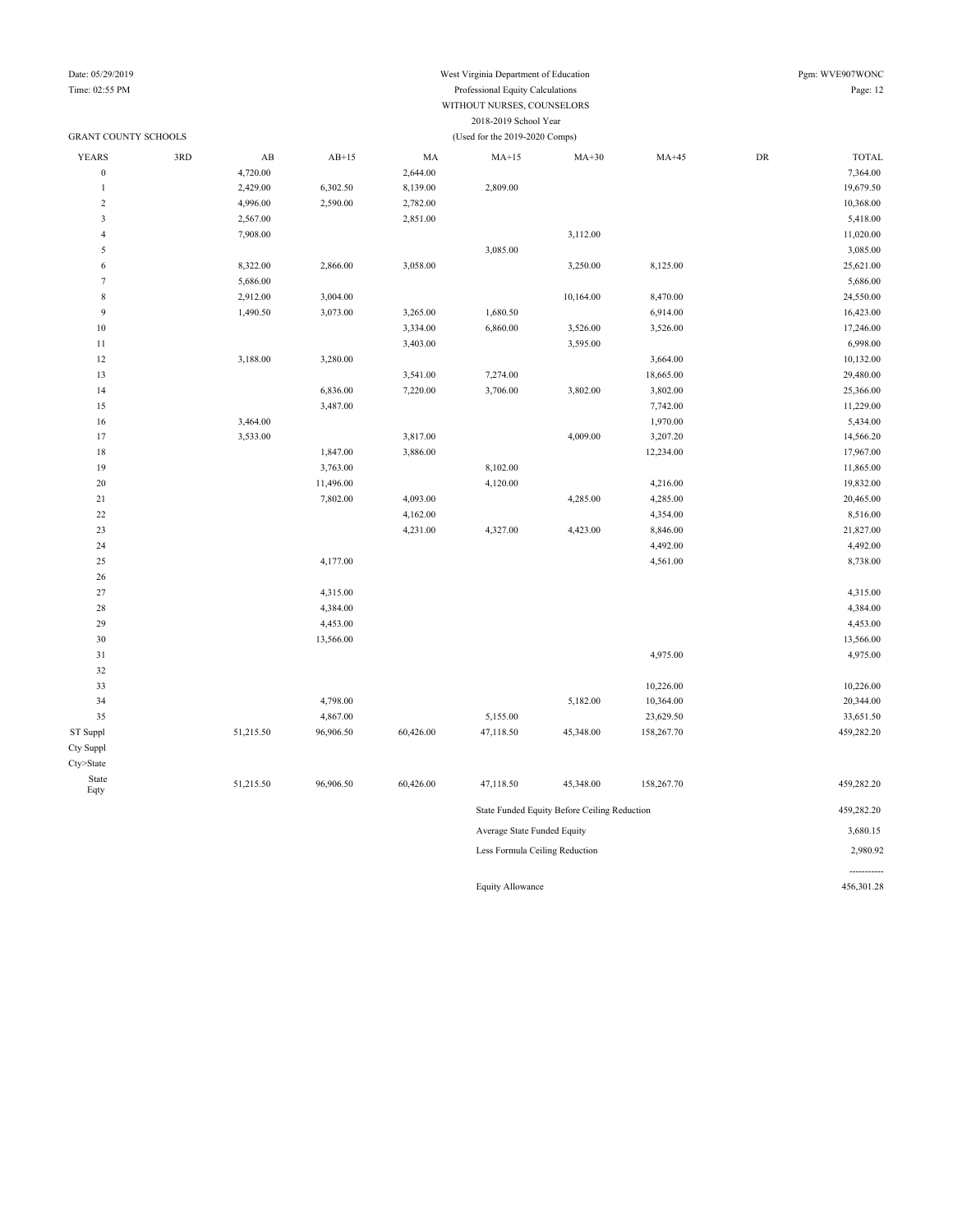## Date: 05/29/2019 West Virginia Department of Education Pgm: WVE907WONC

### Time: 02:55 PM Professional Equity Calculations Page: 12 WITHOUT NURSES, COUNSELORS 2018-2019 School Year

| <b>GRANT COUNTY SCHOOLS</b> |     |                        |           |           | (Used for the 2019-2020 Comps) |           |            |            |              |
|-----------------------------|-----|------------------------|-----------|-----------|--------------------------------|-----------|------------|------------|--------------|
| <b>YEARS</b>                | 3RD | $\mathbf{A}\mathbf{B}$ | $AB+15$   | MA        | $MA+15$                        | $MA+30$   | $MA+45$    | ${\rm DR}$ | <b>TOTAL</b> |
| $\overline{0}$              |     | 4,720.00               |           | 2,644.00  |                                |           |            |            | 7,364.00     |
| $\mathbf{1}$                |     | 2,429.00               | 6,302.50  | 8,139.00  | 2,809.00                       |           |            |            | 19,679.50    |
| $\sqrt{2}$                  |     | 4,996.00               | 2,590.00  | 2,782.00  |                                |           |            |            | 10,368.00    |
| $\overline{\mathbf{3}}$     |     | 2,567.00               |           | 2,851.00  |                                |           |            |            | 5,418.00     |
| $\overline{4}$              |     | 7,908.00               |           |           |                                | 3,112.00  |            |            | 11,020.00    |
| 5                           |     |                        |           |           | 3,085.00                       |           |            |            | 3,085.00     |
| 6                           |     | 8,322.00               | 2,866.00  | 3,058.00  |                                | 3,250.00  | 8,125.00   |            | 25,621.00    |
| $\overline{7}$              |     | 5,686.00               |           |           |                                |           |            |            | 5,686.00     |
| $\,$ 8 $\,$                 |     | 2,912.00               | 3,004.00  |           |                                | 10,164.00 | 8,470.00   |            | 24,550.00    |
| 9                           |     | 1,490.50               | 3,073.00  | 3,265.00  | 1,680.50                       |           | 6,914.00   |            | 16,423.00    |
| $10$                        |     |                        |           | 3,334.00  | 6,860.00                       | 3,526.00  | 3,526.00   |            | 17,246.00    |
| 11                          |     |                        |           | 3,403.00  |                                | 3,595.00  |            |            | 6,998.00     |
| 12                          |     | 3,188.00               | 3,280.00  |           |                                |           | 3,664.00   |            | 10,132.00    |
| 13                          |     |                        |           | 3,541.00  | 7,274.00                       |           | 18,665.00  |            | 29,480.00    |
| 14                          |     |                        | 6,836.00  | 7,220.00  | 3,706.00                       | 3,802.00  | 3,802.00   |            | 25,366.00    |
| 15                          |     |                        | 3,487.00  |           |                                |           | 7,742.00   |            | 11,229.00    |
| 16                          |     | 3,464.00               |           |           |                                |           | 1,970.00   |            | 5,434.00     |
| 17                          |     | 3,533.00               |           | 3,817.00  |                                | 4,009.00  | 3,207.20   |            | 14,566.20    |
| 18                          |     |                        | 1,847.00  | 3,886.00  |                                |           | 12,234.00  |            | 17,967.00    |
| 19                          |     |                        | 3,763.00  |           | 8,102.00                       |           |            |            | 11,865.00    |
| 20                          |     |                        | 11,496.00 |           | 4,120.00                       |           | 4,216.00   |            | 19,832.00    |
| 21                          |     |                        | 7,802.00  | 4,093.00  |                                | 4,285.00  | 4,285.00   |            | 20,465.00    |
| $22\,$                      |     |                        |           | 4,162.00  |                                |           | 4,354.00   |            | 8,516.00     |
| 23                          |     |                        |           | 4,231.00  | 4,327.00                       | 4,423.00  | 8,846.00   |            | 21,827.00    |
| 24                          |     |                        |           |           |                                |           | 4,492.00   |            | 4,492.00     |
| 25                          |     |                        | 4,177.00  |           |                                |           | 4,561.00   |            | 8,738.00     |
| $26\,$                      |     |                        |           |           |                                |           |            |            |              |
| 27                          |     |                        | 4,315.00  |           |                                |           |            |            | 4,315.00     |
| 28                          |     |                        | 4,384.00  |           |                                |           |            |            | 4,384.00     |
| 29                          |     |                        | 4,453.00  |           |                                |           |            |            | 4,453.00     |
| 30                          |     |                        | 13,566.00 |           |                                |           |            |            | 13,566.00    |
| 31                          |     |                        |           |           |                                |           | 4,975.00   |            | 4,975.00     |
| 32                          |     |                        |           |           |                                |           |            |            |              |
| 33                          |     |                        |           |           |                                |           | 10,226.00  |            | 10,226.00    |
| 34                          |     |                        | 4,798.00  |           |                                | 5,182.00  | 10,364.00  |            | 20,344.00    |
| 35                          |     |                        | 4,867.00  |           | 5,155.00                       |           | 23,629.50  |            | 33,651.50    |
| ST Suppl                    |     | 51,215.50              | 96,906.50 | 60,426.00 | 47,118.50                      | 45,348.00 | 158,267.70 |            | 459,282.20   |
| Cty Suppl                   |     |                        |           |           |                                |           |            |            |              |
| Cty>State                   |     |                        |           |           |                                |           |            |            |              |
| State<br>Eqty               |     | 51,215.50              | 96,906.50 | 60,426.00 | 47,118.50                      | 45,348.00 | 158,267.70 |            | 459,282.20   |
|                             |     |                        |           |           | 459,282.20                     |           |            |            |              |
|                             |     |                        |           |           | Average State Funded Equity    |           |            |            | 3,680.15     |
|                             |     |                        |           |           | Less Formula Ceiling Reduction |           |            |            | 2,980.92     |
|                             |     |                        |           |           |                                |           |            |            |              |

Equity Allowance 456,301.28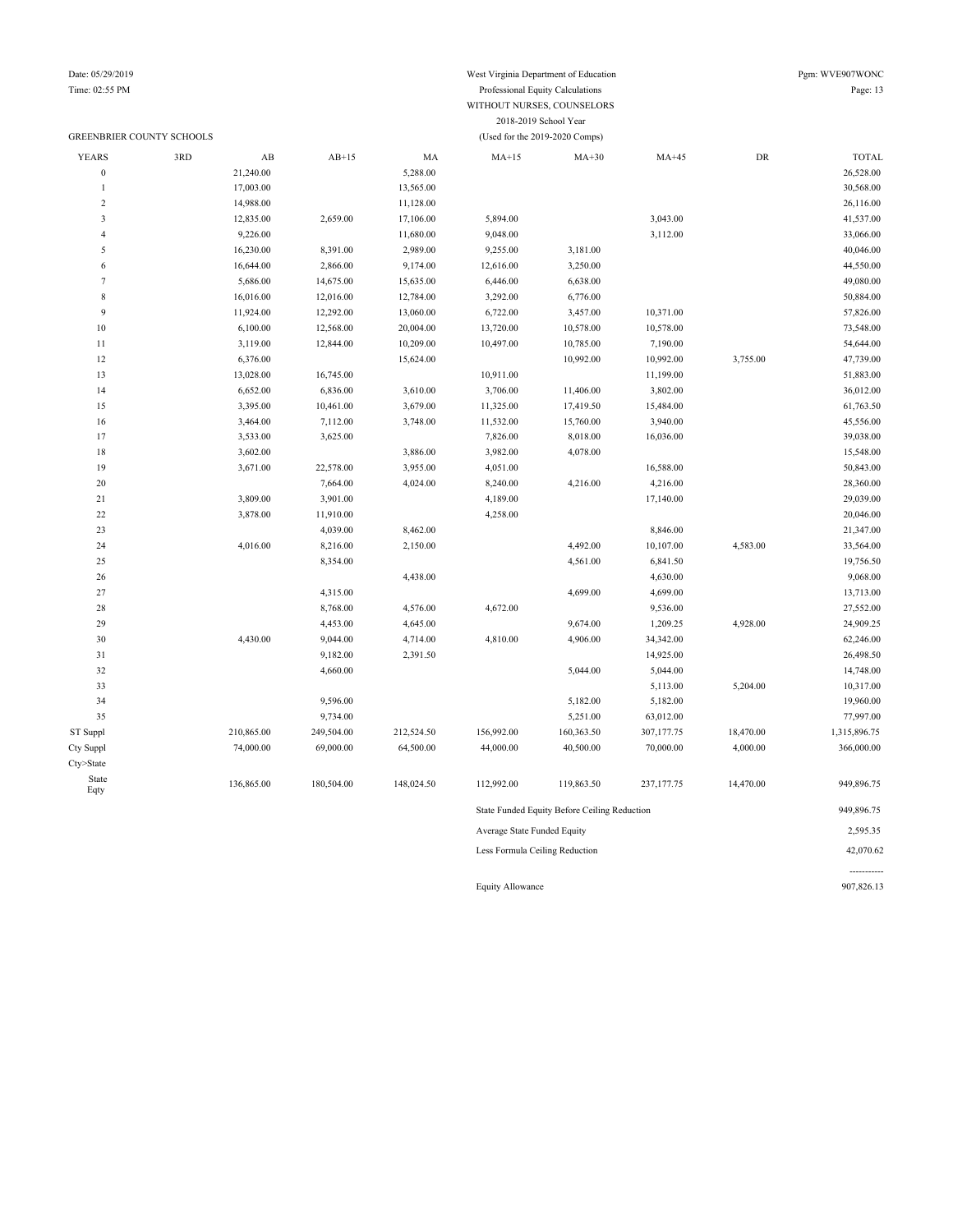### GREENBRIER COUNTY SCHOOLS (Used for the 2019-2020 Comps)

### Time: 02:55 PM Professional Equity Calculations Page: 13 WITHOUT NURSES, COUNSELORS 2018-2019 School Year

| <b>YEARS</b>     | 3RD | $\mathbf{A}\mathbf{B}$ | $AB+15$    | MA         | $MA+15$                     | $MA+30$                                      | $MA+45$     | ${\rm DR}$ | <b>TOTAL</b> |
|------------------|-----|------------------------|------------|------------|-----------------------------|----------------------------------------------|-------------|------------|--------------|
| $\boldsymbol{0}$ |     | 21,240.00              |            | 5,288.00   |                             |                                              |             |            | 26,528.00    |
| $\overline{1}$   |     | 17,003.00              |            | 13,565.00  |                             |                                              |             |            | 30,568.00    |
| $\sqrt{2}$       |     | 14,988.00              |            | 11,128.00  |                             |                                              |             |            | 26,116.00    |
| $\mathfrak z$    |     | 12,835.00              | 2,659.00   | 17,106.00  | 5,894.00                    |                                              | 3,043.00    |            | 41,537.00    |
| $\overline{4}$   |     | 9,226.00               |            | 11,680.00  | 9,048.00                    |                                              | 3,112.00    |            | 33,066.00    |
| $\sqrt{5}$       |     | 16,230.00              | 8,391.00   | 2,989.00   | 9,255.00                    | 3,181.00                                     |             |            | 40,046.00    |
| 6                |     | 16,644.00              | 2,866.00   | 9,174.00   | 12,616.00                   | 3,250.00                                     |             |            | 44,550.00    |
| $7\phantom{.0}$  |     | 5,686.00               | 14,675.00  | 15,635.00  | 6,446.00                    | 6,638.00                                     |             |            | 49,080.00    |
| $\,$ 8 $\,$      |     | 16,016.00              | 12,016.00  | 12,784.00  | 3,292.00                    | 6,776.00                                     |             |            | 50,884.00    |
| $\overline{9}$   |     | 11,924.00              | 12,292.00  | 13,060.00  | 6,722.00                    | 3,457.00                                     | 10,371.00   |            | 57,826.00    |
| 10               |     | 6,100.00               | 12,568.00  | 20,004.00  | 13,720.00                   | 10,578.00                                    | 10,578.00   |            | 73,548.00    |
| 11               |     | 3,119.00               | 12,844.00  | 10,209.00  | 10,497.00                   | 10,785.00                                    | 7,190.00    |            | 54,644.00    |
| 12               |     | 6,376.00               |            | 15,624.00  |                             | 10,992.00                                    | 10,992.00   | 3,755.00   | 47,739.00    |
| 13               |     | 13,028.00              | 16,745.00  |            | 10,911.00                   |                                              | 11,199.00   |            | 51,883.00    |
| 14               |     | 6,652.00               | 6,836.00   | 3,610.00   | 3,706.00                    | 11,406.00                                    | 3,802.00    |            | 36,012.00    |
| 15               |     | 3,395.00               | 10,461.00  | 3,679.00   | 11,325.00                   | 17,419.50                                    | 15,484.00   |            | 61,763.50    |
| 16               |     | 3,464.00               | 7,112.00   | 3,748.00   | 11,532.00                   | 15,760.00                                    | 3,940.00    |            | 45,556.00    |
| 17               |     | 3,533.00               | 3,625.00   |            | 7,826.00                    | 8,018.00                                     | 16,036.00   |            | 39,038.00    |
| 18               |     | 3,602.00               |            | 3,886.00   | 3,982.00                    | 4,078.00                                     |             |            | 15,548.00    |
| 19               |     | 3,671.00               | 22,578.00  | 3,955.00   | 4,051.00                    |                                              | 16,588.00   |            | 50,843.00    |
| $20\,$           |     |                        | 7,664.00   | 4,024.00   | 8,240.00                    | 4,216.00                                     | 4,216.00    |            | 28,360.00    |
| 21               |     | 3,809.00               | 3,901.00   |            | 4,189.00                    |                                              | 17,140.00   |            | 29,039.00    |
| $22\,$           |     | 3,878.00               | 11,910.00  |            | 4,258.00                    |                                              |             |            | 20,046.00    |
| $23\,$           |     |                        | 4,039.00   | 8,462.00   |                             |                                              | 8,846.00    |            | 21,347.00    |
| 24               |     | 4,016.00               | 8,216.00   | 2,150.00   |                             | 4,492.00                                     | 10,107.00   | 4,583.00   | 33,564.00    |
| 25               |     |                        | 8,354.00   |            |                             | 4,561.00                                     | 6,841.50    |            | 19,756.50    |
| $26\,$           |     |                        |            | 4,438.00   |                             |                                              | 4,630.00    |            | 9,068.00     |
| 27               |     |                        | 4,315.00   |            |                             | 4,699.00                                     | 4,699.00    |            | 13,713.00    |
| $28\,$           |     |                        | 8,768.00   | 4,576.00   | 4,672.00                    |                                              | 9,536.00    |            | 27,552.00    |
| 29               |     |                        | 4,453.00   | 4,645.00   |                             | 9,674.00                                     | 1,209.25    | 4,928.00   | 24,909.25    |
| 30               |     | 4,430.00               | 9,044.00   | 4,714.00   | 4,810.00                    | 4,906.00                                     | 34,342.00   |            | 62,246.00    |
| 31               |     |                        | 9,182.00   | 2,391.50   |                             |                                              | 14,925.00   |            | 26,498.50    |
| 32               |     |                        | 4,660.00   |            |                             | 5,044.00                                     | 5,044.00    |            | 14,748.00    |
| 33               |     |                        |            |            |                             |                                              | 5,113.00    | 5,204.00   | 10,317.00    |
| 34               |     |                        | 9,596.00   |            |                             | 5,182.00                                     | 5,182.00    |            | 19,960.00    |
| 35               |     |                        | 9,734.00   |            |                             | 5,251.00                                     | 63,012.00   |            | 77,997.00    |
| ST Suppl         |     | 210,865.00             | 249,504.00 | 212,524.50 | 156,992.00                  | 160,363.50                                   | 307,177.75  | 18,470.00  | 1,315,896.75 |
| Cty Suppl        |     | 74,000.00              | 69,000.00  | 64,500.00  | 44,000.00                   | 40,500.00                                    | 70,000.00   | 4,000.00   | 366,000.00   |
| Cty>State        |     |                        |            |            |                             |                                              |             |            |              |
| State            |     |                        |            |            |                             |                                              |             |            |              |
| Eqty             |     | 136,865.00             | 180,504.00 | 148,024.50 | 112,992.00                  | 119,863.50                                   | 237, 177.75 | 14,470.00  | 949,896.75   |
|                  |     |                        |            |            |                             | State Funded Equity Before Ceiling Reduction |             |            | 949,896.75   |
|                  |     |                        |            |            | Average State Funded Equity |                                              |             |            | 2,595.35     |

Less Formula Ceiling Reduction 42,070.62

----------- Equity Allowance 907,826.13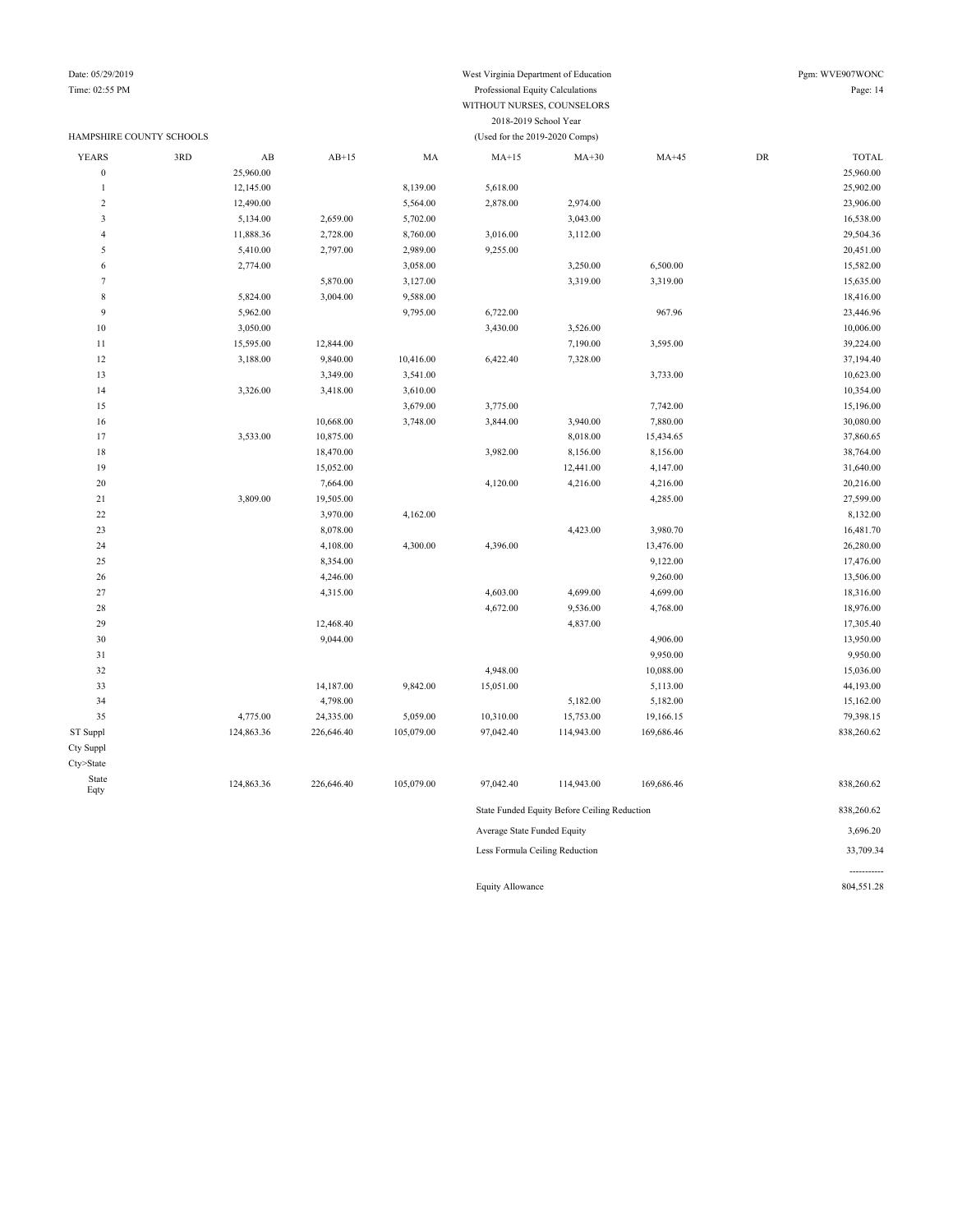### HAMPSHIRE COUNTY SCHOOLS (Used for the 2019-2020 Comps)

-----------

#### Time: 02:55 PM Professional Equity Calculations Page: 14 WITHOUT NURSES, COUNSELORS 2018-2019 School Year

| <b>YEARS</b>            | 3RD | $\mathbf{A}\mathbf{B}$         | $AB+15$    | MA         | $MA+15$                     | $MA+30$                                      | $MA+45$    | DR | <b>TOTAL</b> |  |
|-------------------------|-----|--------------------------------|------------|------------|-----------------------------|----------------------------------------------|------------|----|--------------|--|
| $\bf{0}$                |     | 25,960.00                      |            |            |                             |                                              |            |    | 25,960.00    |  |
| $\mathbf{1}$            |     | 12,145.00                      |            | 8,139.00   | 5,618.00                    |                                              |            |    | 25,902.00    |  |
| $\sqrt{2}$              |     | 12,490.00                      |            | 5,564.00   | 2,878.00                    | 2,974.00                                     |            |    | 23,906.00    |  |
| $\overline{\mathbf{3}}$ |     | 5,134.00                       | 2,659.00   | 5,702.00   |                             | 3,043.00                                     |            |    | 16,538.00    |  |
| 4                       |     | 11,888.36                      | 2,728.00   | 8,760.00   | 3,016.00                    | 3,112.00                                     |            |    | 29,504.36    |  |
| 5                       |     | 5,410.00                       | 2,797.00   | 2,989.00   | 9,255.00                    |                                              |            |    | 20,451.00    |  |
| $\sqrt{6}$              |     | 2,774.00                       |            | 3,058.00   |                             | 3,250.00                                     | 6,500.00   |    | 15,582.00    |  |
| $\tau$                  |     |                                | 5,870.00   | 3,127.00   |                             | 3,319.00                                     | 3,319.00   |    | 15,635.00    |  |
| $\,$ 8 $\,$             |     | 5,824.00                       | 3,004.00   | 9,588.00   |                             |                                              |            |    | 18,416.00    |  |
| 9                       |     | 5,962.00                       |            | 9,795.00   | 6,722.00                    |                                              | 967.96     |    | 23,446.96    |  |
| $10\,$                  |     | 3,050.00                       |            |            | 3,430.00                    | 3,526.00                                     |            |    | 10,006.00    |  |
| $1\,1$                  |     | 15,595.00                      | 12,844.00  |            |                             | 7,190.00                                     | 3,595.00   |    | 39,224.00    |  |
| 12                      |     | 3,188.00                       | 9,840.00   | 10,416.00  | 6,422.40                    | 7,328.00                                     |            |    | 37,194.40    |  |
| 13                      |     |                                | 3,349.00   | 3,541.00   |                             |                                              | 3,733.00   |    | 10,623.00    |  |
| 14                      |     | 3,326.00                       | 3,418.00   | 3,610.00   |                             |                                              |            |    | 10,354.00    |  |
| 15                      |     |                                |            | 3,679.00   | 3,775.00                    |                                              | 7,742.00   |    | 15,196.00    |  |
| 16                      |     |                                | 10,668.00  | 3,748.00   | 3,844.00                    | 3,940.00                                     | 7,880.00   |    | 30,080.00    |  |
| 17                      |     | 3,533.00                       | 10,875.00  |            |                             | 8,018.00                                     | 15,434.65  |    | 37,860.65    |  |
| $18\,$                  |     |                                | 18,470.00  |            | 3,982.00                    | 8,156.00                                     | 8,156.00   |    | 38,764.00    |  |
| 19                      |     |                                | 15,052.00  |            |                             | 12,441.00                                    | 4,147.00   |    | 31,640.00    |  |
| $20\,$                  |     |                                | 7,664.00   |            | 4,120.00                    | 4,216.00                                     | 4,216.00   |    | 20,216.00    |  |
| 21                      |     | 3,809.00                       | 19,505.00  |            |                             |                                              | 4,285.00   |    | 27,599.00    |  |
| $22\,$                  |     |                                | 3,970.00   | 4,162.00   |                             |                                              |            |    | 8,132.00     |  |
| 23                      |     |                                | 8,078.00   |            |                             | 4,423.00                                     | 3,980.70   |    | 16,481.70    |  |
| 24                      |     |                                | 4,108.00   | 4,300.00   | 4,396.00                    |                                              | 13,476.00  |    | 26,280.00    |  |
| 25                      |     |                                | 8,354.00   |            |                             |                                              | 9,122.00   |    | 17,476.00    |  |
| 26                      |     |                                | 4,246.00   |            |                             |                                              | 9,260.00   |    | 13,506.00    |  |
| $27\,$                  |     |                                | 4,315.00   |            | 4,603.00                    | 4,699.00                                     | 4,699.00   |    | 18,316.00    |  |
| 28                      |     |                                |            |            | 4,672.00                    | 9,536.00                                     | 4,768.00   |    | 18,976.00    |  |
| 29                      |     |                                | 12,468.40  |            |                             | 4,837.00                                     |            |    | 17,305.40    |  |
| 30                      |     |                                | 9,044.00   |            |                             |                                              | 4,906.00   |    | 13,950.00    |  |
| $31\,$                  |     |                                |            |            |                             |                                              | 9,950.00   |    | 9,950.00     |  |
| 32                      |     |                                |            |            | 4,948.00                    |                                              | 10,088.00  |    | 15,036.00    |  |
| 33                      |     |                                | 14,187.00  | 9,842.00   | 15,051.00                   |                                              | 5,113.00   |    | 44,193.00    |  |
| 34                      |     |                                | 4,798.00   |            |                             | 5,182.00                                     | 5,182.00   |    | 15,162.00    |  |
| 35                      |     | 4,775.00                       | 24,335.00  | 5,059.00   | 10,310.00                   | 15,753.00                                    | 19,166.15  |    | 79,398.15    |  |
| ST Suppl                |     | 124,863.36                     | 226,646.40 | 105,079.00 | 97,042.40                   | 114,943.00                                   | 169,686.46 |    | 838,260.62   |  |
| Cty Suppl               |     |                                |            |            |                             |                                              |            |    |              |  |
| Cty>State               |     |                                |            |            |                             |                                              |            |    |              |  |
| State<br>Eqty           |     | 124,863.36                     | 226,646.40 | 105,079.00 | 97,042.40                   | 114,943.00                                   | 169,686.46 |    | 838,260.62   |  |
|                         |     |                                |            |            |                             | State Funded Equity Before Ceiling Reduction |            |    | 838,260.62   |  |
|                         |     |                                |            |            | Average State Funded Equity |                                              |            |    | 3,696.20     |  |
|                         |     | Less Formula Ceiling Reduction |            |            |                             |                                              |            |    |              |  |

Equity Allowance 804,551.28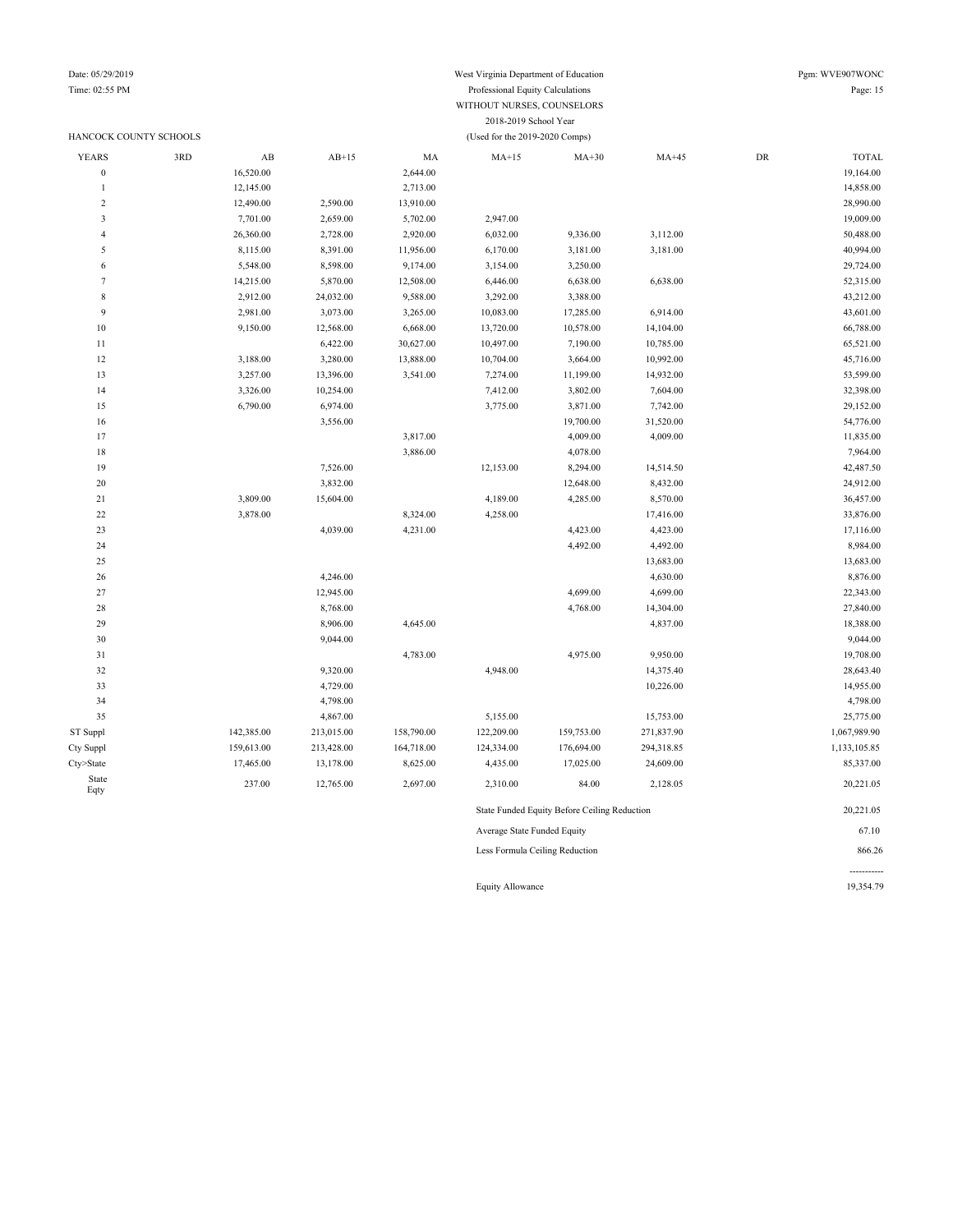### HANCOCK COUNTY SCHOOLS (Used for the 2019-2020 Comps)

## Date: 05/29/2019 West Virginia Department of Education Pgm: WVE907WONC

### Time: 02:55 PM Professional Equity Calculations Page: 15 WITHOUT NURSES, COUNSELORS 2018-2019 School Year

| <b>YEARS</b>     | 3RD | $\mathbf{A}\mathbf{B}$ | $AB+15$    | MA         | $MA+15$                     | $MA+30$                                      | $MA+45$    | ${\rm DR}$ | <b>TOTAL</b> |
|------------------|-----|------------------------|------------|------------|-----------------------------|----------------------------------------------|------------|------------|--------------|
| $\boldsymbol{0}$ |     | 16,520.00              |            | 2,644.00   |                             |                                              |            |            | 19,164.00    |
| $\mathbf{1}$     |     | 12,145.00              |            | 2,713.00   |                             |                                              |            |            | 14,858.00    |
| $\overline{c}$   |     | 12,490.00              | 2,590.00   | 13,910.00  |                             |                                              |            |            | 28,990.00    |
| 3                |     | 7,701.00               | 2,659.00   | 5,702.00   | 2,947.00                    |                                              |            |            | 19,009.00    |
| $\overline{4}$   |     | 26,360.00              | 2,728.00   | 2,920.00   | 6,032.00                    | 9,336.00                                     | 3,112.00   |            | 50,488.00    |
| 5                |     | 8,115.00               | 8,391.00   | 11,956.00  | 6,170.00                    | 3,181.00                                     | 3,181.00   |            | 40,994.00    |
| 6                |     | 5,548.00               | 8,598.00   | 9,174.00   | 3,154.00                    | 3,250.00                                     |            |            | 29,724.00    |
| $\tau$           |     | 14,215.00              | 5,870.00   | 12,508.00  | 6,446.00                    | 6,638.00                                     | 6,638.00   |            | 52,315.00    |
| $\,$ 8 $\,$      |     | 2,912.00               | 24,032.00  | 9,588.00   | 3,292.00                    | 3,388.00                                     |            |            | 43,212.00    |
| $\overline{9}$   |     | 2,981.00               | 3,073.00   | 3,265.00   | 10,083.00                   | 17,285.00                                    | 6,914.00   |            | 43,601.00    |
| $10$             |     | 9,150.00               | 12,568.00  | 6,668.00   | 13,720.00                   | 10,578.00                                    | 14,104.00  |            | 66,788.00    |
| 11               |     |                        | 6,422.00   | 30,627.00  | 10,497.00                   | 7,190.00                                     | 10,785.00  |            | 65,521.00    |
| 12               |     | 3,188.00               | 3,280.00   | 13,888.00  | 10,704.00                   | 3,664.00                                     | 10,992.00  |            | 45,716.00    |
| 13               |     | 3,257.00               | 13,396.00  | 3,541.00   | 7,274.00                    | 11,199.00                                    | 14,932.00  |            | 53,599.00    |
| 14               |     | 3,326.00               | 10,254.00  |            | 7,412.00                    | 3,802.00                                     | 7,604.00   |            | 32,398.00    |
| 15               |     | 6,790.00               | 6,974.00   |            | 3,775.00                    | 3,871.00                                     | 7,742.00   |            | 29,152.00    |
| 16               |     |                        | 3,556.00   |            |                             | 19,700.00                                    | 31,520.00  |            | 54,776.00    |
| 17               |     |                        |            | 3,817.00   |                             | 4,009.00                                     | 4,009.00   |            | 11,835.00    |
| 18               |     |                        |            | 3,886.00   |                             | 4,078.00                                     |            |            | 7,964.00     |
| 19               |     |                        | 7,526.00   |            | 12,153.00                   | 8,294.00                                     | 14,514.50  |            | 42,487.50    |
| 20               |     |                        | 3,832.00   |            |                             | 12,648.00                                    | 8,432.00   |            | 24,912.00    |
| 21               |     | 3,809.00               | 15,604.00  |            | 4,189.00                    | 4,285.00                                     | 8,570.00   |            | 36,457.00    |
| 22               |     | 3,878.00               |            | 8,324.00   | 4,258.00                    |                                              | 17,416.00  |            | 33,876.00    |
| 23               |     |                        | 4,039.00   | 4,231.00   |                             | 4,423.00                                     | 4,423.00   |            | 17,116.00    |
| 24               |     |                        |            |            |                             | 4,492.00                                     | 4,492.00   |            | 8,984.00     |
| 25               |     |                        |            |            |                             |                                              | 13,683.00  |            | 13,683.00    |
| 26               |     |                        | 4,246.00   |            |                             |                                              | 4,630.00   |            | 8,876.00     |
| 27               |     |                        | 12,945.00  |            |                             | 4,699.00                                     | 4,699.00   |            | 22,343.00    |
| 28               |     |                        | 8,768.00   |            |                             | 4,768.00                                     | 14,304.00  |            | 27,840.00    |
| 29               |     |                        | 8,906.00   | 4,645.00   |                             |                                              | 4,837.00   |            | 18,388.00    |
| 30               |     |                        | 9,044.00   |            |                             |                                              |            |            | 9,044.00     |
| 31               |     |                        |            | 4,783.00   |                             | 4,975.00                                     | 9,950.00   |            | 19,708.00    |
| 32               |     |                        | 9,320.00   |            | 4,948.00                    |                                              | 14,375.40  |            | 28,643.40    |
| 33               |     |                        | 4,729.00   |            |                             |                                              | 10,226.00  |            | 14,955.00    |
| 34               |     |                        | 4,798.00   |            |                             |                                              |            |            | 4,798.00     |
| 35               |     |                        | 4,867.00   |            | 5,155.00                    |                                              | 15,753.00  |            | 25,775.00    |
| ST Suppl         |     | 142,385.00             | 213,015.00 | 158,790.00 | 122,209.00                  | 159,753.00                                   | 271,837.90 |            | 1,067,989.90 |
| Cty Suppl        |     | 159,613.00             | 213,428.00 | 164,718.00 | 124,334.00                  | 176,694.00                                   | 294,318.85 |            | 1,133,105.85 |
| Cty>State        |     | 17,465.00              | 13,178.00  | 8,625.00   | 4,435.00                    | 17,025.00                                    | 24,609.00  |            | 85,337.00    |
| State            |     |                        |            |            |                             |                                              |            |            |              |
| Eqty             |     | 237.00                 | 12,765.00  | 2,697.00   | 2,310.00                    | 84.00                                        | 2,128.05   |            | 20,221.05    |
|                  |     |                        |            |            |                             | State Funded Equity Before Ceiling Reduction |            |            | 20,221.05    |
|                  |     |                        |            |            | Avorage State Eunded Equity |                                              |            |            | 67.10        |

Average State Funded Equity 67.10

Less Formula Ceiling Reduction 866.26

Equity Allowance 19,354.79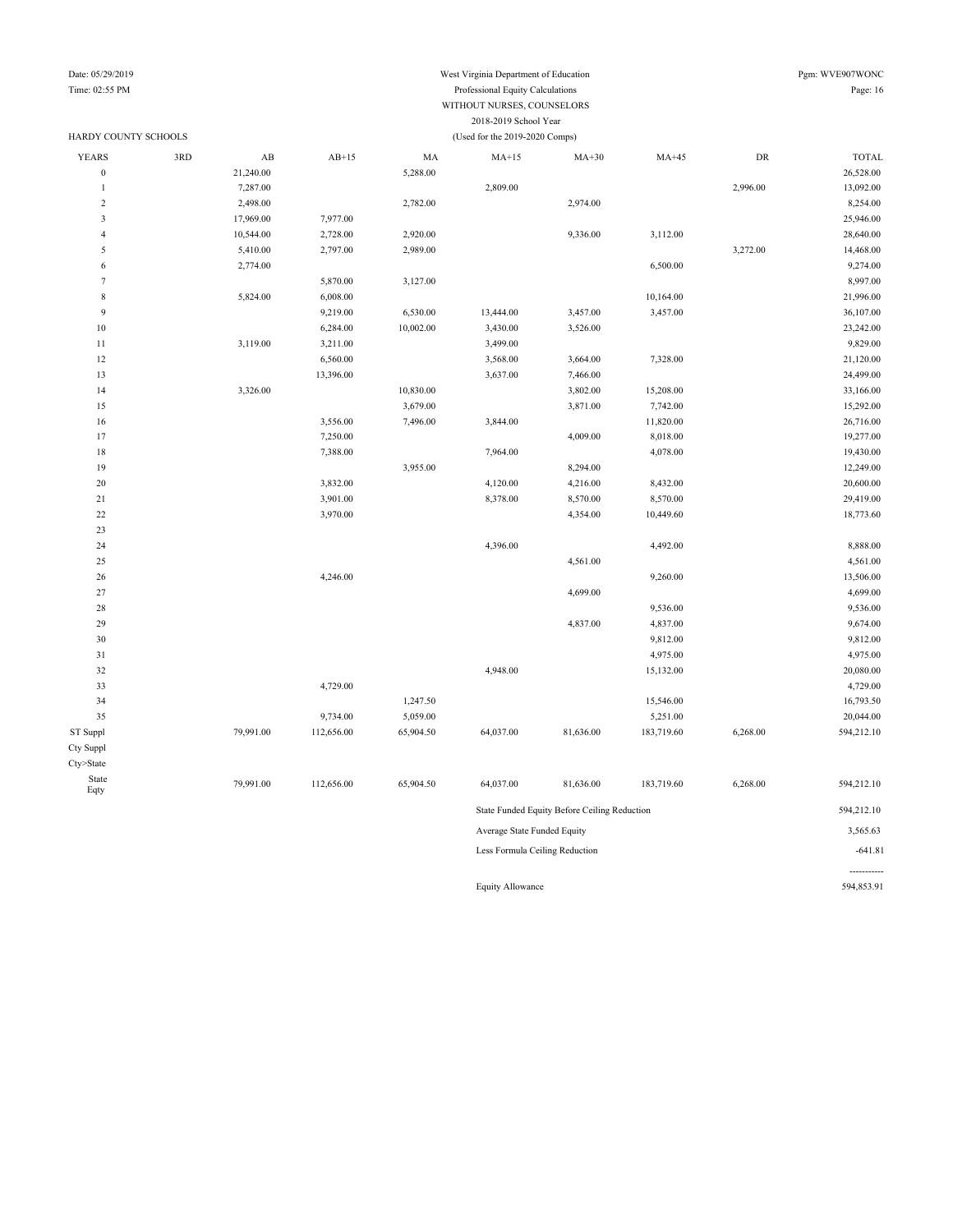### Date: 05/29/2019 West Virginia Department of Education Pgm: WVE907WONC Time: 02:55 PM Professional Equity Calculations Page: 16 WITHOUT NURSES, COUNSELORS 2018-2019 School Year

| HARDY COUNTY SCHOOLS |     |           |            |           | (Used for the 2019-2020 Comps) |                                              |            |            |              |
|----------------------|-----|-----------|------------|-----------|--------------------------------|----------------------------------------------|------------|------------|--------------|
| <b>YEARS</b>         | 3RD | AB        | $AB+15$    | MA        | $MA+15$                        | $MA+30$                                      | $MA+45$    | ${\rm DR}$ | <b>TOTAL</b> |
| $\boldsymbol{0}$     |     | 21,240.00 |            | 5,288.00  |                                |                                              |            |            | 26,528.00    |
| 1                    |     | 7,287.00  |            |           | 2,809.00                       |                                              |            | 2,996.00   | 13,092.00    |
| $\sqrt{2}$           |     | 2,498.00  |            | 2,782.00  |                                | 2,974.00                                     |            |            | 8,254.00     |
| 3                    |     | 17,969.00 | 7,977.00   |           |                                |                                              |            |            | 25,946.00    |
| $\overline{4}$       |     | 10,544.00 | 2,728.00   | 2,920.00  |                                | 9,336.00                                     | 3,112.00   |            | 28,640.00    |
| 5                    |     | 5,410.00  | 2,797.00   | 2,989.00  |                                |                                              |            | 3,272.00   | 14,468.00    |
| 6                    |     | 2,774.00  |            |           |                                |                                              | 6,500.00   |            | 9,274.00     |
| $\overline{7}$       |     |           | 5,870.00   | 3,127.00  |                                |                                              |            |            | 8,997.00     |
| $\,$ 8 $\,$          |     | 5,824.00  | 6,008.00   |           |                                |                                              | 10,164.00  |            | 21,996.00    |
| 9                    |     |           | 9,219.00   | 6,530.00  | 13,444.00                      | 3,457.00                                     | 3,457.00   |            | 36,107.00    |
| 10                   |     |           | 6,284.00   | 10,002.00 | 3,430.00                       | 3,526.00                                     |            |            | 23,242.00    |
| 11                   |     | 3,119.00  | 3,211.00   |           | 3,499.00                       |                                              |            |            | 9,829.00     |
| 12                   |     |           | 6,560.00   |           | 3,568.00                       | 3,664.00                                     | 7,328.00   |            | 21,120.00    |
| 13                   |     |           | 13,396.00  |           | 3,637.00                       | 7,466.00                                     |            |            | 24,499.00    |
| 14                   |     | 3,326.00  |            | 10,830.00 |                                | 3,802.00                                     | 15,208.00  |            | 33,166.00    |
| 15                   |     |           |            | 3,679.00  |                                | 3,871.00                                     | 7,742.00   |            | 15,292.00    |
| 16                   |     |           | 3,556.00   | 7,496.00  | 3,844.00                       |                                              | 11,820.00  |            | 26,716.00    |
| 17                   |     |           | 7,250.00   |           |                                | 4,009.00                                     | 8,018.00   |            | 19,277.00    |
| 18                   |     |           | 7,388.00   |           | 7,964.00                       |                                              | 4,078.00   |            | 19,430.00    |
| 19                   |     |           |            | 3,955.00  |                                | 8,294.00                                     |            |            | 12,249.00    |
| 20                   |     |           | 3,832.00   |           | 4,120.00                       | 4,216.00                                     | 8,432.00   |            | 20,600.00    |
| 21                   |     |           | 3,901.00   |           | 8,378.00                       | 8,570.00                                     | 8,570.00   |            | 29,419.00    |
| 22                   |     |           | 3,970.00   |           |                                | 4,354.00                                     | 10,449.60  |            | 18,773.60    |
| 23                   |     |           |            |           |                                |                                              |            |            |              |
| 24                   |     |           |            |           | 4,396.00                       |                                              | 4,492.00   |            | 8,888.00     |
| 25                   |     |           |            |           |                                | 4,561.00                                     |            |            | 4,561.00     |
| 26                   |     |           | 4,246.00   |           |                                |                                              | 9,260.00   |            | 13,506.00    |
| 27                   |     |           |            |           |                                | 4,699.00                                     |            |            | 4,699.00     |
| 28                   |     |           |            |           |                                |                                              | 9,536.00   |            | 9,536.00     |
| 29                   |     |           |            |           |                                | 4,837.00                                     | 4,837.00   |            | 9,674.00     |
| 30                   |     |           |            |           |                                |                                              | 9,812.00   |            | 9,812.00     |
| 31                   |     |           |            |           |                                |                                              | 4,975.00   |            | 4,975.00     |
| 32                   |     |           |            |           | 4,948.00                       |                                              | 15,132.00  |            | 20,080.00    |
| 33                   |     |           | 4,729.00   |           |                                |                                              |            |            | 4,729.00     |
| 34                   |     |           |            | 1,247.50  |                                |                                              | 15,546.00  |            | 16,793.50    |
| 35                   |     |           | 9,734.00   | 5,059.00  |                                |                                              | 5,251.00   |            | 20,044.00    |
| ST Suppl             |     | 79,991.00 | 112,656.00 | 65,904.50 | 64,037.00                      | 81,636.00                                    | 183,719.60 | 6,268.00   | 594,212.10   |
| Cty Suppl            |     |           |            |           |                                |                                              |            |            |              |
| Cty>State            |     |           |            |           |                                |                                              |            |            |              |
| State                |     | 79,991.00 | 112,656.00 | 65,904.50 | 64,037.00                      | 81,636.00                                    | 183,719.60 | 6,268.00   | 594,212.10   |
| Eqty                 |     |           |            |           |                                |                                              |            |            |              |
|                      |     |           |            |           |                                | State Funded Equity Before Ceiling Reduction |            |            | 594,212.10   |
|                      |     |           |            |           | Average State Funded Equity    |                                              |            |            | 3,565.63     |
|                      |     |           |            |           | Less Formula Ceiling Reduction |                                              |            |            | $-641.81$    |
|                      |     |           |            |           |                                |                                              |            |            |              |

Equity Allowance 594,853.91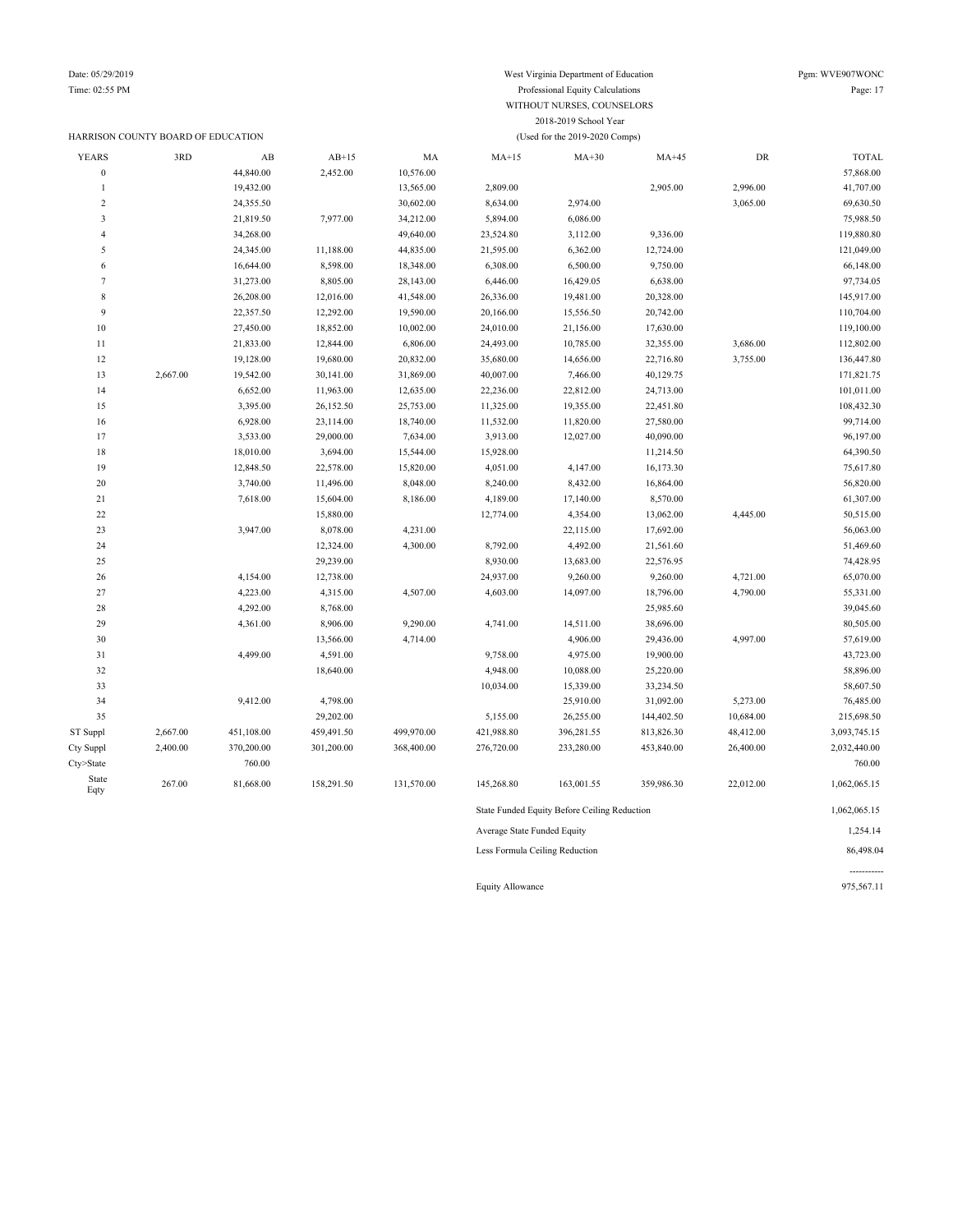Time: 02:55 PM Professional Equity Calculations Page: 17

State<br>Eqty

|                |                                    | WITHOUT NURSES, COUNSELORS |            |            |            |                                |            |            |              |  |  |  |
|----------------|------------------------------------|----------------------------|------------|------------|------------|--------------------------------|------------|------------|--------------|--|--|--|
|                |                                    |                            |            |            |            | 2018-2019 School Year          |            |            |              |  |  |  |
|                | HARRISON COUNTY BOARD OF EDUCATION |                            |            |            |            | (Used for the 2019-2020 Comps) |            |            |              |  |  |  |
| <b>YEARS</b>   | 3RD                                | $\mathbf{A}\mathbf{B}$     | $AB+15$    | MA         | $MA+15$    | $MA+30$                        | $MA+45$    | ${\rm DR}$ | <b>TOTAL</b> |  |  |  |
| $\overline{0}$ |                                    | 44,840.00                  | 2,452.00   | 10,576.00  |            |                                |            |            | 57,868.00    |  |  |  |
| $\mathbf{1}$   |                                    | 19,432.00                  |            | 13,565.00  | 2,809.00   |                                | 2,905.00   | 2,996.00   | 41,707.00    |  |  |  |
| $\overline{2}$ |                                    | 24,355.50                  |            | 30,602.00  | 8,634.00   | 2,974.00                       |            | 3,065.00   | 69,630.50    |  |  |  |
| 3              |                                    | 21,819.50                  | 7,977.00   | 34,212.00  | 5,894.00   | 6,086.00                       |            |            | 75,988.50    |  |  |  |
| $\overline{4}$ |                                    | 34,268.00                  |            | 49,640.00  | 23,524.80  | 3,112.00                       | 9,336.00   |            | 119,880.80   |  |  |  |
| 5              |                                    | 24,345.00                  | 11,188.00  | 44,835.00  | 21,595.00  | 6,362.00                       | 12,724.00  |            | 121,049.00   |  |  |  |
| 6              |                                    | 16,644.00                  | 8,598.00   | 18,348.00  | 6,308.00   | 6,500.00                       | 9,750.00   |            | 66,148.00    |  |  |  |
| $\overline{7}$ |                                    | 31,273.00                  | 8,805.00   | 28,143.00  | 6,446.00   | 16,429.05                      | 6,638.00   |            | 97,734.05    |  |  |  |
| 8              |                                    | 26,208.00                  | 12,016.00  | 41,548.00  | 26,336.00  | 19,481.00                      | 20,328.00  |            | 145,917.00   |  |  |  |
| 9              |                                    | 22,357.50                  | 12,292.00  | 19,590.00  | 20,166.00  | 15,556.50                      | 20,742.00  |            | 110,704.00   |  |  |  |
| 10             |                                    | 27,450.00                  | 18,852.00  | 10,002.00  | 24,010.00  | 21,156.00                      | 17,630.00  |            | 119,100.00   |  |  |  |
| 11             |                                    | 21,833.00                  | 12,844.00  | 6,806.00   | 24,493.00  | 10,785.00                      | 32,355.00  | 3,686.00   | 112,802.00   |  |  |  |
| 12             |                                    | 19,128.00                  | 19,680.00  | 20,832.00  | 35,680.00  | 14,656.00                      | 22,716.80  | 3,755.00   | 136,447.80   |  |  |  |
| 13             | 2,667.00                           | 19,542.00                  | 30,141.00  | 31,869.00  | 40,007.00  | 7,466.00                       | 40,129.75  |            | 171,821.75   |  |  |  |
| 14             |                                    | 6,652.00                   | 11,963.00  | 12,635.00  | 22,236.00  | 22,812.00                      | 24,713.00  |            | 101,011.00   |  |  |  |
| 15             |                                    | 3,395.00                   | 26,152.50  | 25,753.00  | 11,325.00  | 19,355.00                      | 22,451.80  |            | 108,432.30   |  |  |  |
| 16             |                                    | 6,928.00                   | 23,114.00  | 18,740.00  | 11,532.00  | 11,820.00                      | 27,580.00  |            | 99,714.00    |  |  |  |
| 17             |                                    | 3,533.00                   | 29,000.00  | 7,634.00   | 3,913.00   | 12,027.00                      | 40,090.00  |            | 96,197.00    |  |  |  |
| 18             |                                    | 18,010.00                  | 3,694.00   | 15,544.00  | 15,928.00  |                                | 11,214.50  |            | 64,390.50    |  |  |  |
| 19             |                                    | 12,848.50                  | 22,578.00  | 15,820.00  | 4,051.00   | 4,147.00                       | 16,173.30  |            | 75,617.80    |  |  |  |
| 20             |                                    | 3,740.00                   | 11,496.00  | 8,048.00   | 8,240.00   | 8,432.00                       | 16,864.00  |            | 56,820.00    |  |  |  |
| 21             |                                    | 7,618.00                   | 15,604.00  | 8,186.00   | 4,189.00   | 17,140.00                      | 8,570.00   |            | 61,307.00    |  |  |  |
| 22             |                                    |                            | 15,880.00  |            | 12,774.00  | 4,354.00                       | 13,062.00  | 4,445.00   | 50,515.00    |  |  |  |
| 23             |                                    | 3,947.00                   | 8,078.00   | 4,231.00   |            | 22,115.00                      | 17,692.00  |            | 56,063.00    |  |  |  |
| 24             |                                    |                            | 12,324.00  | 4,300.00   | 8,792.00   | 4,492.00                       | 21,561.60  |            | 51,469.60    |  |  |  |
| 25             |                                    |                            | 29,239.00  |            | 8,930.00   | 13,683.00                      | 22,576.95  |            | 74,428.95    |  |  |  |
| 26             |                                    | 4,154.00                   | 12,738.00  |            | 24,937.00  | 9,260.00                       | 9,260.00   | 4,721.00   | 65,070.00    |  |  |  |
| 27             |                                    | 4,223.00                   | 4,315.00   | 4,507.00   | 4,603.00   | 14,097.00                      | 18,796.00  | 4,790.00   | 55,331.00    |  |  |  |
| 28             |                                    | 4,292.00                   | 8,768.00   |            |            |                                | 25,985.60  |            | 39,045.60    |  |  |  |
| 29             |                                    | 4,361.00                   | 8,906.00   | 9,290.00   | 4,741.00   | 14,511.00                      | 38,696.00  |            | 80,505.00    |  |  |  |
| 30             |                                    |                            | 13,566.00  | 4,714.00   |            | 4,906.00                       | 29,436.00  | 4,997.00   | 57,619.00    |  |  |  |
| 31             |                                    | 4,499.00                   | 4,591.00   |            | 9,758.00   | 4,975.00                       | 19,900.00  |            | 43,723.00    |  |  |  |
| 32             |                                    |                            | 18,640.00  |            | 4,948.00   | 10,088.00                      | 25,220.00  |            | 58,896.00    |  |  |  |
| 33             |                                    |                            |            |            | 10,034.00  | 15,339.00                      | 33,234.50  |            | 58,607.50    |  |  |  |
| 34             |                                    | 9,412.00                   | 4,798.00   |            |            | 25,910.00                      | 31,092.00  | 5,273.00   | 76,485.00    |  |  |  |
| 35             |                                    |                            | 29,202.00  |            | 5,155.00   | 26,255.00                      | 144,402.50 | 10,684.00  | 215,698.50   |  |  |  |
| ST Suppl       | 2,667.00                           | 451,108.00                 | 459,491.50 | 499,970.00 | 421,988.80 | 396,281.55                     | 813,826.30 | 48,412.00  | 3,093,745.15 |  |  |  |
| Cty Suppl      | 2,400.00                           | 370,200.00                 | 301,200.00 | 368,400.00 | 276,720.00 | 233,280.00                     | 453,840.00 | 26,400.00  | 2,032,440.00 |  |  |  |
| Cty>State      |                                    | 760.00                     |            |            |            |                                |            |            | 760.00       |  |  |  |
|                |                                    |                            |            |            |            |                                |            |            |              |  |  |  |

Eqty 267.00 81,668.00 158,291.50 131,570.00 145,268.80 163,001.55 359,986.30 22,012.00 1,062,065.15 State Funded Equity Before Ceiling Reduction 1,062,065.15 Average State Funded Equity 1,254.14 Less Formula Ceiling Reduction 86,498.04 -----------

Equity Allowance 975,567.11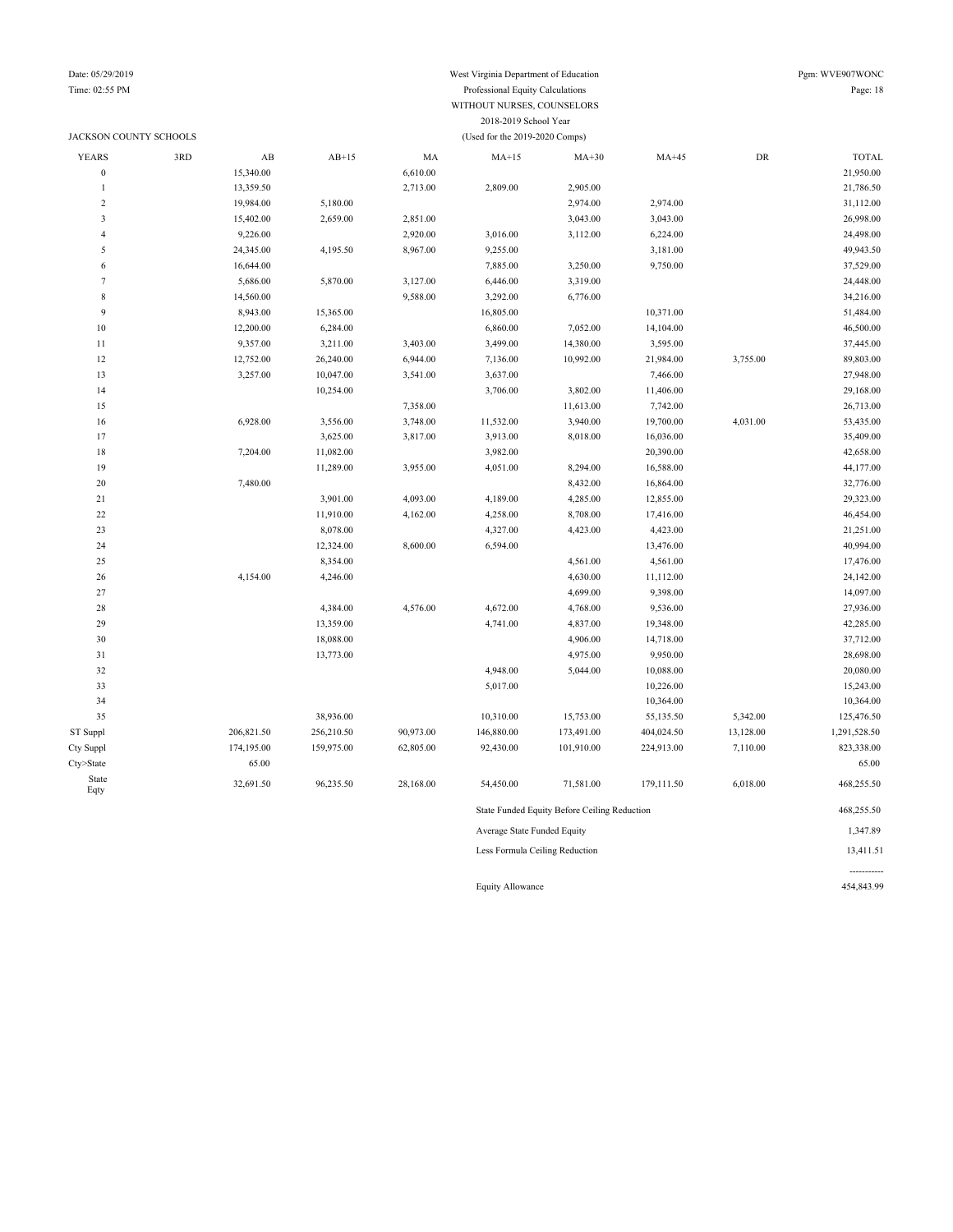### JACKSON COUNTY SCHOOLS (Used for the 2019-2020 Comps)

### Date: 05/29/2019 West Virginia Department of Education Pgm: WVE907WONC Time: 02:55 PM Professional Equity Calculations Page: 18 WITHOUT NURSES, COUNSELORS 2018-2019 School Year

| <b>YEARS</b>     | 3RD | $\mathbf{A}\mathbf{B}$ | $AB+15$    | MA        | $MA+15$                                      | $MA+30$    | $MA+45$    | ${\rm DR}$ | <b>TOTAL</b> |
|------------------|-----|------------------------|------------|-----------|----------------------------------------------|------------|------------|------------|--------------|
| $\boldsymbol{0}$ |     | 15,340.00              |            | 6,610.00  |                                              |            |            |            | 21,950.00    |
| $\mathbf{1}$     |     | 13,359.50              |            | 2,713.00  | 2,809.00                                     | 2,905.00   |            |            | 21,786.50    |
| $\overline{2}$   |     | 19,984.00              | 5,180.00   |           |                                              | 2,974.00   | 2,974.00   |            | 31,112.00    |
| 3                |     | 15,402.00              | 2,659.00   | 2,851.00  |                                              | 3,043.00   | 3,043.00   |            | 26,998.00    |
| $\overline{4}$   |     | 9,226.00               |            | 2,920.00  | 3,016.00                                     | 3,112.00   | 6,224.00   |            | 24,498.00    |
| 5                |     | 24,345.00              | 4,195.50   | 8,967.00  | 9,255.00                                     |            | 3,181.00   |            | 49,943.50    |
| 6                |     | 16,644.00              |            |           | 7,885.00                                     | 3,250.00   | 9,750.00   |            | 37,529.00    |
| $\overline{7}$   |     | 5,686.00               | 5,870.00   | 3,127.00  | 6,446.00                                     | 3,319.00   |            |            | 24,448.00    |
| $\,$ 8 $\,$      |     | 14,560.00              |            | 9,588.00  | 3,292.00                                     | 6,776.00   |            |            | 34,216.00    |
| 9                |     | 8,943.00               | 15,365.00  |           | 16,805.00                                    |            | 10,371.00  |            | 51,484.00    |
| 10               |     | 12,200.00              | 6,284.00   |           | 6,860.00                                     | 7,052.00   | 14,104.00  |            | 46,500.00    |
| 11               |     | 9,357.00               | 3,211.00   | 3,403.00  | 3,499.00                                     | 14,380.00  | 3,595.00   |            | 37,445.00    |
| 12               |     | 12,752.00              | 26,240.00  | 6,944.00  | 7,136.00                                     | 10,992.00  | 21,984.00  | 3,755.00   | 89,803.00    |
| 13               |     | 3,257.00               | 10,047.00  | 3,541.00  | 3,637.00                                     |            | 7,466.00   |            | 27,948.00    |
| 14               |     |                        | 10,254.00  |           | 3,706.00                                     | 3,802.00   | 11,406.00  |            | 29,168.00    |
| 15               |     |                        |            | 7,358.00  |                                              | 11,613.00  | 7,742.00   |            | 26,713.00    |
| 16               |     | 6,928.00               | 3,556.00   | 3,748.00  | 11,532.00                                    | 3,940.00   | 19,700.00  | 4,031.00   | 53,435.00    |
| 17               |     |                        | 3,625.00   | 3,817.00  | 3,913.00                                     | 8,018.00   | 16,036.00  |            | 35,409.00    |
| 18               |     | 7,204.00               | 11,082.00  |           | 3,982.00                                     |            | 20,390.00  |            | 42,658.00    |
| 19               |     |                        | 11,289.00  | 3,955.00  | 4,051.00                                     | 8,294.00   | 16,588.00  |            | 44,177.00    |
| 20               |     | 7,480.00               |            |           |                                              | 8,432.00   | 16,864.00  |            | 32,776.00    |
| 21               |     |                        | 3,901.00   | 4,093.00  | 4,189.00                                     | 4,285.00   | 12,855.00  |            | 29,323.00    |
| 22               |     |                        | 11,910.00  | 4,162.00  | 4,258.00                                     | 8,708.00   | 17,416.00  |            | 46,454.00    |
| 23               |     |                        | 8,078.00   |           | 4,327.00                                     | 4,423.00   | 4,423.00   |            | 21,251.00    |
| 24               |     |                        | 12,324.00  | 8,600.00  | 6,594.00                                     |            | 13,476.00  |            | 40,994.00    |
| 25               |     |                        | 8,354.00   |           |                                              | 4,561.00   | 4,561.00   |            | 17,476.00    |
| 26               |     | 4,154.00               | 4,246.00   |           |                                              | 4,630.00   | 11,112.00  |            | 24,142.00    |
| 27               |     |                        |            |           |                                              | 4,699.00   | 9,398.00   |            | 14,097.00    |
| 28               |     |                        | 4,384.00   | 4,576.00  | 4,672.00                                     | 4,768.00   | 9,536.00   |            | 27,936.00    |
| 29               |     |                        | 13,359.00  |           | 4,741.00                                     | 4,837.00   | 19,348.00  |            | 42,285.00    |
| 30               |     |                        | 18,088.00  |           |                                              | 4,906.00   | 14,718.00  |            | 37,712.00    |
| 31               |     |                        | 13,773.00  |           |                                              | 4,975.00   | 9,950.00   |            | 28,698.00    |
| 32               |     |                        |            |           | 4,948.00                                     | 5,044.00   | 10,088.00  |            | 20,080.00    |
| 33               |     |                        |            |           | 5,017.00                                     |            | 10,226.00  |            | 15,243.00    |
| 34               |     |                        |            |           |                                              |            | 10,364.00  |            | 10,364.00    |
| 35               |     |                        | 38,936.00  |           | 10,310.00                                    | 15,753.00  | 55,135.50  | 5,342.00   | 125,476.50   |
| ST Suppl         |     | 206,821.50             | 256,210.50 | 90,973.00 | 146,880.00                                   | 173,491.00 | 404,024.50 | 13,128.00  | 1,291,528.50 |
| Cty Suppl        |     | 174,195.00             | 159,975.00 | 62,805.00 | 92,430.00                                    | 101,910.00 | 224,913.00 | 7,110.00   | 823,338.00   |
| Cty>State        |     | 65.00                  |            |           |                                              |            |            |            | 65.00        |
| State            |     |                        |            |           |                                              |            |            |            |              |
| Eqty             |     | 32,691.50              | 96,235.50  | 28,168.00 | 54,450.00                                    | 71,581.00  | 179,111.50 | 6,018.00   | 468,255.50   |
|                  |     |                        |            |           | State Funded Equity Before Ceiling Reduction | 468,255.50 |            |            |              |
|                  |     |                        |            |           | Average State Funded Equity                  |            |            |            | 1,347.89     |

Less Formula Ceiling Reduction 13,411.51

Equity Allowance 454,843.99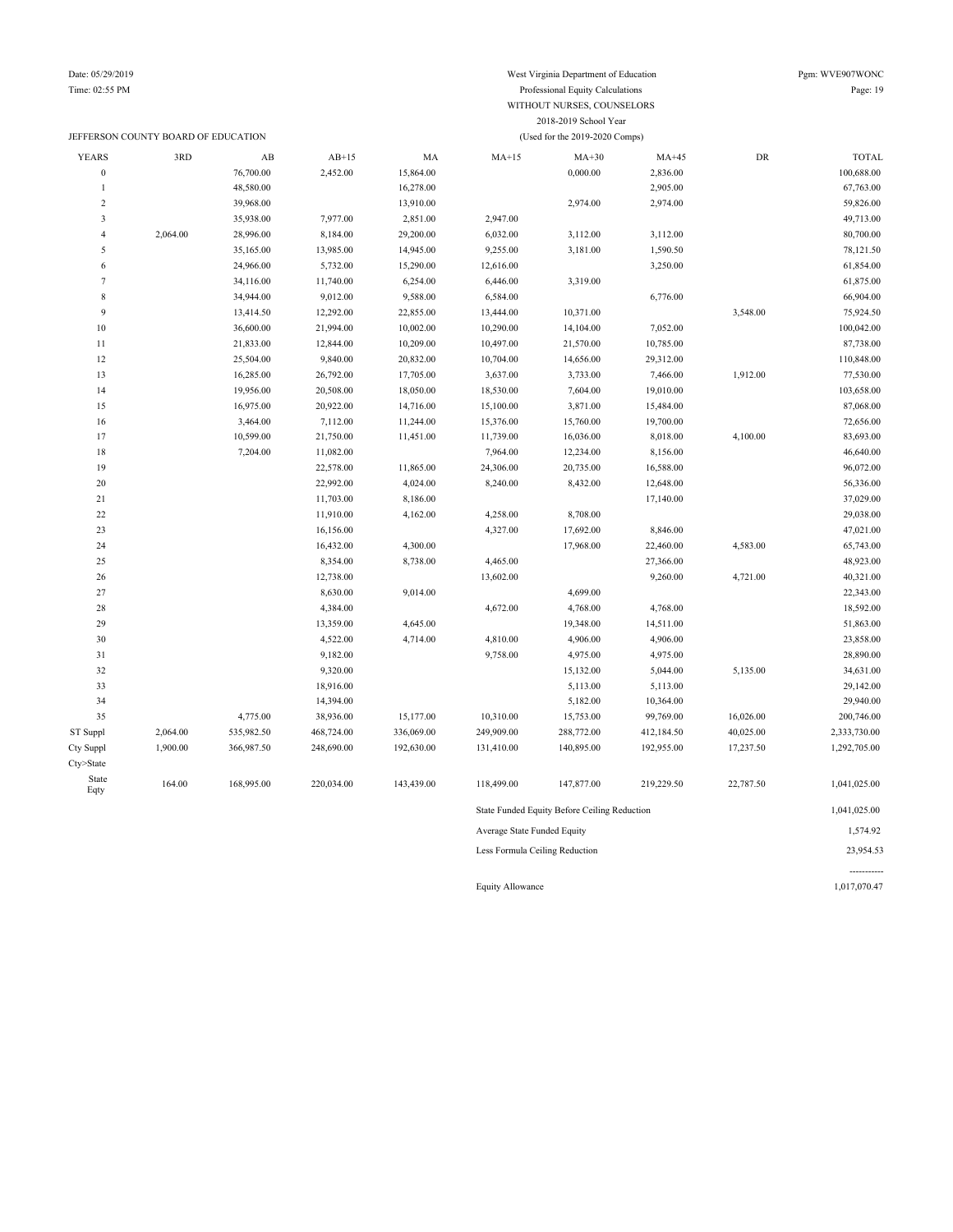Time: 02:55 PM Professional Equity Calculations Page: 19

|                         |                                     |            |                       |            | 2018-2019 School Year          |                                              |            |           |                        |  |
|-------------------------|-------------------------------------|------------|-----------------------|------------|--------------------------------|----------------------------------------------|------------|-----------|------------------------|--|
|                         | JEFFERSON COUNTY BOARD OF EDUCATION |            |                       |            | (Used for the 2019-2020 Comps) |                                              |            |           |                        |  |
| <b>YEARS</b>            | 3RD                                 | AB         | $AB+15$               | MA         | $MA+15$                        | $MA+30$                                      | $MA+45$    | DR        | <b>TOTAL</b>           |  |
| $\boldsymbol{0}$        |                                     | 76,700.00  | 2,452.00              | 15,864.00  |                                | 0,000.00                                     | 2,836.00   |           | 100,688.00             |  |
| $\mathbf{1}$            |                                     | 48,580.00  |                       | 16,278.00  |                                |                                              | 2,905.00   |           | 67,763.00              |  |
| $\boldsymbol{2}$        |                                     | 39,968.00  |                       | 13,910.00  |                                | 2,974.00                                     | 2,974.00   |           | 59,826.00              |  |
| $\overline{\mathbf{3}}$ |                                     | 35,938.00  | 7,977.00              | 2,851.00   | 2,947.00                       |                                              |            |           | 49,713.00              |  |
| $\overline{4}$          | 2,064.00                            | 28,996.00  | 8,184.00              | 29,200.00  | 6,032.00                       | 3,112.00                                     | 3,112.00   |           | 80,700.00              |  |
| 5                       |                                     | 35,165.00  | 13,985.00             | 14,945.00  | 9,255.00                       | 3,181.00                                     | 1,590.50   |           | 78,121.50              |  |
| 6                       |                                     | 24,966.00  | 5,732.00              | 15,290.00  | 12,616.00                      |                                              | 3,250.00   |           | 61,854.00              |  |
| $\tau$                  |                                     | 34,116.00  | 11,740.00             | 6,254.00   | 6,446.00                       | 3,319.00                                     |            |           | 61,875.00              |  |
| 8                       |                                     | 34,944.00  | 9,012.00              | 9,588.00   | 6,584.00                       |                                              | 6,776.00   |           | 66,904.00              |  |
| 9                       |                                     | 13,414.50  | 12,292.00             | 22,855.00  | 13,444.00                      | 10,371.00                                    |            | 3,548.00  | 75,924.50              |  |
| $10\,$                  |                                     | 36,600.00  | 21,994.00             | 10,002.00  | 10,290.00                      | 14,104.00                                    | 7,052.00   |           | 100,042.00             |  |
| 11                      |                                     | 21,833.00  | 12,844.00             | 10,209.00  | 10,497.00                      | 21,570.00                                    | 10,785.00  |           | 87,738.00              |  |
| 12                      |                                     | 25,504.00  | 9,840.00              | 20,832.00  | 10,704.00                      | 14,656.00                                    | 29,312.00  |           | 110,848.00             |  |
| 13                      |                                     | 16,285.00  | 26,792.00             | 17,705.00  | 3,637.00                       | 3,733.00                                     | 7,466.00   | 1,912.00  | 77,530.00              |  |
| 14                      |                                     | 19,956.00  | 20,508.00             | 18,050.00  | 18,530.00                      | 7,604.00                                     | 19,010.00  |           | 103,658.00             |  |
| 15                      |                                     | 16,975.00  | 20,922.00             | 14,716.00  | 15,100.00                      | 3,871.00                                     | 15,484.00  |           | 87,068.00              |  |
| 16                      |                                     | 3,464.00   | 7,112.00              | 11,244.00  | 15,376.00                      | 15,760.00                                    | 19,700.00  |           | 72,656.00              |  |
| 17                      |                                     | 10,599.00  | 21,750.00             | 11,451.00  | 11,739.00                      | 16,036.00                                    | 8,018.00   | 4,100.00  | 83,693.00              |  |
| 18                      |                                     | 7,204.00   | 11,082.00             |            | 7,964.00                       | 12,234.00                                    | 8,156.00   |           | 46,640.00              |  |
| 19                      |                                     |            | 22,578.00             | 11,865.00  | 24,306.00                      | 20,735.00                                    | 16,588.00  |           | 96,072.00              |  |
| $20\,$                  |                                     |            | 22,992.00             | 4,024.00   | 8,240.00                       | 8,432.00                                     | 12,648.00  |           | 56,336.00              |  |
| $21\,$                  |                                     |            | 11,703.00             | 8,186.00   |                                |                                              | 17,140.00  |           | 37,029.00              |  |
| 22                      |                                     |            | 11,910.00             | 4,162.00   | 4,258.00                       | 8,708.00                                     |            |           | 29,038.00              |  |
| 23<br>24                |                                     |            | 16,156.00             |            | 4,327.00                       | 17,692.00                                    | 8,846.00   |           | 47,021.00              |  |
| 25                      |                                     |            | 16,432.00<br>8,354.00 | 4,300.00   | 4,465.00                       | 17,968.00                                    | 22,460.00  | 4,583.00  | 65,743.00<br>48,923.00 |  |
| 26                      |                                     |            |                       | 8,738.00   |                                |                                              | 27,366.00  |           | 40,321.00              |  |
| 27                      |                                     |            | 12,738.00<br>8,630.00 | 9,014.00   | 13,602.00                      | 4,699.00                                     | 9,260.00   | 4,721.00  | 22,343.00              |  |
| 28                      |                                     |            | 4,384.00              |            | 4,672.00                       | 4,768.00                                     | 4,768.00   |           | 18,592.00              |  |
| 29                      |                                     |            | 13,359.00             | 4,645.00   |                                | 19,348.00                                    | 14,511.00  |           | 51,863.00              |  |
| 30                      |                                     |            | 4,522.00              | 4,714.00   | 4,810.00                       | 4,906.00                                     | 4,906.00   |           | 23,858.00              |  |
| 31                      |                                     |            | 9,182.00              |            | 9,758.00                       | 4,975.00                                     | 4,975.00   |           | 28,890.00              |  |
| 32                      |                                     |            | 9,320.00              |            |                                | 15,132.00                                    | 5,044.00   | 5,135.00  | 34,631.00              |  |
| 33                      |                                     |            | 18,916.00             |            |                                | 5,113.00                                     | 5,113.00   |           | 29,142.00              |  |
| 34                      |                                     |            | 14,394.00             |            |                                | 5,182.00                                     | 10,364.00  |           | 29,940.00              |  |
| 35                      |                                     | 4,775.00   | 38,936.00             | 15,177.00  | 10,310.00                      | 15,753.00                                    | 99,769.00  | 16,026.00 | 200,746.00             |  |
| ST Suppl                | 2,064.00                            | 535,982.50 | 468,724.00            | 336,069.00 | 249,909.00                     | 288,772.00                                   | 412,184.50 | 40,025.00 | 2,333,730.00           |  |
| Cty Suppl               | 1,900.00                            | 366,987.50 | 248,690.00            | 192,630.00 | 131,410.00                     | 140,895.00                                   | 192,955.00 | 17,237.50 | 1,292,705.00           |  |
| Cty>State               |                                     |            |                       |            |                                |                                              |            |           |                        |  |
| State<br>Eqty           | 164.00                              | 168,995.00 | 220,034.00            | 143,439.00 | 118,499.00                     | 147,877.00                                   | 219,229.50 | 22,787.50 | 1,041,025.00           |  |
|                         |                                     |            |                       |            |                                | State Funded Equity Before Ceiling Reduction |            |           | 1,041,025.00           |  |
|                         |                                     |            |                       |            | Average State Funded Equity    |                                              |            |           |                        |  |
|                         |                                     |            |                       |            | Less Formula Ceiling Reduction |                                              |            |           | 1,574.92<br>23,954.53  |  |

WITHOUT NURSES, COUNSELORS

Equity Allowance 1,017,070.47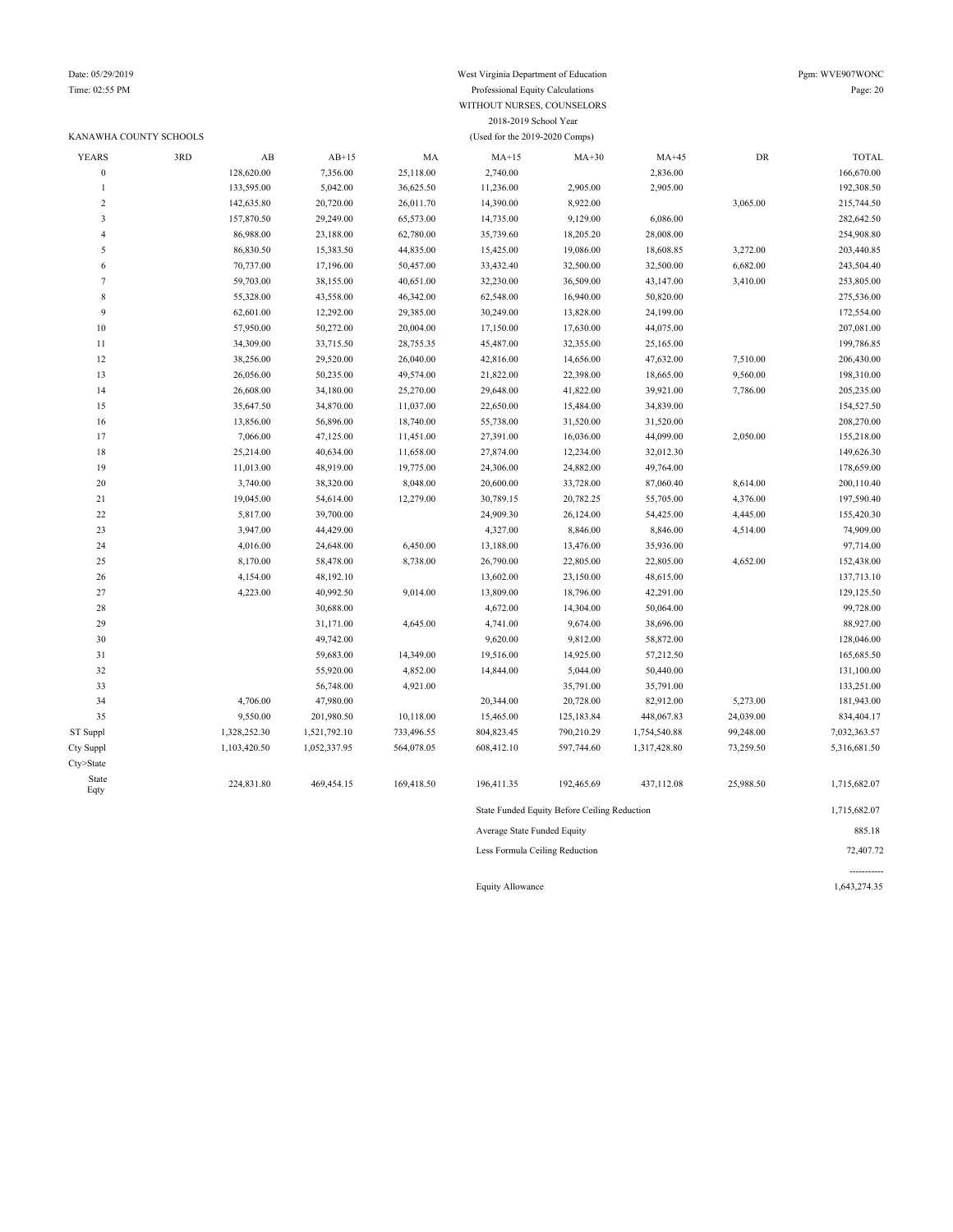### Date: 05/29/2019 West Virginia Department of Education Pgm: WVE907WONC Time: 02:55 PM Professional Equity Calculations Page: 20 WITHOUT NURSES, COUNSELORS 2018-2019 School Year

|                         | KANAWHA COUNTY SCHOOLS |              |              |            |                             |                                              |              |            |              |
|-------------------------|------------------------|--------------|--------------|------------|-----------------------------|----------------------------------------------|--------------|------------|--------------|
| <b>YEARS</b>            | 3RD                    | AB           | $AB+15$      | MA         | $MA+15$                     | $MA+30$                                      | $MA+45$      | ${\rm DR}$ | <b>TOTAL</b> |
| $\boldsymbol{0}$        |                        | 128,620.00   | 7,356.00     | 25,118.00  | 2,740.00                    |                                              | 2,836.00     |            | 166,670.00   |
| $\mathbf{1}$            |                        | 133,595.00   | 5,042.00     | 36,625.50  | 11,236.00                   | 2,905.00                                     | 2,905.00     |            | 192,308.50   |
| $\sqrt{2}$              |                        | 142,635.80   | 20,720.00    | 26,011.70  | 14,390.00                   | 8,922.00                                     |              | 3,065.00   | 215,744.50   |
| $\overline{\mathbf{3}}$ |                        | 157,870.50   | 29,249.00    | 65,573.00  | 14,735.00                   | 9,129.00                                     | 6,086.00     |            | 282,642.50   |
| $\overline{4}$          |                        | 86,988.00    | 23,188.00    | 62,780.00  | 35,739.60                   | 18,205.20                                    | 28,008.00    |            | 254,908.80   |
| $\sqrt{5}$              |                        | 86,830.50    | 15,383.50    | 44,835.00  | 15,425.00                   | 19,086.00                                    | 18,608.85    | 3,272.00   | 203,440.85   |
| 6                       |                        | 70,737.00    | 17,196.00    | 50,457.00  | 33,432.40                   | 32,500.00                                    | 32,500.00    | 6,682.00   | 243,504.40   |
| $\boldsymbol{7}$        |                        | 59,703.00    | 38,155.00    | 40,651.00  | 32,230.00                   | 36,509.00                                    | 43,147.00    | 3,410.00   | 253,805.00   |
| $\,$ 8 $\,$             |                        | 55,328.00    | 43,558.00    | 46,342.00  | 62,548.00                   | 16,940.00                                    | 50,820.00    |            | 275,536.00   |
| $\overline{9}$          |                        | 62,601.00    | 12,292.00    | 29,385.00  | 30,249.00                   | 13,828.00                                    | 24,199.00    |            | 172,554.00   |
| $10\,$                  |                        | 57,950.00    | 50,272.00    | 20,004.00  | 17,150.00                   | 17,630.00                                    | 44,075.00    |            | 207,081.00   |
| 11                      |                        | 34,309.00    | 33,715.50    | 28,755.35  | 45,487.00                   | 32,355.00                                    | 25,165.00    |            | 199,786.85   |
| $12\,$                  |                        | 38,256.00    | 29,520.00    | 26,040.00  | 42,816.00                   | 14,656.00                                    | 47,632.00    | 7,510.00   | 206,430.00   |
| 13                      |                        | 26,056.00    | 50,235.00    | 49,574.00  | 21,822.00                   | 22,398.00                                    | 18,665.00    | 9,560.00   | 198,310.00   |
| 14                      |                        | 26,608.00    | 34,180.00    | 25,270.00  | 29,648.00                   | 41,822.00                                    | 39,921.00    | 7,786.00   | 205,235.00   |
| 15                      |                        | 35,647.50    | 34,870.00    | 11,037.00  | 22,650.00                   | 15,484.00                                    | 34,839.00    |            | 154,527.50   |
| 16                      |                        | 13,856.00    | 56,896.00    | 18,740.00  | 55,738.00                   | 31,520.00                                    | 31,520.00    |            | 208,270.00   |
| 17                      |                        | 7,066.00     | 47,125.00    | 11,451.00  | 27,391.00                   | 16,036.00                                    | 44,099.00    | 2,050.00   | 155,218.00   |
| $18\,$                  |                        | 25,214.00    | 40,634.00    | 11,658.00  | 27,874.00                   | 12,234.00                                    | 32,012.30    |            | 149,626.30   |
| 19                      |                        | 11,013.00    | 48,919.00    | 19,775.00  | 24,306.00                   | 24,882.00                                    | 49,764.00    |            | 178,659.00   |
| 20                      |                        | 3,740.00     | 38,320.00    | 8,048.00   | 20,600.00                   | 33,728.00                                    | 87,060.40    | 8,614.00   | 200,110.40   |
| 21                      |                        | 19,045.00    | 54,614.00    | 12,279.00  | 30,789.15                   | 20,782.25                                    | 55,705.00    | 4,376.00   | 197,590.40   |
| $22\,$                  |                        | 5,817.00     | 39,700.00    |            | 24,909.30                   | 26,124.00                                    | 54,425.00    | 4,445.00   | 155,420.30   |
| 23                      |                        | 3,947.00     | 44,429.00    |            | 4,327.00                    | 8,846.00                                     | 8,846.00     | 4,514.00   | 74,909.00    |
| 24                      |                        | 4,016.00     | 24,648.00    | 6,450.00   | 13,188.00                   | 13,476.00                                    | 35,936.00    |            | 97,714.00    |
| 25                      |                        | 8,170.00     | 58,478.00    | 8,738.00   | 26,790.00                   | 22,805.00                                    | 22,805.00    | 4,652.00   | 152,438.00   |
| $26\,$                  |                        | 4,154.00     | 48,192.10    |            | 13,602.00                   | 23,150.00                                    | 48,615.00    |            | 137,713.10   |
| $27\,$                  |                        | 4,223.00     | 40,992.50    | 9,014.00   | 13,809.00                   | 18,796.00                                    | 42,291.00    |            | 129,125.50   |
| 28                      |                        |              | 30,688.00    |            | 4,672.00                    | 14,304.00                                    | 50,064.00    |            | 99,728.00    |
| 29                      |                        |              | 31,171.00    | 4,645.00   | 4,741.00                    | 9,674.00                                     | 38,696.00    |            | 88,927.00    |
| 30                      |                        |              | 49,742.00    |            | 9,620.00                    | 9,812.00                                     | 58,872.00    |            | 128,046.00   |
| 31                      |                        |              | 59,683.00    | 14,349.00  | 19,516.00                   | 14,925.00                                    | 57,212.50    |            | 165,685.50   |
| 32                      |                        |              | 55,920.00    | 4,852.00   | 14,844.00                   | 5,044.00                                     | 50,440.00    |            | 131,100.00   |
| 33                      |                        |              | 56,748.00    | 4,921.00   |                             | 35,791.00                                    | 35,791.00    |            | 133,251.00   |
| 34                      |                        | 4,706.00     | 47,980.00    |            | 20,344.00                   | 20,728.00                                    | 82,912.00    | 5,273.00   | 181,943.00   |
| 35                      |                        | 9,550.00     | 201,980.50   | 10,118.00  | 15,465.00                   | 125,183.84                                   | 448,067.83   | 24,039.00  | 834,404.17   |
| ST Suppl                |                        | 1,328,252.30 | 1,521,792.10 | 733,496.55 | 804,823.45                  | 790,210.29                                   | 1,754,540.88 | 99,248.00  | 7,032,363.57 |
| Cty Suppl               |                        | 1,103,420.50 | 1,052,337.95 | 564,078.05 | 608,412.10                  | 597,744.60                                   | 1,317,428.80 | 73,259.50  | 5,316,681.50 |
| Cty>State               |                        |              |              |            |                             |                                              |              |            |              |
| State<br>Eqty           |                        | 224,831.80   | 469,454.15   | 169,418.50 | 196,411.35                  | 192,465.69                                   | 437,112.08   | 25,988.50  | 1,715,682.07 |
|                         |                        |              |              |            |                             | State Funded Equity Before Ceiling Reduction |              |            | 1,715,682.07 |
|                         |                        |              |              |            | Average State Funded Equity |                                              |              |            | 885.18       |

Less Formula Ceiling Reduction 72,407.72

Equity Allowance 1,643,274.35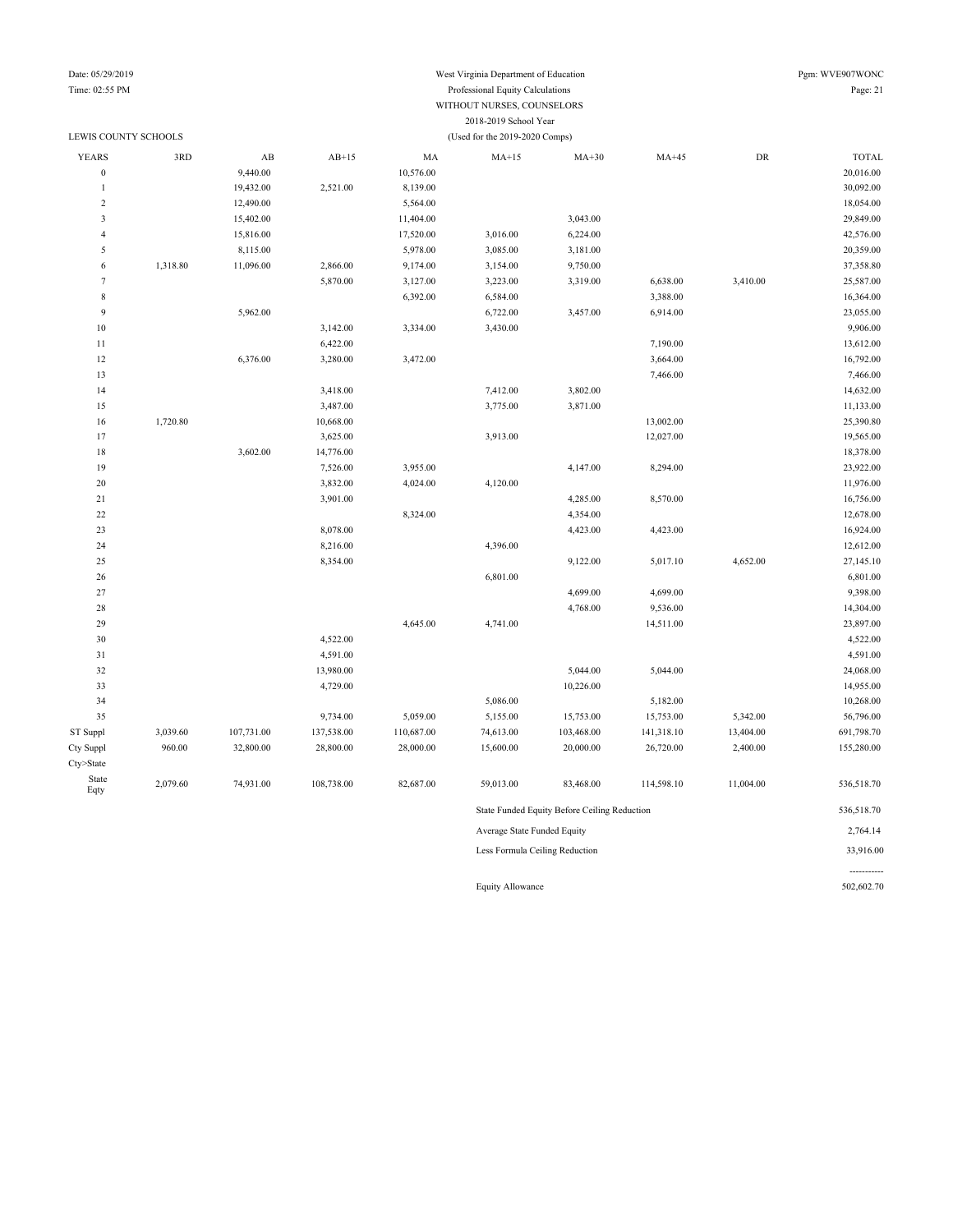### Date: 05/29/2019 West Virginia Department of Education Time: 02:55 PM Professional Equity Calculations WITHOUT NURSES, COUNSELORS 2018-2019 School Year

| Pgm: WVE907WONC |
|-----------------|
| Page: 21        |

| LEWIS COUNTY SCHOOLS    |          |                                |            |            | (Used for the 2019-2020 Comps) |                                              |            |           |                       |  |
|-------------------------|----------|--------------------------------|------------|------------|--------------------------------|----------------------------------------------|------------|-----------|-----------------------|--|
| <b>YEARS</b>            | 3RD      | AB                             | $AB+15$    | MA         | $MA+15$                        | $MA+30$                                      | $MA+45$    | DR        | <b>TOTAL</b>          |  |
| $\boldsymbol{0}$        |          | 9,440.00                       |            | 10,576.00  |                                |                                              |            |           | 20,016.00             |  |
| $\mathbf{1}$            |          | 19,432.00                      | 2,521.00   | 8,139.00   |                                |                                              |            |           | 30,092.00             |  |
| $\sqrt{2}$              |          | 12,490.00                      |            | 5,564.00   |                                |                                              |            |           | 18,054.00             |  |
| $\overline{\mathbf{3}}$ |          | 15,402.00                      |            | 11,404.00  |                                | 3,043.00                                     |            |           | 29,849.00             |  |
| $\overline{4}$          |          | 15,816.00                      |            | 17,520.00  | 3,016.00                       | 6,224.00                                     |            |           | 42,576.00             |  |
| 5                       |          | 8,115.00                       |            | 5,978.00   | 3,085.00                       | 3,181.00                                     |            |           | 20,359.00             |  |
| 6                       | 1,318.80 | 11,096.00                      | 2,866.00   | 9,174.00   | 3,154.00                       | 9,750.00                                     |            |           | 37,358.80             |  |
| $\overline{7}$          |          |                                | 5,870.00   | 3,127.00   | 3,223.00                       | 3,319.00                                     | 6,638.00   | 3,410.00  | 25,587.00             |  |
| $\,$ 8 $\,$             |          |                                |            | 6,392.00   | 6,584.00                       |                                              | 3,388.00   |           | 16,364.00             |  |
| 9                       |          | 5,962.00                       |            |            | 6,722.00                       | 3,457.00                                     | 6,914.00   |           | 23,055.00             |  |
| 10                      |          |                                | 3,142.00   | 3,334.00   | 3,430.00                       |                                              |            |           | 9,906.00              |  |
| 11                      |          |                                | 6,422.00   |            |                                |                                              | 7,190.00   |           | 13,612.00             |  |
| 12                      |          | 6,376.00                       | 3,280.00   | 3,472.00   |                                |                                              | 3,664.00   |           | 16,792.00             |  |
| 13                      |          |                                |            |            |                                |                                              | 7,466.00   |           | 7,466.00              |  |
| 14                      |          |                                | 3,418.00   |            | 7,412.00                       | 3,802.00                                     |            |           | 14,632.00             |  |
| 15                      |          |                                | 3,487.00   |            | 3,775.00                       | 3,871.00                                     |            |           | 11,133.00             |  |
| 16                      | 1,720.80 |                                | 10,668.00  |            |                                |                                              | 13,002.00  |           | 25,390.80             |  |
| 17                      |          |                                | 3,625.00   |            | 3,913.00                       |                                              | 12,027.00  |           | 19,565.00             |  |
| 18                      |          | 3,602.00                       | 14,776.00  |            |                                |                                              |            |           | 18,378.00             |  |
| 19                      |          |                                | 7,526.00   | 3,955.00   |                                | 4,147.00                                     | 8,294.00   |           | 23,922.00             |  |
| 20                      |          |                                | 3,832.00   | 4,024.00   | 4,120.00                       |                                              |            |           | 11,976.00             |  |
| $21\,$                  |          |                                | 3,901.00   |            |                                | 4,285.00                                     | 8,570.00   |           | 16,756.00             |  |
| 22                      |          |                                |            | 8,324.00   |                                | 4,354.00                                     |            |           | 12,678.00             |  |
| 23                      |          |                                | 8,078.00   |            |                                | 4,423.00                                     | 4,423.00   |           | 16,924.00             |  |
| 24                      |          |                                | 8,216.00   |            | 4,396.00                       |                                              |            |           | 12,612.00             |  |
| 25                      |          |                                | 8,354.00   |            |                                | 9,122.00                                     | 5,017.10   | 4,652.00  | 27,145.10             |  |
| 26                      |          |                                |            |            | 6,801.00                       |                                              |            |           | 6,801.00              |  |
| 27                      |          |                                |            |            |                                | 4,699.00                                     | 4,699.00   |           | 9,398.00              |  |
| 28                      |          |                                |            |            |                                | 4,768.00                                     | 9,536.00   |           | 14,304.00             |  |
| 29                      |          |                                |            | 4,645.00   | 4,741.00                       |                                              | 14,511.00  |           | 23,897.00             |  |
| 30                      |          |                                | 4,522.00   |            |                                |                                              |            |           | 4,522.00              |  |
| 31                      |          |                                | 4,591.00   |            |                                |                                              |            |           | 4,591.00              |  |
| 32                      |          |                                | 13,980.00  |            |                                | 5,044.00                                     | 5,044.00   |           | 24,068.00             |  |
| 33                      |          |                                | 4,729.00   |            |                                | 10,226.00                                    |            |           | 14,955.00             |  |
| 34                      |          |                                |            |            | 5,086.00                       |                                              | 5,182.00   |           | 10,268.00             |  |
| 35                      |          |                                | 9,734.00   | 5,059.00   | 5,155.00                       | 15,753.00                                    | 15,753.00  | 5,342.00  | 56,796.00             |  |
| ST Suppl                | 3,039.60 | 107,731.00                     | 137,538.00 | 110,687.00 | 74,613.00                      | 103,468.00                                   | 141,318.10 | 13,404.00 | 691,798.70            |  |
| Cty Suppl               | 960.00   | 32,800.00                      | 28,800.00  | 28,000.00  | 15,600.00                      | 20,000.00                                    | 26,720.00  | 2,400.00  | 155,280.00            |  |
| Cty>State               |          |                                |            |            |                                |                                              |            |           |                       |  |
| State<br>Eqty           | 2,079.60 | 74,931.00                      | 108,738.00 | 82,687.00  | 59,013.00                      | 83,468.00                                    | 114,598.10 | 11,004.00 | 536,518.70            |  |
|                         |          |                                |            |            |                                | State Funded Equity Before Ceiling Reduction |            |           | 536,518.70            |  |
|                         |          |                                |            |            | Average State Funded Equity    |                                              |            |           | 2,764.14<br>33,916.00 |  |
|                         |          | Less Formula Ceiling Reduction |            |            |                                |                                              |            |           |                       |  |

Equity Allowance 502,602.70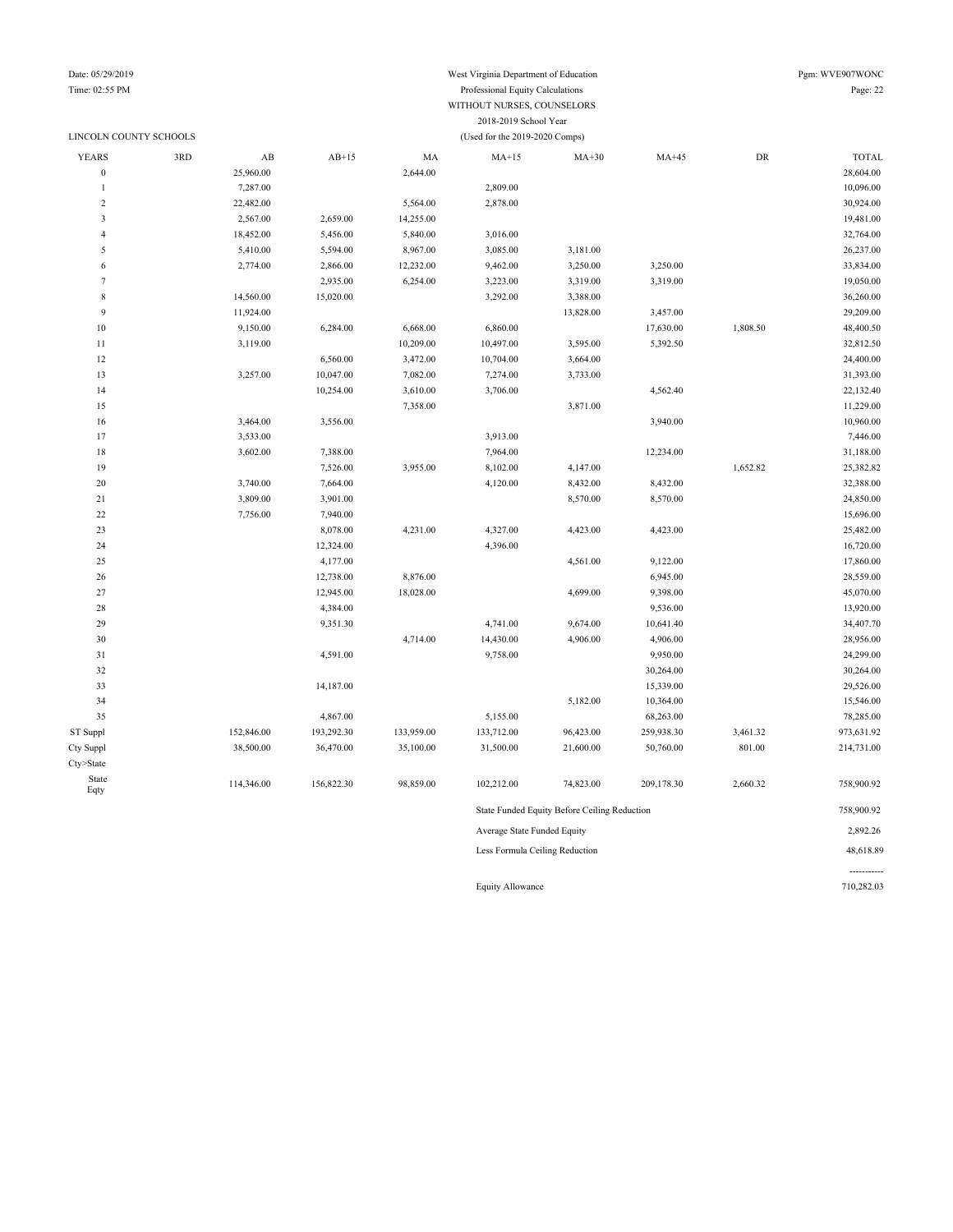### LINCOLN COUNTY SCHOOLS (Used for the 2019-2020 Comps)

## Date: 05/29/2019 Pgm: WVE907WONC

### Time: 02:55 PM Professional Equity Calculations Page: 22 WITHOUT NURSES, COUNSELORS 2018-2019 School Year

| YEARS                   | 3RD | $\mathbf{A}\mathbf{B}$ | $AB+15$    | MA         | $MA+15$                                      | $MA+30$   | $MA+45$    | DR       | <b>TOTAL</b> |
|-------------------------|-----|------------------------|------------|------------|----------------------------------------------|-----------|------------|----------|--------------|
| $\boldsymbol{0}$        |     | 25,960.00              |            | 2,644.00   |                                              |           |            |          | 28,604.00    |
| $\mathbf{1}$            |     | 7,287.00               |            |            | 2,809.00                                     |           |            |          | 10,096.00    |
| $\overline{c}$          |     | 22,482.00              |            | 5,564.00   | 2,878.00                                     |           |            |          | 30,924.00    |
| $\overline{\mathbf{3}}$ |     | 2,567.00               | 2,659.00   | 14,255.00  |                                              |           |            |          | 19,481.00    |
| $\overline{4}$          |     | 18,452.00              | 5,456.00   | 5,840.00   | 3,016.00                                     |           |            |          | 32,764.00    |
| 5                       |     | 5,410.00               | 5,594.00   | 8,967.00   | 3,085.00                                     | 3,181.00  |            |          | 26,237.00    |
| $\sqrt{6}$              |     | 2,774.00               | 2,866.00   | 12,232.00  | 9,462.00                                     | 3,250.00  | 3,250.00   |          | 33,834.00    |
| $\tau$                  |     |                        | 2,935.00   | 6,254.00   | 3,223.00                                     | 3,319.00  | 3,319.00   |          | 19,050.00    |
| $\,$ 8 $\,$             |     | 14,560.00              | 15,020.00  |            | 3,292.00                                     | 3,388.00  |            |          | 36,260.00    |
| $\overline{9}$          |     | 11,924.00              |            |            |                                              | 13,828.00 | 3,457.00   |          | 29,209.00    |
| $10\,$                  |     | 9,150.00               | 6,284.00   | 6,668.00   | 6,860.00                                     |           | 17,630.00  | 1,808.50 | 48,400.50    |
| $1\,1$                  |     | 3,119.00               |            | 10,209.00  | 10,497.00                                    | 3,595.00  | 5,392.50   |          | 32,812.50    |
| 12                      |     |                        | 6,560.00   | 3,472.00   | 10,704.00                                    | 3,664.00  |            |          | 24,400.00    |
| 13                      |     | 3,257.00               | 10,047.00  | 7,082.00   | 7,274.00                                     | 3,733.00  |            |          | 31,393.00    |
| 14                      |     |                        | 10,254.00  | 3,610.00   | 3,706.00                                     |           | 4,562.40   |          | 22,132.40    |
| 15                      |     |                        |            | 7,358.00   |                                              | 3,871.00  |            |          | 11,229.00    |
| 16                      |     | 3,464.00               | 3,556.00   |            |                                              |           | 3,940.00   |          | 10,960.00    |
| 17                      |     | 3,533.00               |            |            | 3,913.00                                     |           |            |          | 7,446.00     |
| $18\,$                  |     | 3,602.00               | 7,388.00   |            | 7,964.00                                     |           | 12,234.00  |          | 31,188.00    |
| 19                      |     |                        | 7,526.00   | 3,955.00   | 8,102.00                                     | 4,147.00  |            | 1,652.82 | 25,382.82    |
| $20\,$                  |     | 3,740.00               | 7,664.00   |            | 4,120.00                                     | 8,432.00  | 8,432.00   |          | 32,388.00    |
| $21\,$                  |     | 3,809.00               | 3,901.00   |            |                                              | 8,570.00  | 8,570.00   |          | 24,850.00    |
| $22\,$                  |     | 7,756.00               | 7,940.00   |            |                                              |           |            |          | 15,696.00    |
| 23                      |     |                        | 8,078.00   | 4,231.00   | 4,327.00                                     | 4,423.00  | 4,423.00   |          | 25,482.00    |
| 24                      |     |                        | 12,324.00  |            | 4,396.00                                     |           |            |          | 16,720.00    |
| $25\,$                  |     |                        | 4,177.00   |            |                                              | 4,561.00  | 9,122.00   |          | 17,860.00    |
| 26                      |     |                        | 12,738.00  | 8,876.00   |                                              |           | 6,945.00   |          | 28,559.00    |
| 27                      |     |                        | 12,945.00  | 18,028.00  |                                              | 4,699.00  | 9,398.00   |          | 45,070.00    |
| $28\,$                  |     |                        | 4,384.00   |            |                                              |           | 9,536.00   |          | 13,920.00    |
| 29                      |     |                        | 9,351.30   |            | 4,741.00                                     | 9,674.00  | 10,641.40  |          | 34,407.70    |
| 30                      |     |                        |            | 4,714.00   | 14,430.00                                    | 4,906.00  | 4,906.00   |          | 28,956.00    |
| $31\,$                  |     |                        | 4,591.00   |            | 9,758.00                                     |           | 9,950.00   |          | 24,299.00    |
| 32                      |     |                        |            |            |                                              |           | 30,264.00  |          | 30,264.00    |
| 33                      |     |                        | 14,187.00  |            |                                              |           | 15,339.00  |          | 29,526.00    |
| 34                      |     |                        |            |            |                                              | 5,182.00  | 10,364.00  |          | 15,546.00    |
| 35                      |     |                        | 4,867.00   |            | 5,155.00                                     |           | 68,263.00  |          | 78,285.00    |
| ST Suppl                |     | 152,846.00             | 193,292.30 | 133,959.00 | 133,712.00                                   | 96,423.00 | 259,938.30 | 3,461.32 | 973,631.92   |
| Cty Suppl               |     | 38,500.00              | 36,470.00  | 35,100.00  | 31,500.00                                    | 21,600.00 | 50,760.00  | 801.00   | 214,731.00   |
| Cty>State               |     |                        |            |            |                                              |           |            |          |              |
| State                   |     |                        |            |            |                                              |           |            |          |              |
| Eqty                    |     | 114,346.00             | 156,822.30 | 98,859.00  | 102,212.00                                   | 74,823.00 | 209,178.30 | 2,660.32 | 758,900.92   |
|                         |     |                        |            |            | State Funded Equity Before Ceiling Reduction |           | 758,900.92 |          |              |
|                         |     |                        |            |            | Average State Funded Equity                  |           | 2,892.26   |          |              |
|                         |     |                        |            |            |                                              |           |            |          |              |

Less Formula Ceiling Reduction 48,618.89

Equity Allowance 710,282.03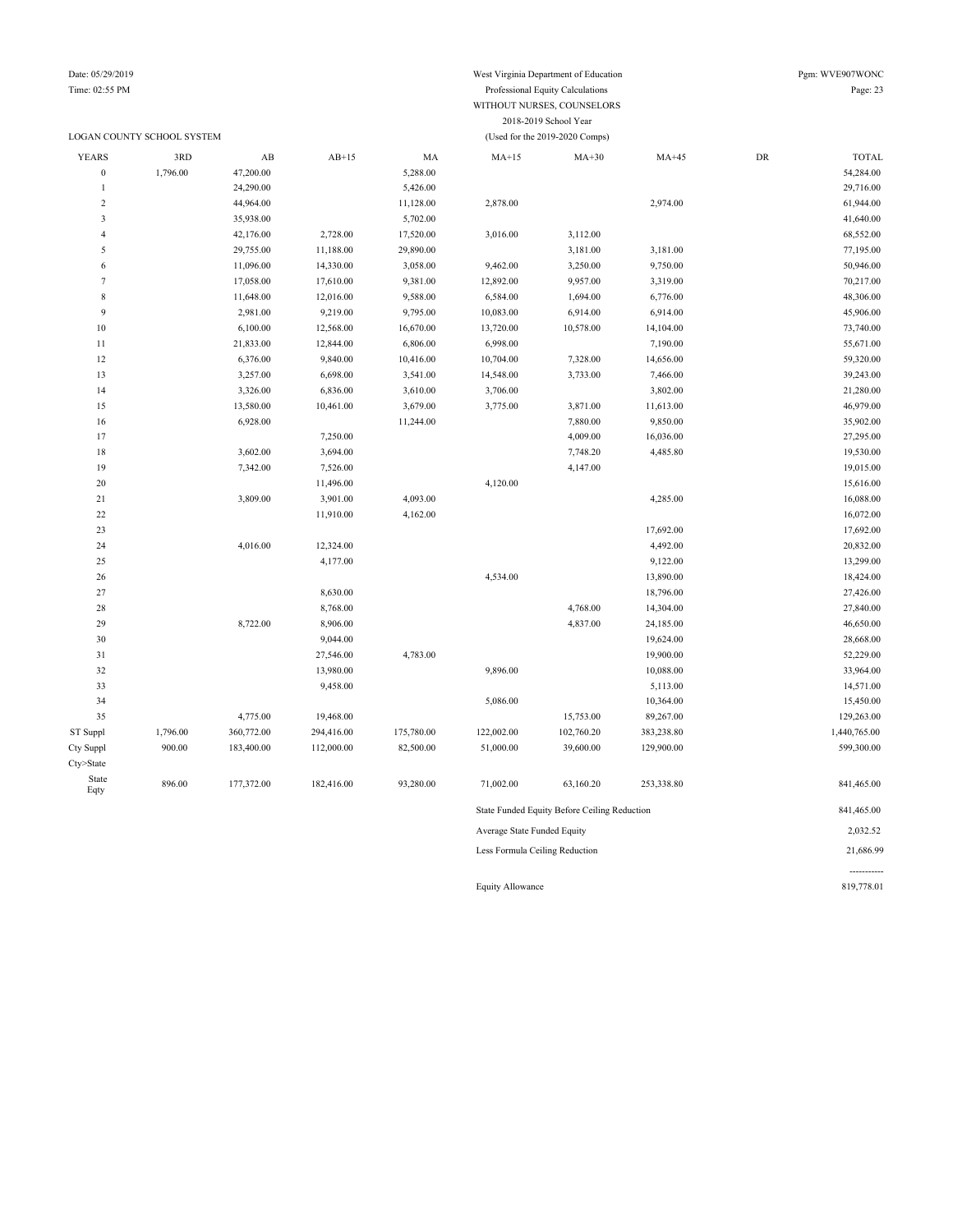### LOGAN COUNTY SCHOOL SYSTEM (Used for the 2019-2020 Comps)

### Date: 05/29/2019 West Virginia Department of Education Pgm: WVE907WONC Time: 02:55 PM Professional Equity Calculations Page: 23 WITHOUT NURSES, COUNSELORS 2018-2019 School Year

| <b>YEARS</b>     | 3RD      | AB         | $AB+15$    | MA         | $MA+15$                        | $MA+30$                                      | $MA+45$    | ${\rm DR}$ | <b>TOTAL</b> |
|------------------|----------|------------|------------|------------|--------------------------------|----------------------------------------------|------------|------------|--------------|
| $\boldsymbol{0}$ | 1,796.00 | 47,200.00  |            | 5,288.00   |                                |                                              |            |            | 54,284.00    |
| $\mathbf{1}$     |          | 24,290.00  |            | 5,426.00   |                                |                                              |            |            | 29,716.00    |
| $\sqrt{2}$       |          | 44,964.00  |            | 11,128.00  | 2,878.00                       |                                              | 2,974.00   |            | 61,944.00    |
| $\mathfrak z$    |          | 35,938.00  |            | 5,702.00   |                                |                                              |            |            | 41,640.00    |
| $\overline{4}$   |          | 42,176.00  | 2,728.00   | 17,520.00  | 3,016.00                       | 3,112.00                                     |            |            | 68,552.00    |
| 5                |          | 29,755.00  | 11,188.00  | 29,890.00  |                                | 3,181.00                                     | 3,181.00   |            | 77,195.00    |
| 6                |          | 11,096.00  | 14,330.00  | 3,058.00   | 9,462.00                       | 3,250.00                                     | 9,750.00   |            | 50,946.00    |
| $\tau$           |          | 17,058.00  | 17,610.00  | 9,381.00   | 12,892.00                      | 9,957.00                                     | 3,319.00   |            | 70,217.00    |
| $\,$ 8 $\,$      |          | 11,648.00  | 12,016.00  | 9,588.00   | 6,584.00                       | 1,694.00                                     | 6,776.00   |            | 48,306.00    |
| 9                |          | 2,981.00   | 9,219.00   | 9,795.00   | 10,083.00                      | 6,914.00                                     | 6,914.00   |            | 45,906.00    |
| $10\,$           |          | 6,100.00   | 12,568.00  | 16,670.00  | 13,720.00                      | 10,578.00                                    | 14,104.00  |            | 73,740.00    |
| 11               |          | 21,833.00  | 12,844.00  | 6,806.00   | 6,998.00                       |                                              | 7,190.00   |            | 55,671.00    |
| $12\,$           |          | 6,376.00   | 9,840.00   | 10,416.00  | 10,704.00                      | 7,328.00                                     | 14,656.00  |            | 59,320.00    |
| 13               |          | 3,257.00   | 6,698.00   | 3,541.00   | 14,548.00                      | 3,733.00                                     | 7,466.00   |            | 39,243.00    |
| 14               |          | 3,326.00   | 6,836.00   | 3,610.00   | 3,706.00                       |                                              | 3,802.00   |            | 21,280.00    |
| 15               |          | 13,580.00  | 10,461.00  | 3,679.00   | 3,775.00                       | 3,871.00                                     | 11,613.00  |            | 46,979.00    |
| 16               |          | 6,928.00   |            | 11,244.00  |                                | 7,880.00                                     | 9,850.00   |            | 35,902.00    |
| 17               |          |            | 7,250.00   |            |                                | 4,009.00                                     | 16,036.00  |            | 27,295.00    |
| 18               |          | 3,602.00   | 3,694.00   |            |                                | 7,748.20                                     | 4,485.80   |            | 19,530.00    |
| 19               |          | 7,342.00   | 7,526.00   |            |                                | 4,147.00                                     |            |            | 19,015.00    |
| 20               |          |            | 11,496.00  |            | 4,120.00                       |                                              |            |            | 15,616.00    |
| 21               |          | 3,809.00   | 3,901.00   | 4,093.00   |                                |                                              | 4,285.00   |            | 16,088.00    |
| $22\,$           |          |            | 11,910.00  | 4,162.00   |                                |                                              |            |            | 16,072.00    |
| 23               |          |            |            |            |                                |                                              | 17,692.00  |            | 17,692.00    |
| 24               |          | 4,016.00   | 12,324.00  |            |                                |                                              | 4,492.00   |            | 20,832.00    |
| 25               |          |            | 4,177.00   |            |                                |                                              | 9,122.00   |            | 13,299.00    |
| $26\,$           |          |            |            |            | 4,534.00                       |                                              | 13,890.00  |            | 18,424.00    |
| 27               |          |            | 8,630.00   |            |                                |                                              | 18,796.00  |            | 27,426.00    |
| $28\,$           |          |            | 8,768.00   |            |                                | 4,768.00                                     | 14,304.00  |            | 27,840.00    |
| 29               |          | 8,722.00   | 8,906.00   |            |                                | 4,837.00                                     | 24,185.00  |            | 46,650.00    |
| 30               |          |            | 9,044.00   |            |                                |                                              | 19,624.00  |            | 28,668.00    |
| 31               |          |            | 27,546.00  | 4,783.00   |                                |                                              | 19,900.00  |            | 52,229.00    |
| 32               |          |            | 13,980.00  |            | 9,896.00                       |                                              | 10,088.00  |            | 33,964.00    |
| 33               |          |            | 9,458.00   |            |                                |                                              | 5,113.00   |            | 14,571.00    |
| 34               |          |            |            |            | 5,086.00                       |                                              | 10,364.00  |            | 15,450.00    |
| 35               |          | 4,775.00   | 19,468.00  |            |                                | 15,753.00                                    | 89,267.00  |            | 129,263.00   |
| ST Suppl         | 1,796.00 | 360,772.00 | 294,416.00 | 175,780.00 | 122,002.00                     | 102,760.20                                   | 383,238.80 |            | 1,440,765.00 |
| Cty Suppl        | 900.00   | 183,400.00 | 112,000.00 | 82,500.00  | 51,000.00                      | 39,600.00                                    | 129,900.00 |            | 599,300.00   |
| Cty>State        |          |            |            |            |                                |                                              |            |            |              |
| State<br>Eqty    | 896.00   | 177,372.00 | 182,416.00 | 93,280.00  | 71,002.00                      | 63,160.20                                    | 253,338.80 |            | 841,465.00   |
|                  |          |            |            |            |                                | State Funded Equity Before Ceiling Reduction |            |            | 841,465.00   |
|                  |          |            |            |            | Average State Funded Equity    |                                              |            |            | 2,032.52     |
|                  |          |            |            |            | Less Formula Ceiling Reduction |                                              |            |            | 21,686.99    |

----------- Equity Allowance 819,778.01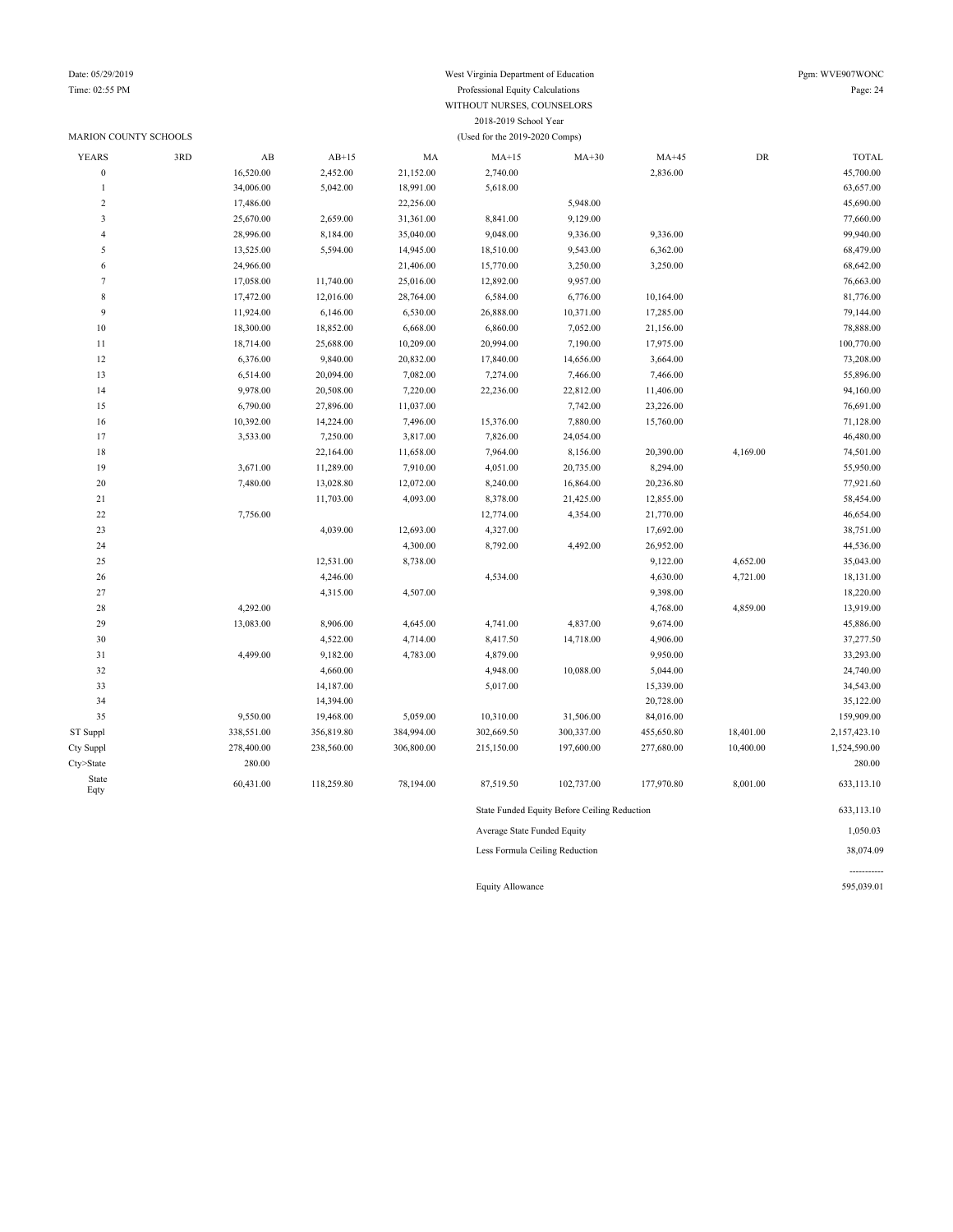### MARION COUNTY SCHOOLS (Used for the 2019-2020 Comps)

### Date: 05/29/2019 West Virginia Department of Education Pgm: WVE907WONC Time: 02:55 PM Professional Equity Calculations Page: 24 WITHOUT NURSES, COUNSELORS 2018-2019 School Year

| <b>YEARS</b>            | 3RD | $\mathbf{A}\mathbf{B}$ | $AB+15$    | MA         | $MA+15$                     | $MA+30$                                      | $MA+45$    | ${\rm DR}$ | <b>TOTAL</b> |
|-------------------------|-----|------------------------|------------|------------|-----------------------------|----------------------------------------------|------------|------------|--------------|
| $\mathbf{0}$            |     | 16,520.00              | 2,452.00   | 21,152.00  | 2,740.00                    |                                              | 2,836.00   |            | 45,700.00    |
| $\mathbf{1}$            |     | 34,006.00              | 5,042.00   | 18,991.00  | 5,618.00                    |                                              |            |            | 63,657.00    |
| $\overline{\mathbf{c}}$ |     | 17,486.00              |            | 22,256.00  |                             | 5,948.00                                     |            |            | 45,690.00    |
| 3                       |     | 25,670.00              | 2,659.00   | 31,361.00  | 8,841.00                    | 9,129.00                                     |            |            | 77,660.00    |
| $\overline{4}$          |     | 28,996.00              | 8,184.00   | 35,040.00  | 9,048.00                    | 9,336.00                                     | 9,336.00   |            | 99,940.00    |
| 5                       |     | 13,525.00              | 5,594.00   | 14,945.00  | 18,510.00                   | 9,543.00                                     | 6,362.00   |            | 68,479.00    |
| 6                       |     | 24,966.00              |            | 21,406.00  | 15,770.00                   | 3,250.00                                     | 3,250.00   |            | 68,642.00    |
| $\tau$                  |     | 17,058.00              | 11,740.00  | 25,016.00  | 12,892.00                   | 9,957.00                                     |            |            | 76,663.00    |
| 8                       |     | 17,472.00              | 12,016.00  | 28,764.00  | 6,584.00                    | 6,776.00                                     | 10,164.00  |            | 81,776.00    |
| 9                       |     | 11,924.00              | 6,146.00   | 6,530.00   | 26,888.00                   | 10,371.00                                    | 17,285.00  |            | 79,144.00    |
| 10                      |     | 18,300.00              | 18,852.00  | 6,668.00   | 6,860.00                    | 7,052.00                                     | 21,156.00  |            | 78,888.00    |
| 11                      |     | 18,714.00              | 25,688.00  | 10,209.00  | 20,994.00                   | 7,190.00                                     | 17,975.00  |            | 100,770.00   |
| 12                      |     | 6,376.00               | 9,840.00   | 20,832.00  | 17,840.00                   | 14,656.00                                    | 3,664.00   |            | 73,208.00    |
| 13                      |     | 6,514.00               | 20,094.00  | 7,082.00   | 7,274.00                    | 7,466.00                                     | 7,466.00   |            | 55,896.00    |
| 14                      |     | 9,978.00               | 20,508.00  | 7,220.00   | 22,236.00                   | 22,812.00                                    | 11,406.00  |            | 94,160.00    |
| 15                      |     | 6,790.00               | 27,896.00  | 11,037.00  |                             | 7,742.00                                     | 23,226.00  |            | 76,691.00    |
| 16                      |     | 10,392.00              | 14,224.00  | 7,496.00   | 15,376.00                   | 7,880.00                                     | 15,760.00  |            | 71,128.00    |
| 17                      |     | 3,533.00               | 7,250.00   | 3,817.00   | 7,826.00                    | 24,054.00                                    |            |            | 46,480.00    |
| 18                      |     |                        | 22,164.00  | 11,658.00  | 7,964.00                    | 8,156.00                                     | 20,390.00  | 4,169.00   | 74,501.00    |
| 19                      |     | 3,671.00               | 11,289.00  | 7,910.00   | 4,051.00                    | 20,735.00                                    | 8,294.00   |            | 55,950.00    |
| 20                      |     | 7,480.00               | 13,028.80  | 12,072.00  | 8,240.00                    | 16,864.00                                    | 20,236.80  |            | 77,921.60    |
| 21                      |     |                        | 11,703.00  | 4,093.00   | 8,378.00                    | 21,425.00                                    | 12,855.00  |            | 58,454.00    |
| $22\,$                  |     | 7,756.00               |            |            | 12,774.00                   | 4,354.00                                     | 21,770.00  |            | 46,654.00    |
| 23                      |     |                        | 4,039.00   | 12,693.00  | 4,327.00                    |                                              | 17,692.00  |            | 38,751.00    |
| 24                      |     |                        |            | 4,300.00   | 8,792.00                    | 4,492.00                                     | 26,952.00  |            | 44,536.00    |
| 25                      |     |                        | 12,531.00  | 8,738.00   |                             |                                              | 9,122.00   | 4,652.00   | 35,043.00    |
| 26                      |     |                        | 4,246.00   |            | 4,534.00                    |                                              | 4,630.00   | 4,721.00   | 18,131.00    |
| 27                      |     |                        | 4,315.00   | 4,507.00   |                             |                                              | 9,398.00   |            | 18,220.00    |
| 28                      |     | 4,292.00               |            |            |                             |                                              | 4,768.00   | 4,859.00   | 13,919.00    |
| 29                      |     | 13,083.00              | 8,906.00   | 4,645.00   | 4,741.00                    | 4,837.00                                     | 9,674.00   |            | 45,886.00    |
| 30                      |     |                        | 4,522.00   | 4,714.00   | 8,417.50                    | 14,718.00                                    | 4,906.00   |            | 37,277.50    |
| 31                      |     | 4,499.00               | 9,182.00   | 4,783.00   | 4,879.00                    |                                              | 9,950.00   |            | 33,293.00    |
| 32                      |     |                        | 4,660.00   |            | 4,948.00                    | 10,088.00                                    | 5,044.00   |            | 24,740.00    |
| 33                      |     |                        | 14,187.00  |            | 5,017.00                    |                                              | 15,339.00  |            | 34,543.00    |
| 34                      |     |                        | 14,394.00  |            |                             |                                              | 20,728.00  |            | 35,122.00    |
| 35                      |     | 9,550.00               | 19,468.00  | 5,059.00   | 10,310.00                   | 31,506.00                                    | 84,016.00  |            | 159,909.00   |
| ST Suppl                |     | 338,551.00             | 356,819.80 | 384,994.00 | 302,669.50                  | 300,337.00                                   | 455,650.80 | 18,401.00  | 2,157,423.10 |
| Cty Suppl               |     | 278,400.00             | 238,560.00 | 306,800.00 | 215,150.00                  | 197,600.00                                   | 277,680.00 | 10,400.00  | 1,524,590.00 |
| Cty>State               |     | 280.00                 |            |            |                             |                                              |            |            | 280.00       |
| State                   |     |                        |            |            |                             |                                              |            |            |              |
| Eqty                    |     | 60,431.00              | 118,259.80 | 78,194.00  | 87,519.50                   | 102,737.00                                   | 177,970.80 | 8,001.00   | 633,113.10   |
|                         |     |                        |            |            |                             | State Funded Equity Before Ceiling Reduction |            |            | 633,113.10   |
|                         |     |                        |            |            | Average State Funded Equity |                                              |            |            | 1,050.03     |

Less Formula Ceiling Reduction 38,074.09

Equity Allowance 595,039.01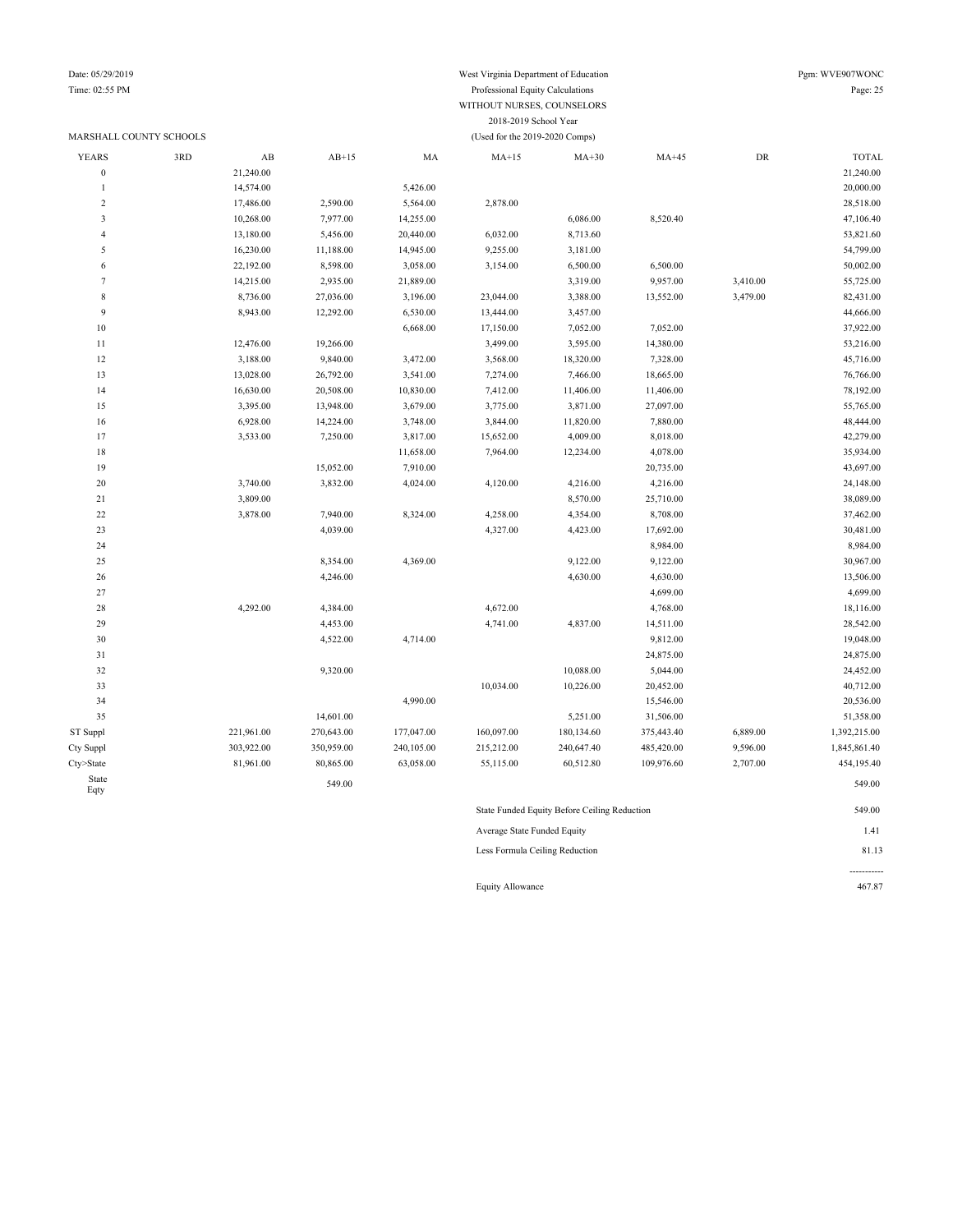#### Date: 05/29/2019 West Virginia Department of Education Pgm: WVE907WONC Time: 02:55 PM Professional Equity Calculations Page: 25 WITHOUT NURSES, COUNSELORS

### MARSHALL COUNTY SCHOOLS (Used for the 2019-2020 Comps)

| <b>YEARS</b>     | 3RD | $\mathbf{A}\mathbf{B}$ | $AB+15$    | MA         | $MA+15$                     | $MA+30$                                      | $MA+45$    | ${\rm DR}$ | <b>TOTAL</b> |
|------------------|-----|------------------------|------------|------------|-----------------------------|----------------------------------------------|------------|------------|--------------|
| $\boldsymbol{0}$ |     | 21,240.00              |            |            |                             |                                              |            |            | 21,240.00    |
| $\mathbf{1}$     |     | 14,574.00              |            | 5,426.00   |                             |                                              |            |            | 20,000.00    |
| $\overline{c}$   |     | 17,486.00              | 2,590.00   | 5,564.00   | 2,878.00                    |                                              |            |            | 28,518.00    |
| $\mathfrak{Z}$   |     | 10,268.00              | 7,977.00   | 14,255.00  |                             | 6,086.00                                     | 8,520.40   |            | 47,106.40    |
| $\overline{4}$   |     | 13,180.00              | 5,456.00   | 20,440.00  | 6,032.00                    | 8,713.60                                     |            |            | 53,821.60    |
| 5                |     | 16,230.00              | 11,188.00  | 14,945.00  | 9,255.00                    | 3,181.00                                     |            |            | 54,799.00    |
| 6                |     | 22,192.00              | 8,598.00   | 3,058.00   | 3,154.00                    | 6,500.00                                     | 6,500.00   |            | 50,002.00    |
| $\overline{7}$   |     | 14,215.00              | 2,935.00   | 21,889.00  |                             | 3,319.00                                     | 9,957.00   | 3,410.00   | 55,725.00    |
| $\,$ 8 $\,$      |     | 8,736.00               | 27,036.00  | 3,196.00   | 23,044.00                   | 3,388.00                                     | 13,552.00  | 3,479.00   | 82,431.00    |
| 9                |     | 8,943.00               | 12,292.00  | 6,530.00   | 13,444.00                   | 3,457.00                                     |            |            | 44,666.00    |
| 10               |     |                        |            | 6,668.00   | 17,150.00                   | 7,052.00                                     | 7,052.00   |            | 37,922.00    |
| 11               |     | 12,476.00              | 19,266.00  |            | 3,499.00                    | 3,595.00                                     | 14,380.00  |            | 53,216.00    |
| 12               |     | 3,188.00               | 9,840.00   | 3,472.00   | 3,568.00                    | 18,320.00                                    | 7,328.00   |            | 45,716.00    |
| 13               |     | 13,028.00              | 26,792.00  | 3,541.00   | 7,274.00                    | 7,466.00                                     | 18,665.00  |            | 76,766.00    |
| 14               |     | 16,630.00              | 20,508.00  | 10,830.00  | 7,412.00                    | 11,406.00                                    | 11,406.00  |            | 78,192.00    |
| 15               |     | 3,395.00               | 13,948.00  | 3,679.00   | 3,775.00                    | 3,871.00                                     | 27,097.00  |            | 55,765.00    |
| 16               |     | 6,928.00               | 14,224.00  | 3,748.00   | 3,844.00                    | 11,820.00                                    | 7,880.00   |            | 48,444.00    |
| 17               |     | 3,533.00               | 7,250.00   | 3,817.00   | 15,652.00                   | 4,009.00                                     | 8,018.00   |            | 42,279.00    |
| 18               |     |                        |            | 11,658.00  | 7,964.00                    | 12,234.00                                    | 4,078.00   |            | 35,934.00    |
| 19               |     |                        | 15,052.00  | 7,910.00   |                             |                                              | 20,735.00  |            | 43,697.00    |
| 20               |     | 3,740.00               | 3,832.00   | 4,024.00   | 4,120.00                    | 4,216.00                                     | 4,216.00   |            | 24,148.00    |
| 21               |     | 3,809.00               |            |            |                             | 8,570.00                                     | 25,710.00  |            | 38,089.00    |
| 22               |     | 3,878.00               | 7,940.00   | 8,324.00   | 4,258.00                    | 4,354.00                                     | 8,708.00   |            | 37,462.00    |
| 23               |     |                        | 4,039.00   |            | 4,327.00                    | 4,423.00                                     | 17,692.00  |            | 30,481.00    |
| 24               |     |                        |            |            |                             |                                              | 8,984.00   |            | 8,984.00     |
| 25               |     |                        | 8,354.00   | 4,369.00   |                             | 9,122.00                                     | 9,122.00   |            | 30,967.00    |
| 26               |     |                        | 4,246.00   |            |                             | 4,630.00                                     | 4,630.00   |            | 13,506.00    |
| 27               |     |                        |            |            |                             |                                              | 4,699.00   |            | 4,699.00     |
| 28               |     | 4,292.00               | 4,384.00   |            | 4,672.00                    |                                              | 4,768.00   |            | 18,116.00    |
| 29               |     |                        | 4,453.00   |            | 4,741.00                    | 4,837.00                                     | 14,511.00  |            | 28,542.00    |
| 30               |     |                        | 4,522.00   | 4,714.00   |                             |                                              | 9,812.00   |            | 19,048.00    |
| 31               |     |                        |            |            |                             |                                              | 24,875.00  |            | 24,875.00    |
| 32               |     |                        | 9,320.00   |            |                             | 10,088.00                                    | 5,044.00   |            | 24,452.00    |
| 33               |     |                        |            |            | 10,034.00                   | 10,226.00                                    | 20,452.00  |            | 40,712.00    |
| 34               |     |                        |            | 4,990.00   |                             |                                              | 15,546.00  |            | 20,536.00    |
| 35               |     |                        | 14,601.00  |            |                             | 5,251.00                                     | 31,506.00  |            | 51,358.00    |
| ST Suppl         |     | 221,961.00             | 270,643.00 | 177,047.00 | 160,097.00                  | 180,134.60                                   | 375,443.40 | 6,889.00   | 1,392,215.00 |
| Cty Suppl        |     | 303,922.00             | 350,959.00 | 240,105.00 | 215,212.00                  | 240,647.40                                   | 485,420.00 | 9,596.00   | 1,845,861.40 |
| Cty>State        |     | 81,961.00              | 80,865.00  | 63,058.00  | 55,115.00                   | 60,512.80                                    | 109,976.60 | 2,707.00   | 454,195.40   |
| State<br>Eqty    |     |                        | 549.00     |            |                             |                                              |            |            | 549.00       |
|                  |     |                        |            |            |                             | State Funded Equity Before Ceiling Reduction |            |            | 549.00       |
|                  |     |                        |            |            | Average State Funded Equity |                                              |            |            | 1.41         |

2018-2019 School Year

Less Formula Ceiling Reduction 81.13

Equity Allowance 467.87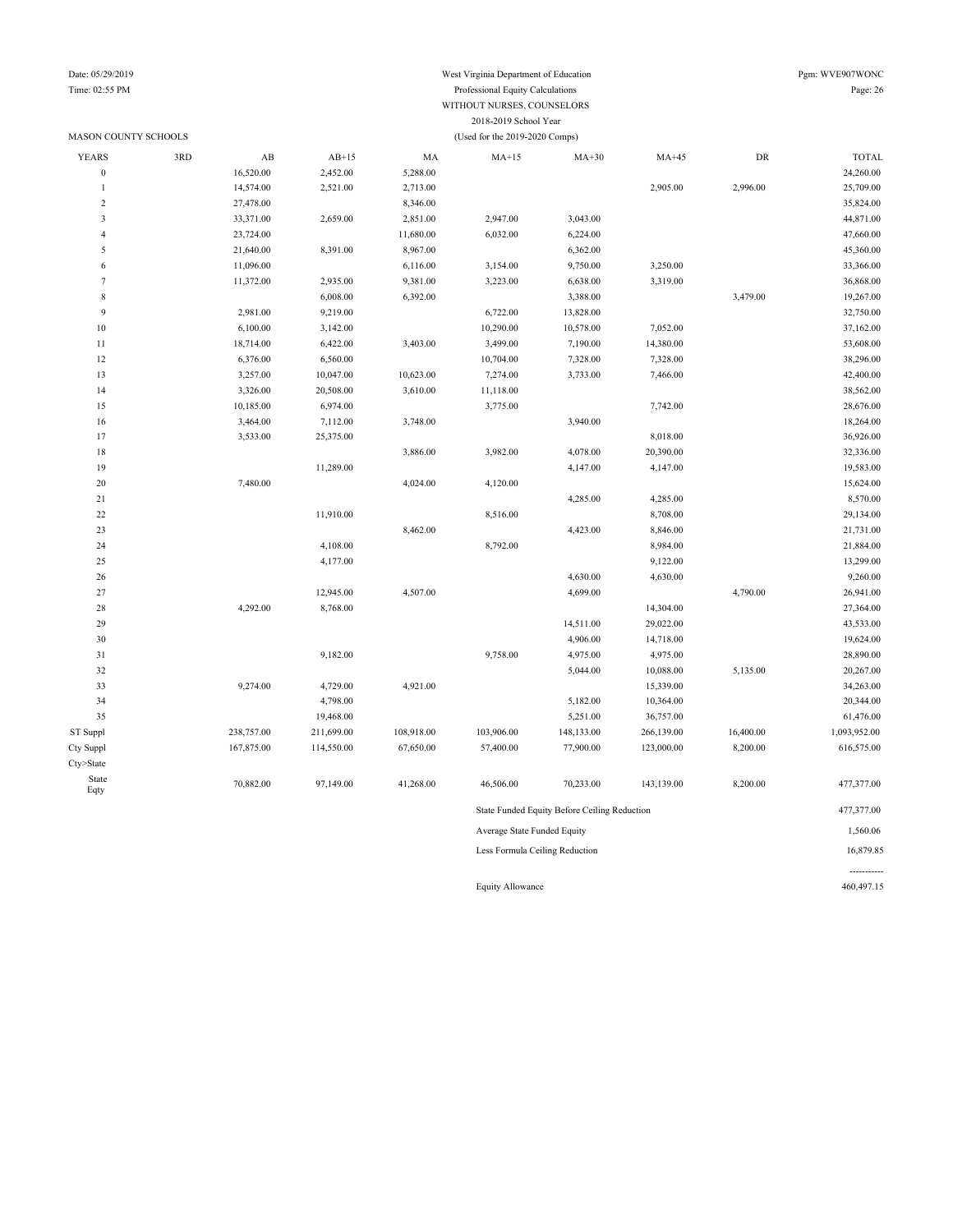### Time: 02:55 PM Professional Equity Calculations Page: 26 WITHOUT NURSES, COUNSELORS 2018-2019 School Year MASON COUNTY SCHOOLS (Used for the 2019-2020 Comps)

| <b>YEARS</b>            | 3RD | $\mathbf{A}\mathbf{B}$ | $AB+15$    | MA         | $MA+15$                        | $MA+30$                                      | $MA+45$    | ${\rm DR}$ | <b>TOTAL</b> |
|-------------------------|-----|------------------------|------------|------------|--------------------------------|----------------------------------------------|------------|------------|--------------|
| $\boldsymbol{0}$        |     | 16,520.00              | 2,452.00   | 5,288.00   |                                |                                              |            |            | 24,260.00    |
| $\mathbf{1}$            |     | 14,574.00              | 2,521.00   | 2,713.00   |                                |                                              | 2,905.00   | 2,996.00   | 25,709.00    |
| 2                       |     | 27,478.00              |            | 8,346.00   |                                |                                              |            |            | 35,824.00    |
| $\overline{\mathbf{3}}$ |     | 33,371.00              | 2,659.00   | 2,851.00   | 2,947.00                       | 3,043.00                                     |            |            | 44,871.00    |
| $\overline{4}$          |     | 23,724.00              |            | 11,680.00  | 6,032.00                       | 6,224.00                                     |            |            | 47,660.00    |
| 5                       |     | 21,640.00              | 8,391.00   | 8,967.00   |                                | 6,362.00                                     |            |            | 45,360.00    |
| 6                       |     | 11,096.00              |            | 6,116.00   | 3,154.00                       | 9,750.00                                     | 3,250.00   |            | 33,366.00    |
| $\tau$                  |     | 11,372.00              | 2,935.00   | 9,381.00   | 3,223.00                       | 6,638.00                                     | 3,319.00   |            | 36,868.00    |
| 8                       |     |                        | 6,008.00   | 6,392.00   |                                | 3,388.00                                     |            | 3,479.00   | 19,267.00    |
| $\overline{9}$          |     | 2,981.00               | 9,219.00   |            | 6,722.00                       | 13,828.00                                    |            |            | 32,750.00    |
| $10\,$                  |     | 6,100.00               | 3,142.00   |            | 10,290.00                      | 10,578.00                                    | 7,052.00   |            | 37,162.00    |
| 11                      |     | 18,714.00              | 6,422.00   | 3,403.00   | 3,499.00                       | 7,190.00                                     | 14,380.00  |            | 53,608.00    |
| 12                      |     | 6,376.00               | 6,560.00   |            | 10,704.00                      | 7,328.00                                     | 7,328.00   |            | 38,296.00    |
| 13                      |     | 3,257.00               | 10,047.00  | 10,623.00  | 7,274.00                       | 3,733.00                                     | 7,466.00   |            | 42,400.00    |
| 14                      |     | 3,326.00               | 20,508.00  | 3,610.00   | 11,118.00                      |                                              |            |            | 38,562.00    |
| 15                      |     | 10,185.00              | 6,974.00   |            | 3,775.00                       |                                              | 7,742.00   |            | 28,676.00    |
| 16                      |     | 3,464.00               | 7,112.00   | 3,748.00   |                                | 3,940.00                                     |            |            | 18,264.00    |
| 17                      |     | 3,533.00               | 25,375.00  |            |                                |                                              | 8,018.00   |            | 36,926.00    |
| $18\,$                  |     |                        |            | 3,886.00   | 3,982.00                       | 4,078.00                                     | 20,390.00  |            | 32,336.00    |
| 19                      |     |                        | 11,289.00  |            |                                | 4,147.00                                     | 4,147.00   |            | 19,583.00    |
| $20\,$                  |     | 7,480.00               |            | 4,024.00   | 4,120.00                       |                                              |            |            | 15,624.00    |
| 21                      |     |                        |            |            |                                | 4,285.00                                     | 4,285.00   |            | 8,570.00     |
| $22\,$                  |     |                        | 11,910.00  |            | 8,516.00                       |                                              | 8,708.00   |            | 29,134.00    |
| 23                      |     |                        |            | 8,462.00   |                                | 4,423.00                                     | 8,846.00   |            | 21,731.00    |
| 24                      |     |                        | 4,108.00   |            | 8,792.00                       |                                              | 8,984.00   |            | 21,884.00    |
| 25                      |     |                        | 4,177.00   |            |                                |                                              | 9,122.00   |            | 13,299.00    |
| 26                      |     |                        |            |            |                                | 4,630.00                                     | 4,630.00   |            | 9,260.00     |
| $27\,$                  |     |                        | 12,945.00  | 4,507.00   |                                | 4,699.00                                     |            | 4,790.00   | 26,941.00    |
| 28                      |     | 4,292.00               | 8,768.00   |            |                                |                                              | 14,304.00  |            | 27,364.00    |
| 29                      |     |                        |            |            |                                | 14,511.00                                    | 29,022.00  |            | 43,533.00    |
| $30\,$                  |     |                        |            |            |                                | 4,906.00                                     | 14,718.00  |            | 19,624.00    |
| 31                      |     |                        | 9,182.00   |            | 9,758.00                       | 4,975.00                                     | 4,975.00   |            | 28,890.00    |
| 32                      |     |                        |            |            |                                | 5,044.00                                     | 10,088.00  | 5,135.00   | 20,267.00    |
| 33                      |     | 9,274.00               | 4,729.00   | 4,921.00   |                                |                                              | 15,339.00  |            | 34,263.00    |
| 34                      |     |                        | 4,798.00   |            |                                | 5,182.00                                     | 10,364.00  |            | 20,344.00    |
| 35                      |     |                        | 19,468.00  |            |                                | 5,251.00                                     | 36,757.00  |            | 61,476.00    |
| ST Suppl                |     | 238,757.00             | 211,699.00 | 108,918.00 | 103,906.00                     | 148,133.00                                   | 266,139.00 | 16,400.00  | 1,093,952.00 |
| Cty Suppl               |     | 167,875.00             | 114,550.00 | 67,650.00  | 57,400.00                      | 77,900.00                                    | 123,000.00 | 8,200.00   | 616,575.00   |
| Cty>State               |     |                        |            |            |                                |                                              |            |            |              |
| State<br>Eqty           |     | 70,882.00              | 97,149.00  | 41,268.00  | 46,506.00                      | 70,233.00                                    | 143,139.00 | 8,200.00   | 477,377.00   |
|                         |     |                        |            |            |                                | State Funded Equity Before Ceiling Reduction |            |            | 477,377.00   |
|                         |     |                        |            |            | Average State Funded Equity    |                                              |            |            | 1,560.06     |
|                         |     |                        |            |            | Less Formula Ceiling Reduction |                                              |            |            | 16,879.85    |

Equity Allowance 460,497.15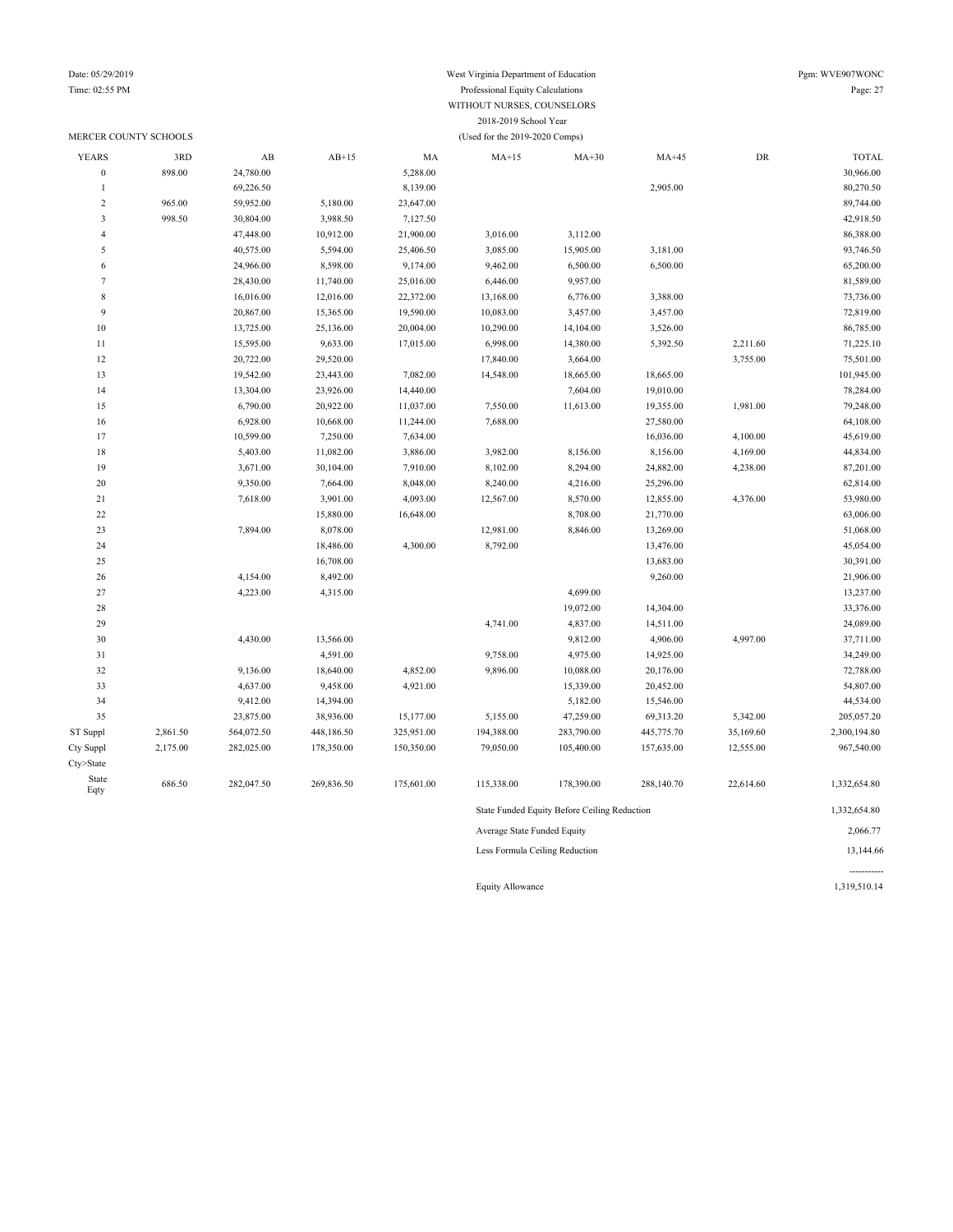### Date: 05/29/2019 West Virginia Department of Education Pgm: WVE907WONC Time: 02:55 PM Professional Equity Calculations Page: 27 WITHOUT NURSES, COUNSELORS 2018-2019 School Year

|                  | MERCER COUNTY SCHOOLS |            |            |            | (Used for the 2019-2020 Comps) |                                              |            |           |              |
|------------------|-----------------------|------------|------------|------------|--------------------------------|----------------------------------------------|------------|-----------|--------------|
| <b>YEARS</b>     | 3RD                   | AB         | $AB+15$    | MA         | $MA+15$                        | $MA+30$                                      | $MA+45$    | DR        | <b>TOTAL</b> |
| $\boldsymbol{0}$ | 898.00                | 24,780.00  |            | 5,288.00   |                                |                                              |            |           | 30,966.00    |
| $\mathbf{1}$     |                       | 69,226.50  |            | 8,139.00   |                                |                                              | 2,905.00   |           | 80,270.50    |
| $\sqrt{2}$       | 965.00                | 59,952.00  | 5,180.00   | 23,647.00  |                                |                                              |            |           | 89,744.00    |
| $\mathfrak z$    | 998.50                | 30,804.00  | 3,988.50   | 7,127.50   |                                |                                              |            |           | 42,918.50    |
| $\overline{4}$   |                       | 47,448.00  | 10,912.00  | 21,900.00  | 3,016.00                       | 3,112.00                                     |            |           | 86,388.00    |
| 5                |                       | 40,575.00  | 5,594.00   | 25,406.50  | 3,085.00                       | 15,905.00                                    | 3,181.00   |           | 93,746.50    |
| 6                |                       | 24,966.00  | 8,598.00   | 9,174.00   | 9,462.00                       | 6,500.00                                     | 6,500.00   |           | 65,200.00    |
| $\tau$           |                       | 28,430.00  | 11,740.00  | 25,016.00  | 6,446.00                       | 9,957.00                                     |            |           | 81,589.00    |
| $\,$ 8 $\,$      |                       | 16,016.00  | 12,016.00  | 22,372.00  | 13,168.00                      | 6,776.00                                     | 3,388.00   |           | 73,736.00    |
| 9                |                       | 20,867.00  | 15,365.00  | 19,590.00  | 10,083.00                      | 3,457.00                                     | 3,457.00   |           | 72,819.00    |
| 10               |                       | 13,725.00  | 25,136.00  | 20,004.00  | 10,290.00                      | 14,104.00                                    | 3,526.00   |           | 86,785.00    |
| $11\,$           |                       | 15,595.00  | 9,633.00   | 17,015.00  | 6,998.00                       | 14,380.00                                    | 5,392.50   | 2,211.60  | 71,225.10    |
| 12               |                       | 20,722.00  | 29,520.00  |            | 17,840.00                      | 3,664.00                                     |            | 3,755.00  | 75,501.00    |
| 13               |                       | 19,542.00  | 23,443.00  | 7,082.00   | 14,548.00                      | 18,665.00                                    | 18,665.00  |           | 101,945.00   |
| 14               |                       | 13,304.00  | 23,926.00  | 14,440.00  |                                | 7,604.00                                     | 19,010.00  |           | 78,284.00    |
| 15               |                       | 6,790.00   | 20,922.00  | 11,037.00  | 7,550.00                       | 11,613.00                                    | 19,355.00  | 1,981.00  | 79,248.00    |
| 16               |                       | 6,928.00   | 10,668.00  | 11,244.00  | 7,688.00                       |                                              | 27,580.00  |           | 64,108.00    |
| 17               |                       | 10,599.00  | 7,250.00   | 7,634.00   |                                |                                              | 16,036.00  | 4,100.00  | 45,619.00    |
| $18\,$           |                       | 5,403.00   | 11,082.00  | 3,886.00   | 3,982.00                       | 8,156.00                                     | 8,156.00   | 4,169.00  | 44,834.00    |
| 19               |                       | 3,671.00   | 30,104.00  | 7,910.00   | 8,102.00                       | 8,294.00                                     | 24,882.00  | 4,238.00  | 87,201.00    |
| 20               |                       | 9,350.00   | 7,664.00   | 8,048.00   | 8,240.00                       | 4,216.00                                     | 25,296.00  |           | 62,814.00    |
| 21               |                       | 7,618.00   | 3,901.00   | 4,093.00   | 12,567.00                      | 8,570.00                                     | 12,855.00  | 4,376.00  | 53,980.00    |
| 22               |                       |            | 15,880.00  | 16,648.00  |                                | 8,708.00                                     | 21,770.00  |           | 63,006.00    |
| 23               |                       | 7,894.00   | 8,078.00   |            | 12,981.00                      | 8,846.00                                     | 13,269.00  |           | 51,068.00    |
| 24               |                       |            | 18,486.00  | 4,300.00   | 8,792.00                       |                                              | 13,476.00  |           | 45,054.00    |
| 25               |                       |            | 16,708.00  |            |                                |                                              | 13,683.00  |           | 30,391.00    |
| 26               |                       | 4,154.00   | 8,492.00   |            |                                |                                              | 9,260.00   |           | 21,906.00    |
| 27               |                       | 4,223.00   | 4,315.00   |            |                                | 4,699.00                                     |            |           | 13,237.00    |
| 28               |                       |            |            |            |                                | 19,072.00                                    | 14,304.00  |           | 33,376.00    |
| 29               |                       |            |            |            | 4,741.00                       | 4,837.00                                     | 14,511.00  |           | 24,089.00    |
| 30               |                       | 4,430.00   | 13,566.00  |            |                                | 9,812.00                                     | 4,906.00   | 4,997.00  | 37,711.00    |
| 31               |                       |            | 4,591.00   |            | 9,758.00                       | 4,975.00                                     | 14,925.00  |           | 34,249.00    |
| 32               |                       | 9,136.00   | 18,640.00  | 4,852.00   | 9,896.00                       | 10,088.00                                    | 20,176.00  |           | 72,788.00    |
| 33               |                       | 4,637.00   | 9,458.00   | 4,921.00   |                                | 15,339.00                                    | 20,452.00  |           | 54,807.00    |
| 34               |                       | 9,412.00   | 14,394.00  |            |                                | 5,182.00                                     | 15,546.00  |           | 44,534.00    |
| 35               |                       | 23,875.00  | 38,936.00  | 15,177.00  | 5,155.00                       | 47,259.00                                    | 69,313.20  | 5,342.00  | 205,057.20   |
| ST Suppl         | 2,861.50              | 564,072.50 | 448,186.50 | 325,951.00 | 194,388.00                     | 283,790.00                                   | 445,775.70 | 35,169.60 | 2,300,194.80 |
| Cty Suppl        | 2,175.00              | 282,025.00 | 178,350.00 | 150,350.00 | 79,050.00                      | 105,400.00                                   | 157,635.00 | 12,555.00 | 967,540.00   |
| Cty>State        |                       |            |            |            |                                |                                              |            |           |              |
| State<br>Eqty    | 686.50                | 282,047.50 | 269,836.50 | 175,601.00 | 115,338.00                     | 178,390.00                                   | 288,140.70 | 22,614.60 | 1,332,654.80 |
|                  |                       |            |            |            |                                | State Funded Equity Before Ceiling Reduction |            |           | 1,332,654.80 |
|                  |                       |            |            |            | Average State Funded Equity    |                                              |            |           | 2,066.77     |
|                  |                       |            |            |            | Less Formula Ceiling Reduction |                                              |            |           | 13,144.66    |

----------- Equity Allowance 1,319,510.14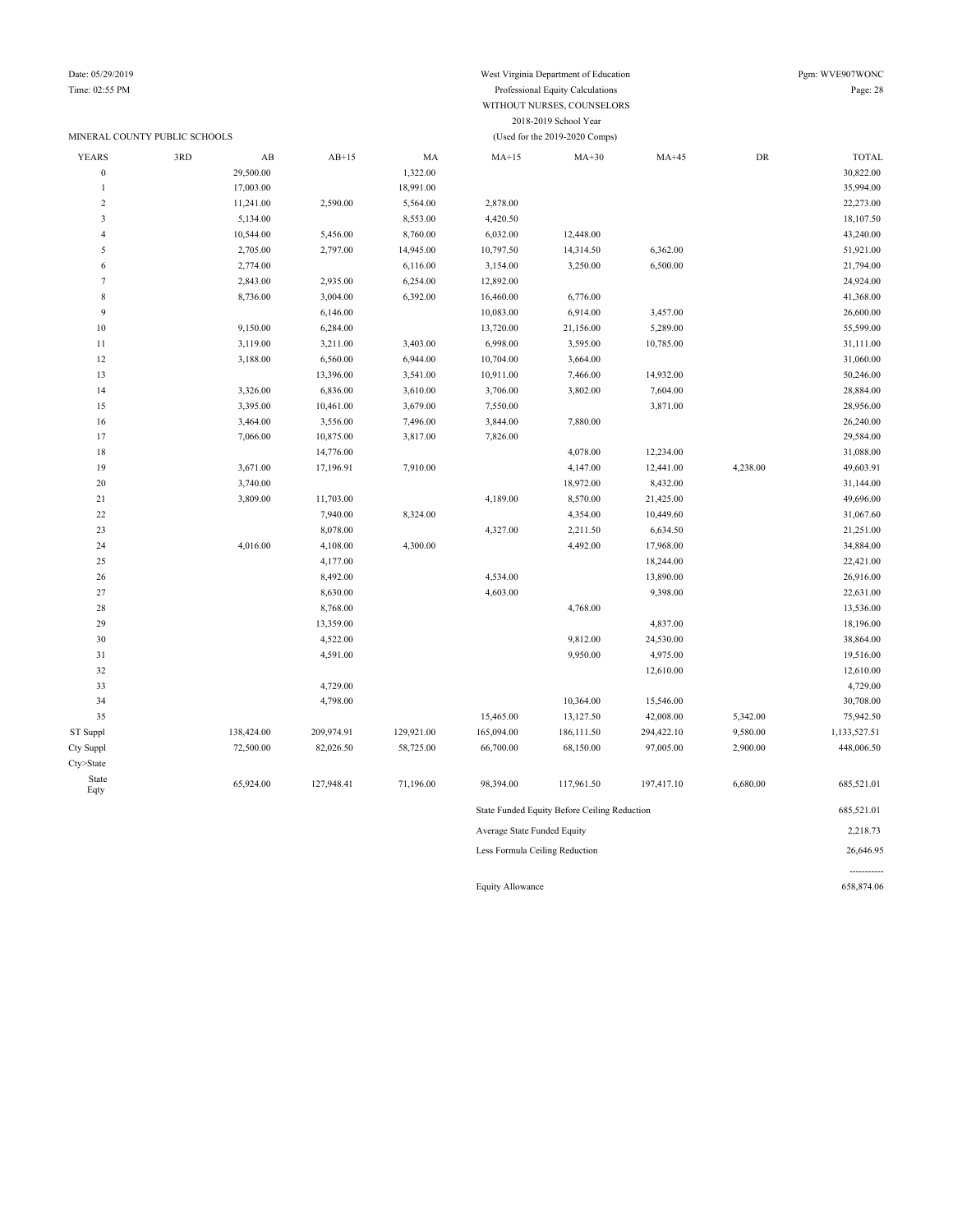Date: 05/29/2019 West Virginia Department of Education Pgm: WVE907WONC

### Time: 02:55 PM Professional Equity Calculations Page: 28 WITHOUT NURSES, COUNSELORS 2018-2019 School Year MINERAL COUNTY PUBLIC SCHOOLS (Used for the 2019-2020 Comps)

| <b>YEARS</b>                         | 3RD | $\mathbf{A}\mathbf{B}$ | $AB+15$    | MA         | $MA+15$                        | $MA+30$                                      | $MA+45$    | ${\rm DR}$ | <b>TOTAL</b> |
|--------------------------------------|-----|------------------------|------------|------------|--------------------------------|----------------------------------------------|------------|------------|--------------|
| $\boldsymbol{0}$                     |     | 29,500.00              |            | 1,322.00   |                                |                                              |            |            | 30,822.00    |
|                                      |     | 17,003.00              |            | 18,991.00  |                                |                                              |            |            | 35,994.00    |
| $\overline{c}$                       |     | 11,241.00              | 2,590.00   | 5,564.00   | 2,878.00                       |                                              |            |            | 22,273.00    |
| $\overline{\mathbf{3}}$              |     | 5,134.00               |            | 8,553.00   | 4,420.50                       |                                              |            |            | 18,107.50    |
| $\overline{4}$                       |     | 10,544.00              | 5,456.00   | 8,760.00   | 6,032.00                       | 12,448.00                                    |            |            | 43,240.00    |
| 5                                    |     | 2,705.00               | 2,797.00   | 14,945.00  | 10,797.50                      | 14,314.50                                    | 6,362.00   |            | 51,921.00    |
| 6                                    |     | 2,774.00               |            | 6,116.00   | 3,154.00                       | 3,250.00                                     | 6,500.00   |            | 21,794.00    |
| $\overline{7}$                       |     | 2,843.00               | 2,935.00   | 6,254.00   | 12,892.00                      |                                              |            |            | 24,924.00    |
| $\,$ 8 $\,$                          |     | 8,736.00               | 3,004.00   | 6,392.00   | 16,460.00                      | 6,776.00                                     |            |            | 41,368.00    |
| $\overline{9}$                       |     |                        | 6,146.00   |            | 10,083.00                      | 6,914.00                                     | 3,457.00   |            | 26,600.00    |
| $10\,$                               |     | 9,150.00               | 6,284.00   |            | 13,720.00                      | 21,156.00                                    | 5,289.00   |            | 55,599.00    |
| $1\,1$                               |     | 3,119.00               | 3,211.00   | 3,403.00   | 6,998.00                       | 3,595.00                                     | 10,785.00  |            | 31,111.00    |
| 12                                   |     | 3,188.00               | 6,560.00   | 6,944.00   | 10,704.00                      | 3,664.00                                     |            |            | 31,060.00    |
| 13                                   |     |                        | 13,396.00  | 3,541.00   | 10,911.00                      | 7,466.00                                     | 14,932.00  |            | 50,246.00    |
| 14                                   |     | 3,326.00               | 6,836.00   | 3,610.00   | 3,706.00                       | 3,802.00                                     | 7,604.00   |            | 28,884.00    |
| 15                                   |     | 3,395.00               | 10,461.00  | 3,679.00   | 7,550.00                       |                                              | 3,871.00   |            | 28,956.00    |
| 16                                   |     | 3,464.00               | 3,556.00   | 7,496.00   | 3,844.00                       | 7,880.00                                     |            |            | 26,240.00    |
| 17                                   |     | 7,066.00               | 10,875.00  | 3,817.00   | 7,826.00                       |                                              |            |            | 29,584.00    |
| 18                                   |     |                        | 14,776.00  |            |                                | 4,078.00                                     | 12,234.00  |            | 31,088.00    |
| 19                                   |     | 3,671.00               | 17,196.91  | 7,910.00   |                                | 4,147.00                                     | 12,441.00  | 4,238.00   | 49,603.91    |
| 20                                   |     | 3,740.00               |            |            |                                | 18,972.00                                    | 8,432.00   |            | 31,144.00    |
| 21                                   |     | 3,809.00               | 11,703.00  |            | 4,189.00                       | 8,570.00                                     | 21,425.00  |            | 49,696.00    |
| $22\,$                               |     |                        | 7,940.00   | 8,324.00   |                                | 4,354.00                                     | 10,449.60  |            | 31,067.60    |
| 23                                   |     |                        | 8,078.00   |            | 4,327.00                       | 2,211.50                                     | 6,634.50   |            | 21,251.00    |
| 24                                   |     | 4,016.00               | 4,108.00   | 4,300.00   |                                | 4,492.00                                     | 17,968.00  |            | 34,884.00    |
| 25                                   |     |                        | 4,177.00   |            |                                |                                              | 18,244.00  |            | 22,421.00    |
| $26\,$                               |     |                        | 8,492.00   |            | 4,534.00                       |                                              | 13,890.00  |            | 26,916.00    |
| 27                                   |     |                        | 8,630.00   |            | 4,603.00                       |                                              | 9,398.00   |            | 22,631.00    |
| 28                                   |     |                        | 8,768.00   |            |                                | 4,768.00                                     |            |            | 13,536.00    |
| 29                                   |     |                        | 13,359.00  |            |                                |                                              | 4,837.00   |            | 18,196.00    |
| 30                                   |     |                        | 4,522.00   |            |                                | 9,812.00                                     | 24,530.00  |            | 38,864.00    |
| 31                                   |     |                        | 4,591.00   |            |                                | 9,950.00                                     | 4,975.00   |            | 19,516.00    |
| 32                                   |     |                        |            |            |                                |                                              | 12,610.00  |            | 12,610.00    |
| 33                                   |     |                        | 4,729.00   |            |                                |                                              |            |            | 4,729.00     |
| 34                                   |     |                        | 4,798.00   |            |                                | 10,364.00                                    | 15,546.00  |            | 30,708.00    |
| 35                                   |     |                        |            |            | 15,465.00                      | 13,127.50                                    | 42,008.00  | 5,342.00   | 75,942.50    |
| ${\hbox{\footnotesize\rm ST}}$ Suppl |     | 138,424.00             | 209,974.91 | 129,921.00 | 165,094.00                     | 186,111.50                                   | 294,422.10 | 9,580.00   | 1,133,527.51 |
| Cty Suppl                            |     | 72,500.00              | 82,026.50  | 58,725.00  | 66,700.00                      | 68,150.00                                    | 97,005.00  | 2,900.00   | 448,006.50   |
| Cty>State                            |     |                        |            |            |                                |                                              |            |            |              |
| State<br>Eqty                        |     | 65,924.00              | 127,948.41 | 71,196.00  | 98,394.00                      | 117,961.50                                   | 197,417.10 | 6,680.00   | 685,521.01   |
|                                      |     |                        |            |            |                                | State Funded Equity Before Ceiling Reduction |            |            | 685,521.01   |
|                                      |     |                        |            |            | Average State Funded Equity    |                                              |            |            | 2,218.73     |
|                                      |     |                        |            |            | Less Formula Ceiling Reduction |                                              |            |            | 26,646.95    |

Equity Allowance 658,874.06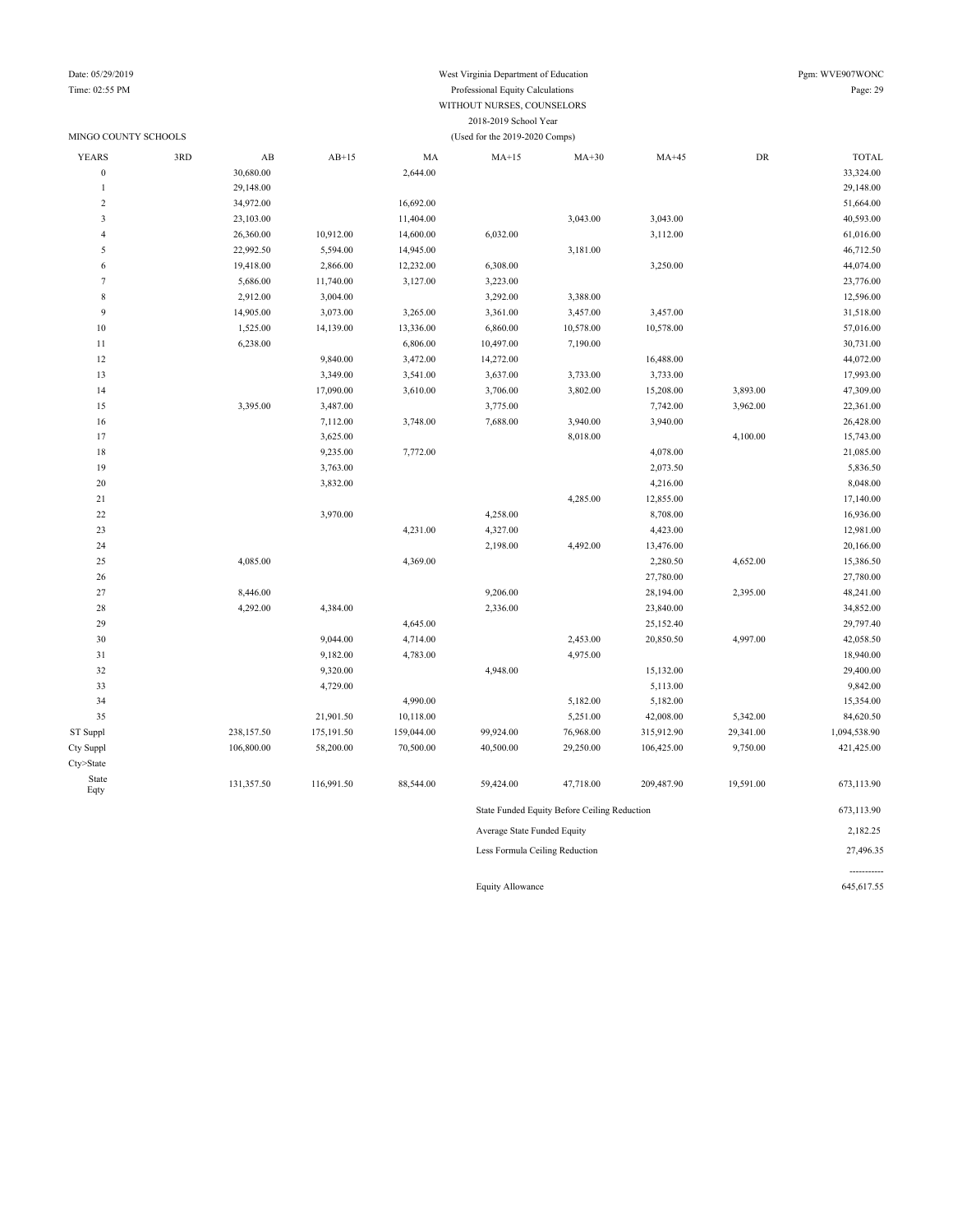Date: 05/29/2019 Pgm: WVE907WONC Time: 02:55 PM Professional Equity Calculations Page: 29 WITHOUT NURSES, COUNSELORS 2018-2019 School Year

| MINGO COUNTY SCHOOLS |     |                        |            |                      | (Used for the 2019-2020 Comps) |                                              |                        |            |                        |
|----------------------|-----|------------------------|------------|----------------------|--------------------------------|----------------------------------------------|------------------------|------------|------------------------|
| <b>YEARS</b>         | 3RD | $\mathbf{A}\mathbf{B}$ | $AB+15$    | MA                   | $MA+15$                        | $MA+30$                                      | $MA+45$                | ${\rm DR}$ | <b>TOTAL</b>           |
| $\boldsymbol{0}$     |     | 30,680.00              |            | 2,644.00             |                                |                                              |                        |            | 33,324.00              |
| $\mathbf{1}$         |     | 29,148.00              |            |                      |                                |                                              |                        |            | 29,148.00              |
| $\overline{2}$       |     | 34,972.00              |            | 16,692.00            |                                |                                              |                        |            | 51,664.00              |
| $\mathfrak{Z}$       |     | 23,103.00              |            | 11,404.00            |                                | 3,043.00                                     | 3,043.00               |            | 40,593.00              |
| $\overline{4}$       |     | 26,360.00              | 10,912.00  | 14,600.00            | 6,032.00                       |                                              | 3,112.00               |            | 61,016.00              |
| 5                    |     | 22,992.50              | 5,594.00   | 14,945.00            |                                | 3,181.00                                     |                        |            | 46,712.50              |
| 6                    |     | 19,418.00              | 2,866.00   | 12,232.00            | 6,308.00                       |                                              | 3,250.00               |            | 44,074.00              |
| $\overline{7}$       |     | 5,686.00               | 11,740.00  | 3,127.00             | 3,223.00                       |                                              |                        |            | 23,776.00              |
| 8                    |     | 2,912.00               | 3,004.00   |                      | 3,292.00                       | 3,388.00                                     |                        |            | 12,596.00              |
| 9                    |     | 14,905.00              | 3,073.00   | 3,265.00             | 3,361.00                       | 3,457.00                                     | 3,457.00               |            | 31,518.00              |
| 10                   |     | 1,525.00               | 14,139.00  | 13,336.00            | 6,860.00                       | 10,578.00                                    | 10,578.00              |            | 57,016.00              |
| 11                   |     | 6,238.00               |            | 6,806.00             | 10,497.00                      | 7,190.00                                     |                        |            | 30,731.00              |
| 12                   |     |                        | 9,840.00   | 3,472.00             | 14,272.00                      |                                              | 16,488.00              |            | 44,072.00              |
| 13                   |     |                        | 3,349.00   | 3,541.00             | 3,637.00                       | 3,733.00                                     | 3,733.00               |            | 17,993.00              |
| 14                   |     |                        | 17,090.00  | 3,610.00             | 3,706.00                       | 3,802.00                                     | 15,208.00              | 3,893.00   | 47,309.00              |
| 15                   |     | 3,395.00               | 3,487.00   |                      | 3,775.00                       |                                              | 7,742.00               | 3,962.00   | 22,361.00              |
| 16                   |     |                        | 7,112.00   | 3,748.00             | 7,688.00                       | 3,940.00                                     | 3,940.00               |            | 26,428.00              |
| 17                   |     |                        | 3,625.00   |                      |                                | 8,018.00                                     |                        | 4,100.00   | 15,743.00              |
| 18                   |     |                        | 9,235.00   | 7,772.00             |                                |                                              | 4,078.00               |            | 21,085.00              |
| 19                   |     |                        | 3,763.00   |                      |                                |                                              | 2,073.50               |            | 5,836.50               |
| 20                   |     |                        | 3,832.00   |                      |                                |                                              | 4,216.00               |            | 8,048.00               |
| 21                   |     |                        |            |                      |                                | 4,285.00                                     | 12,855.00              |            | 17,140.00              |
| 22                   |     |                        | 3,970.00   |                      | 4,258.00                       |                                              | 8,708.00               |            | 16,936.00              |
| 23                   |     |                        |            | 4,231.00             | 4,327.00                       |                                              | 4,423.00               |            | 12,981.00              |
| 24                   |     |                        |            |                      | 2,198.00                       | 4,492.00                                     | 13,476.00              |            | 20,166.00              |
| 25                   |     | 4,085.00               |            | 4,369.00             |                                |                                              | 2,280.50               | 4,652.00   | 15,386.50              |
| 26                   |     |                        |            |                      |                                |                                              | 27,780.00              |            | 27,780.00              |
| 27<br>28             |     | 8,446.00<br>4,292.00   |            |                      | 9,206.00                       |                                              | 28,194.00<br>23,840.00 | 2,395.00   | 48,241.00<br>34,852.00 |
| 29                   |     |                        | 4,384.00   |                      | 2,336.00                       |                                              | 25,152.40              |            | 29,797.40              |
| 30                   |     |                        | 9,044.00   | 4,645.00<br>4,714.00 |                                | 2,453.00                                     | 20,850.50              | 4,997.00   | 42,058.50              |
| 31                   |     |                        | 9,182.00   | 4,783.00             |                                | 4,975.00                                     |                        |            | 18,940.00              |
| 32                   |     |                        | 9,320.00   |                      | 4,948.00                       |                                              | 15,132.00              |            | 29,400.00              |
| 33                   |     |                        | 4,729.00   |                      |                                |                                              | 5,113.00               |            | 9,842.00               |
| 34                   |     |                        |            | 4,990.00             |                                | 5,182.00                                     | 5,182.00               |            | 15,354.00              |
| 35                   |     |                        | 21,901.50  | 10,118.00            |                                | 5,251.00                                     | 42,008.00              | 5,342.00   | 84,620.50              |
| ST Suppl             |     | 238,157.50             | 175,191.50 | 159,044.00           | 99,924.00                      | 76,968.00                                    | 315,912.90             | 29,341.00  | 1,094,538.90           |
| Cty Suppl            |     | 106,800.00             | 58,200.00  | 70,500.00            | 40,500.00                      | 29,250.00                                    | 106,425.00             | 9,750.00   | 421,425.00             |
| Cty>State            |     |                        |            |                      |                                |                                              |                        |            |                        |
| State                |     |                        |            |                      |                                |                                              |                        |            |                        |
| Eqty                 |     | 131,357.50             | 116,991.50 | 88,544.00            | 59,424.00                      | 47,718.00                                    | 209,487.90             | 19,591.00  | 673,113.90             |
|                      |     |                        |            |                      |                                | State Funded Equity Before Ceiling Reduction |                        |            | 673,113.90             |
|                      |     |                        |            |                      | Average State Funded Equity    |                                              |                        |            | 2,182.25               |
|                      |     |                        |            |                      | Less Formula Ceiling Reduction |                                              |                        |            | 27,496.35              |

Equity Allowance 645,617.55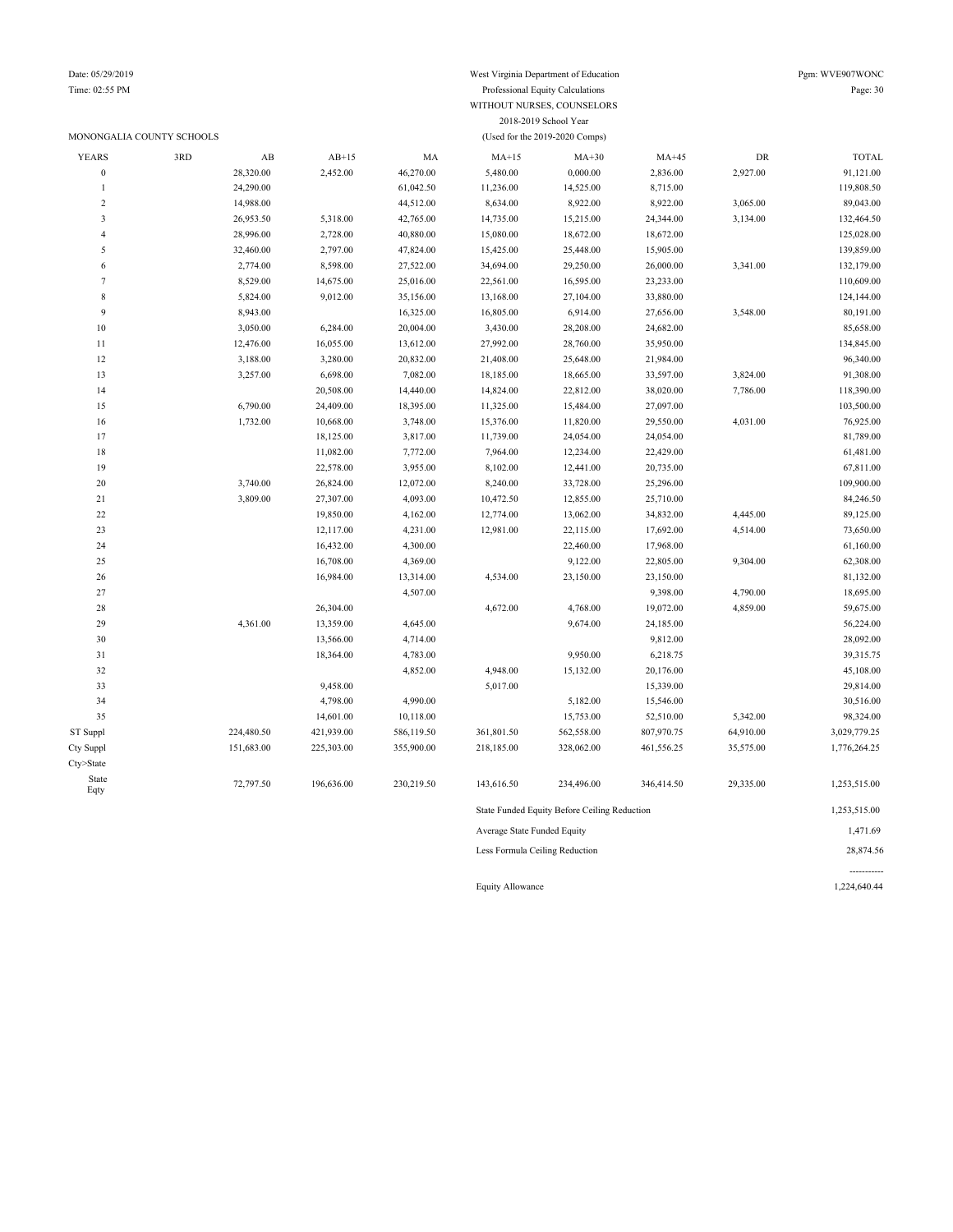### MONONGALIA COUNTY SCHOOLS (Used for the 2019-2020 Comps)

### Time: 02:55 PM Professional Equity Calculations Page: 30 WITHOUT NURSES, COUNSELORS 2018-2019 School Year

| <b>YEARS</b>     | 3RD | AB         | $AB+15$    | MA         | $MA+15$                     | $MA+30$                                      | $MA+45$    | DR        | <b>TOTAL</b> |
|------------------|-----|------------|------------|------------|-----------------------------|----------------------------------------------|------------|-----------|--------------|
| $\boldsymbol{0}$ |     | 28,320.00  | 2,452.00   | 46,270.00  | 5,480.00                    | 0,000.00                                     | 2,836.00   | 2,927.00  | 91,121.00    |
| $\mathbf{1}$     |     | 24,290.00  |            | 61,042.50  | 11,236.00                   | 14,525.00                                    | 8,715.00   |           | 119,808.50   |
| $\overline{2}$   |     | 14,988.00  |            | 44,512.00  | 8,634.00                    | 8,922.00                                     | 8,922.00   | 3,065.00  | 89,043.00    |
| $\mathfrak z$    |     | 26,953.50  | 5,318.00   | 42,765.00  | 14,735.00                   | 15,215.00                                    | 24,344.00  | 3,134.00  | 132,464.50   |
| $\overline{4}$   |     | 28,996.00  | 2,728.00   | 40,880.00  | 15,080.00                   | 18,672.00                                    | 18,672.00  |           | 125,028.00   |
| 5                |     | 32,460.00  | 2,797.00   | 47,824.00  | 15,425.00                   | 25,448.00                                    | 15,905.00  |           | 139,859.00   |
| 6                |     | 2,774.00   | 8,598.00   | 27,522.00  | 34,694.00                   | 29,250.00                                    | 26,000.00  | 3,341.00  | 132,179.00   |
| 7                |     | 8,529.00   | 14,675.00  | 25,016.00  | 22,561.00                   | 16,595.00                                    | 23,233.00  |           | 110,609.00   |
| $\,$ 8 $\,$      |     | 5,824.00   | 9,012.00   | 35,156.00  | 13,168.00                   | 27,104.00                                    | 33,880.00  |           | 124,144.00   |
| 9                |     | 8,943.00   |            | 16,325.00  | 16,805.00                   | 6,914.00                                     | 27,656.00  | 3,548.00  | 80,191.00    |
| 10               |     | 3,050.00   | 6,284.00   | 20,004.00  | 3,430.00                    | 28,208.00                                    | 24,682.00  |           | 85,658.00    |
| 11               |     | 12,476.00  | 16,055.00  | 13,612.00  | 27,992.00                   | 28,760.00                                    | 35,950.00  |           | 134,845.00   |
| 12               |     | 3,188.00   | 3,280.00   | 20,832.00  | 21,408.00                   | 25,648.00                                    | 21,984.00  |           | 96,340.00    |
| 13               |     | 3,257.00   | 6,698.00   | 7,082.00   | 18,185.00                   | 18,665.00                                    | 33,597.00  | 3,824.00  | 91,308.00    |
| 14               |     |            | 20,508.00  | 14,440.00  | 14,824.00                   | 22,812.00                                    | 38,020.00  | 7,786.00  | 118,390.00   |
| 15               |     | 6,790.00   | 24,409.00  | 18,395.00  | 11,325.00                   | 15,484.00                                    | 27,097.00  |           | 103,500.00   |
| 16               |     | 1,732.00   | 10,668.00  | 3,748.00   | 15,376.00                   | 11,820.00                                    | 29,550.00  | 4,031.00  | 76,925.00    |
| 17               |     |            | 18,125.00  | 3,817.00   | 11,739.00                   | 24,054.00                                    | 24,054.00  |           | 81,789.00    |
| 18               |     |            | 11,082.00  | 7,772.00   | 7,964.00                    | 12,234.00                                    | 22,429.00  |           | 61,481.00    |
| 19               |     |            | 22,578.00  | 3,955.00   | 8,102.00                    | 12,441.00                                    | 20,735.00  |           | 67,811.00    |
| $20\,$           |     | 3,740.00   | 26,824.00  | 12,072.00  | 8,240.00                    | 33,728.00                                    | 25,296.00  |           | 109,900.00   |
| 21               |     | 3,809.00   | 27,307.00  | 4,093.00   | 10,472.50                   | 12,855.00                                    | 25,710.00  |           | 84,246.50    |
| 22               |     |            | 19,850.00  | 4,162.00   | 12,774.00                   | 13,062.00                                    | 34,832.00  | 4,445.00  | 89,125.00    |
| 23               |     |            | 12,117.00  | 4,231.00   | 12,981.00                   | 22,115.00                                    | 17,692.00  | 4,514.00  | 73,650.00    |
| 24               |     |            | 16,432.00  | 4,300.00   |                             | 22,460.00                                    | 17,968.00  |           | 61,160.00    |
| 25               |     |            | 16,708.00  | 4,369.00   |                             | 9,122.00                                     | 22,805.00  | 9,304.00  | 62,308.00    |
| 26               |     |            | 16,984.00  | 13,314.00  | 4,534.00                    | 23,150.00                                    | 23,150.00  |           | 81,132.00    |
| 27               |     |            |            | 4,507.00   |                             |                                              | 9,398.00   | 4,790.00  | 18,695.00    |
| 28               |     |            | 26,304.00  |            | 4,672.00                    | 4,768.00                                     | 19,072.00  | 4,859.00  | 59,675.00    |
| 29               |     | 4,361.00   | 13,359.00  | 4,645.00   |                             | 9,674.00                                     | 24,185.00  |           | 56,224.00    |
| 30               |     |            | 13,566.00  | 4,714.00   |                             |                                              | 9,812.00   |           | 28,092.00    |
| $3\sqrt{1}$      |     |            | 18,364.00  | 4,783.00   |                             | 9,950.00                                     | 6,218.75   |           | 39,315.75    |
| 32               |     |            |            | 4,852.00   | 4,948.00                    | 15,132.00                                    | 20,176.00  |           | 45,108.00    |
| 33               |     |            | 9,458.00   |            | 5,017.00                    |                                              | 15,339.00  |           | 29,814.00    |
| 34               |     |            | 4,798.00   | 4,990.00   |                             | 5,182.00                                     | 15,546.00  |           | 30,516.00    |
| 35               |     |            | 14,601.00  | 10,118.00  |                             | 15,753.00                                    | 52,510.00  | 5,342.00  | 98,324.00    |
| ST Suppl         |     | 224,480.50 | 421,939.00 | 586,119.50 | 361,801.50                  | 562,558.00                                   | 807,970.75 | 64,910.00 | 3,029,779.25 |
| Cty Suppl        |     | 151,683.00 | 225,303.00 | 355,900.00 | 218,185.00                  | 328,062.00                                   | 461,556.25 | 35,575.00 | 1,776,264.25 |
| Cty>State        |     |            |            |            |                             |                                              |            |           |              |
| State            |     |            |            |            |                             |                                              |            |           |              |
| Eqty             |     | 72,797.50  | 196,636.00 | 230,219.50 | 143,616.50                  | 234,496.00                                   | 346,414.50 | 29,335.00 | 1,253,515.00 |
|                  |     |            |            |            |                             | State Funded Equity Before Ceiling Reduction |            |           | 1,253,515.00 |
|                  |     |            |            |            | Average State Funded Equity |                                              |            |           | 1,471.69     |

Less Formula Ceiling Reduction 28,874.56

----------- Equity Allowance 1,224,640.44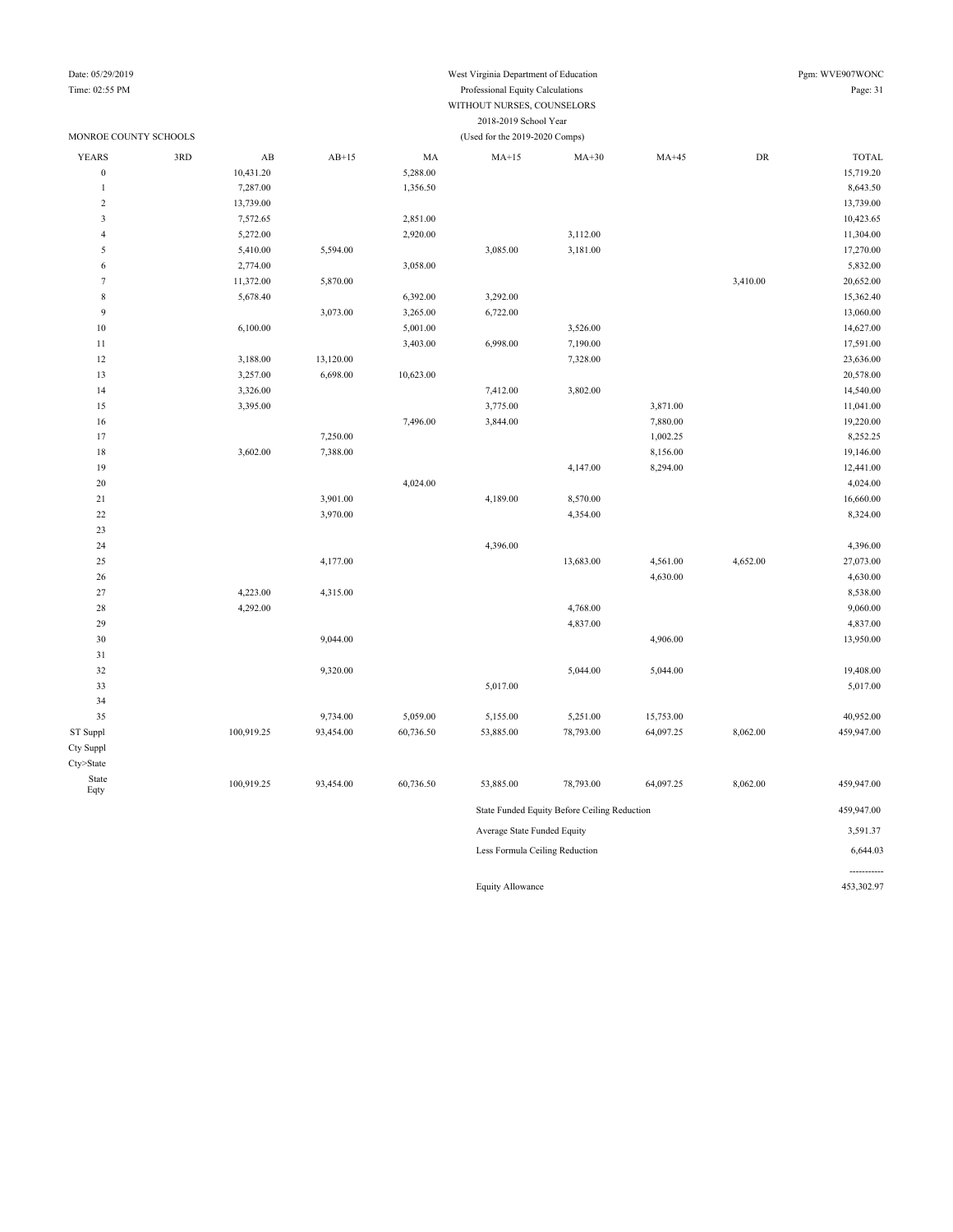#### Date: 05/29/2019 Pgm: WVE907WONC Time: 02:55 PM Professional Equity Calculations Page: 31 WITHOUT NURSES, COUNSELORS 2018-2019 School Year

-----------

| MONROE COUNTY SCHOOLS |     |                        |                      |           | (Used for the 2019-2020 Comps) |                                              |           |            |                       |
|-----------------------|-----|------------------------|----------------------|-----------|--------------------------------|----------------------------------------------|-----------|------------|-----------------------|
| <b>YEARS</b>          | 3RD | $\mathbf{A}\mathbf{B}$ | $AB+15$              | MA        | $MA+15$                        | $MA+30$                                      | $MA+45$   | ${\rm DR}$ | <b>TOTAL</b>          |
| $\boldsymbol{0}$      |     | 10,431.20              |                      | 5,288.00  |                                |                                              |           |            | 15,719.20             |
| $\mathbf{1}$          |     | 7,287.00               |                      | 1,356.50  |                                |                                              |           |            | 8,643.50              |
| $\boldsymbol{2}$      |     | 13,739.00              |                      |           |                                |                                              |           |            | 13,739.00             |
| 3                     |     | 7,572.65               |                      | 2,851.00  |                                |                                              |           |            | 10,423.65             |
| $\overline{4}$        |     | 5,272.00               |                      | 2,920.00  |                                | 3,112.00                                     |           |            | 11,304.00             |
| 5                     |     | 5,410.00               | 5,594.00             |           | 3,085.00                       | 3,181.00                                     |           |            | 17,270.00             |
| 6                     |     | 2,774.00               |                      | 3,058.00  |                                |                                              |           |            | 5,832.00              |
| $\overline{7}$        |     | 11,372.00              | 5,870.00             |           |                                |                                              |           | 3,410.00   | 20,652.00             |
| $\,$ 8 $\,$           |     | 5,678.40               |                      | 6,392.00  | 3,292.00                       |                                              |           |            | 15,362.40             |
| 9                     |     |                        | 3,073.00             | 3,265.00  | 6,722.00                       |                                              |           |            | 13,060.00             |
| 10                    |     | 6,100.00               |                      | 5,001.00  |                                | 3,526.00                                     |           |            | 14,627.00             |
| 11                    |     |                        |                      | 3,403.00  | 6,998.00                       | 7,190.00                                     |           |            | 17,591.00             |
| 12                    |     | 3,188.00               | 13,120.00            |           |                                | 7,328.00                                     |           |            | 23,636.00             |
| 13                    |     | 3,257.00               | 6,698.00             | 10,623.00 |                                |                                              |           |            | 20,578.00             |
| 14                    |     | 3,326.00               |                      |           | 7,412.00                       | 3,802.00                                     |           |            | 14,540.00             |
| 15                    |     | 3,395.00               |                      |           | 3,775.00                       |                                              | 3,871.00  |            | 11,041.00             |
| 16                    |     |                        |                      | 7,496.00  | 3,844.00                       |                                              | 7,880.00  |            | 19,220.00             |
| 17                    |     |                        | 7,250.00             |           |                                |                                              | 1,002.25  |            | 8,252.25              |
| 18                    |     | 3,602.00               | 7,388.00             |           |                                |                                              | 8,156.00  |            | 19,146.00             |
| 19                    |     |                        |                      |           |                                | 4,147.00                                     | 8,294.00  |            | 12,441.00             |
| 20                    |     |                        |                      | 4,024.00  |                                |                                              |           |            | 4,024.00              |
| 21<br>$22\,$          |     |                        | 3,901.00<br>3,970.00 |           | 4,189.00                       | 8,570.00                                     |           |            | 16,660.00<br>8,324.00 |
| 23                    |     |                        |                      |           |                                | 4,354.00                                     |           |            |                       |
| 24                    |     |                        |                      |           | 4,396.00                       |                                              |           |            | 4,396.00              |
| 25                    |     |                        | 4,177.00             |           |                                | 13,683.00                                    | 4,561.00  | 4,652.00   | 27,073.00             |
| 26                    |     |                        |                      |           |                                |                                              | 4,630.00  |            | 4,630.00              |
| 27                    |     | 4,223.00               | 4,315.00             |           |                                |                                              |           |            | 8,538.00              |
| 28                    |     | 4,292.00               |                      |           |                                | 4,768.00                                     |           |            | 9,060.00              |
| 29                    |     |                        |                      |           |                                | 4,837.00                                     |           |            | 4,837.00              |
| 30                    |     |                        | 9,044.00             |           |                                |                                              | 4,906.00  |            | 13,950.00             |
| 31                    |     |                        |                      |           |                                |                                              |           |            |                       |
| 32                    |     |                        | 9,320.00             |           |                                | 5,044.00                                     | 5,044.00  |            | 19,408.00             |
| 33                    |     |                        |                      |           | 5,017.00                       |                                              |           |            | 5,017.00              |
| 34                    |     |                        |                      |           |                                |                                              |           |            |                       |
| 35                    |     |                        | 9,734.00             | 5,059.00  | 5,155.00                       | 5,251.00                                     | 15,753.00 |            | 40,952.00             |
| ST Suppl              |     | 100,919.25             | 93,454.00            | 60,736.50 | 53,885.00                      | 78,793.00                                    | 64,097.25 | 8,062.00   | 459,947.00            |
| Cty Suppl             |     |                        |                      |           |                                |                                              |           |            |                       |
| Cty>State             |     |                        |                      |           |                                |                                              |           |            |                       |
| State                 |     | 100,919.25             | 93,454.00            | 60,736.50 | 53,885.00                      | 78,793.00                                    | 64,097.25 | 8,062.00   | 459,947.00            |
| Eqty                  |     |                        |                      |           |                                |                                              |           |            |                       |
|                       |     |                        |                      |           |                                | State Funded Equity Before Ceiling Reduction |           |            | 459,947.00            |
|                       |     |                        |                      |           | Average State Funded Equity    |                                              |           |            | 3,591.37              |
|                       |     |                        |                      |           | Less Formula Ceiling Reduction |                                              |           |            | 6,644.03              |

Equity Allowance 453,302.97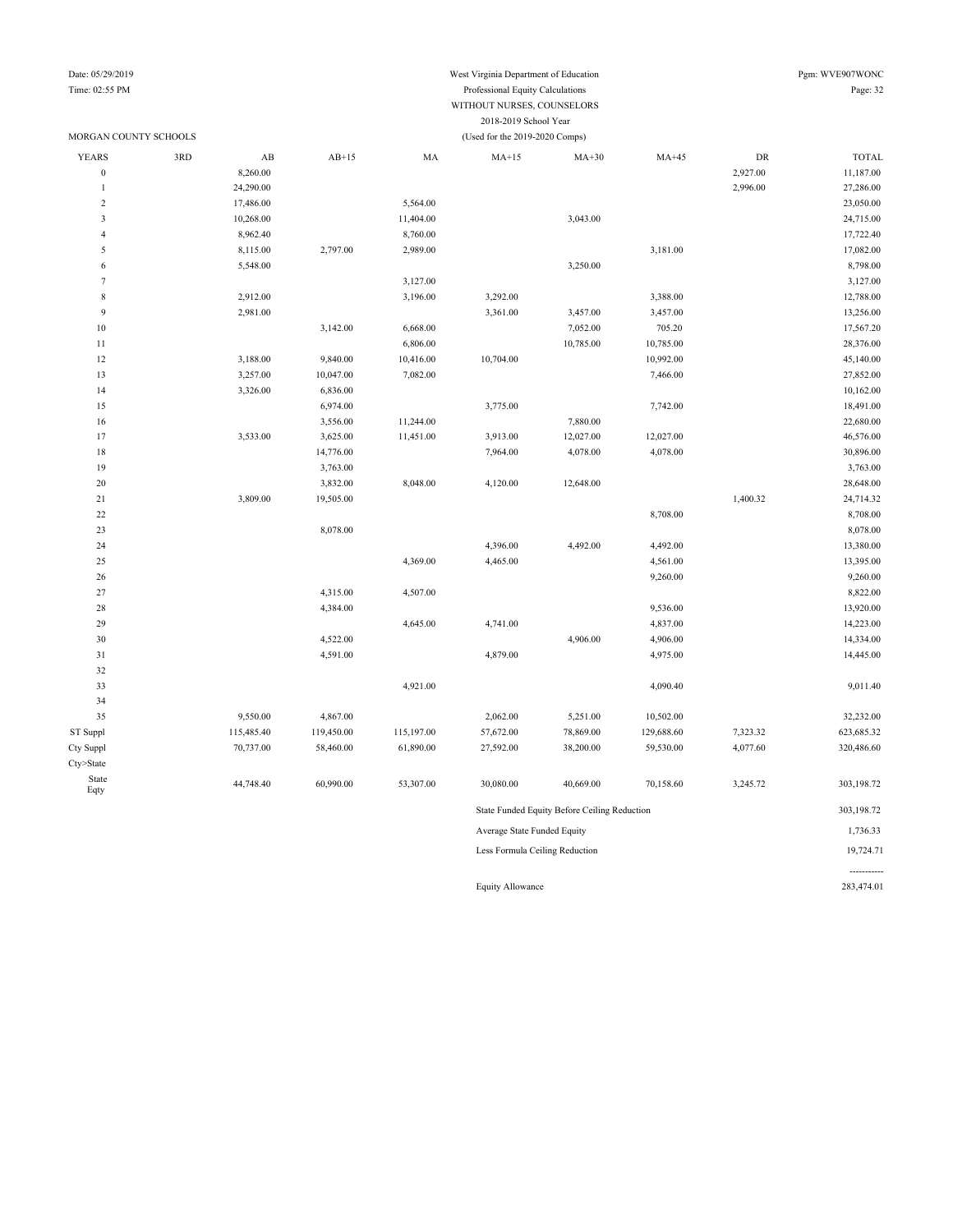#### Date: 05/29/2019 West Virginia Department of Education Pgm: WVE907WONC Time: 02:55 PM Professional Equity Calculations Page: 32 WITHOUT NURSES, COUNSELORS 2018-2019 School Year

|                  | MORGAN COUNTY SCHOOLS |                        |            |            | (Used for the 2019-2020 Comps) |                                              |            |          |              |
|------------------|-----------------------|------------------------|------------|------------|--------------------------------|----------------------------------------------|------------|----------|--------------|
| <b>YEARS</b>     | 3RD                   | $\mathbf{A}\mathbf{B}$ | $AB+15$    | MA         | $MA+15$                        | $MA+30$                                      | $MA+45$    | DR       | <b>TOTAL</b> |
| $\boldsymbol{0}$ |                       | 8,260.00               |            |            |                                |                                              |            | 2,927.00 | 11,187.00    |
| $\mathbf{1}$     |                       | 24,290.00              |            |            |                                |                                              |            | 2,996.00 | 27,286.00    |
| $\overline{2}$   |                       | 17,486.00              |            | 5,564.00   |                                |                                              |            |          | 23,050.00    |
| $\mathfrak z$    |                       | 10,268.00              |            | 11,404.00  |                                | 3,043.00                                     |            |          | 24,715.00    |
| $\overline{4}$   |                       | 8,962.40               |            | 8,760.00   |                                |                                              |            |          | 17,722.40    |
| $\sqrt{5}$       |                       | 8,115.00               | 2,797.00   | 2,989.00   |                                |                                              | 3,181.00   |          | 17,082.00    |
| 6                |                       | 5,548.00               |            |            |                                | 3,250.00                                     |            |          | 8,798.00     |
| $\tau$           |                       |                        |            | 3,127.00   |                                |                                              |            |          | 3,127.00     |
| $\,$ 8 $\,$      |                       | 2,912.00               |            | 3,196.00   | 3,292.00                       |                                              | 3,388.00   |          | 12,788.00    |
| 9                |                       | 2,981.00               |            |            | 3,361.00                       | 3,457.00                                     | 3,457.00   |          | 13,256.00    |
| $10$             |                       |                        | 3,142.00   | 6,668.00   |                                | 7,052.00                                     | 705.20     |          | 17,567.20    |
| $1\,1$           |                       |                        |            | 6,806.00   |                                | 10,785.00                                    | 10,785.00  |          | 28,376.00    |
| 12               |                       | 3,188.00               | 9,840.00   | 10,416.00  | 10,704.00                      |                                              | 10,992.00  |          | 45,140.00    |
| 13               |                       | 3,257.00               | 10,047.00  | 7,082.00   |                                |                                              | 7,466.00   |          | 27,852.00    |
| 14               |                       | 3,326.00               | 6,836.00   |            |                                |                                              |            |          | 10,162.00    |
| 15               |                       |                        | 6,974.00   |            | 3,775.00                       |                                              | 7,742.00   |          | 18,491.00    |
| 16               |                       |                        | 3,556.00   | 11,244.00  |                                | 7,880.00                                     |            |          | 22,680.00    |
| 17               |                       | 3,533.00               | 3,625.00   | 11,451.00  | 3,913.00                       | 12,027.00                                    | 12,027.00  |          | 46,576.00    |
| 18               |                       |                        | 14,776.00  |            | 7,964.00                       | 4,078.00                                     | 4,078.00   |          | 30,896.00    |
| 19               |                       |                        | 3,763.00   |            |                                |                                              |            |          | 3,763.00     |
| $20\,$           |                       |                        | 3,832.00   | 8,048.00   | 4,120.00                       | 12,648.00                                    |            |          | 28,648.00    |
| $21\,$           |                       | 3,809.00               | 19,505.00  |            |                                |                                              |            | 1,400.32 | 24,714.32    |
| $22\,$           |                       |                        |            |            |                                |                                              | 8,708.00   |          | 8,708.00     |
| 23               |                       |                        | 8,078.00   |            |                                |                                              |            |          | 8,078.00     |
| 24               |                       |                        |            |            | 4,396.00                       | 4,492.00                                     | 4,492.00   |          | 13,380.00    |
| $25\,$           |                       |                        |            | 4,369.00   | 4,465.00                       |                                              | 4,561.00   |          | 13,395.00    |
| 26               |                       |                        |            |            |                                |                                              | 9,260.00   |          | 9,260.00     |
| $27\,$           |                       |                        | 4,315.00   | 4,507.00   |                                |                                              |            |          | 8,822.00     |
| 28               |                       |                        | 4,384.00   |            |                                |                                              | 9,536.00   |          | 13,920.00    |
| 29               |                       |                        |            | 4,645.00   | 4,741.00                       |                                              | 4,837.00   |          | 14,223.00    |
| 30               |                       |                        | 4,522.00   |            |                                | 4,906.00                                     | 4,906.00   |          | 14,334.00    |
| $3\sqrt{1}$      |                       |                        | 4,591.00   |            | 4,879.00                       |                                              | 4,975.00   |          | 14,445.00    |
| 32               |                       |                        |            |            |                                |                                              |            |          |              |
| 33               |                       |                        |            | 4,921.00   |                                |                                              | 4,090.40   |          | 9,011.40     |
| 34               |                       |                        |            |            |                                |                                              |            |          |              |
| 35               |                       | 9,550.00               | 4,867.00   |            | 2,062.00                       | 5,251.00                                     | 10,502.00  |          | 32,232.00    |
| ST Suppl         |                       | 115,485.40             | 119,450.00 | 115,197.00 | 57,672.00                      | 78,869.00                                    | 129,688.60 | 7,323.32 | 623,685.32   |
| Cty Suppl        |                       | 70,737.00              | 58,460.00  | 61,890.00  | 27,592.00                      | 38,200.00                                    | 59,530.00  | 4,077.60 | 320,486.60   |
| Cty>State        |                       |                        |            |            |                                |                                              |            |          |              |
| State<br>Eqty    |                       | 44,748.40              | 60,990.00  | 53,307.00  | 30,080.00                      | 40,669.00                                    | 70,158.60  | 3,245.72 | 303,198.72   |
|                  |                       |                        |            |            |                                | State Funded Equity Before Ceiling Reduction |            |          | 303,198.72   |
|                  |                       |                        |            |            | Average State Funded Equity    |                                              |            |          | 1,736.33     |

Less Formula Ceiling Reduction 19,724.71

Equity Allowance 283,474.01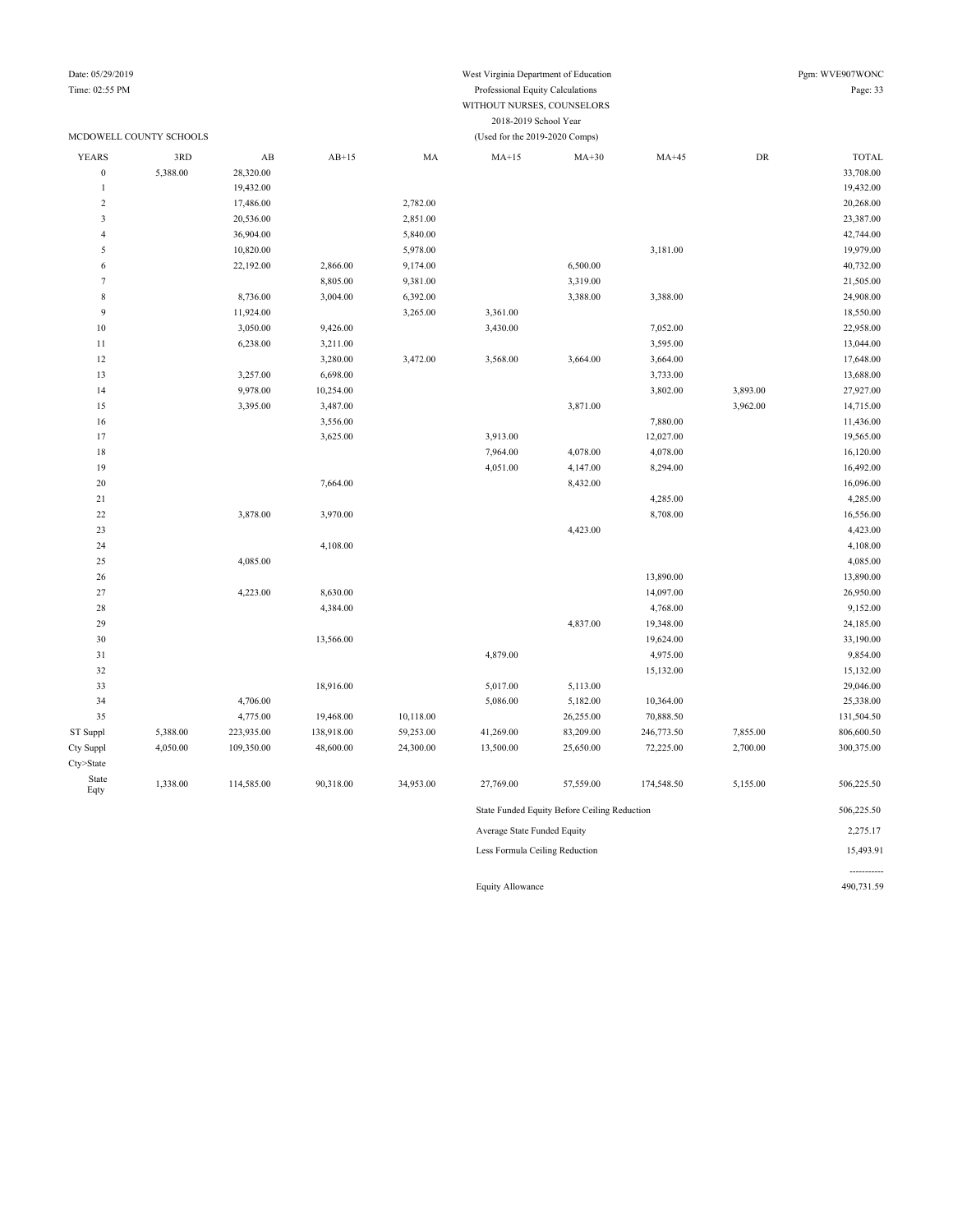Date: 05/29/2019 Pgm: WVE907WONC Time: 02:55 PM Professional Equity Calculations Page: 33 WITHOUT NURSES, COUNSELORS

2018-2019 School Year

#### MCDOWELL COUNTY SCHOOLS (Used for the 2019-2020 Comps) YEARS 3RD AB AB+15 MA MA+15 MA+30 MA+45 DR TOTAL 0 5,388.00 28,320.00 33,708.00 33,708.00 19,432.00 19,432.00 19,432.00 19,432.00 19,432.00 19,432.00 19,432.00 19,432.00 19,432.00 19,432.00 19,432.00 2,782.00 20,268.00 20,268.00 20,268.00 3 20,536.00 2,851.00 23,387.00 42,744.00 5,890.00 5,840.00 5,840.00 5,840.00 5 10,820.00 5,978.00 5,978.00 3,181.00 3,181.00 3,181.00 19,979.00 6 22,192.00 2,866.00 9,174.00 6,500.00 40,732.00 7 8,805.00 9,381.00 3,319.00 3,319.00 3,319.00 21,505.00 8 8,736.00 3,004.00 6,392.00 3,388.00 3,388.00 3,388.00 24,908.00 9 11,924.00 18,550.00 3,265.00 3,361.00 3,361.00 3,361.00 10 3,050.00 9,426.00 3,430.00 7,052.00 22,958.00 11 6,238.00 3,211.00 3,695.00 3,595.00 3,595.00 13,044.00 12 3,280.00 3,472.00 3,568.00 3,664.00 3,664.00 3,664.00 17,648.00 13 3,257.00 6,698.00 6,698.00 3,733.00 3,733.00 13,688.00 14 9,978.00 10,254.00 3,802.00 3,802.00 3,893.00 3,893.00 3,893.00 3,893.00 15 3,395.00 3,487.00 3,871.00 3,962.00 14,715.00 16 3,556.00 11,436.00 11,436.00 11,436.00 17 3,625.00 3,923.00 3,913.00 12,027.00 12,027.00 13,9565.00 18 7,964.00 4,078.00 4,078.00 16,120.00 19 4,051.00 4,147.00 8,294.00 16,492.00 20 16,096.00 16,096.00 16,096.00 16,096.00 16,096.00 16,096.00 16,096.00 16,096.00 16,096.00 16,096.00 16,096 21 4,285.00 4,285.00 22 3,878.00 3,970.00 3,970.00 3,970.00 3,970.00 8,708.00 8,708.00 16,556.00 23 4,423.00 4,423.00 24 4,108.00 4,108.00 25 4,085.00 4,085.00 26 13,890.00 13,890.00 27 4,223.00 8,630.00 14,097.00 26,950.00 28 4,384.00 4,384.00 4,768.00 4,768.00 4,768.00 4,768.00 9,152.00 29 4,837.00 19,348.00 24,185.00 30 13,566.00 13,566.00 13,566.00 19,624.00 19,624.00 31 4,879.00 4,975.00 9,854.00 32 15,132.00 15,132.00 33 18,916.00 18,916.00 5,017.00 5,113.00 5,113.00 5,113.00 29,046.00 34 5,086.00 5,182.00 10,364.00 5,182.00 10,364.00 5,182.00 25,338.00 35 4,775.00 19,468.00 10,118.00 26,255.00 70,888.50 131,504.50 ST Suppl 5,388.00 223,935.00 138,918.00 59,253.00 41,269.00 83,209.00 246,773.50 7,855.00 806,600.50 Cty Suppl 4,050.00 109,350.00 48,600.00 24,300.00 13,500.00 25,650.00 72,225.00 2,700.00 300,375.00 Cty>State State Eqty 1,338.00 114,585.00 90,318.00 34,953.00 27,769.00 57,559.00 174,548.50 5,155.00 506,225.50 State Funded Equity Before Ceiling Reduction 506,225.50 Average State Funded Equity 2,275.17 Less Formula Ceiling Reduction 15,493.91

Equity Allowance 490,731.59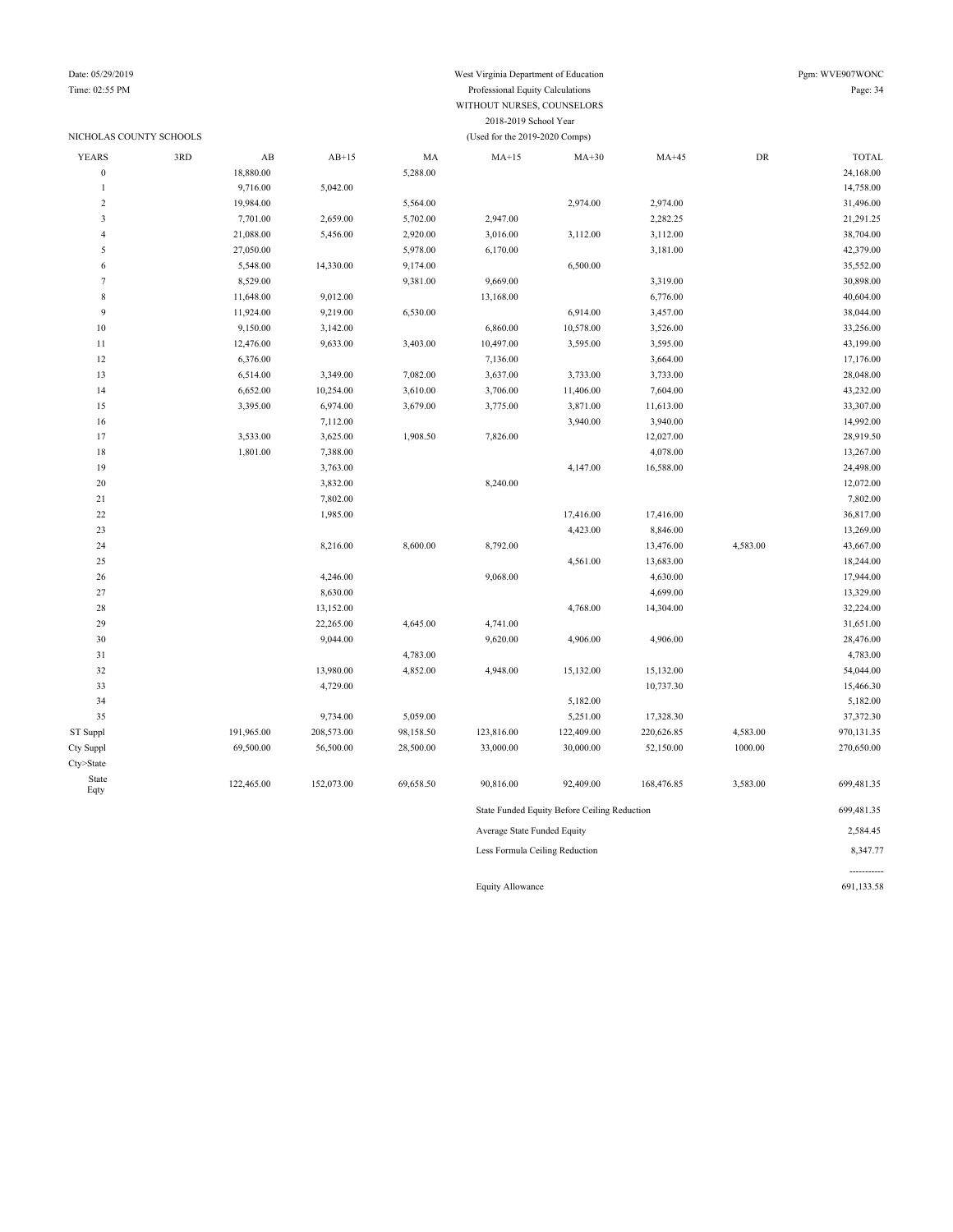### NICHOLAS COUNTY SCHOOLS (Used for the 2019-2020 Comps)

## Date: 05/29/2019 West Virginia Department of Education Pgm: WVE907WONC

### Time: 02:55 PM Professional Equity Calculations Page: 34 WITHOUT NURSES, COUNSELORS 2018-2019 School Year

| <b>YEARS</b>     | 3RD | AB         | $AB+15$    | MA        | $MA+15$                     | $MA+30$                                      | $MA+45$    | DR       | <b>TOTAL</b> |
|------------------|-----|------------|------------|-----------|-----------------------------|----------------------------------------------|------------|----------|--------------|
| $\boldsymbol{0}$ |     | 18,880.00  |            | 5,288.00  |                             |                                              |            |          | 24,168.00    |
| $\mathbf{1}$     |     | 9,716.00   | 5,042.00   |           |                             |                                              |            |          | 14,758.00    |
| $\sqrt{2}$       |     | 19,984.00  |            | 5,564.00  |                             | 2,974.00                                     | 2,974.00   |          | 31,496.00    |
| 3                |     | 7,701.00   | 2,659.00   | 5,702.00  | 2,947.00                    |                                              | 2,282.25   |          | 21,291.25    |
| $\overline{4}$   |     | 21,088.00  | 5,456.00   | 2,920.00  | 3,016.00                    | 3,112.00                                     | 3,112.00   |          | 38,704.00    |
| 5                |     | 27,050.00  |            | 5,978.00  | 6,170.00                    |                                              | 3,181.00   |          | 42,379.00    |
| 6                |     | 5,548.00   | 14,330.00  | 9,174.00  |                             | 6,500.00                                     |            |          | 35,552.00    |
| $\tau$           |     | 8,529.00   |            | 9,381.00  | 9,669.00                    |                                              | 3,319.00   |          | 30,898.00    |
| $\,$ 8 $\,$      |     | 11,648.00  | 9,012.00   |           | 13,168.00                   |                                              | 6,776.00   |          | 40,604.00    |
| 9                |     | 11,924.00  | 9,219.00   | 6,530.00  |                             | 6,914.00                                     | 3,457.00   |          | 38,044.00    |
| $10\,$           |     | 9,150.00   | 3,142.00   |           | 6,860.00                    | 10,578.00                                    | 3,526.00   |          | 33,256.00    |
| 11               |     | 12,476.00  | 9,633.00   | 3,403.00  | 10,497.00                   | 3,595.00                                     | 3,595.00   |          | 43,199.00    |
| 12               |     | 6,376.00   |            |           | 7,136.00                    |                                              | 3,664.00   |          | 17,176.00    |
| 13               |     | 6,514.00   | 3,349.00   | 7,082.00  | 3,637.00                    | 3,733.00                                     | 3,733.00   |          | 28,048.00    |
| 14               |     | 6,652.00   | 10,254.00  | 3,610.00  | 3,706.00                    | 11,406.00                                    | 7,604.00   |          | 43,232.00    |
| 15               |     | 3,395.00   | 6,974.00   | 3,679.00  | 3,775.00                    | 3,871.00                                     | 11,613.00  |          | 33,307.00    |
| 16               |     |            | 7,112.00   |           |                             | 3,940.00                                     | 3,940.00   |          | 14,992.00    |
| 17               |     | 3,533.00   | 3,625.00   | 1,908.50  | 7,826.00                    |                                              | 12,027.00  |          | 28,919.50    |
| 18               |     | 1,801.00   | 7,388.00   |           |                             |                                              | 4,078.00   |          | 13,267.00    |
| 19               |     |            | 3,763.00   |           |                             | 4,147.00                                     | 16,588.00  |          | 24,498.00    |
| $20\,$           |     |            | 3,832.00   |           | 8,240.00                    |                                              |            |          | 12,072.00    |
| 21               |     |            | 7,802.00   |           |                             |                                              |            |          | 7,802.00     |
| $22\,$           |     |            | 1,985.00   |           |                             | 17,416.00                                    | 17,416.00  |          | 36,817.00    |
| 23               |     |            |            |           |                             | 4,423.00                                     | 8,846.00   |          | 13,269.00    |
| 24               |     |            | 8,216.00   | 8,600.00  | 8,792.00                    |                                              | 13,476.00  | 4,583.00 | 43,667.00    |
| 25               |     |            |            |           |                             | 4,561.00                                     | 13,683.00  |          | 18,244.00    |
| 26               |     |            | 4,246.00   |           | 9,068.00                    |                                              | 4,630.00   |          | 17,944.00    |
| 27               |     |            | 8,630.00   |           |                             |                                              | 4,699.00   |          | 13,329.00    |
| 28               |     |            | 13,152.00  |           |                             | 4,768.00                                     | 14,304.00  |          | 32,224.00    |
| 29               |     |            | 22,265.00  | 4,645.00  | 4,741.00                    |                                              |            |          | 31,651.00    |
| $30\,$           |     |            | 9,044.00   |           | 9,620.00                    | 4,906.00                                     | 4,906.00   |          | 28,476.00    |
| 31               |     |            |            | 4,783.00  |                             |                                              |            |          | 4,783.00     |
| 32               |     |            | 13,980.00  | 4,852.00  | 4,948.00                    | 15,132.00                                    | 15,132.00  |          | 54,044.00    |
| 33               |     |            | 4,729.00   |           |                             |                                              | 10,737.30  |          | 15,466.30    |
| 34               |     |            |            |           |                             | 5,182.00                                     |            |          | 5,182.00     |
| 35               |     |            | 9,734.00   | 5,059.00  |                             | 5,251.00                                     | 17,328.30  |          | 37,372.30    |
| ST Suppl         |     | 191,965.00 | 208,573.00 | 98,158.50 | 123,816.00                  | 122,409.00                                   | 220,626.85 | 4,583.00 | 970,131.35   |
| Cty Suppl        |     | 69,500.00  | 56,500.00  | 28,500.00 | 33,000.00                   | 30,000.00                                    | 52,150.00  | 1000.00  | 270,650.00   |
| Cty>State        |     |            |            |           |                             |                                              |            |          |              |
| State            |     | 122,465.00 | 152,073.00 | 69,658.50 | 90,816.00                   | 92,409.00                                    | 168,476.85 | 3,583.00 | 699,481.35   |
| Eqty             |     |            |            |           |                             |                                              |            |          |              |
|                  |     |            |            |           |                             | State Funded Equity Before Ceiling Reduction |            |          | 699,481.35   |
|                  |     |            |            |           | Average State Funded Equity |                                              |            |          | 2,584.45     |
|                  |     |            |            |           |                             |                                              |            |          |              |

Less Formula Ceiling Reduction 8,347.77

Equity Allowance 691,133.58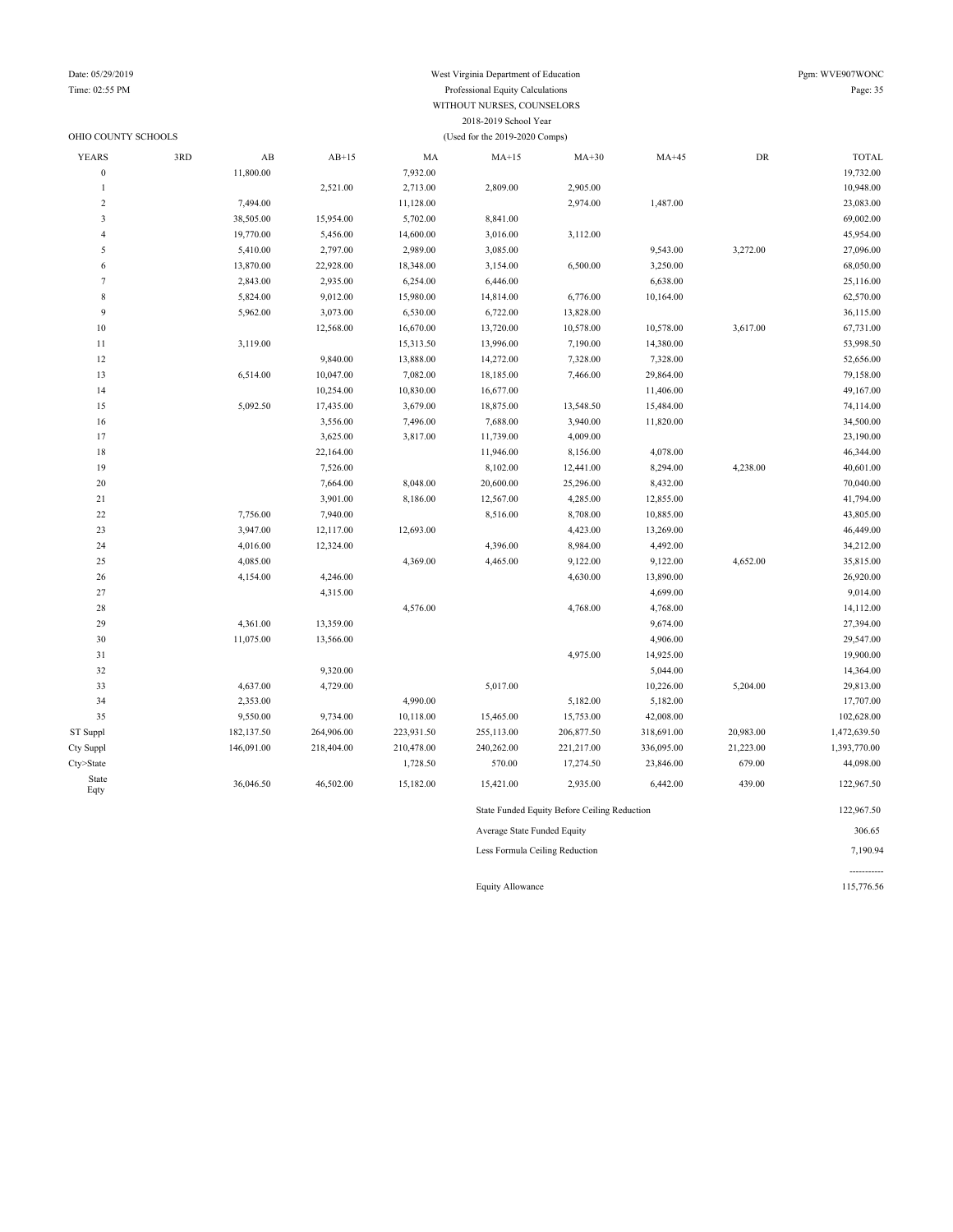### Date: 05/29/2019 West Virginia Department of Education Pgm: WVE907WONC Time: 02:55 PM Professional Equity Calculations Page: 35 WITHOUT NURSES, COUNSELORS 2018-2019 School Year

| OHIO COUNTY SCHOOLS |     |                        |            |            | (Used for the 2019-2020 Comps) |                                              |            |           |              |
|---------------------|-----|------------------------|------------|------------|--------------------------------|----------------------------------------------|------------|-----------|--------------|
| <b>YEARS</b>        | 3RD | $\mathbf{A}\mathbf{B}$ | $AB+15$    | MA         | $MA+15$                        | $MA+30$                                      | $MA+45$    | DR        | <b>TOTAL</b> |
| $\boldsymbol{0}$    |     | 11,800.00              |            | 7,932.00   |                                |                                              |            |           | 19,732.00    |
| $\mathbf{1}$        |     |                        | 2,521.00   | 2,713.00   | 2,809.00                       | 2,905.00                                     |            |           | 10,948.00    |
| $\overline{c}$      |     | 7,494.00               |            | 11,128.00  |                                | 2,974.00                                     | 1,487.00   |           | 23,083.00    |
| 3                   |     | 38,505.00              | 15,954.00  | 5,702.00   | 8,841.00                       |                                              |            |           | 69,002.00    |
| $\overline{4}$      |     | 19,770.00              | 5,456.00   | 14,600.00  | 3,016.00                       | 3,112.00                                     |            |           | 45,954.00    |
| 5                   |     | 5,410.00               | 2,797.00   | 2,989.00   | 3,085.00                       |                                              | 9,543.00   | 3,272.00  | 27,096.00    |
| 6                   |     | 13,870.00              | 22,928.00  | 18,348.00  | 3,154.00                       | 6,500.00                                     | 3,250.00   |           | 68,050.00    |
| $\overline{7}$      |     | 2,843.00               | 2,935.00   | 6,254.00   | 6,446.00                       |                                              | 6,638.00   |           | 25,116.00    |
| 8                   |     | 5,824.00               | 9,012.00   | 15,980.00  | 14,814.00                      | 6,776.00                                     | 10,164.00  |           | 62,570.00    |
| 9                   |     | 5,962.00               | 3,073.00   | 6,530.00   | 6,722.00                       | 13,828.00                                    |            |           | 36,115.00    |
| 10                  |     |                        | 12,568.00  | 16,670.00  | 13,720.00                      | 10,578.00                                    | 10,578.00  | 3,617.00  | 67,731.00    |
| 11                  |     | 3,119.00               |            | 15,313.50  | 13,996.00                      | 7,190.00                                     | 14,380.00  |           | 53,998.50    |
| 12                  |     |                        | 9,840.00   | 13,888.00  | 14,272.00                      | 7,328.00                                     | 7,328.00   |           | 52,656.00    |
| 13                  |     | 6,514.00               | 10,047.00  | 7,082.00   | 18,185.00                      | 7,466.00                                     | 29,864.00  |           | 79,158.00    |
| 14                  |     |                        | 10,254.00  | 10,830.00  | 16,677.00                      |                                              | 11,406.00  |           | 49,167.00    |
| 15                  |     | 5,092.50               | 17,435.00  | 3,679.00   | 18,875.00                      | 13,548.50                                    | 15,484.00  |           | 74,114.00    |
| 16                  |     |                        | 3,556.00   | 7,496.00   | 7,688.00                       | 3,940.00                                     | 11,820.00  |           | 34,500.00    |
| 17                  |     |                        | 3,625.00   | 3,817.00   | 11,739.00                      | 4,009.00                                     |            |           | 23,190.00    |
| 18                  |     |                        | 22,164.00  |            | 11,946.00                      | 8,156.00                                     | 4,078.00   |           | 46,344.00    |
| 19                  |     |                        | 7,526.00   |            | 8,102.00                       | 12,441.00                                    | 8,294.00   | 4,238.00  | 40,601.00    |
| $20\,$              |     |                        | 7,664.00   | 8,048.00   | 20,600.00                      | 25,296.00                                    | 8,432.00   |           | 70,040.00    |
| 21                  |     |                        | 3,901.00   | 8,186.00   | 12,567.00                      | 4,285.00                                     | 12,855.00  |           | 41,794.00    |
| 22                  |     | 7,756.00               | 7,940.00   |            | 8,516.00                       | 8,708.00                                     | 10,885.00  |           | 43,805.00    |
| 23                  |     | 3,947.00               | 12,117.00  | 12,693.00  |                                | 4,423.00                                     | 13,269.00  |           | 46,449.00    |
| 24                  |     | 4,016.00               | 12,324.00  |            | 4,396.00                       | 8,984.00                                     | 4,492.00   |           | 34,212.00    |
| 25                  |     | 4,085.00               |            | 4,369.00   | 4,465.00                       | 9,122.00                                     | 9,122.00   | 4,652.00  | 35,815.00    |
| 26                  |     | 4,154.00               | 4,246.00   |            |                                | 4,630.00                                     | 13,890.00  |           | 26,920.00    |
| 27                  |     |                        | 4,315.00   |            |                                |                                              | 4,699.00   |           | 9,014.00     |
| 28                  |     |                        |            | 4,576.00   |                                | 4,768.00                                     | 4,768.00   |           | 14,112.00    |
| 29                  |     | 4,361.00               | 13,359.00  |            |                                |                                              | 9,674.00   |           | 27,394.00    |
| 30                  |     | 11,075.00              | 13,566.00  |            |                                |                                              | 4,906.00   |           | 29,547.00    |
| 31                  |     |                        |            |            |                                | 4,975.00                                     | 14,925.00  |           | 19,900.00    |
| 32                  |     |                        | 9,320.00   |            |                                |                                              | 5,044.00   |           | 14,364.00    |
| 33                  |     | 4,637.00               | 4,729.00   |            | 5,017.00                       |                                              | 10,226.00  | 5,204.00  | 29,813.00    |
| 34                  |     | 2,353.00               |            | 4,990.00   |                                | 5,182.00                                     | 5,182.00   |           | 17,707.00    |
| 35                  |     | 9,550.00               | 9,734.00   | 10,118.00  | 15,465.00                      | 15,753.00                                    | 42,008.00  |           | 102,628.00   |
| ST Suppl            |     | 182,137.50             | 264,906.00 | 223,931.50 | 255,113.00                     | 206,877.50                                   | 318,691.00 | 20,983.00 | 1,472,639.50 |
| Cty Suppl           |     | 146,091.00             | 218,404.00 | 210,478.00 | 240,262.00                     | 221,217.00                                   | 336,095.00 | 21,223.00 | 1,393,770.00 |
| Cty>State           |     |                        |            | 1,728.50   | 570.00                         | 17,274.50                                    | 23,846.00  | 679.00    | 44,098.00    |
| State<br>Eqty       |     | 36,046.50              | 46,502.00  | 15,182.00  | 15,421.00                      | 2,935.00                                     | 6,442.00   | 439.00    | 122,967.50   |
|                     |     |                        |            |            |                                | State Funded Equity Before Ceiling Reduction |            |           | 122,967.50   |
|                     |     |                        |            |            | Average State Funded Equity    |                                              |            |           | 306.65       |

Less Formula Ceiling Reduction 7,190.94

Equity Allowance 115,776.56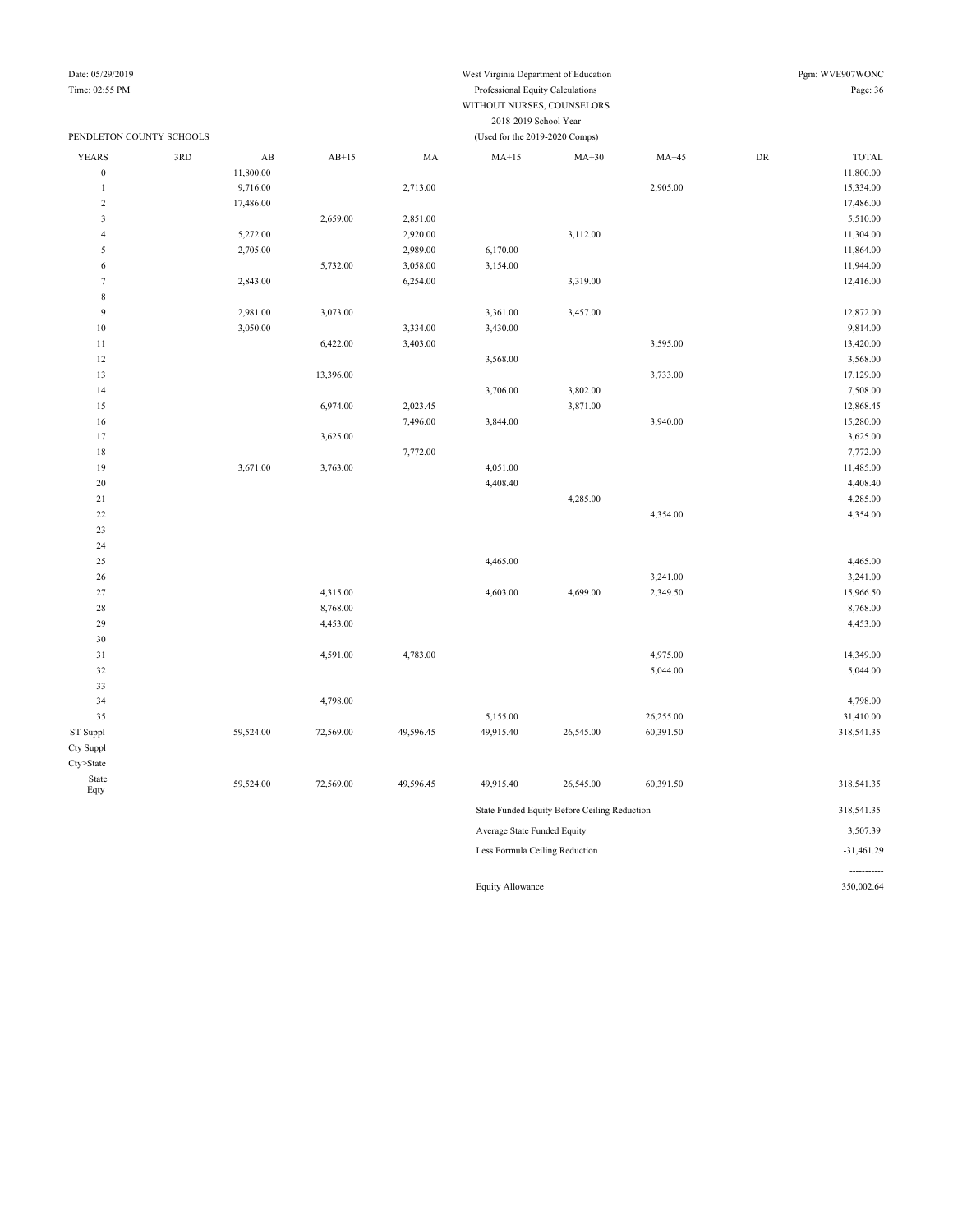## Date: 05/29/2019 West Virginia Department of Education Pgm: WVE907WONC

| Time: 02:55 PM          |                          |                        |           |           | Page: 36                                                |                                              |           |            |              |
|-------------------------|--------------------------|------------------------|-----------|-----------|---------------------------------------------------------|----------------------------------------------|-----------|------------|--------------|
|                         | PENDLETON COUNTY SCHOOLS |                        |           |           | 2018-2019 School Year<br>(Used for the 2019-2020 Comps) |                                              |           |            |              |
| <b>YEARS</b>            | 3RD                      | $\mathbf{A}\mathbf{B}$ | $AB+15$   | MA        | $MA+15$                                                 | $MA+30$                                      | $MA+45$   | ${\rm DR}$ | <b>TOTAL</b> |
| $\boldsymbol{0}$        |                          | 11,800.00              |           |           |                                                         |                                              |           |            | 11,800.00    |
| $\mathbf{1}$            |                          | 9,716.00               |           | 2,713.00  |                                                         |                                              | 2,905.00  |            | 15,334.00    |
| $\overline{c}$          |                          | 17,486.00              |           |           |                                                         |                                              |           |            | 17,486.00    |
| $\overline{\mathbf{3}}$ |                          |                        | 2,659.00  | 2,851.00  |                                                         |                                              |           |            | 5,510.00     |
| $\sqrt{4}$              |                          | 5,272.00               |           | 2,920.00  |                                                         | 3,112.00                                     |           |            | 11,304.00    |
| $\sqrt{5}$              |                          | 2,705.00               |           | 2,989.00  | 6,170.00                                                |                                              |           |            | 11,864.00    |
| $\sqrt{6}$              |                          |                        | 5,732.00  | 3,058.00  | 3,154.00                                                |                                              |           |            | 11,944.00    |
| $\boldsymbol{7}$        |                          | 2,843.00               |           | 6,254.00  |                                                         | 3,319.00                                     |           |            | 12,416.00    |
| $\,$ 8 $\,$             |                          |                        |           |           |                                                         |                                              |           |            |              |
| 9                       |                          | 2,981.00               | 3,073.00  |           | 3,361.00                                                | 3,457.00                                     |           |            | 12,872.00    |
| $10$                    |                          | 3,050.00               |           | 3,334.00  | 3,430.00                                                |                                              |           |            | 9,814.00     |
| 11                      |                          |                        | 6,422.00  | 3,403.00  |                                                         |                                              | 3,595.00  |            | 13,420.00    |
| $12\,$                  |                          |                        |           |           | 3,568.00                                                |                                              |           |            | 3,568.00     |
| 13                      |                          |                        | 13,396.00 |           |                                                         |                                              | 3,733.00  |            | 17,129.00    |
| 14                      |                          |                        |           |           | 3,706.00                                                | 3,802.00                                     |           |            | 7,508.00     |
| 15                      |                          |                        | 6,974.00  | 2,023.45  |                                                         | 3,871.00                                     |           |            | 12,868.45    |
| 16                      |                          |                        |           | 7,496.00  | 3,844.00                                                |                                              | 3,940.00  |            | 15,280.00    |
| 17                      |                          |                        | 3,625.00  |           |                                                         |                                              |           |            | 3,625.00     |
| 18                      |                          |                        |           | 7,772.00  |                                                         |                                              |           |            | 7,772.00     |
| 19                      |                          | 3,671.00               | 3,763.00  |           | 4,051.00                                                |                                              |           |            | 11,485.00    |
| 20                      |                          |                        |           |           | 4,408.40                                                |                                              |           |            | 4,408.40     |
| 21                      |                          |                        |           |           |                                                         | 4,285.00                                     |           |            | 4,285.00     |
| $22\,$                  |                          |                        |           |           |                                                         |                                              | 4,354.00  |            | 4,354.00     |
| 23                      |                          |                        |           |           |                                                         |                                              |           |            |              |
| 24                      |                          |                        |           |           |                                                         |                                              |           |            |              |
| 25                      |                          |                        |           |           | 4,465.00                                                |                                              |           |            | 4,465.00     |
| 26                      |                          |                        |           |           |                                                         |                                              | 3,241.00  |            | 3,241.00     |
| 27                      |                          |                        | 4,315.00  |           | 4,603.00                                                | 4,699.00                                     | 2,349.50  |            | 15,966.50    |
| 28                      |                          |                        | 8,768.00  |           |                                                         |                                              |           |            | 8,768.00     |
| 29                      |                          |                        | 4,453.00  |           |                                                         |                                              |           |            | 4,453.00     |
| 30                      |                          |                        |           |           |                                                         |                                              |           |            |              |
| 31                      |                          |                        | 4,591.00  | 4,783.00  |                                                         |                                              | 4,975.00  |            | 14,349.00    |
| 32                      |                          |                        |           |           |                                                         |                                              | 5,044.00  |            | 5,044.00     |
| 33                      |                          |                        |           |           |                                                         |                                              |           |            |              |
| 34                      |                          |                        | 4,798.00  |           |                                                         |                                              |           |            | 4,798.00     |
| 35                      |                          |                        |           |           | 5,155.00                                                |                                              | 26,255.00 |            | 31,410.00    |
| ST Suppl                |                          | 59,524.00              | 72,569.00 | 49,596.45 | 49,915.40                                               | 26,545.00                                    | 60,391.50 |            | 318,541.35   |
| Cty Suppl               |                          |                        |           |           |                                                         |                                              |           |            |              |
| Cty>State               |                          |                        |           |           |                                                         |                                              |           |            |              |
| State<br>Eqty           |                          | 59,524.00              | 72,569.00 | 49,596.45 | 49,915.40                                               | 26,545.00                                    | 60,391.50 |            | 318,541.35   |
|                         |                          |                        |           |           |                                                         | State Funded Equity Before Ceiling Reduction |           |            | 318,541.35   |
|                         |                          |                        |           |           | Average State Funded Equity                             |                                              |           |            | 3,507.39     |

Less Formula Ceiling Reduction  $-31,461.29$ -----------

Equity Allowance 350,002.64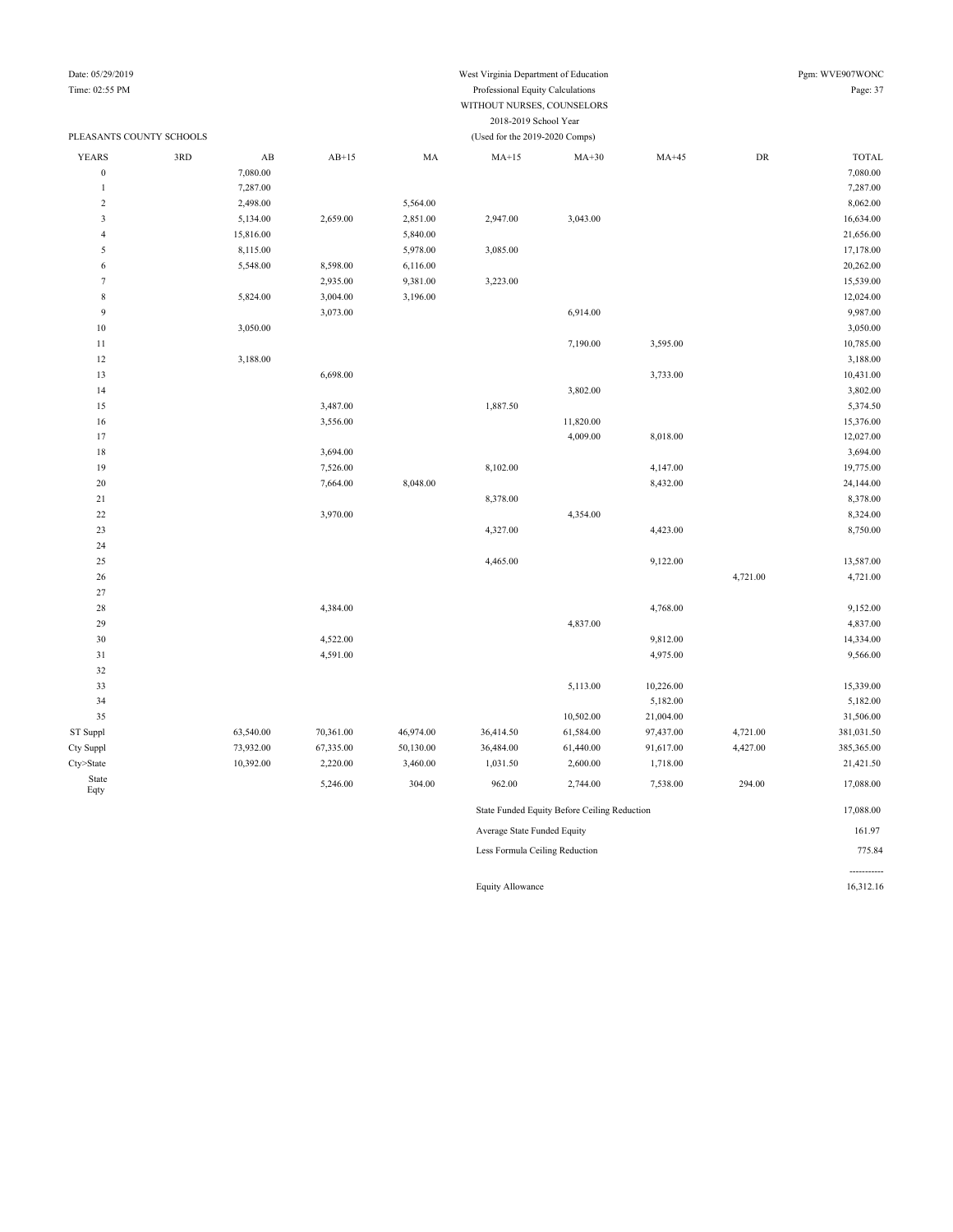## Date: 05/29/2019 West Virginia Department of Education Pgm: WVE907WONC

#### Time: 02:55 PM Professional Equity Calculations Page: 37 WITHOUT NURSES, COUNSELORS 2018-2019 School Year

| PLEASANTS COUNTY SCHOOLS |     |                        |           |           | (Used for the 2019-2020 Comps) |                                              |           |            |              |
|--------------------------|-----|------------------------|-----------|-----------|--------------------------------|----------------------------------------------|-----------|------------|--------------|
| <b>YEARS</b>             | 3RD | $\mathbf{A}\mathbf{B}$ | $AB+15$   | MA        | $MA+15$                        | $MA+30$                                      | $MA+45$   | ${\rm DR}$ | <b>TOTAL</b> |
| $\boldsymbol{0}$         |     | 7,080.00               |           |           |                                |                                              |           |            | 7,080.00     |
| 1                        |     | 7,287.00               |           |           |                                |                                              |           |            | 7,287.00     |
| $\boldsymbol{2}$         |     | 2,498.00               |           | 5,564.00  |                                |                                              |           |            | 8,062.00     |
| 3                        |     | 5,134.00               | 2,659.00  | 2,851.00  | 2,947.00                       | 3,043.00                                     |           |            | 16,634.00    |
| $\overline{4}$           |     | 15,816.00              |           | 5,840.00  |                                |                                              |           |            | 21,656.00    |
| 5                        |     | 8,115.00               |           | 5,978.00  | 3,085.00                       |                                              |           |            | 17,178.00    |
| 6                        |     | 5,548.00               | 8,598.00  | 6,116.00  |                                |                                              |           |            | 20,262.00    |
| $\tau$                   |     |                        | 2,935.00  | 9,381.00  | 3,223.00                       |                                              |           |            | 15,539.00    |
| $\,$ 8 $\,$              |     | 5,824.00               | 3,004.00  | 3,196.00  |                                |                                              |           |            | 12,024.00    |
| 9                        |     |                        | 3,073.00  |           |                                | 6,914.00                                     |           |            | 9,987.00     |
| 10                       |     | 3,050.00               |           |           |                                |                                              |           |            | 3,050.00     |
| 11                       |     |                        |           |           |                                | 7,190.00                                     | 3,595.00  |            | 10,785.00    |
| 12                       |     | 3,188.00               |           |           |                                |                                              |           |            | 3,188.00     |
| 13                       |     |                        | 6,698.00  |           |                                |                                              | 3,733.00  |            | 10,431.00    |
| 14                       |     |                        |           |           |                                | 3,802.00                                     |           |            | 3,802.00     |
| 15                       |     |                        | 3,487.00  |           | 1,887.50                       |                                              |           |            | 5,374.50     |
| 16                       |     |                        | 3,556.00  |           |                                | 11,820.00                                    |           |            | 15,376.00    |
| 17                       |     |                        |           |           |                                | 4,009.00                                     | 8,018.00  |            | 12,027.00    |
| 18                       |     |                        | 3,694.00  |           |                                |                                              |           |            | 3,694.00     |
| 19                       |     |                        | 7,526.00  |           | 8,102.00                       |                                              | 4,147.00  |            | 19,775.00    |
| 20                       |     |                        | 7,664.00  | 8,048.00  |                                |                                              | 8,432.00  |            | 24,144.00    |
| 21                       |     |                        |           |           | 8,378.00                       |                                              |           |            | 8,378.00     |
| $22\,$                   |     |                        | 3,970.00  |           |                                | 4,354.00                                     |           |            | 8,324.00     |
| 23                       |     |                        |           |           | 4,327.00                       |                                              | 4,423.00  |            | 8,750.00     |
| 24                       |     |                        |           |           |                                |                                              |           |            |              |
| 25                       |     |                        |           |           | 4,465.00                       |                                              | 9,122.00  |            | 13,587.00    |
| 26                       |     |                        |           |           |                                |                                              |           | 4,721.00   | 4,721.00     |
| 27                       |     |                        |           |           |                                |                                              |           |            |              |
| 28                       |     |                        | 4,384.00  |           |                                |                                              | 4,768.00  |            | 9,152.00     |
| 29                       |     |                        |           |           |                                | 4,837.00                                     |           |            | 4,837.00     |
| 30                       |     |                        | 4,522.00  |           |                                |                                              | 9,812.00  |            | 14,334.00    |
| 31                       |     |                        | 4,591.00  |           |                                |                                              | 4,975.00  |            | 9,566.00     |
| 32                       |     |                        |           |           |                                |                                              |           |            |              |
| 33                       |     |                        |           |           |                                | 5,113.00                                     | 10,226.00 |            | 15,339.00    |
| 34                       |     |                        |           |           |                                |                                              | 5,182.00  |            | 5,182.00     |
| 35                       |     |                        |           |           |                                | 10,502.00                                    | 21,004.00 |            | 31,506.00    |
| ST Suppl                 |     | 63,540.00              | 70,361.00 | 46,974.00 | 36,414.50                      | 61,584.00                                    | 97,437.00 | 4,721.00   | 381,031.50   |
| Cty Suppl                |     | 73,932.00              | 67,335.00 | 50,130.00 | 36,484.00                      | 61,440.00                                    | 91,617.00 | 4,427.00   | 385,365.00   |
| Cty>State                |     | 10,392.00              | 2,220.00  | 3,460.00  | 1,031.50                       | 2,600.00                                     | 1,718.00  |            | 21,421.50    |
| State<br>Eqty            |     |                        | 5,246.00  | 304.00    | 962.00                         | 2,744.00                                     | 7,538.00  | 294.00     | 17,088.00    |
|                          |     |                        |           |           |                                | State Funded Equity Before Ceiling Reduction |           |            | 17,088.00    |
|                          |     |                        |           |           | Average State Funded Equity    |                                              |           |            | 161.97       |
|                          |     |                        |           |           | Less Formula Ceiling Reduction |                                              |           |            | 775.84       |

Equity Allowance 16,312.16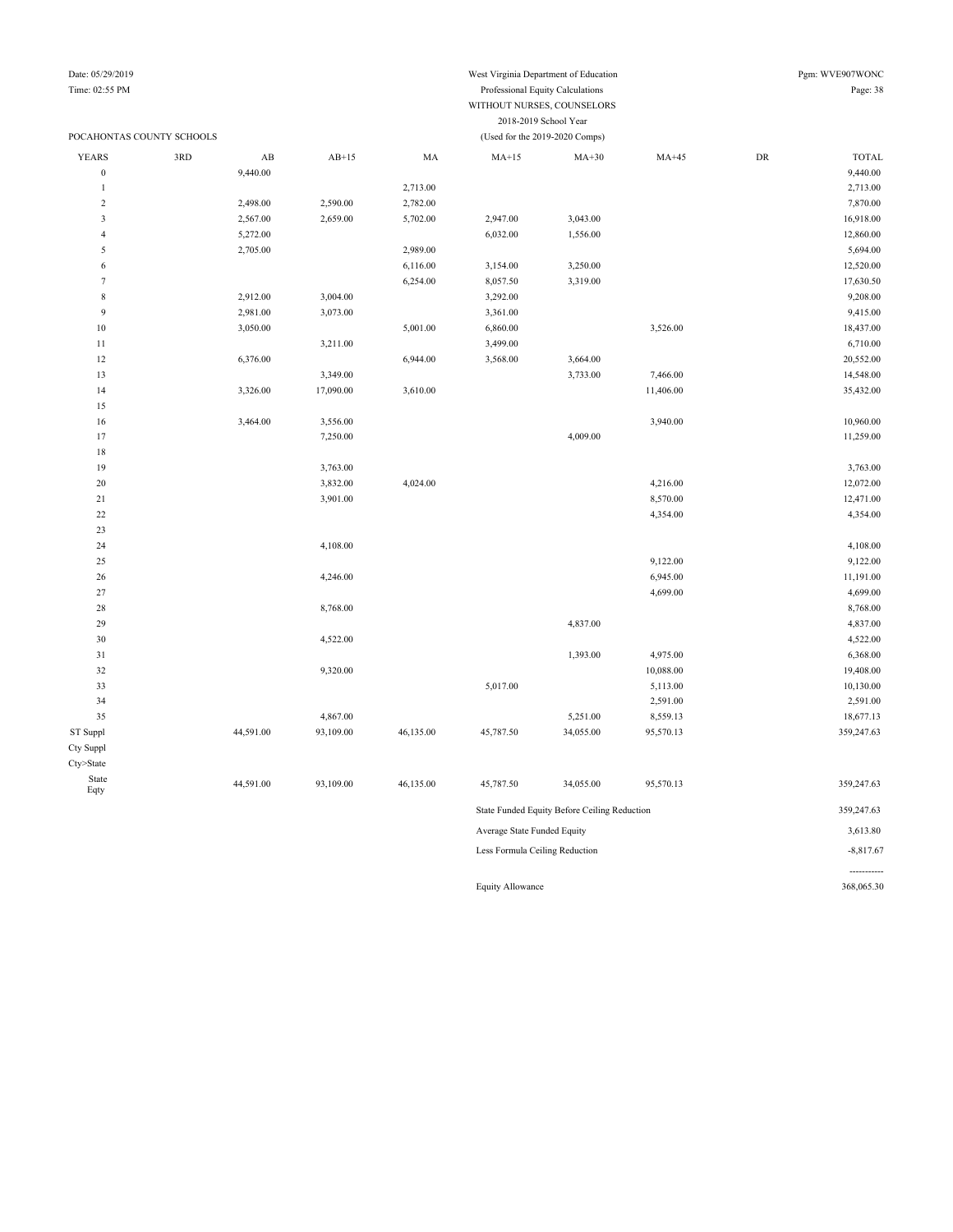|                         | WITHOUT NURSES, COUNSELORS |                        |           |                                                         |           |           |           |    |              |  |  |
|-------------------------|----------------------------|------------------------|-----------|---------------------------------------------------------|-----------|-----------|-----------|----|--------------|--|--|
|                         |                            |                        |           | 2018-2019 School Year<br>(Used for the 2019-2020 Comps) |           |           |           |    |              |  |  |
|                         | POCAHONTAS COUNTY SCHOOLS  |                        |           |                                                         |           |           |           |    |              |  |  |
| <b>YEARS</b>            | 3RD                        | $\mathbf{A}\mathbf{B}$ | $AB+15$   | MA                                                      | $MA+15$   | $MA+30$   | $MA+45$   | DR | <b>TOTAL</b> |  |  |
| $\boldsymbol{0}$        |                            | 9,440.00               |           |                                                         |           |           |           |    | 9,440.00     |  |  |
| $\mathbf{1}$            |                            |                        |           | 2,713.00                                                |           |           |           |    | 2,713.00     |  |  |
| $\sqrt{2}$              |                            | 2,498.00               | 2,590.00  | 2,782.00                                                |           |           |           |    | 7,870.00     |  |  |
| $\overline{\mathbf{3}}$ |                            | 2,567.00               | 2,659.00  | 5,702.00                                                | 2,947.00  | 3,043.00  |           |    | 16,918.00    |  |  |
| $\overline{4}$          |                            | 5,272.00               |           |                                                         | 6,032.00  | 1,556.00  |           |    | 12,860.00    |  |  |
| 5                       |                            | 2,705.00               |           | 2,989.00                                                |           |           |           |    | 5,694.00     |  |  |
| 6                       |                            |                        |           | 6,116.00                                                | 3,154.00  | 3,250.00  |           |    | 12,520.00    |  |  |
| $\overline{7}$          |                            |                        |           | 6,254.00                                                | 8,057.50  | 3,319.00  |           |    | 17,630.50    |  |  |
| $\,$ 8 $\,$             |                            | 2,912.00               | 3,004.00  |                                                         | 3,292.00  |           |           |    | 9,208.00     |  |  |
| 9                       |                            | 2,981.00               | 3,073.00  |                                                         | 3,361.00  |           |           |    | 9,415.00     |  |  |
| 10                      |                            | 3,050.00               |           | 5,001.00                                                | 6,860.00  |           | 3,526.00  |    | 18,437.00    |  |  |
| 11                      |                            |                        | 3,211.00  |                                                         | 3,499.00  |           |           |    | 6,710.00     |  |  |
| 12                      |                            | 6,376.00               |           | 6,944.00                                                | 3,568.00  | 3,664.00  |           |    | 20,552.00    |  |  |
| 13                      |                            |                        | 3,349.00  |                                                         |           | 3,733.00  | 7,466.00  |    | 14,548.00    |  |  |
| 14                      |                            | 3,326.00               | 17,090.00 | 3,610.00                                                |           |           | 11,406.00 |    | 35,432.00    |  |  |
| 15                      |                            |                        |           |                                                         |           |           |           |    |              |  |  |
| 16                      |                            | 3,464.00               | 3,556.00  |                                                         |           |           | 3,940.00  |    | 10,960.00    |  |  |
| 17                      |                            |                        | 7,250.00  |                                                         |           | 4,009.00  |           |    | 11,259.00    |  |  |
| 18                      |                            |                        |           |                                                         |           |           |           |    |              |  |  |
| 19                      |                            |                        | 3,763.00  |                                                         |           |           |           |    | 3,763.00     |  |  |
| 20                      |                            |                        | 3,832.00  | 4,024.00                                                |           |           | 4,216.00  |    | 12,072.00    |  |  |
| $21\,$                  |                            |                        | 3,901.00  |                                                         |           |           | 8,570.00  |    | 12,471.00    |  |  |
| 22                      |                            |                        |           |                                                         |           |           | 4,354.00  |    | 4,354.00     |  |  |
| 23                      |                            |                        |           |                                                         |           |           |           |    |              |  |  |
| 24                      |                            |                        | 4,108.00  |                                                         |           |           |           |    | 4,108.00     |  |  |
| 25                      |                            |                        |           |                                                         |           |           | 9,122.00  |    | 9,122.00     |  |  |
| 26                      |                            |                        | 4,246.00  |                                                         |           |           | 6,945.00  |    | 11,191.00    |  |  |
| 27                      |                            |                        |           |                                                         |           |           | 4,699.00  |    | 4,699.00     |  |  |
| 28                      |                            |                        | 8,768.00  |                                                         |           |           |           |    | 8,768.00     |  |  |
| 29                      |                            |                        |           |                                                         |           | 4,837.00  |           |    | 4,837.00     |  |  |
| 30                      |                            |                        | 4,522.00  |                                                         |           |           |           |    | 4,522.00     |  |  |
| 31                      |                            |                        |           |                                                         |           | 1,393.00  | 4,975.00  |    | 6,368.00     |  |  |
| 32                      |                            |                        | 9,320.00  |                                                         |           |           | 10,088.00 |    | 19,408.00    |  |  |
| 33                      |                            |                        |           |                                                         | 5,017.00  |           | 5,113.00  |    | 10,130.00    |  |  |
| 34                      |                            |                        |           |                                                         |           |           | 2,591.00  |    | 2,591.00     |  |  |
| 35                      |                            |                        | 4,867.00  |                                                         |           | 5,251.00  | 8,559.13  |    | 18,677.13    |  |  |
| ST Suppl                |                            | 44,591.00              | 93,109.00 | 46,135.00                                               | 45,787.50 | 34,055.00 | 95,570.13 |    | 359,247.63   |  |  |
| Cty Suppl               |                            |                        |           |                                                         |           |           |           |    |              |  |  |
| Cty>State               |                            |                        |           |                                                         |           |           |           |    |              |  |  |
| State                   |                            |                        |           |                                                         |           |           |           |    |              |  |  |
| Eqty                    |                            | 44,591.00              | 93,109.00 | 46,135.00                                               | 45,787.50 | 34,055.00 | 95,570.13 |    | 359,247.63   |  |  |

|                                | --------                                     | . |             |
|--------------------------------|----------------------------------------------|---|-------------|
|                                | State Funded Equity Before Ceiling Reduction |   | 359.247.63  |
| Average State Funded Equity    |                                              |   | 3,613.80    |
| Less Formula Ceiling Reduction |                                              |   | $-8.817.67$ |
|                                |                                              |   |             |

Equity Allowance 368,065.30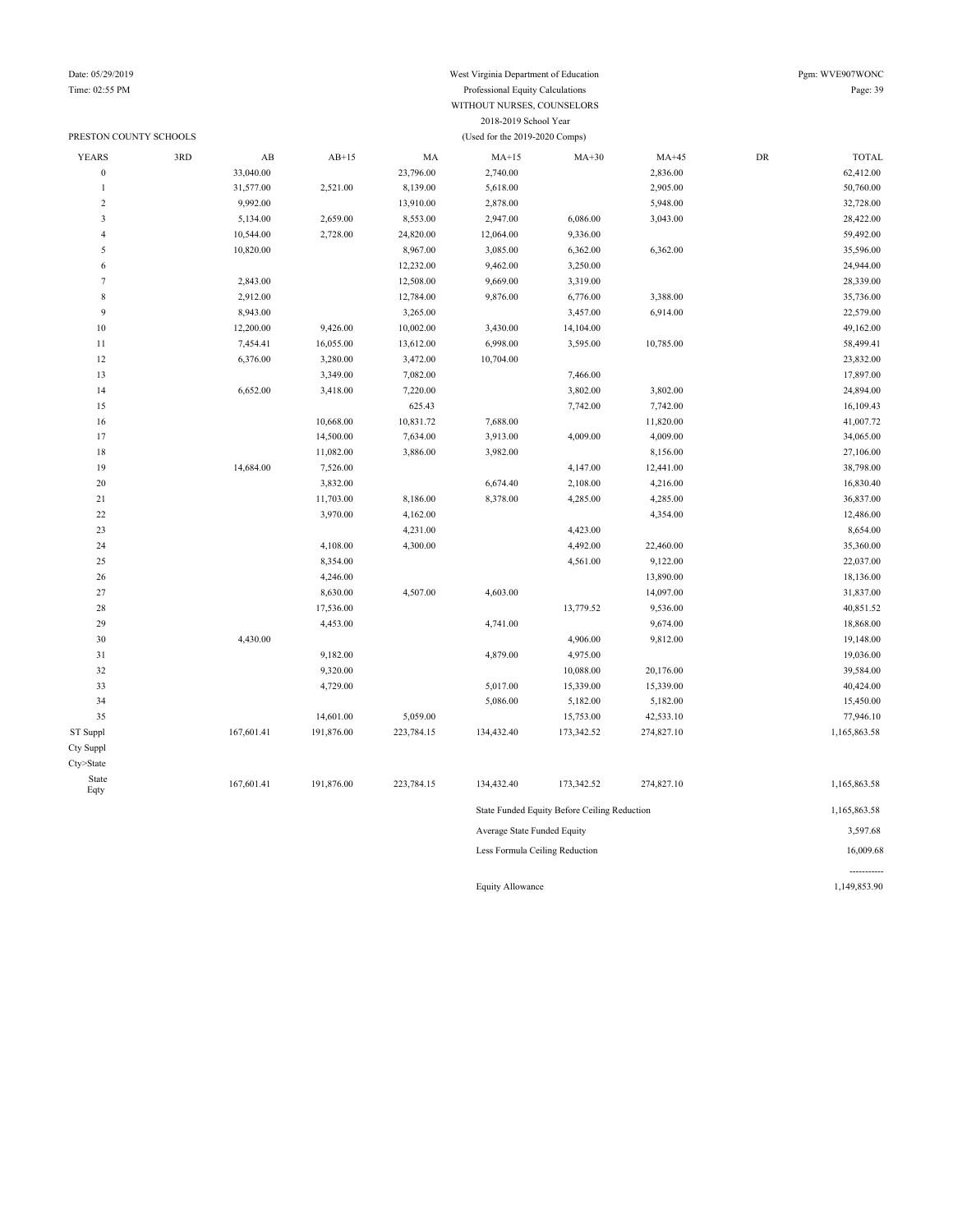#### Date: 05/29/2019 West Virginia Department of Education Pgm: WVE907WONC Time: 02:55 PM Professional Equity Calculations WITHOUT NURSES, COUNSELORS 2018-2019 School Year PRESTON COUNTY SCHOOLS (Used for the 2019-2020 Comps)

-----------

| <b>YEARS</b>            | 3RD | $\mathbf{A}\mathbf{B}$ | $AB+15$    | MA         | $MA+15$                        | $MA+30$                                      | $MA+45$    | ${\rm DR}$ | TOTAL        |
|-------------------------|-----|------------------------|------------|------------|--------------------------------|----------------------------------------------|------------|------------|--------------|
| $\boldsymbol{0}$        |     | 33,040.00              |            | 23,796.00  | 2,740.00                       |                                              | 2,836.00   |            | 62,412.00    |
| $\mathbf{1}$            |     | 31,577.00              | 2,521.00   | 8,139.00   | 5,618.00                       |                                              | 2,905.00   |            | 50,760.00    |
| $\overline{2}$          |     | 9,992.00               |            | 13,910.00  | 2,878.00                       |                                              | 5,948.00   |            | 32,728.00    |
| $\overline{\mathbf{3}}$ |     | 5,134.00               | 2,659.00   | 8,553.00   | 2,947.00                       | 6,086.00                                     | 3,043.00   |            | 28,422.00    |
| $\overline{4}$          |     | 10,544.00              | 2,728.00   | 24,820.00  | 12,064.00                      | 9,336.00                                     |            |            | 59,492.00    |
| 5                       |     | 10,820.00              |            | 8,967.00   | 3,085.00                       | 6,362.00                                     | 6,362.00   |            | 35,596.00    |
| 6                       |     |                        |            | 12,232.00  | 9,462.00                       | 3,250.00                                     |            |            | 24,944.00    |
| $\tau$                  |     | 2,843.00               |            | 12,508.00  | 9,669.00                       | 3,319.00                                     |            |            | 28,339.00    |
| $\,$ 8 $\,$             |     | 2,912.00               |            | 12,784.00  | 9,876.00                       | 6,776.00                                     | 3,388.00   |            | 35,736.00    |
| $\overline{9}$          |     | 8,943.00               |            | 3,265.00   |                                | 3,457.00                                     | 6,914.00   |            | 22,579.00    |
| $10\,$                  |     | 12,200.00              | 9,426.00   | 10,002.00  | 3,430.00                       | 14,104.00                                    |            |            | 49,162.00    |
| $11\,$                  |     | 7,454.41               | 16,055.00  | 13,612.00  | 6,998.00                       | 3,595.00                                     | 10,785.00  |            | 58,499.41    |
| 12                      |     | 6,376.00               | 3,280.00   | 3,472.00   | 10,704.00                      |                                              |            |            | 23,832.00    |
| 13                      |     |                        | 3,349.00   | 7,082.00   |                                | 7,466.00                                     |            |            | 17,897.00    |
| 14                      |     | 6,652.00               | 3,418.00   | 7,220.00   |                                | 3,802.00                                     | 3,802.00   |            | 24,894.00    |
| 15                      |     |                        |            | 625.43     |                                | 7,742.00                                     | 7,742.00   |            | 16,109.43    |
| 16                      |     |                        | 10,668.00  | 10,831.72  | 7,688.00                       |                                              | 11,820.00  |            | 41,007.72    |
| 17                      |     |                        | 14,500.00  | 7,634.00   | 3,913.00                       | 4,009.00                                     | 4,009.00   |            | 34,065.00    |
| $18\,$                  |     |                        | 11,082.00  | 3,886.00   | 3,982.00                       |                                              | 8,156.00   |            | 27,106.00    |
| 19                      |     | 14,684.00              | 7,526.00   |            |                                | 4,147.00                                     | 12,441.00  |            | 38,798.00    |
| 20                      |     |                        | 3,832.00   |            | 6,674.40                       | 2,108.00                                     | 4,216.00   |            | 16,830.40    |
| 21                      |     |                        | 11,703.00  | 8,186.00   | 8,378.00                       | 4,285.00                                     | 4,285.00   |            | 36,837.00    |
| 22                      |     |                        | 3,970.00   | 4,162.00   |                                |                                              | 4,354.00   |            | 12,486.00    |
| 23                      |     |                        |            | 4,231.00   |                                | 4,423.00                                     |            |            | 8,654.00     |
| 24                      |     |                        | 4,108.00   | 4,300.00   |                                | 4,492.00                                     | 22,460.00  |            | 35,360.00    |
| $25\,$                  |     |                        | 8,354.00   |            |                                | 4,561.00                                     | 9,122.00   |            | 22,037.00    |
| 26                      |     |                        | 4,246.00   |            |                                |                                              | 13,890.00  |            | 18,136.00    |
| 27                      |     |                        | 8,630.00   | 4,507.00   | 4,603.00                       |                                              | 14,097.00  |            | 31,837.00    |
| $28\,$                  |     |                        | 17,536.00  |            |                                | 13,779.52                                    | 9,536.00   |            | 40,851.52    |
| 29                      |     |                        | 4,453.00   |            | 4,741.00                       |                                              | 9,674.00   |            | 18,868.00    |
| 30                      |     | 4,430.00               |            |            |                                | 4,906.00                                     | 9,812.00   |            | 19,148.00    |
| 31                      |     |                        | 9,182.00   |            | 4,879.00                       | 4,975.00                                     |            |            | 19,036.00    |
| 32                      |     |                        | 9,320.00   |            |                                | 10,088.00                                    | 20,176.00  |            | 39,584.00    |
| 33                      |     |                        | 4,729.00   |            | 5,017.00                       | 15,339.00                                    | 15,339.00  |            | 40,424.00    |
| 34                      |     |                        |            |            | 5,086.00                       | 5,182.00                                     | 5,182.00   |            | 15,450.00    |
| 35                      |     |                        | 14,601.00  | 5,059.00   |                                | 15,753.00                                    | 42,533.10  |            | 77,946.10    |
| ST Suppl                |     | 167,601.41             | 191,876.00 | 223,784.15 | 134,432.40                     | 173,342.52                                   | 274,827.10 |            | 1,165,863.58 |
| Cty Suppl               |     |                        |            |            |                                |                                              |            |            |              |
| Cty>State               |     |                        |            |            |                                |                                              |            |            |              |
| State<br>Eqty           |     | 167,601.41             | 191,876.00 | 223,784.15 | 134,432.40                     | 173,342.52                                   | 274,827.10 |            | 1,165,863.58 |
|                         |     |                        |            |            |                                | State Funded Equity Before Ceiling Reduction |            |            | 1,165,863.58 |
|                         |     |                        |            |            | Average State Funded Equity    |                                              |            |            | 3,597.68     |
|                         |     |                        |            |            | Less Formula Ceiling Reduction |                                              |            |            | 16,009.68    |

Equity Allowance 1,149,853.90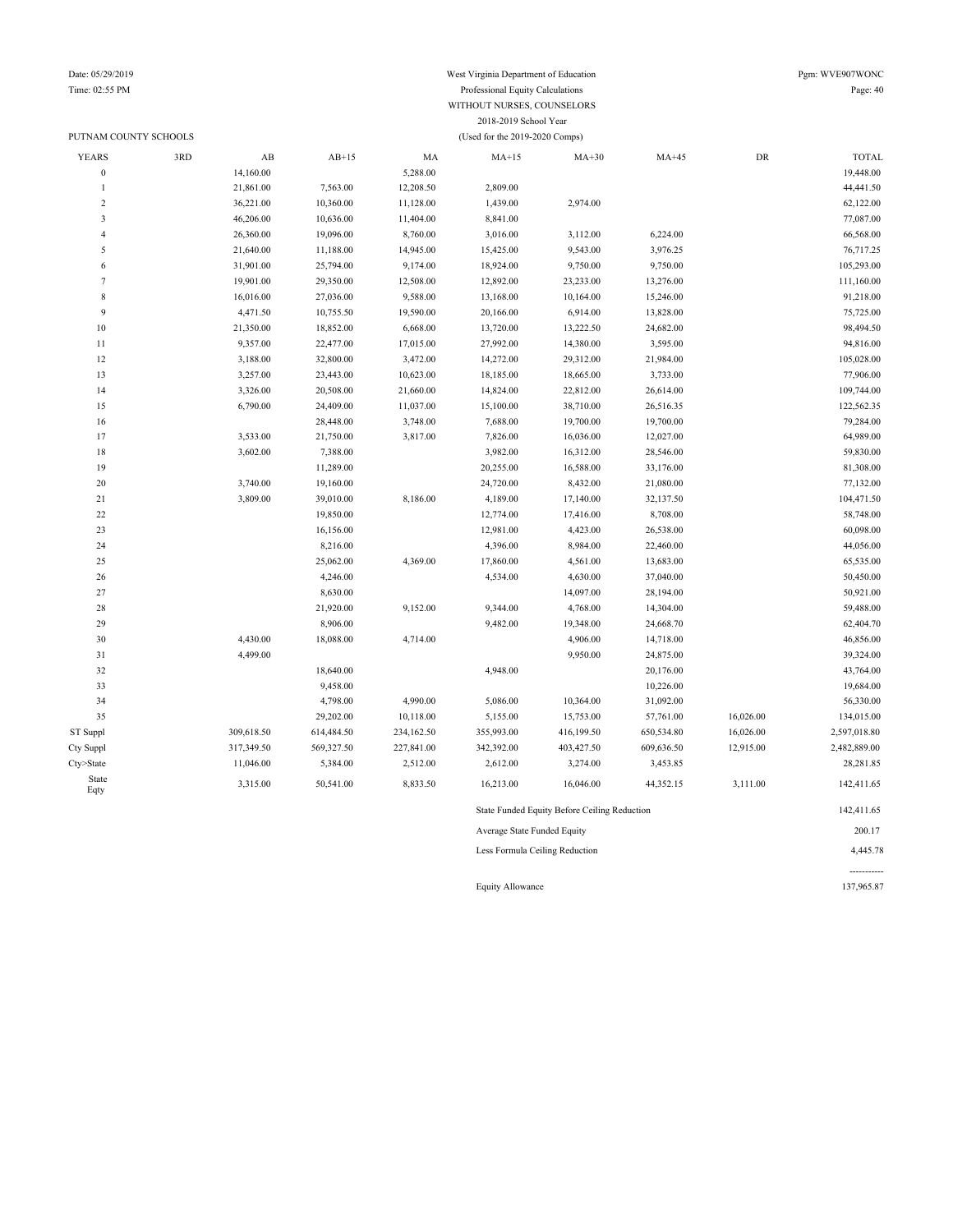### PUTNAM COUNTY SCHOOLS (Used for the 2019-2020 Comps)

### Date: 05/29/2019 West Virginia Department of Education Pgm: WVE907WONC Time: 02:55 PM Professional Equity Calculations Page: 40 WITHOUT NURSES, COUNSELORS 2018-2019 School Year

| <b>YEARS</b>     | 3RD | $\mathbf{A}\mathbf{B}$ | $AB+15$    | MA         | $MA+15$    | $MA+30$                                      | $MA+45$    | ${\rm DR}$ | <b>TOTAL</b> |
|------------------|-----|------------------------|------------|------------|------------|----------------------------------------------|------------|------------|--------------|
| $\boldsymbol{0}$ |     | 14,160.00              |            | 5,288.00   |            |                                              |            |            | 19,448.00    |
| $\mathbf{1}$     |     | 21,861.00              | 7,563.00   | 12,208.50  | 2,809.00   |                                              |            |            | 44,441.50    |
| $\sqrt{2}$       |     | 36,221.00              | 10,360.00  | 11,128.00  | 1,439.00   | 2,974.00                                     |            |            | 62,122.00    |
| 3                |     | 46,206.00              | 10,636.00  | 11,404.00  | 8,841.00   |                                              |            |            | 77,087.00    |
| $\overline{4}$   |     | 26,360.00              | 19,096.00  | 8,760.00   | 3,016.00   | 3,112.00                                     | 6,224.00   |            | 66,568.00    |
| 5                |     | 21,640.00              | 11,188.00  | 14,945.00  | 15,425.00  | 9,543.00                                     | 3,976.25   |            | 76,717.25    |
| 6                |     | 31,901.00              | 25,794.00  | 9,174.00   | 18,924.00  | 9,750.00                                     | 9,750.00   |            | 105,293.00   |
| $\overline{7}$   |     | 19,901.00              | 29,350.00  | 12,508.00  | 12,892.00  | 23,233.00                                    | 13,276.00  |            | 111,160.00   |
| 8                |     | 16,016.00              | 27,036.00  | 9,588.00   | 13,168.00  | 10,164.00                                    | 15,246.00  |            | 91,218.00    |
| 9                |     | 4,471.50               | 10,755.50  | 19,590.00  | 20,166.00  | 6,914.00                                     | 13,828.00  |            | 75,725.00    |
| 10               |     | 21,350.00              | 18,852.00  | 6,668.00   | 13,720.00  | 13,222.50                                    | 24,682.00  |            | 98,494.50    |
| 11               |     | 9,357.00               | 22,477.00  | 17,015.00  | 27,992.00  | 14,380.00                                    | 3,595.00   |            | 94,816.00    |
| 12               |     | 3,188.00               | 32,800.00  | 3,472.00   | 14,272.00  | 29,312.00                                    | 21,984.00  |            | 105,028.00   |
| 13               |     | 3,257.00               | 23,443.00  | 10,623.00  | 18,185.00  | 18,665.00                                    | 3,733.00   |            | 77,906.00    |
| 14               |     | 3,326.00               | 20,508.00  | 21,660.00  | 14,824.00  | 22,812.00                                    | 26,614.00  |            | 109,744.00   |
| 15               |     | 6,790.00               | 24,409.00  | 11,037.00  | 15,100.00  | 38,710.00                                    | 26,516.35  |            | 122,562.35   |
| 16               |     |                        | 28,448.00  | 3,748.00   | 7,688.00   | 19,700.00                                    | 19,700.00  |            | 79,284.00    |
| 17               |     | 3,533.00               | 21,750.00  | 3,817.00   | 7,826.00   | 16,036.00                                    | 12,027.00  |            | 64,989.00    |
| 18               |     | 3,602.00               | 7,388.00   |            | 3,982.00   | 16,312.00                                    | 28,546.00  |            | 59,830.00    |
| 19               |     |                        | 11,289.00  |            | 20,255.00  | 16,588.00                                    | 33,176.00  |            | 81,308.00    |
| 20               |     | 3,740.00               | 19,160.00  |            | 24,720.00  | 8,432.00                                     | 21,080.00  |            | 77,132.00    |
| 21               |     | 3,809.00               | 39,010.00  | 8,186.00   | 4,189.00   | 17,140.00                                    | 32,137.50  |            | 104,471.50   |
| $22\,$           |     |                        | 19,850.00  |            | 12,774.00  | 17,416.00                                    | 8,708.00   |            | 58,748.00    |
| 23               |     |                        | 16,156.00  |            | 12,981.00  | 4,423.00                                     | 26,538.00  |            | 60,098.00    |
| 24               |     |                        | 8,216.00   |            | 4,396.00   | 8,984.00                                     | 22,460.00  |            | 44,056.00    |
| 25               |     |                        | 25,062.00  | 4,369.00   | 17,860.00  | 4,561.00                                     | 13,683.00  |            | 65,535.00    |
| 26               |     |                        | 4,246.00   |            | 4,534.00   | 4,630.00                                     | 37,040.00  |            | 50,450.00    |
| 27               |     |                        | 8,630.00   |            |            | 14,097.00                                    | 28,194.00  |            | 50,921.00    |
| 28               |     |                        | 21,920.00  | 9,152.00   | 9,344.00   | 4,768.00                                     | 14,304.00  |            | 59,488.00    |
| 29               |     |                        | 8,906.00   |            | 9,482.00   | 19,348.00                                    | 24,668.70  |            | 62,404.70    |
| 30               |     | 4,430.00               | 18,088.00  | 4,714.00   |            | 4,906.00                                     | 14,718.00  |            | 46,856.00    |
| 31               |     | 4,499.00               |            |            |            | 9,950.00                                     | 24,875.00  |            | 39,324.00    |
| 32               |     |                        | 18,640.00  |            | 4,948.00   |                                              | 20,176.00  |            | 43,764.00    |
| 33               |     |                        | 9,458.00   |            |            |                                              | 10,226.00  |            | 19,684.00    |
| 34               |     |                        | 4,798.00   | 4,990.00   | 5,086.00   | 10,364.00                                    | 31,092.00  |            | 56,330.00    |
| 35               |     |                        | 29,202.00  | 10,118.00  | 5,155.00   | 15,753.00                                    | 57,761.00  | 16,026.00  | 134,015.00   |
| ST Suppl         |     | 309,618.50             | 614,484.50 | 234,162.50 | 355,993.00 | 416,199.50                                   | 650,534.80 | 16,026.00  | 2,597,018.80 |
| Cty Suppl        |     | 317,349.50             | 569,327.50 | 227,841.00 | 342,392.00 | 403,427.50                                   | 609,636.50 | 12,915.00  | 2,482,889.00 |
| Cty>State        |     | 11,046.00              | 5,384.00   | 2,512.00   | 2,612.00   | 3,274.00                                     | 3,453.85   |            | 28,281.85    |
| State<br>Eqty    |     | 3,315.00               | 50,541.00  | 8,833.50   | 16,213.00  | 16,046.00                                    | 44,352.15  | 3,111.00   | 142,411.65   |
|                  |     |                        |            |            |            | State Funded Equity Before Ceiling Reduction |            |            | 142,411.65   |

Average State Funded Equity 200.17 Less Formula Ceiling Reduction 4,445.78 ----------- Equity Allowance 137,965.87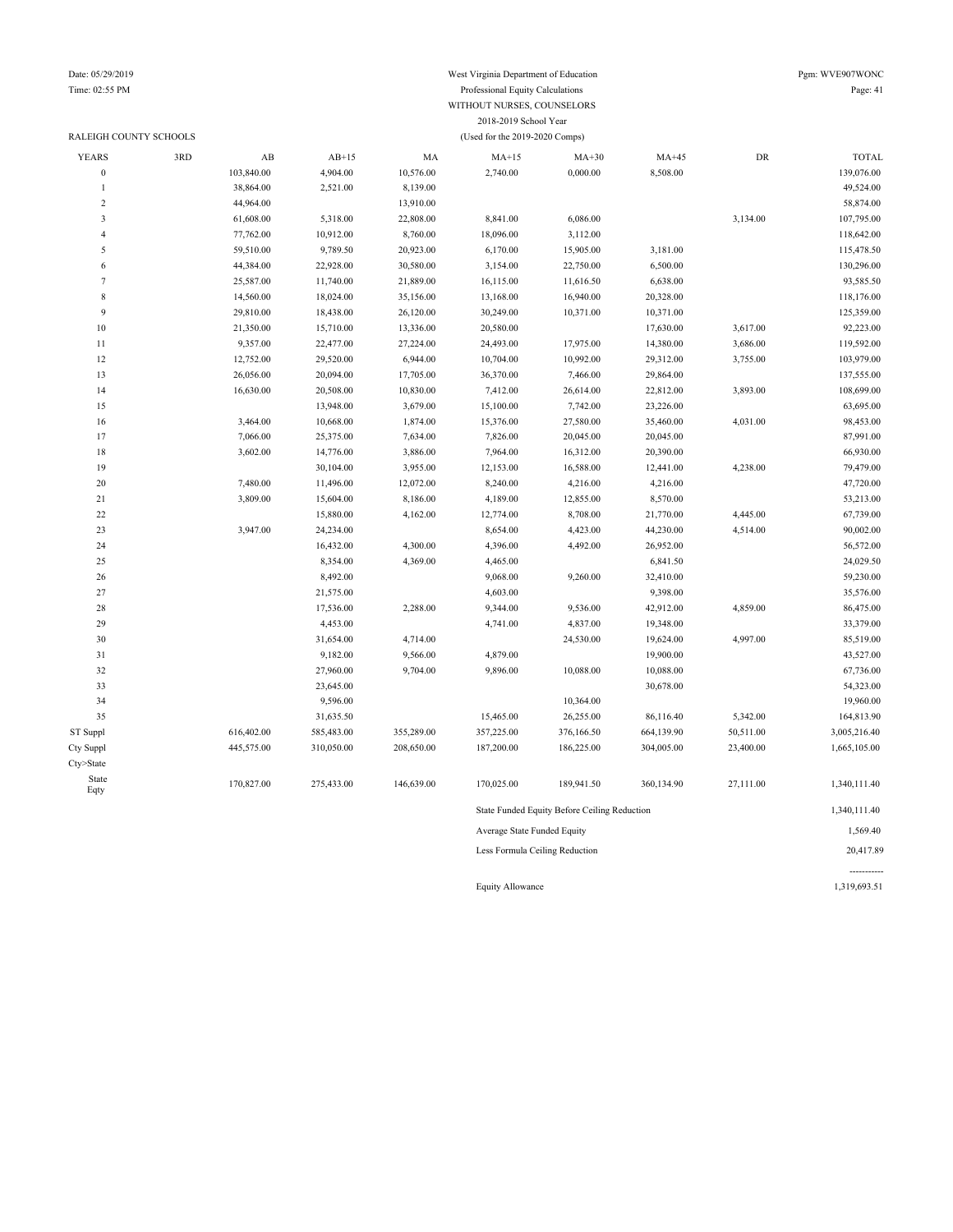### RALEIGH COUNTY SCHOOLS (Used for the 2019-2020 Comps)

### Date: 05/29/2019 Pgm: WVE907WONC Time: 02:55 PM Professional Equity Calculations Page: 41 WITHOUT NURSES, COUNSELORS 2018-2019 School Year

| <b>YEARS</b>     | 3RD | AB         | $AB+15$    | MA         | $MA+15$                     | $MA+30$                                      | $MA+45$    | DR        | <b>TOTAL</b> |
|------------------|-----|------------|------------|------------|-----------------------------|----------------------------------------------|------------|-----------|--------------|
| $\boldsymbol{0}$ |     | 103,840.00 | 4,904.00   | 10,576.00  | 2,740.00                    | 0,000.00                                     | 8,508.00   |           | 139,076.00   |
| $\mathbf{1}$     |     | 38,864.00  | 2,521.00   | 8,139.00   |                             |                                              |            |           | 49,524.00    |
| $\overline{2}$   |     | 44,964.00  |            | 13,910.00  |                             |                                              |            |           | 58,874.00    |
| $\mathbf{3}$     |     | 61,608.00  | 5,318.00   | 22,808.00  | 8,841.00                    | 6,086.00                                     |            | 3,134.00  | 107,795.00   |
| 4                |     | 77,762.00  | 10,912.00  | 8,760.00   | 18,096.00                   | 3,112.00                                     |            |           | 118,642.00   |
| 5                |     | 59,510.00  | 9,789.50   | 20,923.00  | 6,170.00                    | 15,905.00                                    | 3,181.00   |           | 115,478.50   |
| 6                |     | 44,384.00  | 22,928.00  | 30,580.00  | 3,154.00                    | 22,750.00                                    | 6,500.00   |           | 130,296.00   |
| $\tau$           |     | 25,587.00  | 11,740.00  | 21,889.00  | 16,115.00                   | 11,616.50                                    | 6,638.00   |           | 93,585.50    |
| $\,$ 8 $\,$      |     | 14,560.00  | 18,024.00  | 35,156.00  | 13,168.00                   | 16,940.00                                    | 20,328.00  |           | 118,176.00   |
| 9                |     | 29,810.00  | 18,438.00  | 26,120.00  | 30,249.00                   | 10,371.00                                    | 10,371.00  |           | 125,359.00   |
| 10               |     | 21,350.00  | 15,710.00  | 13,336.00  | 20,580.00                   |                                              | 17,630.00  | 3,617.00  | 92,223.00    |
| $1\,1$           |     | 9,357.00   | 22,477.00  | 27,224.00  | 24,493.00                   | 17,975.00                                    | 14,380.00  | 3,686.00  | 119,592.00   |
| 12               |     | 12,752.00  | 29,520.00  | 6,944.00   | 10,704.00                   | 10,992.00                                    | 29,312.00  | 3,755.00  | 103,979.00   |
| 13               |     | 26,056.00  | 20,094.00  | 17,705.00  | 36,370.00                   | 7,466.00                                     | 29,864.00  |           | 137,555.00   |
| 14               |     | 16,630.00  | 20,508.00  | 10,830.00  | 7,412.00                    | 26,614.00                                    | 22,812.00  | 3,893.00  | 108,699.00   |
| 15               |     |            | 13,948.00  | 3,679.00   | 15,100.00                   | 7,742.00                                     | 23,226.00  |           | 63,695.00    |
| 16               |     | 3,464.00   | 10,668.00  | 1,874.00   | 15,376.00                   | 27,580.00                                    | 35,460.00  | 4,031.00  | 98,453.00    |
| 17               |     | 7,066.00   | 25,375.00  | 7,634.00   | 7,826.00                    | 20,045.00                                    | 20,045.00  |           | 87,991.00    |
| 18               |     | 3,602.00   | 14,776.00  | 3,886.00   | 7,964.00                    | 16,312.00                                    | 20,390.00  |           | 66,930.00    |
| 19               |     |            | 30,104.00  | 3,955.00   | 12,153.00                   | 16,588.00                                    | 12,441.00  | 4,238.00  | 79,479.00    |
| $20\,$           |     | 7,480.00   | 11,496.00  | 12,072.00  | 8,240.00                    | 4,216.00                                     | 4,216.00   |           | 47,720.00    |
| 21               |     | 3,809.00   | 15,604.00  | 8,186.00   | 4,189.00                    | 12,855.00                                    | 8,570.00   |           | 53,213.00    |
| $22\,$           |     |            | 15,880.00  | 4,162.00   | 12,774.00                   | 8,708.00                                     | 21,770.00  | 4,445.00  | 67,739.00    |
| 23               |     | 3,947.00   | 24,234.00  |            | 8,654.00                    | 4,423.00                                     | 44,230.00  | 4,514.00  | 90,002.00    |
| 24               |     |            | 16,432.00  | 4,300.00   | 4,396.00                    | 4,492.00                                     | 26,952.00  |           | 56,572.00    |
| 25               |     |            | 8,354.00   | 4,369.00   | 4,465.00                    |                                              | 6,841.50   |           | 24,029.50    |
| 26               |     |            | 8,492.00   |            | 9,068.00                    | 9,260.00                                     | 32,410.00  |           | 59,230.00    |
| 27               |     |            | 21,575.00  |            | 4,603.00                    |                                              | 9,398.00   |           | 35,576.00    |
| 28               |     |            | 17,536.00  | 2,288.00   | 9,344.00                    | 9,536.00                                     | 42,912.00  | 4,859.00  | 86,475.00    |
| 29               |     |            | 4,453.00   |            | 4,741.00                    | 4,837.00                                     | 19,348.00  |           | 33,379.00    |
| 30               |     |            | 31,654.00  | 4,714.00   |                             | 24,530.00                                    | 19,624.00  | 4,997.00  | 85,519.00    |
| 31               |     |            | 9,182.00   | 9,566.00   | 4,879.00                    |                                              | 19,900.00  |           | 43,527.00    |
| 32               |     |            | 27,960.00  | 9,704.00   | 9,896.00                    | 10,088.00                                    | 10,088.00  |           | 67,736.00    |
| 33               |     |            | 23,645.00  |            |                             |                                              | 30,678.00  |           | 54,323.00    |
| 34               |     |            | 9,596.00   |            |                             | 10,364.00                                    |            |           | 19,960.00    |
| 35               |     |            | 31,635.50  |            | 15,465.00                   | 26,255.00                                    | 86,116.40  | 5,342.00  | 164,813.90   |
| ST Suppl         |     | 616,402.00 | 585,483.00 | 355,289.00 | 357,225.00                  | 376,166.50                                   | 664,139.90 | 50,511.00 | 3,005,216.40 |
| Cty Suppl        |     | 445,575.00 | 310,050.00 | 208,650.00 | 187,200.00                  | 186,225.00                                   | 304,005.00 | 23,400.00 | 1,665,105.00 |
| Cty>State        |     |            |            |            |                             |                                              |            |           |              |
| State<br>Eqty    |     | 170,827.00 | 275,433.00 | 146,639.00 | 170,025.00                  | 189,941.50                                   | 360,134.90 | 27,111.00 | 1,340,111.40 |
|                  |     |            |            |            |                             | State Funded Equity Before Ceiling Reduction |            |           | 1,340,111.40 |
|                  |     |            |            |            | Average State Funded Equity |                                              |            |           | 1,569.40     |

Less Formula Ceiling Reduction 20,417.89

----------- Equity Allowance 1,319,693.51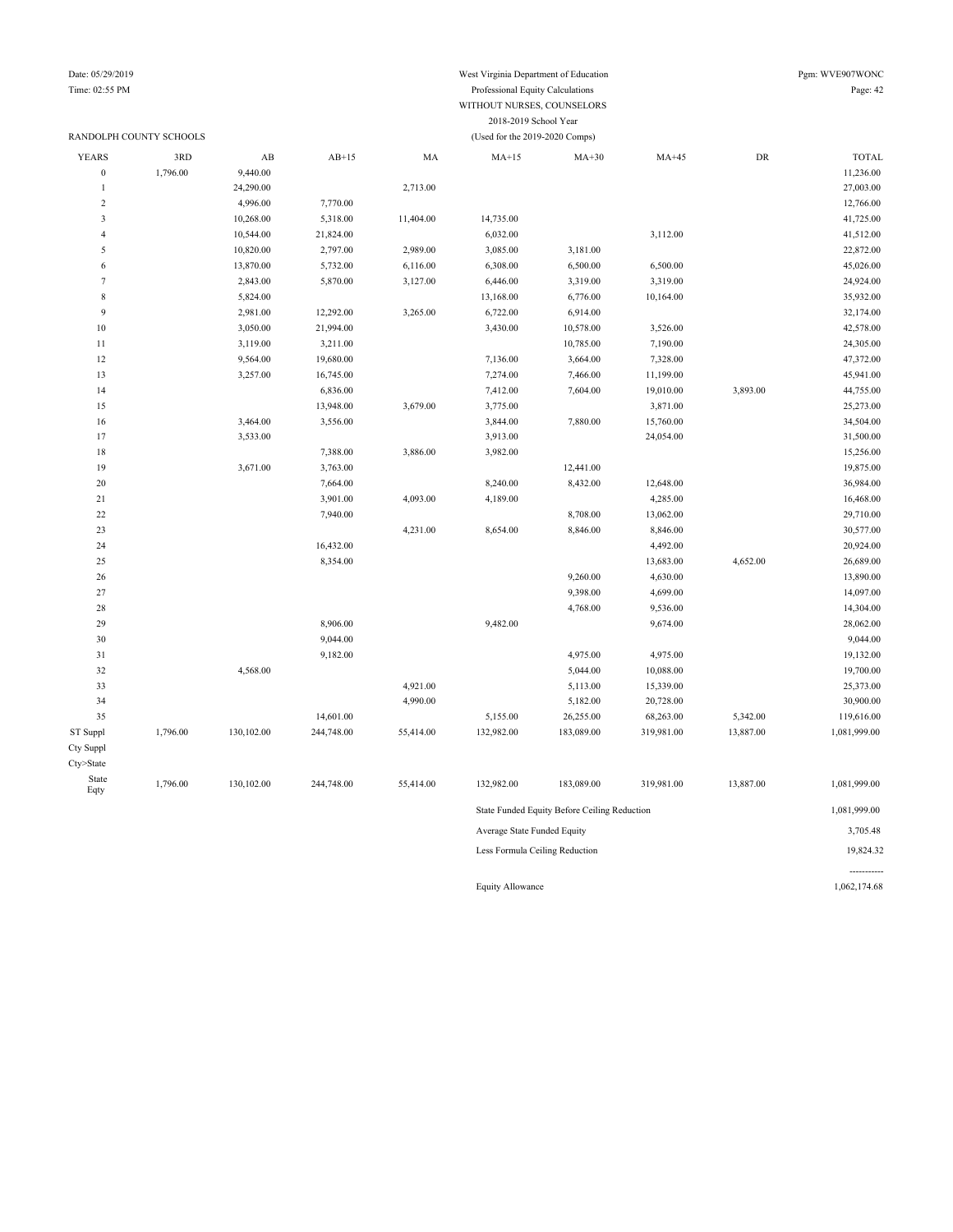#### Date: 05/29/2019 West Virginia Department of Education Pgm: WVE907WONC Time: 02:55 PM Professional Equity Calculations Page: 42 WITHOUT NURSES, COUNSELORS 2018-2019 School Year

#### RANDOLPH COUNTY SCHOOLS (Used for the 2019-2020 Comps) YEARS 3RD AB AB+15 MA MA+15 MA+30 MA+45 DR TOTAL 0 1,796.00 9,440.00 11,236.00 9,440.00 1 24,290.00 27,003.00 2,713.00 2,713.00 2 4,996.00 7,770.00 12,766.00 12,766.00 3 10,268.00 5,318.00 11,404.00 14,735.00 41,725.00 4 10,544.00 21,824.00 6,032.00 3,112.00 41,512.00 41,512.00 5 10,820.00 2,797.00 2,989.00 3,085.00 3,181.00 22,872.00 6 13,870.00 5,732.00 6,116.00 6,308.00 6,500.00 6,500.00 45,026.00 7 2,843.00 5,870.00 3,127.00 6,446.00 3,319.00 3,319.00 24,924.00 8 5,824.00 13,168.00 6,776.00 10,164.00 35,932.00 9 2,981.00 12,292.00 3,265.00 6,722.00 6,914.00 3,2174.00 32,174.00 10 3,050.00 21,994.00 3,430.00 10,578.00 3,526.00 3,526.00 42,578.00 10,785.00 7,190.00 24,305.00 24,305.00 24,305.00 12 9,564.00 19,680.00 19,680.00 7,136.00 3,664.00 7,328.00 47,372.00 13 3,257.00 16,745.00 7,274.00 7,466.00 11,199.00 45,941.00 14 6,836.00 7,412.00 7,604.00 19,010.00 3,893.00 44,755.00 15 15 13,948.00 3,679.00 3,775.00 3,871.00 3,871.00 25,273.00 16 3,464.00 3,556.00 3,556.00 3,844.00 7,880.00 15,760.00 3,4504.00 34,504.00 17 3,533.00 31,500.00 33,633.00 3,633.00 3,913.00 3,913.00 3,913.00 3,913.00 31,500.00 18 18 15,256.00 15,388.00 3,886.00 3,982.00 3,982.00 19 3,671.00 3,763.00 3,763.00 12,441.00 13,875.00 12,441.00 13,875.00 20 7,664.00 8,240.00 8,432.00 12,648.00 36,984.00 21 3,901.00 4,093.00 4,189.00 4,285.00 16,468.00 22 7,940.00 7,940.00 8,708.00 13,062.00 29,710.00 23 4,231.00 8,654.00 8,846.00 8,846.00 30,577.00 24 16,432.00 16,432.00 20,924.00 25 8,354.00 13,683.00 4,652.00 26,689.00 26 9,260.00 4,630.00 13,890.00 27 9,398.00 4,699.00 14,097.00 28 4,768.00 9,536.00 14,304.00 29 8,906.00 8,906.00 9,482.00 9,674.00 9,674.00 28,062.00 30 9,044.00 9,044.00 31 9,182.00 4,975.00 4,975.00 19,132.00 32 4,568.00 4,568.00 5,044.00 10,088.00 19,700.00 4,921.00 5,113.00 15,339.00 5,1339.00 25,373.00 34 4,990.00 5,182.00 20,728.00 30,900.00 35 14,601.00 5,155.00 26,255.00 68,263.00 5,342.00 119,616.00 ST Suppl 1,796.00 130,102.00 244,748.00 55,414.00 132,982.00 183,089.00 319,981.00 13,887.00 1,081,999.00 Cty Suppl Cty>State State Eqty 1,796.00 130,102.00 244,748.00 55,414.00 132,982.00 183,089.00 319,981.00 13,887.00 1,081,999.00 State Funded Equity Before Ceiling Reduction 1,081,999.00 Average State Funded Equity 3,705.48 Less Formula Ceiling Reduction 19,824.32

Equity Allowance 1,062,174.68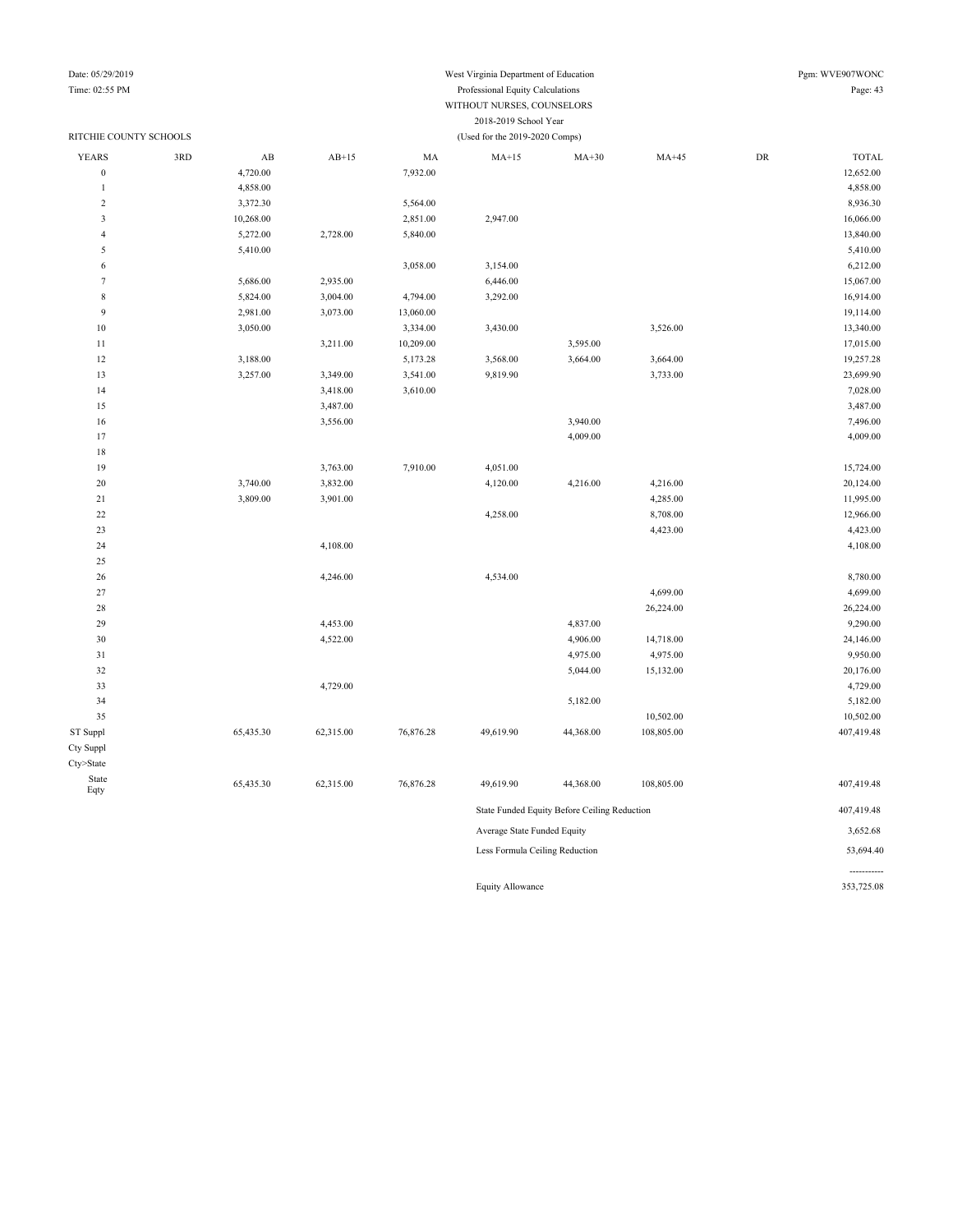## Date: 05/29/2019 West Virginia Department of Education Pgm: WVE907WONC

-----------

#### Time: 02:55 PM Professional Equity Calculations Page: 43 WITHOUT NURSES, COUNSELORS 2018-2019 School Year

| RITCHIE COUNTY SCHOOLS  |     |                        |           |           | (Used for the 2019-2020 Comps) |                                              |            |            |              |
|-------------------------|-----|------------------------|-----------|-----------|--------------------------------|----------------------------------------------|------------|------------|--------------|
| <b>YEARS</b>            | 3RD | $\mathbf{A}\mathbf{B}$ | $AB+15$   | MA        | $MA+15$                        | $MA+30$                                      | $MA+45$    | ${\rm DR}$ | <b>TOTAL</b> |
| $\boldsymbol{0}$        |     | 4,720.00               |           | 7,932.00  |                                |                                              |            |            | 12,652.00    |
| 1                       |     | 4,858.00               |           |           |                                |                                              |            |            | 4,858.00     |
| $\sqrt{2}$              |     | 3,372.30               |           | 5,564.00  |                                |                                              |            |            | 8,936.30     |
| $\overline{\mathbf{3}}$ |     | 10,268.00              |           | 2,851.00  | 2,947.00                       |                                              |            |            | 16,066.00    |
| $\overline{4}$          |     | 5,272.00               | 2,728.00  | 5,840.00  |                                |                                              |            |            | 13,840.00    |
| 5                       |     | 5,410.00               |           |           |                                |                                              |            |            | 5,410.00     |
| 6                       |     |                        |           | 3,058.00  | 3,154.00                       |                                              |            |            | 6,212.00     |
| $7\phantom{.0}$         |     | 5,686.00               | 2,935.00  |           | 6,446.00                       |                                              |            |            | 15,067.00    |
| $\,$ 8 $\,$             |     | 5,824.00               | 3,004.00  | 4,794.00  | 3,292.00                       |                                              |            |            | 16,914.00    |
| 9                       |     | 2,981.00               | 3,073.00  | 13,060.00 |                                |                                              |            |            | 19,114.00    |
| $10$                    |     | 3,050.00               |           | 3,334.00  | 3,430.00                       |                                              | 3,526.00   |            | 13,340.00    |
| 11                      |     |                        | 3,211.00  | 10,209.00 |                                | 3,595.00                                     |            |            | 17,015.00    |
| 12                      |     | 3,188.00               |           | 5,173.28  | 3,568.00                       | 3,664.00                                     | 3,664.00   |            | 19,257.28    |
| 13                      |     | 3,257.00               | 3,349.00  | 3,541.00  | 9,819.90                       |                                              | 3,733.00   |            | 23,699.90    |
| 14                      |     |                        | 3,418.00  | 3,610.00  |                                |                                              |            |            | 7,028.00     |
| 15                      |     |                        | 3,487.00  |           |                                |                                              |            |            | 3,487.00     |
| 16                      |     |                        | 3,556.00  |           |                                | 3,940.00                                     |            |            | 7,496.00     |
| 17                      |     |                        |           |           |                                | 4,009.00                                     |            |            | 4,009.00     |
| 18                      |     |                        |           |           |                                |                                              |            |            |              |
| 19                      |     |                        | 3,763.00  | 7,910.00  | 4,051.00                       |                                              |            |            | 15,724.00    |
| 20                      |     | 3,740.00               | 3,832.00  |           | 4,120.00                       | 4,216.00                                     | 4,216.00   |            | 20,124.00    |
| 21                      |     | 3,809.00               | 3,901.00  |           |                                |                                              | 4,285.00   |            | 11,995.00    |
| $22\,$                  |     |                        |           |           | 4,258.00                       |                                              | 8,708.00   |            | 12,966.00    |
| 23                      |     |                        |           |           |                                |                                              | 4,423.00   |            | 4,423.00     |
| 24                      |     |                        | 4,108.00  |           |                                |                                              |            |            | 4,108.00     |
| 25                      |     |                        |           |           |                                |                                              |            |            |              |
| 26                      |     |                        | 4,246.00  |           | 4,534.00                       |                                              |            |            | 8,780.00     |
| 27                      |     |                        |           |           |                                |                                              | 4,699.00   |            | 4,699.00     |
| 28                      |     |                        |           |           |                                |                                              | 26,224.00  |            | 26,224.00    |
| 29                      |     |                        | 4,453.00  |           |                                | 4,837.00                                     |            |            | 9,290.00     |
| 30                      |     |                        | 4,522.00  |           |                                | 4,906.00                                     | 14,718.00  |            | 24,146.00    |
| 31                      |     |                        |           |           |                                | 4,975.00                                     | 4,975.00   |            | 9,950.00     |
| 32                      |     |                        |           |           |                                | 5,044.00                                     | 15,132.00  |            | 20,176.00    |
| 33                      |     |                        | 4,729.00  |           |                                |                                              |            |            | 4,729.00     |
| 34                      |     |                        |           |           |                                | 5,182.00                                     |            |            | 5,182.00     |
| 35                      |     |                        |           |           |                                |                                              | 10,502.00  |            | 10,502.00    |
| ST Suppl                |     | 65,435.30              | 62,315.00 | 76,876.28 | 49,619.90                      | 44,368.00                                    | 108,805.00 |            | 407,419.48   |
| Cty Suppl               |     |                        |           |           |                                |                                              |            |            |              |
| Cty>State               |     |                        |           |           |                                |                                              |            |            |              |
| State<br>Eqty           |     | 65,435.30              | 62,315.00 | 76,876.28 | 49,619.90                      | 44,368.00                                    | 108,805.00 |            | 407,419.48   |
|                         |     |                        |           |           |                                | State Funded Equity Before Ceiling Reduction |            |            | 407,419.48   |
|                         |     |                        |           |           | 3,652.68                       |                                              |            |            |              |
|                         |     |                        |           |           | Less Formula Ceiling Reduction |                                              |            |            | 53,694.40    |

Equity Allowance 353,725.08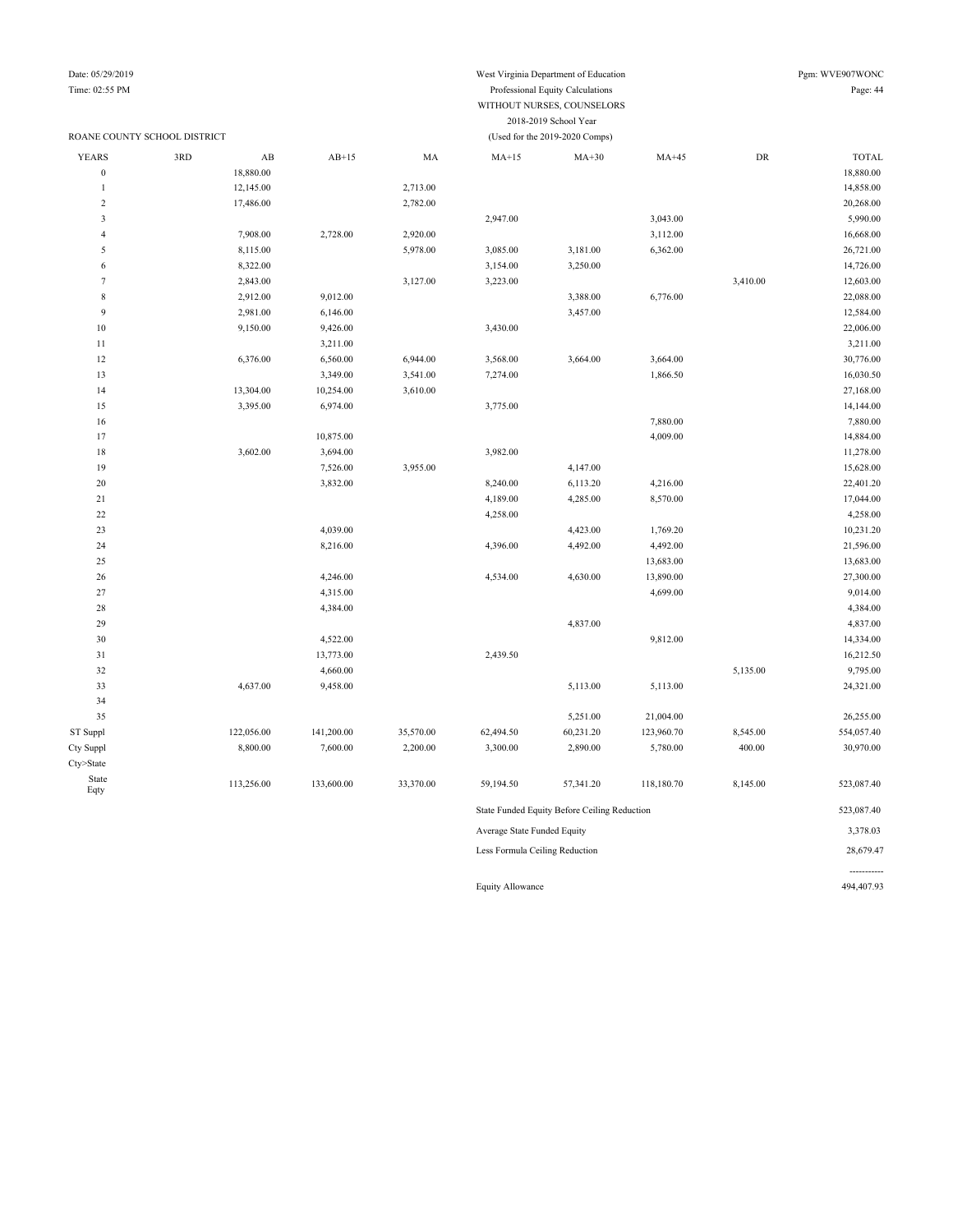### ROANE COUNTY SCHOOL DISTRICT (Used for the 2019-2020 Comps)

Date: 05/29/2019 West Virginia Department of Education Pgm: WVE907WONC

### Time: 02:55 PM Professional Equity Calculations Page: 44 WITHOUT NURSES, COUNSELORS 2018-2019 School Year

| <b>YEARS</b>     | 3RD | AB         | $AB+15$    | MA        | $MA+15$                     | $MA+30$                                      | $MA+45$    | DR       | <b>TOTAL</b> |
|------------------|-----|------------|------------|-----------|-----------------------------|----------------------------------------------|------------|----------|--------------|
| $\boldsymbol{0}$ |     | 18,880.00  |            |           |                             |                                              |            |          | 18,880.00    |
| $\mathbf{1}$     |     | 12,145.00  |            | 2,713.00  |                             |                                              |            |          | 14,858.00    |
| $\overline{c}$   |     | 17,486.00  |            | 2,782.00  |                             |                                              |            |          | 20,268.00    |
| $\mathfrak z$    |     |            |            |           | 2,947.00                    |                                              | 3,043.00   |          | 5,990.00     |
| 4                |     | 7,908.00   | 2,728.00   | 2,920.00  |                             |                                              | 3,112.00   |          | 16,668.00    |
| 5                |     | 8,115.00   |            | 5,978.00  | 3,085.00                    | 3,181.00                                     | 6,362.00   |          | 26,721.00    |
| 6                |     | 8,322.00   |            |           | 3,154.00                    | 3,250.00                                     |            |          | 14,726.00    |
| $\tau$           |     | 2,843.00   |            | 3,127.00  | 3,223.00                    |                                              |            | 3,410.00 | 12,603.00    |
| $\,$ 8 $\,$      |     | 2,912.00   | 9,012.00   |           |                             | 3,388.00                                     | 6,776.00   |          | 22,088.00    |
| 9                |     | 2,981.00   | 6,146.00   |           |                             | 3,457.00                                     |            |          | 12,584.00    |
| $10\,$           |     | 9,150.00   | 9,426.00   |           | 3,430.00                    |                                              |            |          | 22,006.00    |
| $1\,1$           |     |            | 3,211.00   |           |                             |                                              |            |          | 3,211.00     |
| 12               |     | 6,376.00   | 6,560.00   | 6,944.00  | 3,568.00                    | 3,664.00                                     | 3,664.00   |          | 30,776.00    |
| 13               |     |            | 3,349.00   | 3,541.00  | 7,274.00                    |                                              | 1,866.50   |          | 16,030.50    |
| 14               |     | 13,304.00  | 10,254.00  | 3,610.00  |                             |                                              |            |          | 27,168.00    |
| 15               |     | 3,395.00   | 6,974.00   |           | 3,775.00                    |                                              |            |          | 14,144.00    |
| 16               |     |            |            |           |                             |                                              | 7,880.00   |          | 7,880.00     |
| 17               |     |            | 10,875.00  |           |                             |                                              | 4,009.00   |          | 14,884.00    |
| 18               |     | 3,602.00   | 3,694.00   |           | 3,982.00                    |                                              |            |          | 11,278.00    |
| 19               |     |            | 7,526.00   | 3,955.00  |                             | 4,147.00                                     |            |          | 15,628.00    |
| $20\,$           |     |            | 3,832.00   |           | 8,240.00                    | 6,113.20                                     | 4,216.00   |          | 22,401.20    |
| $21\,$           |     |            |            |           | 4,189.00                    | 4,285.00                                     | 8,570.00   |          | 17,044.00    |
| 22               |     |            |            |           | 4,258.00                    |                                              |            |          | 4,258.00     |
| $23\,$           |     |            | 4,039.00   |           |                             | 4,423.00                                     | 1,769.20   |          | 10,231.20    |
| 24               |     |            | 8,216.00   |           | 4,396.00                    | 4,492.00                                     | 4,492.00   |          | 21,596.00    |
| 25               |     |            |            |           |                             |                                              | 13,683.00  |          | 13,683.00    |
| $26\,$           |     |            | 4,246.00   |           | 4,534.00                    | 4,630.00                                     | 13,890.00  |          | 27,300.00    |
| 27               |     |            | 4,315.00   |           |                             |                                              | 4,699.00   |          | 9,014.00     |
| 28               |     |            | 4,384.00   |           |                             |                                              |            |          | 4,384.00     |
| 29               |     |            |            |           |                             | 4,837.00                                     |            |          | 4,837.00     |
| 30               |     |            | 4,522.00   |           |                             |                                              | 9,812.00   |          | 14,334.00    |
| 31               |     |            | 13,773.00  |           | 2,439.50                    |                                              |            |          | 16,212.50    |
| 32               |     |            | 4,660.00   |           |                             |                                              |            | 5,135.00 | 9,795.00     |
| 33               |     | 4,637.00   | 9,458.00   |           |                             | 5,113.00                                     | 5,113.00   |          | 24,321.00    |
| 34               |     |            |            |           |                             |                                              |            |          |              |
| 35               |     |            |            |           |                             | 5,251.00                                     | 21,004.00  |          | 26,255.00    |
| ST Suppl         |     | 122,056.00 | 141,200.00 | 35,570.00 | 62,494.50                   | 60,231.20                                    | 123,960.70 | 8,545.00 | 554,057.40   |
| Cty Suppl        |     | 8,800.00   | 7,600.00   | 2,200.00  | 3,300.00                    | 2,890.00                                     | 5,780.00   | 400.00   | 30,970.00    |
|                  |     |            |            |           |                             |                                              |            |          |              |
| $Cty$ >State     |     |            |            |           |                             |                                              |            |          |              |
| State<br>Eqty    |     | 113,256.00 | 133,600.00 | 33,370.00 | 59,194.50                   | 57,341.20                                    | 118,180.70 | 8,145.00 | 523,087.40   |
|                  |     |            |            |           |                             | State Funded Equity Before Ceiling Reduction |            |          | 523,087.40   |
|                  |     |            |            |           | Average State Funded Equity |                                              |            |          | 3,378.03     |

Less Formula Ceiling Reduction 28,679.47

Equity Allowance 494,407.93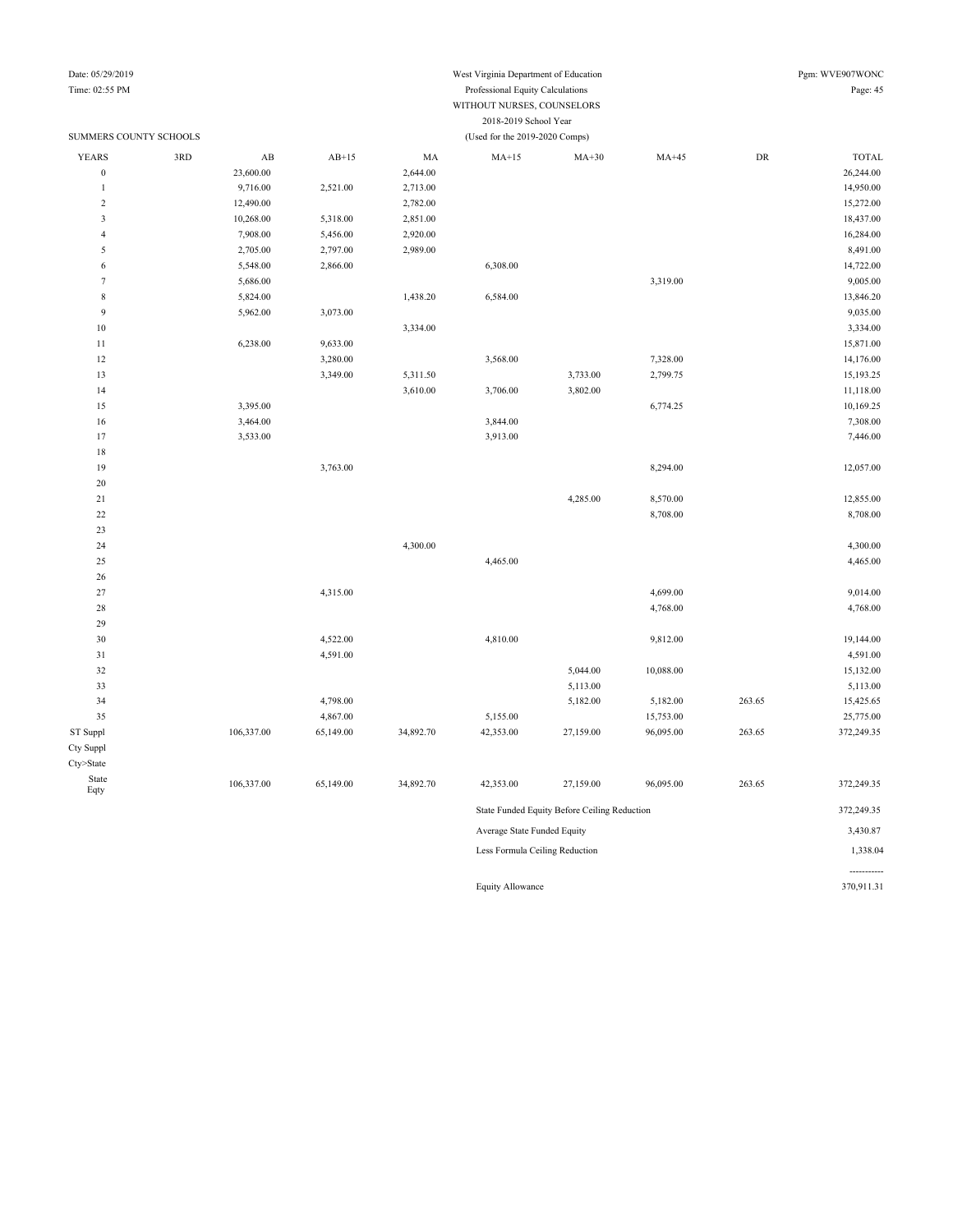## Date: 05/29/2019 West Virginia Department of Education Pgm: WVE907WONC

-----------

#### Time: 02:55 PM Professional Equity Calculations Page: 45 WITHOUT NURSES, COUNSELORS 2018-2019 School Ye

|                        |     |                        |           |           | 2010-2019 SCHOOL LEA           |                                              |           |            |              |
|------------------------|-----|------------------------|-----------|-----------|--------------------------------|----------------------------------------------|-----------|------------|--------------|
| SUMMERS COUNTY SCHOOLS |     |                        |           |           | (Used for the 2019-2020 Comps) |                                              |           |            |              |
| <b>YEARS</b>           | 3RD | $\mathbf{A}\mathbf{B}$ | $AB+15$   | MA        | $MA+15$                        | $MA+30$                                      | $MA+45$   | ${\rm DR}$ | <b>TOTAL</b> |
| $\boldsymbol{0}$       |     | 23,600.00              |           | 2,644.00  |                                |                                              |           |            | 26,244.00    |
| $\mathbf{1}$           |     | 9,716.00               | 2,521.00  | 2,713.00  |                                |                                              |           |            | 14,950.00    |
| $\sqrt{2}$             |     | 12,490.00              |           | 2,782.00  |                                |                                              |           |            | 15,272.00    |
| 3                      |     | 10,268.00              | 5,318.00  | 2,851.00  |                                |                                              |           |            | 18,437.00    |
| $\overline{4}$         |     | 7,908.00               | 5,456.00  | 2,920.00  |                                |                                              |           |            | 16,284.00    |
| 5                      |     | 2,705.00               | 2,797.00  | 2,989.00  |                                |                                              |           |            | 8,491.00     |
| 6                      |     | 5,548.00               | 2,866.00  |           | 6,308.00                       |                                              |           |            | 14,722.00    |
| $\tau$                 |     | 5,686.00               |           |           |                                |                                              | 3,319.00  |            | 9,005.00     |
| 8                      |     | 5,824.00               |           | 1,438.20  | 6,584.00                       |                                              |           |            | 13,846.20    |
| 9                      |     | 5,962.00               | 3,073.00  |           |                                |                                              |           |            | 9,035.00     |
| $10\,$                 |     |                        |           | 3,334.00  |                                |                                              |           |            | 3,334.00     |
| 11                     |     | 6,238.00               | 9,633.00  |           |                                |                                              |           |            | 15,871.00    |
| 12                     |     |                        | 3,280.00  |           | 3,568.00                       |                                              | 7,328.00  |            | 14,176.00    |
| 13                     |     |                        | 3,349.00  | 5,311.50  |                                | 3,733.00                                     | 2,799.75  |            | 15,193.25    |
| 14                     |     |                        |           | 3,610.00  | 3,706.00                       | 3,802.00                                     |           |            | 11,118.00    |
| 15                     |     | 3,395.00               |           |           |                                |                                              | 6,774.25  |            | 10,169.25    |
| 16                     |     | 3,464.00               |           |           | 3,844.00                       |                                              |           |            | 7,308.00     |
| 17                     |     | 3,533.00               |           |           | 3,913.00                       |                                              |           |            | 7,446.00     |
| 18                     |     |                        |           |           |                                |                                              |           |            |              |
| 19                     |     |                        | 3,763.00  |           |                                |                                              | 8,294.00  |            | 12,057.00    |
| 20                     |     |                        |           |           |                                |                                              |           |            |              |
| 21                     |     |                        |           |           |                                | 4,285.00                                     | 8,570.00  |            | 12,855.00    |
| $22\,$                 |     |                        |           |           |                                |                                              | 8,708.00  |            | 8,708.00     |
| 23                     |     |                        |           |           |                                |                                              |           |            |              |
| 24                     |     |                        |           | 4,300.00  |                                |                                              |           |            | 4,300.00     |
| 25                     |     |                        |           |           | 4,465.00                       |                                              |           |            | 4,465.00     |
| 26                     |     |                        |           |           |                                |                                              |           |            |              |
| 27                     |     |                        | 4,315.00  |           |                                |                                              | 4,699.00  |            | 9,014.00     |
| 28                     |     |                        |           |           |                                |                                              | 4,768.00  |            | 4,768.00     |
| 29                     |     |                        |           |           |                                |                                              |           |            |              |
| 30                     |     |                        | 4,522.00  |           | 4,810.00                       |                                              | 9,812.00  |            | 19,144.00    |
| 31                     |     |                        | 4,591.00  |           |                                |                                              |           |            | 4,591.00     |
| 32                     |     |                        |           |           |                                | 5,044.00                                     | 10,088.00 |            | 15,132.00    |
| 33                     |     |                        |           |           |                                | 5,113.00                                     |           |            | 5,113.00     |
| 34                     |     |                        | 4,798.00  |           |                                | 5,182.00                                     | 5,182.00  | 263.65     | 15,425.65    |
| 35                     |     |                        | 4,867.00  |           | 5,155.00                       |                                              | 15,753.00 |            | 25,775.00    |
| ST Suppl               |     | 106,337.00             | 65,149.00 | 34,892.70 | 42,353.00                      | 27,159.00                                    | 96,095.00 | 263.65     | 372,249.35   |
| Cty Suppl              |     |                        |           |           |                                |                                              |           |            |              |
| Cty>State              |     |                        |           |           |                                |                                              |           |            |              |
| State                  |     |                        |           |           |                                |                                              |           |            |              |
| Eqty                   |     | 106,337.00             | 65,149.00 | 34,892.70 | 42,353.00                      | 27,159.00                                    | 96,095.00 | 263.65     | 372,249.35   |
|                        |     |                        |           |           |                                | State Funded Equity Before Ceiling Reduction |           |            | 372,249.35   |
|                        |     |                        |           |           | Average State Funded Equity    |                                              |           |            | 3,430.87     |
|                        |     |                        |           |           | Less Formula Ceiling Reduction |                                              |           |            | 1,338.04     |

Equity Allowance 370,911.31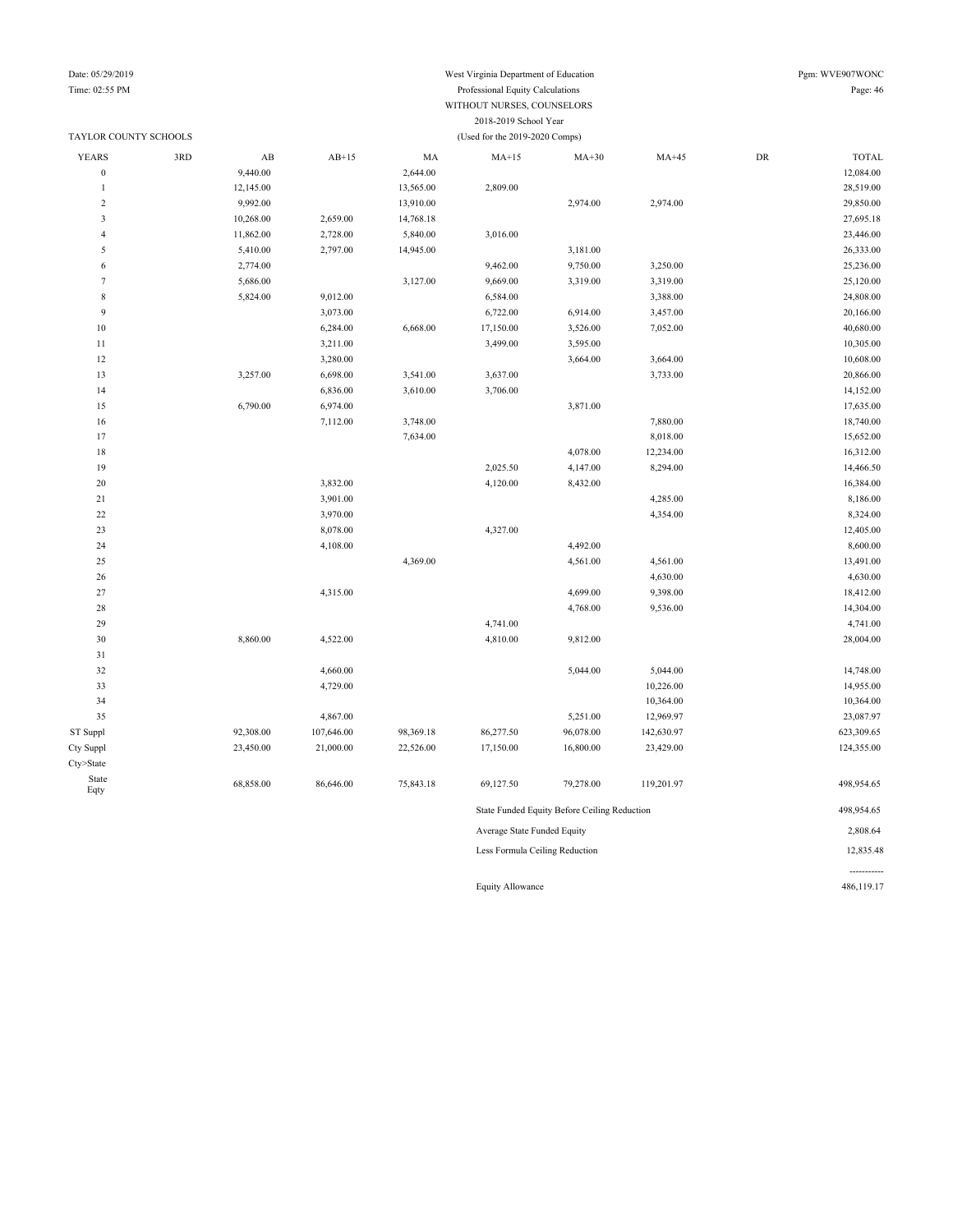### Date: 05/29/2019 West Virginia Department of Education Pgm: WVE907WONC Time: 02:55 PM Professional Equity Calculations Page: 46 WITHOUT NURSES, COUNSELORS 2018-2019 School Year

|                  | TAYLOR COUNTY SCHOOLS |                        |            |           | (Used for the 2019-2020 Comps) |                                              |            |            |              |
|------------------|-----------------------|------------------------|------------|-----------|--------------------------------|----------------------------------------------|------------|------------|--------------|
| YEARS            | 3RD                   | $\mathbf{A}\mathbf{B}$ | $AB+15$    | MA        | $MA+15$                        | $MA+30$                                      | $MA+45$    | ${\rm DR}$ | <b>TOTAL</b> |
| $\boldsymbol{0}$ |                       | 9,440.00               |            | 2,644.00  |                                |                                              |            |            | 12,084.00    |
| $\mathbf{1}$     |                       | 12,145.00              |            | 13,565.00 | 2,809.00                       |                                              |            |            | 28,519.00    |
| $\sqrt{2}$       |                       | 9,992.00               |            | 13,910.00 |                                | 2,974.00                                     | 2,974.00   |            | 29,850.00    |
| $\mathfrak{Z}$   |                       | 10,268.00              | 2,659.00   | 14,768.18 |                                |                                              |            |            | 27,695.18    |
| $\overline{4}$   |                       | 11,862.00              | 2,728.00   | 5,840.00  | 3,016.00                       |                                              |            |            | 23,446.00    |
| $\sqrt{5}$       |                       | 5,410.00               | 2,797.00   | 14,945.00 |                                | 3,181.00                                     |            |            | 26,333.00    |
| 6                |                       | 2,774.00               |            |           | 9,462.00                       | 9,750.00                                     | 3,250.00   |            | 25,236.00    |
| $\tau$           |                       | 5,686.00               |            | 3,127.00  | 9,669.00                       | 3,319.00                                     | 3,319.00   |            | 25,120.00    |
| $\,$ 8 $\,$      |                       | 5,824.00               | 9,012.00   |           | 6,584.00                       |                                              | 3,388.00   |            | 24,808.00    |
| 9                |                       |                        | 3,073.00   |           | 6,722.00                       | 6,914.00                                     | 3,457.00   |            | 20,166.00    |
| $10\,$           |                       |                        | 6,284.00   | 6,668.00  | 17,150.00                      | 3,526.00                                     | 7,052.00   |            | 40,680.00    |
| $1\,1$           |                       |                        | 3,211.00   |           | 3,499.00                       | 3,595.00                                     |            |            | 10,305.00    |
| 12               |                       |                        | 3,280.00   |           |                                | 3,664.00                                     | 3,664.00   |            | 10,608.00    |
| 13               |                       | 3,257.00               | 6,698.00   | 3,541.00  | 3,637.00                       |                                              | 3,733.00   |            | 20,866.00    |
| 14               |                       |                        | 6,836.00   | 3,610.00  | 3,706.00                       |                                              |            |            | 14,152.00    |
| 15               |                       | 6,790.00               | 6,974.00   |           |                                | 3,871.00                                     |            |            | 17,635.00    |
| 16               |                       |                        | 7,112.00   | 3,748.00  |                                |                                              | 7,880.00   |            | 18,740.00    |
| 17               |                       |                        |            | 7,634.00  |                                |                                              | 8,018.00   |            | 15,652.00    |
| $1\,8$           |                       |                        |            |           |                                | 4,078.00                                     | 12,234.00  |            | 16,312.00    |
| 19               |                       |                        |            |           | 2,025.50                       | 4,147.00                                     | 8,294.00   |            | 14,466.50    |
| $20\,$           |                       |                        | 3,832.00   |           | 4,120.00                       | 8,432.00                                     |            |            | 16,384.00    |
| 21               |                       |                        | 3,901.00   |           |                                |                                              | 4,285.00   |            | 8,186.00     |
| $22\,$           |                       |                        | 3,970.00   |           |                                |                                              | 4,354.00   |            | 8,324.00     |
| 23               |                       |                        | 8,078.00   |           | 4,327.00                       |                                              |            |            | 12,405.00    |
| 24               |                       |                        | 4,108.00   |           |                                | 4,492.00                                     |            |            | 8,600.00     |
| 25               |                       |                        |            | 4,369.00  |                                | 4,561.00                                     | 4,561.00   |            | 13,491.00    |
| $26\,$           |                       |                        |            |           |                                |                                              | 4,630.00   |            | 4,630.00     |
| 27               |                       |                        | 4,315.00   |           |                                | 4,699.00                                     | 9,398.00   |            | 18,412.00    |
| $28\,$           |                       |                        |            |           |                                | 4,768.00                                     | 9,536.00   |            | 14,304.00    |
| 29               |                       |                        |            |           | 4,741.00                       |                                              |            |            | 4,741.00     |
| $30\,$           |                       | 8,860.00               | 4,522.00   |           | 4,810.00                       | 9,812.00                                     |            |            | 28,004.00    |
| 31               |                       |                        |            |           |                                |                                              |            |            |              |
| 32               |                       |                        | 4,660.00   |           |                                | 5,044.00                                     | 5,044.00   |            | 14,748.00    |
| 33               |                       |                        | 4,729.00   |           |                                |                                              | 10,226.00  |            | 14,955.00    |
| 34               |                       |                        |            |           |                                |                                              | 10,364.00  |            | 10,364.00    |
| 35               |                       |                        | 4,867.00   |           |                                | 5,251.00                                     | 12,969.97  |            | 23,087.97    |
| ST Suppl         |                       | 92,308.00              | 107,646.00 | 98,369.18 | 86,277.50                      | 96,078.00                                    | 142,630.97 |            | 623,309.65   |
| Cty Suppl        |                       | 23,450.00              | 21,000.00  | 22,526.00 | 17,150.00                      | 16,800.00                                    | 23,429.00  |            | 124,355.00   |
| Cty>State        |                       |                        |            |           |                                |                                              |            |            |              |
| State<br>Eqty    |                       | 68,858.00              | 86,646.00  | 75,843.18 | 69,127.50                      | 79,278.00                                    | 119,201.97 |            | 498,954.65   |
|                  |                       |                        |            |           |                                | State Funded Equity Before Ceiling Reduction |            |            | 498,954.65   |
|                  |                       |                        |            |           | Average State Funded Equity    |                                              |            |            | 2,808.64     |

Less Formula Ceiling Reduction 12,835.48

Equity Allowance 486,119.17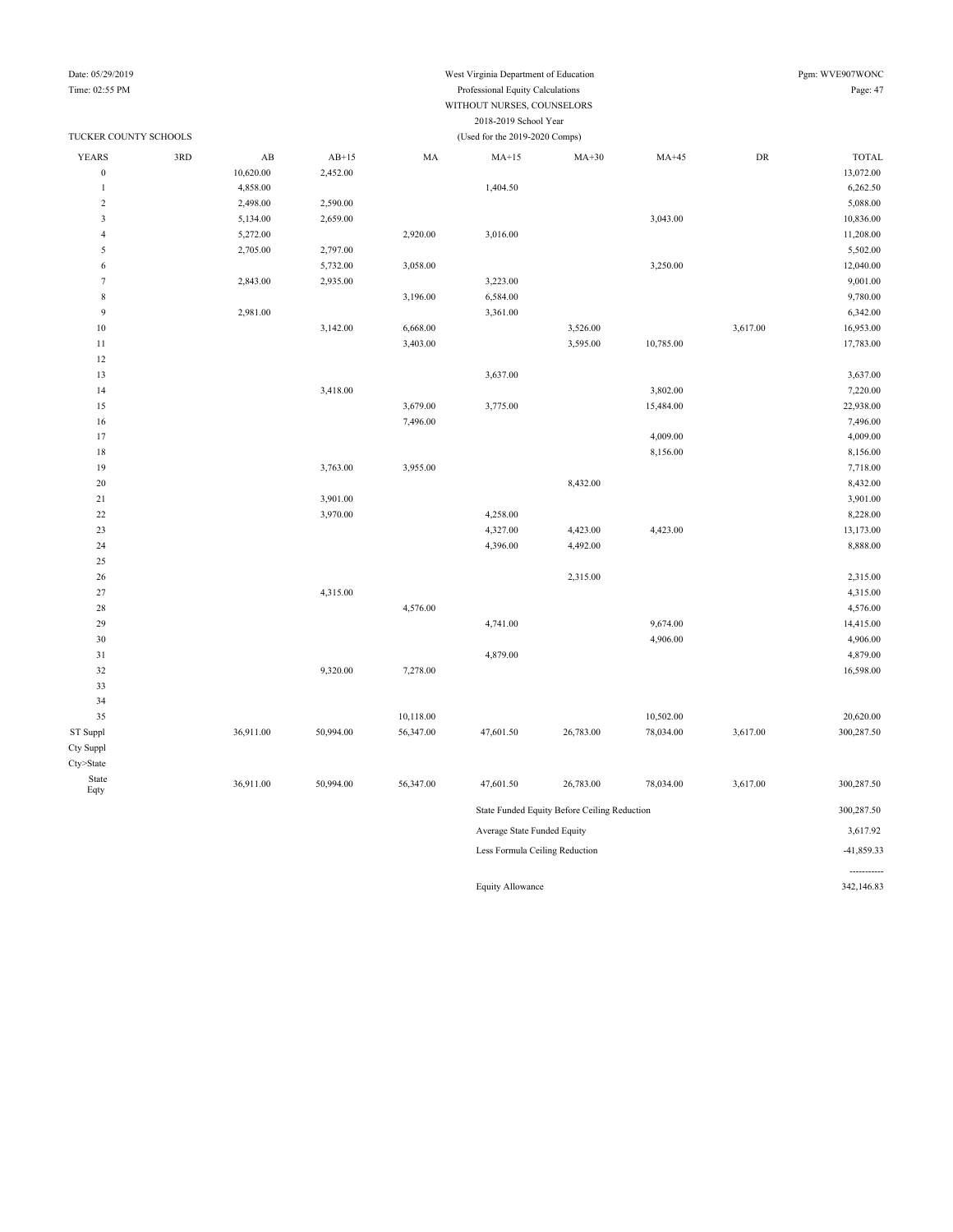#### Date: 05/29/2019 West Virginia Department of Education Pgm: WVE907WONC Time: 02:55 PM Professional Equity Calculations Page: 47 WITHOUT NURSES, COUNSELORS 2018-2019 School Year

| TUCKER COUNTY SCHOOLS<br><b>YEARS</b><br>3RD |  |                        |           |           | (Used for the 2019-2020 Comps) |                                              |           |          |              |
|----------------------------------------------|--|------------------------|-----------|-----------|--------------------------------|----------------------------------------------|-----------|----------|--------------|
|                                              |  | $\mathbf{A}\mathbf{B}$ | $AB+15$   | MA        | $MA+15$                        | $MA+30$                                      | $MA+45$   | DR       | <b>TOTAL</b> |
| $\boldsymbol{0}$                             |  | 10,620.00              | 2,452.00  |           |                                |                                              |           |          | 13,072.00    |
| $\mathbf{1}$                                 |  | 4,858.00               |           |           | 1,404.50                       |                                              |           |          | 6,262.50     |
| $\sqrt{2}$                                   |  | 2,498.00               | 2,590.00  |           |                                |                                              |           |          | 5,088.00     |
| $\overline{\mathbf{3}}$                      |  | 5,134.00               | 2,659.00  |           |                                |                                              | 3,043.00  |          | 10,836.00    |
| $\overline{4}$                               |  | 5,272.00               |           | 2,920.00  | 3,016.00                       |                                              |           |          | 11,208.00    |
| 5                                            |  | 2,705.00               | 2,797.00  |           |                                |                                              |           |          | 5,502.00     |
| 6                                            |  |                        | 5,732.00  | 3,058.00  |                                |                                              | 3,250.00  |          | 12,040.00    |
| $\tau$                                       |  | 2,843.00               | 2,935.00  |           | 3,223.00                       |                                              |           |          | 9,001.00     |
| $\,$ 8 $\,$                                  |  |                        |           | 3,196.00  | 6,584.00                       |                                              |           |          | 9,780.00     |
| 9                                            |  | 2,981.00               |           |           | 3,361.00                       |                                              |           |          | 6,342.00     |
| 10                                           |  |                        | 3,142.00  | 6,668.00  |                                | 3,526.00                                     |           | 3,617.00 | 16,953.00    |
| 11                                           |  |                        |           | 3,403.00  |                                | 3,595.00                                     | 10,785.00 |          | 17,783.00    |
| 12                                           |  |                        |           |           |                                |                                              |           |          |              |
| 13                                           |  |                        |           |           | 3,637.00                       |                                              |           |          | 3,637.00     |
| 14                                           |  |                        | 3,418.00  |           |                                |                                              | 3,802.00  |          | 7,220.00     |
| 15                                           |  |                        |           | 3,679.00  | 3,775.00                       |                                              | 15,484.00 |          | 22,938.00    |
| 16                                           |  |                        |           | 7,496.00  |                                |                                              |           |          | 7,496.00     |
| 17                                           |  |                        |           |           |                                |                                              | 4,009.00  |          | 4,009.00     |
| 18                                           |  |                        |           |           |                                |                                              | 8,156.00  |          | 8,156.00     |
| 19                                           |  |                        | 3,763.00  | 3,955.00  |                                |                                              |           |          | 7,718.00     |
| 20                                           |  |                        |           |           |                                | 8,432.00                                     |           |          | 8,432.00     |
| $21\,$                                       |  |                        | 3,901.00  |           |                                |                                              |           |          | 3,901.00     |
| $22\,$                                       |  |                        | 3,970.00  |           | 4,258.00                       |                                              |           |          | 8,228.00     |
| 23                                           |  |                        |           |           | 4,327.00                       | 4,423.00                                     | 4,423.00  |          | 13,173.00    |
| 24                                           |  |                        |           |           | 4,396.00                       | 4,492.00                                     |           |          | 8,888.00     |
| 25                                           |  |                        |           |           |                                |                                              |           |          |              |
| 26                                           |  |                        |           |           |                                | 2,315.00                                     |           |          | 2,315.00     |
| $27\,$                                       |  |                        | 4,315.00  |           |                                |                                              |           |          | 4,315.00     |
| 28                                           |  |                        |           | 4,576.00  |                                |                                              |           |          | 4,576.00     |
| 29                                           |  |                        |           |           | 4,741.00                       |                                              | 9,674.00  |          | 14,415.00    |
| 30                                           |  |                        |           |           |                                |                                              | 4,906.00  |          | 4,906.00     |
| 31                                           |  |                        |           |           | 4,879.00                       |                                              |           |          | 4,879.00     |
| 32                                           |  |                        | 9,320.00  | 7,278.00  |                                |                                              |           |          | 16,598.00    |
| 33                                           |  |                        |           |           |                                |                                              |           |          |              |
| 34                                           |  |                        |           |           |                                |                                              |           |          |              |
| 35                                           |  |                        |           | 10,118.00 |                                |                                              | 10,502.00 |          | 20,620.00    |
| ST Suppl                                     |  | 36,911.00              | 50,994.00 | 56,347.00 | 47,601.50                      | 26,783.00                                    | 78,034.00 | 3,617.00 | 300,287.50   |
| Cty Suppl                                    |  |                        |           |           |                                |                                              |           |          |              |
| Cty>State                                    |  |                        |           |           |                                |                                              |           |          |              |
| State                                        |  |                        |           |           |                                |                                              |           |          |              |
| Eqty                                         |  | 36,911.00              | 50,994.00 | 56,347.00 | 47,601.50                      | 26,783.00                                    | 78,034.00 | 3,617.00 | 300,287.50   |
|                                              |  |                        |           |           |                                | State Funded Equity Before Ceiling Reduction |           |          | 300,287.50   |
|                                              |  |                        |           |           | Average State Funded Equity    |                                              |           |          | 3,617.92     |
|                                              |  |                        |           |           | Less Formula Ceiling Reduction |                                              |           |          | -41,859.33   |
|                                              |  |                        |           |           |                                |                                              |           |          | -----------  |

Equity Allowance 342,146.83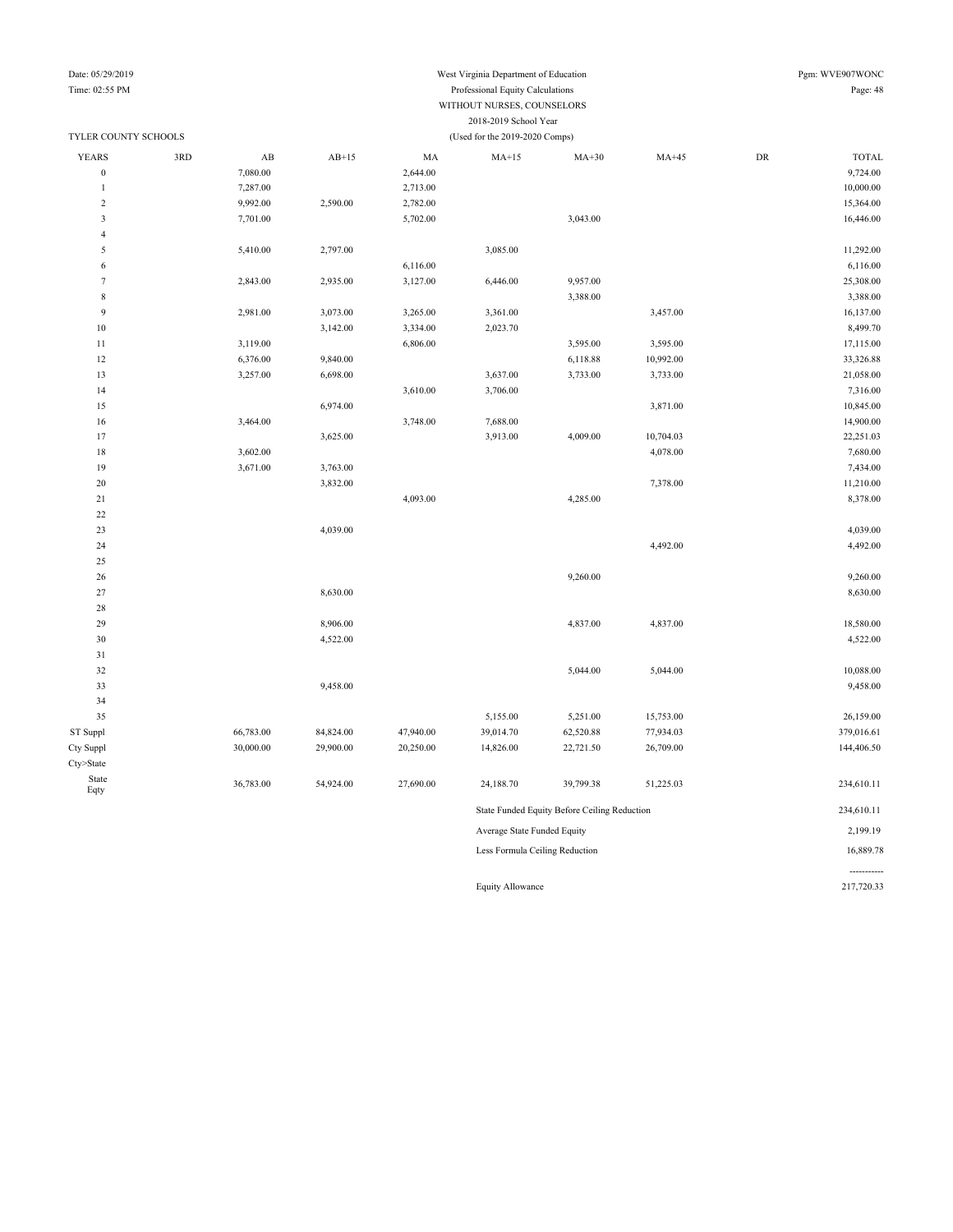## Date: 05/29/2019 West Virginia Department of Education Pgm: WVE907WONC

-----------

Equity Allowance 217,720.33

### Time: 02:55 PM Professional Equity Calculations Page: 48 WITHOUT NURSES, COUNSELORS 2018-2019 School Year

| TYLER COUNTY SCHOOLS |     |                        |           |           | (Used for the 2019-2020 Comps) |                                              |           |            |              |
|----------------------|-----|------------------------|-----------|-----------|--------------------------------|----------------------------------------------|-----------|------------|--------------|
| <b>YEARS</b>         | 3RD | $\mathbf{A}\mathbf{B}$ | $AB+15$   | MA        | $MA+15$                        | $MA+30$                                      | $MA+45$   | ${\rm DR}$ | <b>TOTAL</b> |
| $\boldsymbol{0}$     |     | 7,080.00               |           | 2,644.00  |                                |                                              |           |            | 9,724.00     |
| $\mathbf{1}$         |     | 7,287.00               |           | 2,713.00  |                                |                                              |           |            | 10,000.00    |
| $\sqrt{2}$           |     | 9,992.00               | 2,590.00  | 2,782.00  |                                |                                              |           |            | 15,364.00    |
| $\mathfrak{Z}$       |     | 7,701.00               |           | 5,702.00  |                                | 3,043.00                                     |           |            | 16,446.00    |
| $\overline{4}$       |     |                        |           |           |                                |                                              |           |            |              |
| 5                    |     | 5,410.00               | 2,797.00  |           | 3,085.00                       |                                              |           |            | 11,292.00    |
| 6                    |     |                        |           | 6,116.00  |                                |                                              |           |            | 6,116.00     |
| $\overline{7}$       |     | 2,843.00               | 2,935.00  | 3,127.00  | 6,446.00                       | 9,957.00                                     |           |            | 25,308.00    |
| $\,$ 8 $\,$          |     |                        |           |           |                                | 3,388.00                                     |           |            | 3,388.00     |
| 9                    |     | 2,981.00               | 3,073.00  | 3,265.00  | 3,361.00                       |                                              | 3,457.00  |            | 16,137.00    |
| 10                   |     |                        | 3,142.00  | 3,334.00  | 2,023.70                       |                                              |           |            | 8,499.70     |
| 11                   |     | 3,119.00               |           | 6,806.00  |                                | 3,595.00                                     | 3,595.00  |            | 17,115.00    |
| 12                   |     | 6,376.00               | 9,840.00  |           |                                | 6,118.88                                     | 10,992.00 |            | 33,326.88    |
| 13                   |     | 3,257.00               | 6,698.00  |           | 3,637.00                       | 3,733.00                                     | 3,733.00  |            | 21,058.00    |
| 14                   |     |                        |           | 3,610.00  | 3,706.00                       |                                              |           |            | 7,316.00     |
| 15                   |     |                        | 6,974.00  |           |                                |                                              | 3,871.00  |            | 10,845.00    |
| 16                   |     | 3,464.00               |           | 3,748.00  | 7,688.00                       |                                              |           |            | 14,900.00    |
| 17                   |     |                        | 3,625.00  |           | 3,913.00                       | 4,009.00                                     | 10,704.03 |            | 22,251.03    |
| 18                   |     | 3,602.00               |           |           |                                |                                              | 4,078.00  |            | 7,680.00     |
| 19                   |     | 3,671.00               | 3,763.00  |           |                                |                                              |           |            | 7,434.00     |
| $20\,$               |     |                        | 3,832.00  |           |                                |                                              | 7,378.00  |            | 11,210.00    |
| 21                   |     |                        |           | 4,093.00  |                                | 4,285.00                                     |           |            | 8,378.00     |
| $22\,$               |     |                        |           |           |                                |                                              |           |            |              |
| 23                   |     |                        | 4,039.00  |           |                                |                                              |           |            | 4,039.00     |
| 24                   |     |                        |           |           |                                |                                              | 4,492.00  |            | 4,492.00     |
| 25                   |     |                        |           |           |                                |                                              |           |            |              |
| 26                   |     |                        |           |           |                                | 9,260.00                                     |           |            | 9,260.00     |
| 27                   |     |                        | 8,630.00  |           |                                |                                              |           |            | 8,630.00     |
| 28                   |     |                        |           |           |                                |                                              |           |            |              |
| 29                   |     |                        | 8,906.00  |           |                                | 4,837.00                                     | 4,837.00  |            | 18,580.00    |
| 30                   |     |                        | 4,522.00  |           |                                |                                              |           |            | 4,522.00     |
| 31                   |     |                        |           |           |                                |                                              |           |            |              |
| 32                   |     |                        |           |           |                                | 5,044.00                                     | 5,044.00  |            | 10,088.00    |
| 33                   |     |                        | 9,458.00  |           |                                |                                              |           |            | 9,458.00     |
| 34                   |     |                        |           |           |                                |                                              |           |            |              |
| 35                   |     |                        |           |           | 5,155.00                       | 5,251.00                                     | 15,753.00 |            | 26,159.00    |
| ST Suppl             |     | 66,783.00              | 84,824.00 | 47,940.00 | 39,014.70                      | 62,520.88                                    | 77,934.03 |            | 379,016.61   |
| Cty Suppl            |     | 30,000.00              | 29,900.00 | 20,250.00 | 14,826.00                      | 22,721.50                                    | 26,709.00 |            | 144,406.50   |
| Cty>State            |     |                        |           |           |                                |                                              |           |            |              |
| State<br>Eqty        |     | 36,783.00              | 54,924.00 | 27,690.00 | 24,188.70                      | 39,799.38                                    | 51,225.03 |            | 234,610.11   |
|                      |     |                        |           |           |                                | State Funded Equity Before Ceiling Reduction |           |            | 234,610.11   |
|                      |     |                        |           |           | Average State Funded Equity    |                                              |           |            | 2,199.19     |
|                      |     |                        |           |           | Less Formula Ceiling Reduction |                                              |           |            | 16,889.78    |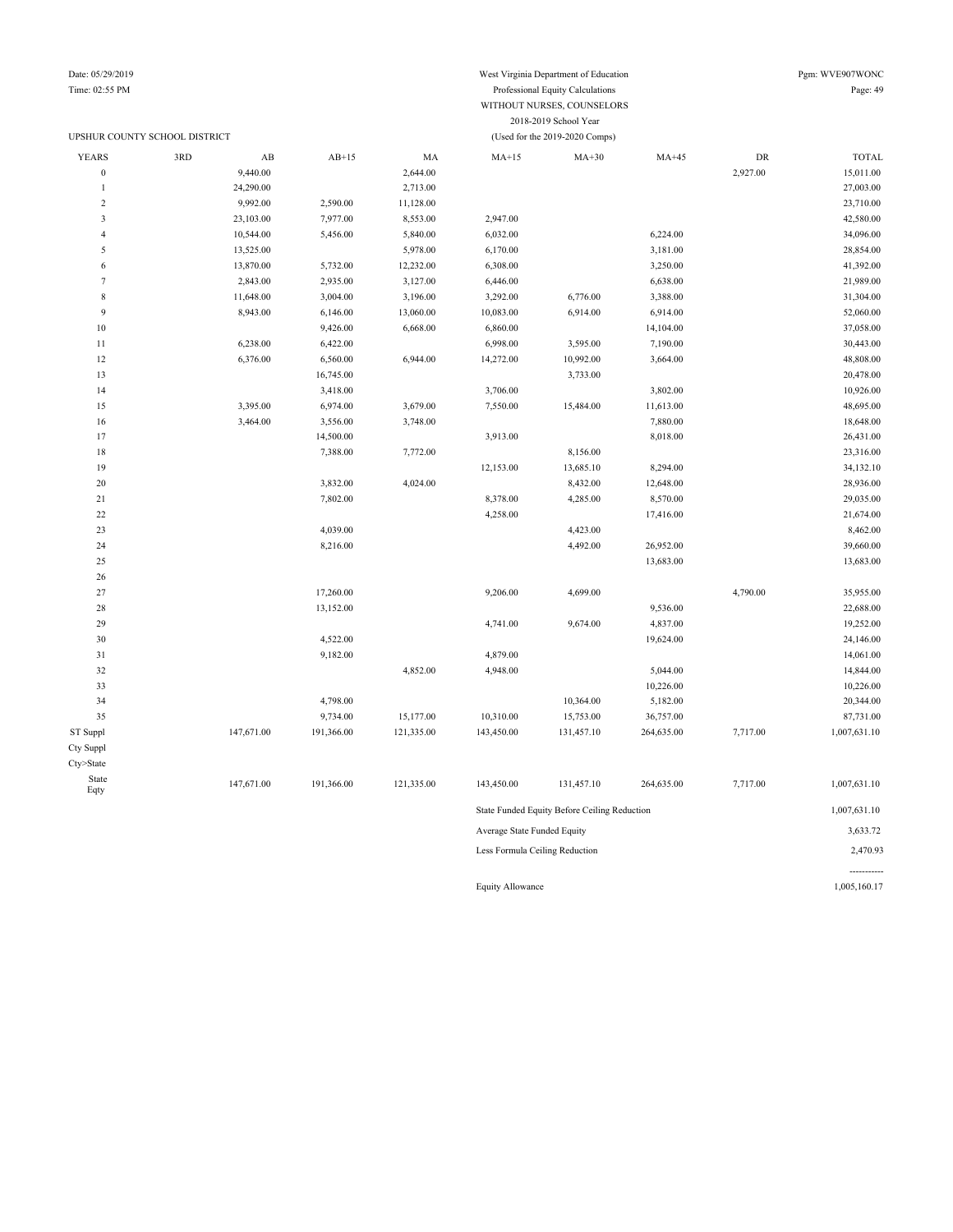### UPSHUR COUNTY SCHOOL DISTRICT (Used for the 2019-2020 Comps)

Date: 05/29/2019 Pgm: WVE907WONC

### Time: 02:55 PM Professional Equity Calculations Page: 49 WITHOUT NURSES, COUNSELORS 2018-2019 School Year

| <b>YEARS</b>            | 3RD | $\mathbf{A}\mathbf{B}$ | $AB+15$    | MA         | $MA+15$                        | $MA+30$                                      | $MA+45$    | ${\rm DR}$ | <b>TOTAL</b> |
|-------------------------|-----|------------------------|------------|------------|--------------------------------|----------------------------------------------|------------|------------|--------------|
| $\boldsymbol{0}$        |     | 9,440.00               |            | 2,644.00   |                                |                                              |            | 2,927.00   | 15,011.00    |
| $\mathbf{1}$            |     | 24,290.00              |            | 2,713.00   |                                |                                              |            |            | 27,003.00    |
| $\overline{2}$          |     | 9,992.00               | 2,590.00   | 11,128.00  |                                |                                              |            |            | 23,710.00    |
| $\overline{\mathbf{3}}$ |     | 23,103.00              | 7,977.00   | 8,553.00   | 2,947.00                       |                                              |            |            | 42,580.00    |
| $\overline{4}$          |     | 10,544.00              | 5,456.00   | 5,840.00   | 6,032.00                       |                                              | 6,224.00   |            | 34,096.00    |
| 5                       |     | 13,525.00              |            | 5,978.00   | 6,170.00                       |                                              | 3,181.00   |            | 28,854.00    |
| 6                       |     | 13,870.00              | 5,732.00   | 12,232.00  | 6,308.00                       |                                              | 3,250.00   |            | 41,392.00    |
| $\overline{7}$          |     | 2,843.00               | 2,935.00   | 3,127.00   | 6,446.00                       |                                              | 6,638.00   |            | 21,989.00    |
| $\,$ 8 $\,$             |     | 11,648.00              | 3,004.00   | 3,196.00   | 3,292.00                       | 6,776.00                                     | 3,388.00   |            | 31,304.00    |
| 9                       |     | 8,943.00               | 6,146.00   | 13,060.00  | 10,083.00                      | 6,914.00                                     | 6,914.00   |            | 52,060.00    |
| $10$                    |     |                        | 9,426.00   | 6,668.00   | 6,860.00                       |                                              | 14,104.00  |            | 37,058.00    |
| $1\,1$                  |     | 6,238.00               | 6,422.00   |            | 6,998.00                       | 3,595.00                                     | 7,190.00   |            | 30,443.00    |
| 12                      |     | 6,376.00               | 6,560.00   | 6,944.00   | 14,272.00                      | 10,992.00                                    | 3,664.00   |            | 48,808.00    |
| 13                      |     |                        | 16,745.00  |            |                                | 3,733.00                                     |            |            | 20,478.00    |
| 14                      |     |                        | 3,418.00   |            | 3,706.00                       |                                              | 3,802.00   |            | 10,926.00    |
| 15                      |     | 3,395.00               | 6,974.00   | 3,679.00   | 7,550.00                       | 15,484.00                                    | 11,613.00  |            | 48,695.00    |
| 16                      |     | 3,464.00               | 3,556.00   | 3,748.00   |                                |                                              | 7,880.00   |            | 18,648.00    |
| 17                      |     |                        | 14,500.00  |            | 3,913.00                       |                                              | 8,018.00   |            | 26,431.00    |
| 18                      |     |                        | 7,388.00   | 7,772.00   |                                | 8,156.00                                     |            |            | 23,316.00    |
| 19                      |     |                        |            |            | 12,153.00                      | 13,685.10                                    | 8,294.00   |            | 34,132.10    |
| 20                      |     |                        | 3,832.00   | 4,024.00   |                                | 8,432.00                                     | 12,648.00  |            | 28,936.00    |
| 21                      |     |                        | 7,802.00   |            | 8,378.00                       | 4,285.00                                     | 8,570.00   |            | 29,035.00    |
| $22\,$                  |     |                        |            |            | 4,258.00                       |                                              | 17,416.00  |            | 21,674.00    |
| 23                      |     |                        | 4,039.00   |            |                                | 4,423.00                                     |            |            | 8,462.00     |
| 24                      |     |                        | 8,216.00   |            |                                | 4,492.00                                     | 26,952.00  |            | 39,660.00    |
| $25\,$                  |     |                        |            |            |                                |                                              | 13,683.00  |            | 13,683.00    |
| 26                      |     |                        |            |            |                                |                                              |            |            |              |
| $27\,$                  |     |                        | 17,260.00  |            | 9,206.00                       | 4,699.00                                     |            | 4,790.00   | 35,955.00    |
| 28                      |     |                        | 13,152.00  |            |                                |                                              | 9,536.00   |            | 22,688.00    |
| 29                      |     |                        |            |            | 4,741.00                       | 9,674.00                                     | 4,837.00   |            | 19,252.00    |
| 30                      |     |                        | 4,522.00   |            |                                |                                              | 19,624.00  |            | 24,146.00    |
| 31                      |     |                        | 9,182.00   |            | 4,879.00                       |                                              |            |            | 14,061.00    |
| 32                      |     |                        |            | 4,852.00   | 4,948.00                       |                                              | 5,044.00   |            | 14,844.00    |
| 33                      |     |                        |            |            |                                |                                              | 10,226.00  |            | 10,226.00    |
| 34                      |     |                        | 4,798.00   |            |                                | 10,364.00                                    | 5,182.00   |            | 20,344.00    |
| 35                      |     |                        | 9,734.00   | 15,177.00  | 10,310.00                      | 15,753.00                                    | 36,757.00  |            | 87,731.00    |
| ST Suppl                |     | 147,671.00             | 191,366.00 | 121,335.00 | 143,450.00                     | 131,457.10                                   | 264,635.00 | 7,717.00   | 1,007,631.10 |
| Cty Suppl               |     |                        |            |            |                                |                                              |            |            |              |
| Cty>State               |     |                        |            |            |                                |                                              |            |            |              |
| State<br>Eqty           |     | 147,671.00             | 191,366.00 | 121,335.00 | 143,450.00                     | 131,457.10                                   | 264,635.00 | 7,717.00   | 1,007,631.10 |
|                         |     |                        |            |            |                                | State Funded Equity Before Ceiling Reduction |            |            | 1,007,631.10 |
|                         |     |                        |            |            | Average State Funded Equity    |                                              |            |            | 3,633.72     |
|                         |     |                        |            |            | Less Formula Ceiling Reduction |                                              |            |            | 2,470.93     |

Equity Allowance 1,005,160.17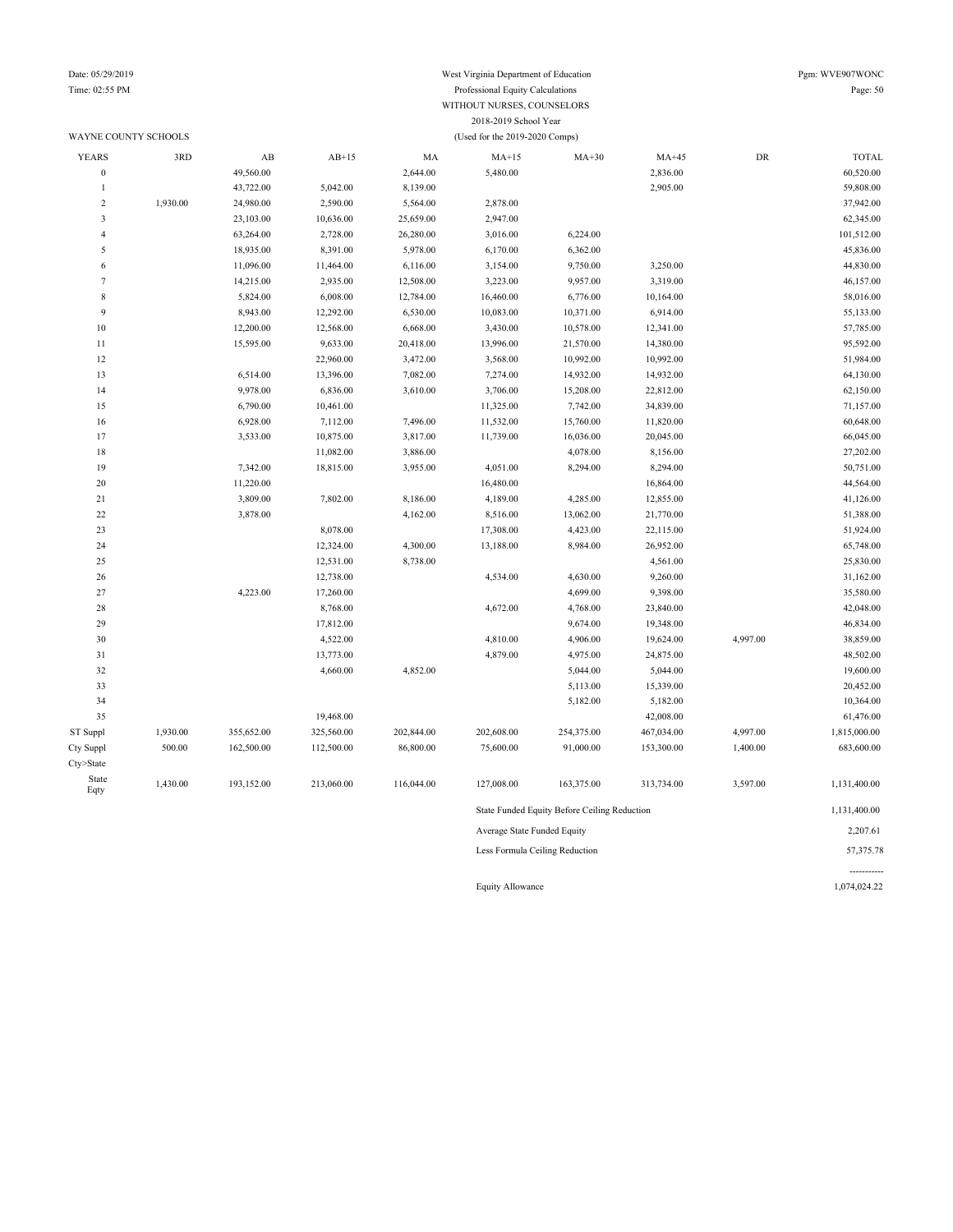Cty>State State

# Date: 05/29/2019 West Virginia Department of Education Pgm: WVE907WONC<br>
Time: 02:55 PM Professional Fquity Calculations Processional Fquity Calculations Page: 50

-----------

| Time: 02:55 PM       |          |                        |           |           | Professional Equity Calculations |           |           |            | Page: 50     |
|----------------------|----------|------------------------|-----------|-----------|----------------------------------|-----------|-----------|------------|--------------|
|                      |          |                        |           |           | WITHOUT NURSES, COUNSELORS       |           |           |            |              |
|                      |          |                        |           |           | 2018-2019 School Year            |           |           |            |              |
| WAYNE COUNTY SCHOOLS |          |                        |           |           | (Used for the 2019-2020 Comps)   |           |           |            |              |
| <b>YEARS</b>         | 3RD      | $\mathbf{A}\mathbf{B}$ | $AB+15$   | MA        | $MA+15$                          | $MA+30$   | $MA+45$   | ${\rm DR}$ | <b>TOTAL</b> |
| $\boldsymbol{0}$     |          | 49,560.00              |           | 2,644.00  | 5,480.00                         |           | 2,836.00  |            | 60,520.00    |
| $\overline{1}$       |          | 43,722.00              | 5,042.00  | 8,139.00  |                                  |           | 2,905.00  |            | 59,808.00    |
| $\overline{c}$       | 1,930.00 | 24,980.00              | 2,590.00  | 5,564.00  | 2,878.00                         |           |           |            | 37,942.00    |
| $\mathbf{3}$         |          | 23,103.00              | 10,636.00 | 25,659.00 | 2,947.00                         |           |           |            | 62,345.00    |
| $\overline{4}$       |          | 63,264.00              | 2,728.00  | 26,280.00 | 3,016.00                         | 6,224.00  |           |            | 101,512.00   |
| 5                    |          | 18,935.00              | 8,391.00  | 5,978.00  | 6,170.00                         | 6,362.00  |           |            | 45,836.00    |
| 6                    |          | 11,096.00              | 11,464.00 | 6,116.00  | 3,154.00                         | 9,750.00  | 3,250.00  |            | 44,830.00    |
| $\overline{7}$       |          | 14,215.00              | 2,935.00  | 12,508.00 | 3,223.00                         | 9,957.00  | 3,319.00  |            | 46,157.00    |
| $\,$ 8 $\,$          |          | 5,824.00               | 6,008.00  | 12,784.00 | 16,460.00                        | 6,776.00  | 10,164.00 |            | 58,016.00    |
| 9                    |          | 8,943.00               | 12,292.00 | 6,530.00  | 10,083.00                        | 10,371.00 | 6,914.00  |            | 55,133.00    |
| 10                   |          | 12,200.00              | 12,568.00 | 6,668.00  | 3,430.00                         | 10,578.00 | 12,341.00 |            | 57,785.00    |
| 11                   |          | 15,595.00              | 9,633.00  | 20,418.00 | 13,996.00                        | 21,570.00 | 14,380.00 |            | 95,592.00    |
| 12                   |          |                        | 22,960.00 | 3,472.00  | 3,568.00                         | 10,992.00 | 10,992.00 |            | 51,984.00    |
| 13                   |          | 6,514.00               | 13,396.00 | 7,082.00  | 7,274.00                         | 14,932.00 | 14,932.00 |            | 64,130.00    |
| 14                   |          | 9,978.00               | 6,836.00  | 3,610.00  | 3,706.00                         | 15,208.00 | 22,812.00 |            | 62,150.00    |
| 15                   |          | 6,790.00               | 10,461.00 |           | 11,325.00                        | 7,742.00  | 34,839.00 |            | 71,157.00    |
| 16                   |          | 6,928.00               | 7,112.00  | 7,496.00  | 11,532.00                        | 15,760.00 | 11,820.00 |            | 60,648.00    |
| 17                   |          | 3,533.00               | 10,875.00 | 3,817.00  | 11,739.00                        | 16,036.00 | 20,045.00 |            | 66,045.00    |
| 18                   |          |                        | 11,082.00 | 3,886.00  |                                  | 4,078.00  | 8,156.00  |            | 27,202.00    |
| 19                   |          | 7,342.00               | 18,815.00 | 3,955.00  | 4,051.00                         | 8,294.00  | 8,294.00  |            | 50,751.00    |
| $20\,$               |          | 11,220.00              |           |           | 16,480.00                        |           | 16,864.00 |            | 44,564.00    |
| 21                   |          | 3,809.00               | 7,802.00  | 8,186.00  | 4,189.00                         | 4,285.00  | 12,855.00 |            | 41,126.00    |
| $22\,$               |          | 3,878.00               |           | 4,162.00  | 8,516.00                         | 13,062.00 | 21,770.00 |            | 51,388.00    |
| 23                   |          |                        | 8,078.00  |           | 17,308.00                        | 4,423.00  | 22,115.00 |            | 51,924.00    |
| 24                   |          |                        | 12,324.00 | 4,300.00  | 13,188.00                        | 8,984.00  | 26,952.00 |            | 65,748.00    |
| 25                   |          |                        | 12,531.00 | 8,738.00  |                                  |           | 4,561.00  |            | 25,830.00    |
| 26                   |          |                        | 12,738.00 |           | 4,534.00                         | 4,630.00  | 9,260.00  |            | 31,162.00    |
| 27                   |          | 4,223.00               | 17,260.00 |           |                                  | 4,699.00  | 9,398.00  |            | 35,580.00    |
| 28                   |          |                        | 8,768.00  |           | 4,672.00                         | 4,768.00  | 23,840.00 |            | 42,048.00    |
| 29                   |          |                        | 17,812.00 |           |                                  | 9,674.00  | 19,348.00 |            | 46,834.00    |
| 30                   |          |                        | 4,522.00  |           | 4,810.00                         | 4,906.00  | 19,624.00 | 4,997.00   | 38,859.00    |
| 31                   |          |                        | 13,773.00 |           | 4,879.00                         | 4,975.00  | 24,875.00 |            | 48,502.00    |
| 32                   |          |                        | 4,660.00  | 4,852.00  |                                  | 5,044.00  | 5,044.00  |            | 19,600.00    |
| 33                   |          |                        |           |           |                                  | 5,113.00  | 15,339.00 |            | 20,452.00    |

 5,182.00 5,182.00 10,364.00 19,468.00 42,008.00 61,476.00 ST Suppl 1,930.00 355,652.00 325,560.00 202,844.00 202,608.00 254,375.00 467,034.00 4,997.00 1,815,000.00 Cty Suppl 500.00 162,500.00 112,500.00 86,800.00 75,600.00 91,000.00 153,300.00 1,400.00 683,600.00

Eqty 1,430.00 193,152.00 213,060.00 116,044.00 127,008.00 163,375.00 313,734.00 3,597.00 1,131,400.00

State Funded Equity Before Ceiling Reduction 1,131,400.00 Average State Funded Equity 2,207.61 Less Formula Ceiling Reduction 57,375.78

Equity Allowance 1,074,024.22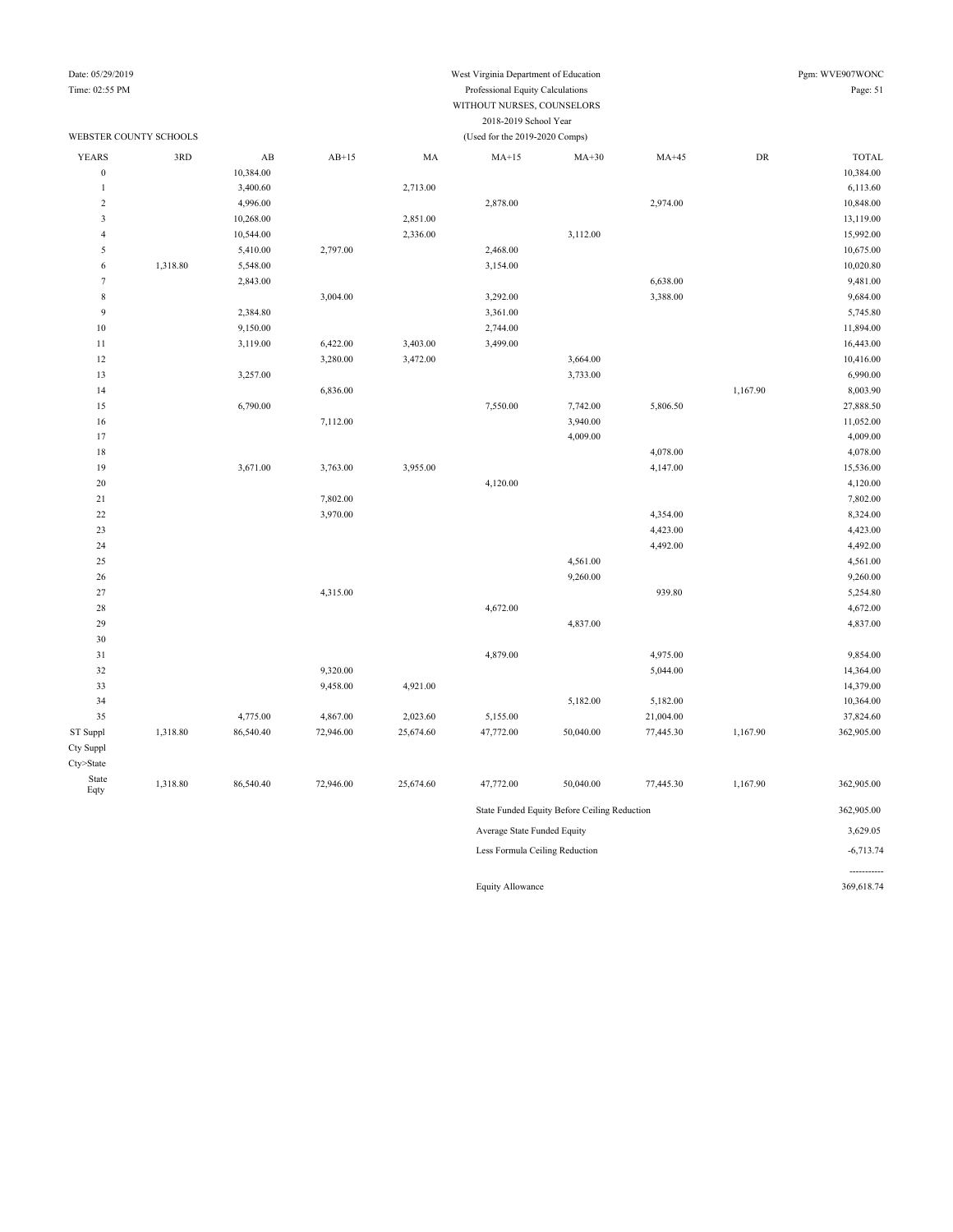#### Date: 05/29/2019 West Virginia Department of Education Pgm: WVE907WONC Time: 02:55 PM Professional Equity Calculations Page: 51 WITHOUT NURSES, COUNSELORS 2018-2019 School Year

#### WEBSTER COUNTY SCHOOLS (Used for the 2019-2020 Comps) YEARS 3RD AB AB+15 MA MA+15 MA+30 MA+45 DR TOTAL 0 10,384.00 10,384.00 10,384.00 10,384.00 10,384.00 10,384.00 10,384.00 10,384.00 10,384.00 10,384.00 10,384.00 1 3,400.60 2,713.00 3,400.60 2,713.00 2 4,996.00 2,878.00 2,878.00 2,974.00 2,974.00 10,848.00 3 10,268.00 13,119.00 2,851.00 2,851.00 2,851.00 4 10,544.00 15,992.00 2,336.00 3,112.00 3,112.00 15,992.00 5 5,410.00 2,797.00 2,468.00 2,468.00 10,675.00 6 1,318.80 5,548.00 5,548.00 3,154.00 3,154.00 7 2,843.00 6,638.00 9,481.00 8 3,004.00 3,292.00 3,292.00 3,388.00 3,388.00 9,684.00 9 2,384.80 2,384.80 3,361.00 3,361.00 10 9,150.00 11,894.00 2,744.00 11,894.00 11 3,119.00 6,422.00 3,403.00 3,499.00 16,443.00 12 3,280.00 3,472.00 3,664.00 3,666 3,672.00 10,416.00 13 3,257.00 6,990.00 6,990.00 6,990.00 6,990.00 6,990.00 6,990.00 6,990.00 6,990.00 6,990.00 6,990.00 6,990.00 1,167.90 8,003.90 8,003.90 8,003.90 8,003.90 8,003.90 8,003.90 8,003.90 8,003.90 8,003.90 8,003.90 8,003.90 8,003.90 8,003.90 8,003.90 8,003.90 8,003.90 8,003.90 8,003.90 8,003.90 8,003.90 8,003.90 8,003.90 8,003.90 8,003. 15 6,790.00 6,790.00 6,790.00 7,550.00 7,742.00 5,806.50 5,806.50 27,888.50 16 16 16 16 17,112.00 11,052.00 11,052.00 3,940.00 11,052.00 17 4,009.00 4,009.00 18 4,078.00 4,078.00 19 3,671.00 3,763.00 3,955.00 4,147.00 4,147.00 3,955.00 20 4,120.00 4,120.00 21 7,802.00 7,802.00 22 3,970.00 3,970.00 3,970.00 4,354.00 4,354.00 4,354.00 23 4,423.00 4,423.00 24 4,492.00 4,492.00 25 4,561.00 4,561.00 26 9,260.00 9,260.00 27 **4,315.00** 939.80 5,254.80 28 4,672.00 4,672.00 29 4,837.00 4,837.00 30 31 4,879.00 4,975.00 9,854.00 32 9,320.00 5,044.00 14,364.00 33 9,458.00 4,921.00 4,921.00 4,921.00 34 5,182.00 5,182.00 10,364.00 35 4,775.00 4,867.00 2,023.60 5,155.00 21,004.00 37,824.60 ST Suppl 1,318.80 86,540.40 72,946.00 25,674.60 47,772.00 50,040.00 77,445.30 1,167.90 362,905.00 Cty Suppl Cty>State State<br>Eqty Eqty 1,318.80 86,540.40 72,946.00 25,674.60 47,772.00 50,040.00 77,445.30 1,167.90 362,905.00 State Funded Equity Before Ceiling Reduction 362,905.00 Average State Funded Equity 3,629.05 Less Formula Ceiling Reduction  $-6,713.74$ -----------

Equity Allowance 369,618.74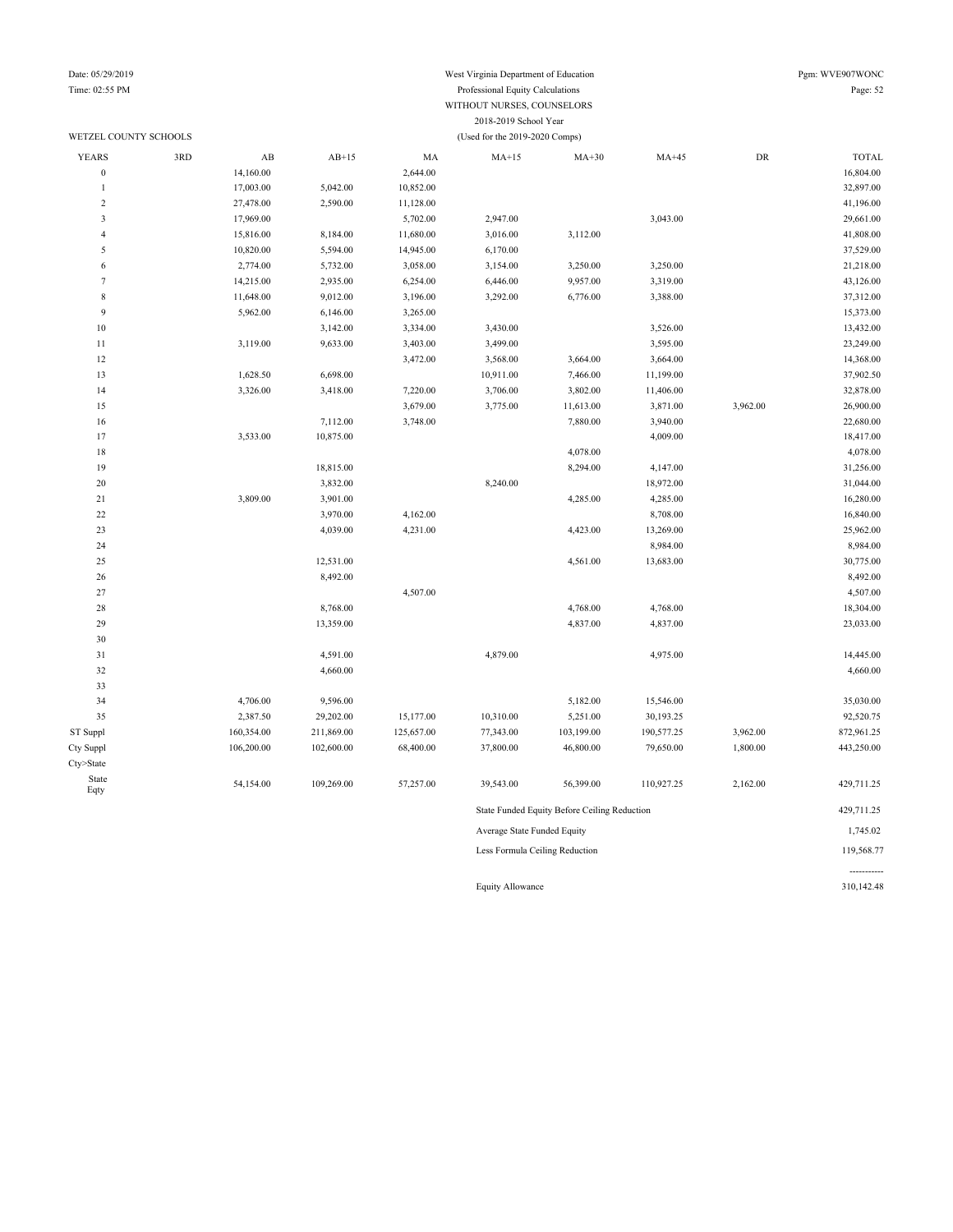### Date: 05/29/2019 West Virginia Department of Education Pgm: WVE907WONC Time: 02:55 PM Professional Equity Calculations Page: 52 WITHOUT NURSES, COUNSELORS 2018-2019 School Year

|                         | WETZEL COUNTY SCHOOLS |                             |            |            | (Used for the 2019-2020 Comps) |                                              |            |            |              |  |
|-------------------------|-----------------------|-----------------------------|------------|------------|--------------------------------|----------------------------------------------|------------|------------|--------------|--|
| <b>YEARS</b>            | 3RD                   | AB                          | $AB+15$    | MA         | $MA+15$                        | $MA+30$                                      | $MA+45$    | ${\rm DR}$ | <b>TOTAL</b> |  |
| $\boldsymbol{0}$        |                       | 14,160.00                   |            | 2,644.00   |                                |                                              |            |            | 16,804.00    |  |
| $\mathbf{1}$            |                       | 17,003.00                   | 5,042.00   | 10,852.00  |                                |                                              |            |            | 32,897.00    |  |
| $\overline{\mathbf{c}}$ |                       | 27,478.00                   | 2,590.00   | 11,128.00  |                                |                                              |            |            | 41,196.00    |  |
| 3                       |                       | 17,969.00                   |            | 5,702.00   | 2,947.00                       |                                              | 3,043.00   |            | 29,661.00    |  |
| $\overline{4}$          |                       | 15,816.00                   | 8,184.00   | 11,680.00  | 3,016.00                       | 3,112.00                                     |            |            | 41,808.00    |  |
| 5                       |                       | 10,820.00                   | 5,594.00   | 14,945.00  | 6,170.00                       |                                              |            |            | 37,529.00    |  |
| 6                       |                       | 2,774.00                    | 5,732.00   | 3,058.00   | 3,154.00                       | 3,250.00                                     | 3,250.00   |            | 21,218.00    |  |
| $\tau$                  |                       | 14,215.00                   | 2,935.00   | 6,254.00   | 6,446.00                       | 9,957.00                                     | 3,319.00   |            | 43,126.00    |  |
| $\,$ 8 $\,$             |                       | 11,648.00                   | 9,012.00   | 3,196.00   | 3,292.00                       | 6,776.00                                     | 3,388.00   |            | 37,312.00    |  |
| 9                       |                       | 5,962.00                    | 6,146.00   | 3,265.00   |                                |                                              |            |            | 15,373.00    |  |
| $10\,$                  |                       |                             | 3,142.00   | 3,334.00   | 3,430.00                       |                                              | 3,526.00   |            | 13,432.00    |  |
| $11\,$                  |                       | 3,119.00                    | 9,633.00   | 3,403.00   | 3,499.00                       |                                              | 3,595.00   |            | 23,249.00    |  |
| 12                      |                       |                             |            | 3,472.00   | 3,568.00                       | 3,664.00                                     | 3,664.00   |            | 14,368.00    |  |
| 13                      |                       | 1,628.50                    | 6,698.00   |            | 10,911.00                      | 7,466.00                                     | 11,199.00  |            | 37,902.50    |  |
| 14                      |                       | 3,326.00                    | 3,418.00   | 7,220.00   | 3,706.00                       | 3,802.00                                     | 11,406.00  |            | 32,878.00    |  |
| 15                      |                       |                             |            | 3,679.00   | 3,775.00                       | 11,613.00                                    | 3,871.00   | 3,962.00   | 26,900.00    |  |
| 16                      |                       |                             | 7,112.00   | 3,748.00   |                                | 7,880.00                                     | 3,940.00   |            | 22,680.00    |  |
| 17                      |                       | 3,533.00                    | 10,875.00  |            |                                |                                              | 4,009.00   |            | 18,417.00    |  |
| $18\,$                  |                       |                             |            |            |                                | 4,078.00                                     |            |            | 4,078.00     |  |
| 19                      |                       |                             | 18,815.00  |            |                                | 8,294.00                                     | 4,147.00   |            | 31,256.00    |  |
| $20\,$                  |                       |                             | 3,832.00   |            | 8,240.00                       |                                              | 18,972.00  |            | 31,044.00    |  |
| $21\,$                  |                       | 3,809.00                    | 3,901.00   |            |                                | 4,285.00                                     | 4,285.00   |            | 16,280.00    |  |
| $22\,$                  |                       |                             | 3,970.00   | 4,162.00   |                                |                                              | 8,708.00   |            | 16,840.00    |  |
| 23                      |                       |                             | 4,039.00   | 4,231.00   |                                | 4,423.00                                     | 13,269.00  |            | 25,962.00    |  |
| 24                      |                       |                             |            |            |                                |                                              | 8,984.00   |            | 8,984.00     |  |
| 25                      |                       |                             | 12,531.00  |            |                                | 4,561.00                                     | 13,683.00  |            | 30,775.00    |  |
| 26                      |                       |                             | 8,492.00   |            |                                |                                              |            |            | 8,492.00     |  |
| 27                      |                       |                             |            | 4,507.00   |                                |                                              |            |            | 4,507.00     |  |
| $28\,$                  |                       |                             | 8,768.00   |            |                                | 4,768.00                                     | 4,768.00   |            | 18,304.00    |  |
| 29                      |                       |                             | 13,359.00  |            |                                | 4,837.00                                     | 4,837.00   |            | 23,033.00    |  |
| 30                      |                       |                             |            |            |                                |                                              |            |            |              |  |
| 31                      |                       |                             | 4,591.00   |            | 4,879.00                       |                                              | 4,975.00   |            | 14,445.00    |  |
| 32                      |                       |                             | 4,660.00   |            |                                |                                              |            |            | 4,660.00     |  |
| 33                      |                       |                             |            |            |                                |                                              |            |            |              |  |
| 34                      |                       | 4,706.00                    | 9,596.00   |            |                                | 5,182.00                                     | 15,546.00  |            | 35,030.00    |  |
| 35                      |                       | 2,387.50                    | 29,202.00  | 15,177.00  | 10,310.00                      | 5,251.00                                     | 30,193.25  |            | 92,520.75    |  |
| ST Suppl                |                       | 160,354.00                  | 211,869.00 | 125,657.00 | 77,343.00                      | 103,199.00                                   | 190,577.25 | 3,962.00   | 872,961.25   |  |
| Cty Suppl               |                       | 106,200.00                  | 102,600.00 | 68,400.00  | 37,800.00                      | 46,800.00                                    | 79,650.00  | 1,800.00   | 443,250.00   |  |
| Cty>State               |                       |                             |            |            |                                |                                              |            |            |              |  |
| State<br>Eqty           |                       | 54,154.00                   | 109,269.00 | 57,257.00  | 39,543.00                      | 56,399.00                                    | 110,927.25 | 2,162.00   | 429,711.25   |  |
|                         |                       |                             |            |            |                                | State Funded Equity Before Ceiling Reduction |            |            | 429,711.25   |  |
|                         |                       | Average State Funded Equity |            |            |                                |                                              |            |            |              |  |

Less Formula Ceiling Reduction 119,568.77

Equity Allowance 310,142.48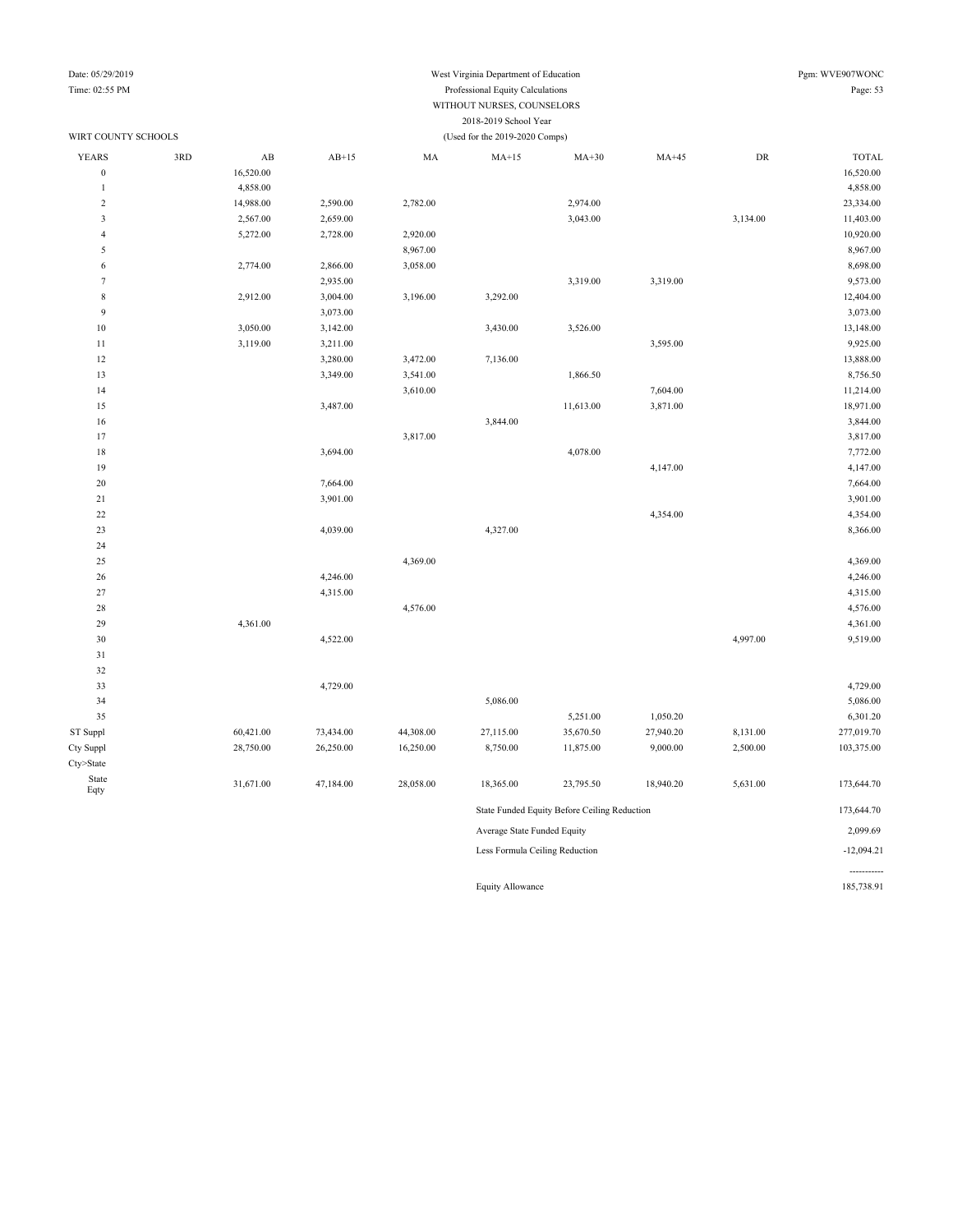| Date: 05/29/2019        |     |           |           |           | West Virginia Department of Education |           |           |                  | Pgm: WVE907WONC |
|-------------------------|-----|-----------|-----------|-----------|---------------------------------------|-----------|-----------|------------------|-----------------|
| Time: 02:55 PM          |     |           |           | Page: 53  |                                       |           |           |                  |                 |
|                         |     |           |           |           |                                       |           |           |                  |                 |
|                         |     |           |           |           | 2018-2019 School Year                 |           |           |                  |                 |
| WIRT COUNTY SCHOOLS     |     |           |           |           | (Used for the 2019-2020 Comps)        |           |           |                  |                 |
| YEARS                   | 3RD | $\rm AB$  | $AB+15$   | MA        | $MA+15$                               | $MA+30$   | $MA+45$   | ${\rm D}{\rm R}$ | <b>TOTAL</b>    |
| $\boldsymbol{0}$        |     | 16,520.00 |           |           |                                       |           |           |                  | 16,520.00       |
| $\mathbf{1}$            |     | 4,858.00  |           |           |                                       |           |           |                  | 4,858.00        |
| $\sqrt{2}$              |     | 14,988.00 | 2,590.00  | 2,782.00  |                                       | 2,974.00  |           |                  | 23,334.00       |
| $\overline{\mathbf{3}}$ |     | 2,567.00  | 2,659.00  |           |                                       | 3,043.00  |           | 3,134.00         | 11,403.00       |
| $\overline{4}$          |     | 5,272.00  | 2,728.00  | 2,920.00  |                                       |           |           |                  | 10,920.00       |
| 5                       |     |           |           | 8,967.00  |                                       |           |           |                  | 8,967.00        |
| 6                       |     | 2,774.00  | 2,866.00  | 3,058.00  |                                       |           |           |                  | 8,698.00        |
| $\tau$                  |     |           | 2,935.00  |           |                                       | 3,319.00  | 3,319.00  |                  | 9,573.00        |
| $\,$ 8 $\,$             |     | 2,912.00  | 3,004.00  | 3,196.00  | 3,292.00                              |           |           |                  | 12,404.00       |
| 9                       |     |           | 3,073.00  |           |                                       |           |           |                  | 3,073.00        |
| $10\,$                  |     | 3,050.00  | 3,142.00  |           | 3,430.00                              | 3,526.00  |           |                  | 13,148.00       |
| $11\,$                  |     | 3,119.00  | 3,211.00  |           |                                       |           | 3,595.00  |                  | 9,925.00        |
| 12                      |     |           | 3,280.00  | 3,472.00  | 7,136.00                              |           |           |                  | 13,888.00       |
| 13                      |     |           | 3,349.00  | 3,541.00  |                                       | 1,866.50  |           |                  | 8,756.50        |
| 14                      |     |           |           | 3,610.00  |                                       |           | 7,604.00  |                  | 11,214.00       |
| 15                      |     |           | 3,487.00  |           |                                       | 11,613.00 | 3,871.00  |                  | 18,971.00       |
| 16                      |     |           |           |           | 3,844.00                              |           |           |                  | 3,844.00        |
| 17                      |     |           |           | 3,817.00  |                                       |           |           |                  | 3,817.00        |
| 18                      |     |           | 3,694.00  |           |                                       | 4,078.00  |           |                  | 7,772.00        |
| 19                      |     |           |           |           |                                       |           | 4,147.00  |                  | 4,147.00        |
| $20\,$                  |     |           | 7,664.00  |           |                                       |           |           |                  | 7,664.00        |
| $21\,$                  |     |           | 3,901.00  |           |                                       |           |           |                  | 3,901.00        |
| $22\,$                  |     |           |           |           |                                       |           | 4,354.00  |                  | 4,354.00        |
| $23\,$                  |     |           | 4,039.00  |           | 4,327.00                              |           |           |                  | 8,366.00        |
| 24                      |     |           |           |           |                                       |           |           |                  |                 |
| 25                      |     |           |           | 4,369.00  |                                       |           |           |                  | 4,369.00        |
| 26                      |     |           | 4,246.00  |           |                                       |           |           |                  | 4,246.00        |
| 27                      |     |           | 4,315.00  |           |                                       |           |           |                  | 4,315.00        |
| 28                      |     |           |           | 4,576.00  |                                       |           |           |                  | 4,576.00        |
| 29                      |     | 4,361.00  |           |           |                                       |           |           |                  | 4,361.00        |
| 30                      |     |           | 4,522.00  |           |                                       |           |           | 4,997.00         | 9,519.00        |
| 31                      |     |           |           |           |                                       |           |           |                  |                 |
| 32                      |     |           |           |           |                                       |           |           |                  |                 |
| 33                      |     |           | 4,729.00  |           |                                       |           |           |                  | 4,729.00        |
| 34                      |     |           |           |           | 5,086.00                              |           |           |                  | 5,086.00        |
| 35                      |     |           |           |           |                                       | 5,251.00  | 1,050.20  |                  | 6,301.20        |
| ST Suppl                |     | 60,421.00 | 73,434.00 | 44,308.00 | 27,115.00                             | 35,670.50 | 27,940.20 | 8,131.00         | 277,019.70      |

Cty Suppl 28,750.00 26,250.00 16,250.00 8,750.00 11,875.00 9,000.00 2,500.00 103,375.00

Eqty 31,671.00 47,184.00 28,058.00 18,365.00 23,795.50 18,940.20 5,631.00 173,644.70

State Funded Equity Before Ceiling Reduction 173,644.70 Average State Funded Equity 2,099.69 Less Formula Ceiling Reduction -12,094.21

Equity Allowance 185,738.91

-----------

Cty>State State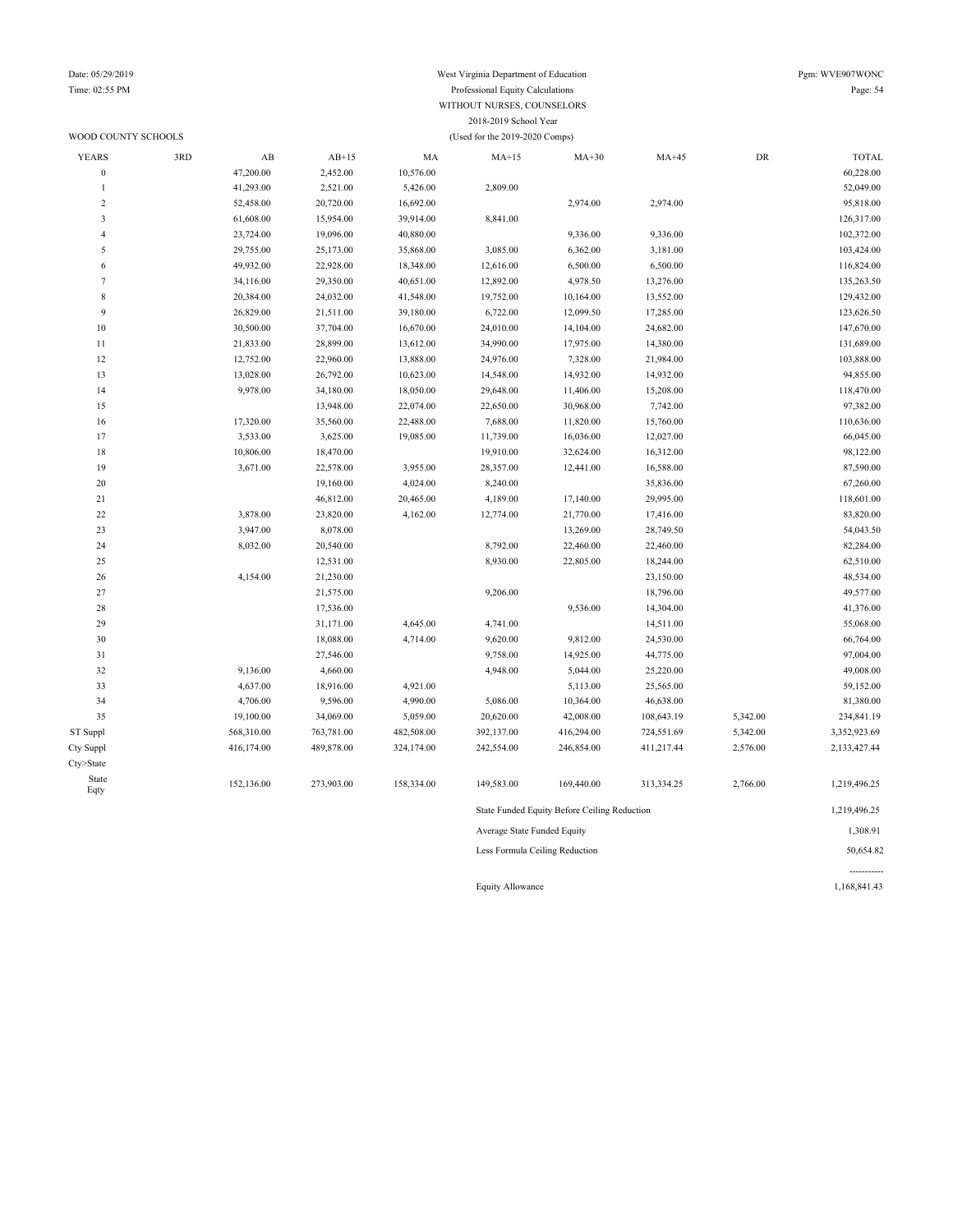#### Date: 05/29/2019 West Virginia Department of Education Pgm: WVE907WONC Time: 02:55 PM Professional Equity Calculations Page: 54 WITHOUT NURSES, COUNSELORS 2018-2019 School Year WOOD COUNTY SCHOOLS (Used for the 2019-2020 Comps)

| <b>YEARS</b>     | 3RD | AB         | $AB+15$    | MA         | $MA+15$                     | $MA+30$                                      | $MA+45$    | ${\rm DR}$ | <b>TOTAL</b> |
|------------------|-----|------------|------------|------------|-----------------------------|----------------------------------------------|------------|------------|--------------|
| $\boldsymbol{0}$ |     | 47,200.00  | 2,452.00   | 10,576.00  |                             |                                              |            |            | 60,228.00    |
| $\mathbf{1}$     |     | 41,293.00  | 2,521.00   | 5,426.00   | 2,809.00                    |                                              |            |            | 52,049.00    |
| $\overline{c}$   |     | 52,458.00  | 20,720.00  | 16,692.00  |                             | 2,974.00                                     | 2,974.00   |            | 95,818.00    |
| 3                |     | 61,608.00  | 15,954.00  | 39,914.00  | 8,841.00                    |                                              |            |            | 126,317.00   |
| $\overline{4}$   |     | 23,724.00  | 19,096.00  | 40,880.00  |                             | 9,336.00                                     | 9,336.00   |            | 102,372.00   |
| 5                |     | 29,755.00  | 25,173.00  | 35,868.00  | 3,085.00                    | 6,362.00                                     | 3,181.00   |            | 103,424.00   |
| 6                |     | 49,932.00  | 22,928.00  | 18,348.00  | 12,616.00                   | 6,500.00                                     | 6,500.00   |            | 116,824.00   |
| $\tau$           |     | 34,116.00  | 29,350.00  | 40,651.00  | 12,892.00                   | 4,978.50                                     | 13,276.00  |            | 135,263.50   |
| $\,$ 8 $\,$      |     | 20,384.00  | 24,032.00  | 41,548.00  | 19,752.00                   | 10,164.00                                    | 13,552.00  |            | 129,432.00   |
| 9                |     | 26,829.00  | 21,511.00  | 39,180.00  | 6,722.00                    | 12,099.50                                    | 17,285.00  |            | 123,626.50   |
| $10\,$           |     | 30,500.00  | 37,704.00  | 16,670.00  | 24,010.00                   | 14,104.00                                    | 24,682.00  |            | 147,670.00   |
| 11               |     | 21,833.00  | 28,899.00  | 13,612.00  | 34,990.00                   | 17,975.00                                    | 14,380.00  |            | 131,689.00   |
| 12               |     | 12,752.00  | 22,960.00  | 13,888.00  | 24,976.00                   | 7,328.00                                     | 21,984.00  |            | 103,888.00   |
| 13               |     | 13,028.00  | 26,792.00  | 10,623.00  | 14,548.00                   | 14,932.00                                    | 14,932.00  |            | 94,855.00    |
| 14               |     | 9,978.00   | 34,180.00  | 18,050.00  | 29,648.00                   | 11,406.00                                    | 15,208.00  |            | 118,470.00   |
| 15               |     |            | 13,948.00  | 22,074.00  | 22,650.00                   | 30,968.00                                    | 7,742.00   |            | 97,382.00    |
| 16               |     | 17,320.00  | 35,560.00  | 22,488.00  | 7,688.00                    | 11,820.00                                    | 15,760.00  |            | 110,636.00   |
| 17               |     | 3,533.00   | 3,625.00   | 19,085.00  | 11,739.00                   | 16,036.00                                    | 12,027.00  |            | 66,045.00    |
| 18               |     | 10,806.00  | 18,470.00  |            | 19,910.00                   | 32,624.00                                    | 16,312.00  |            | 98,122.00    |
| 19               |     | 3,671.00   | 22,578.00  | 3,955.00   | 28,357.00                   | 12,441.00                                    | 16,588.00  |            | 87,590.00    |
| $20\,$           |     |            | 19,160.00  | 4,024.00   | 8,240.00                    |                                              | 35,836.00  |            | 67,260.00    |
| 21               |     |            | 46,812.00  | 20,465.00  | 4,189.00                    | 17,140.00                                    | 29,995.00  |            | 118,601.00   |
| $22\,$           |     | 3,878.00   | 23,820.00  | 4,162.00   | 12,774.00                   | 21,770.00                                    | 17,416.00  |            | 83,820.00    |
| 23               |     | 3,947.00   | 8,078.00   |            |                             | 13,269.00                                    | 28,749.50  |            | 54,043.50    |
| 24               |     | 8,032.00   | 20,540.00  |            | 8,792.00                    | 22,460.00                                    | 22,460.00  |            | 82,284.00    |
| 25               |     |            | 12,531.00  |            | 8,930.00                    | 22,805.00                                    | 18,244.00  |            | 62,510.00    |
| 26               |     | 4,154.00   | 21,230.00  |            |                             |                                              | 23,150.00  |            | 48,534.00    |
| 27               |     |            | 21,575.00  |            | 9,206.00                    |                                              | 18,796.00  |            | 49,577.00    |
| 28               |     |            | 17,536.00  |            |                             | 9,536.00                                     | 14,304.00  |            | 41,376.00    |
| 29               |     |            | 31,171.00  | 4,645.00   | 4,741.00                    |                                              | 14,511.00  |            | 55,068.00    |
| 30               |     |            | 18,088.00  | 4,714.00   | 9,620.00                    | 9,812.00                                     | 24,530.00  |            | 66,764.00    |
| 31               |     |            | 27,546.00  |            | 9,758.00                    | 14,925.00                                    | 44,775.00  |            | 97,004.00    |
| 32               |     | 9,136.00   | 4,660.00   |            | 4,948.00                    | 5,044.00                                     | 25,220.00  |            | 49,008.00    |
| 33               |     | 4,637.00   | 18,916.00  | 4,921.00   |                             | 5,113.00                                     | 25,565.00  |            | 59,152.00    |
| 34               |     | 4,706.00   | 9,596.00   | 4,990.00   | 5,086.00                    | 10,364.00                                    | 46,638.00  |            | 81,380.00    |
| 35               |     | 19,100.00  | 34,069.00  | 5,059.00   | 20,620.00                   | 42,008.00                                    | 108,643.19 | 5,342.00   | 234,841.19   |
| ST Suppl         |     | 568,310.00 | 763,781.00 | 482,508.00 | 392,137.00                  | 416,294.00                                   | 724,551.69 | 5,342.00   | 3,352,923.69 |
| Cty Suppl        |     | 416,174.00 | 489,878.00 | 324,174.00 | 242,554.00                  | 246,854.00                                   | 411,217.44 | 2,576.00   | 2,133,427.44 |
| Cty>State        |     |            |            |            |                             |                                              |            |            |              |
| State            |     | 152,136.00 | 273,903.00 | 158,334.00 | 149,583.00                  | 169,440.00                                   | 313,334.25 | 2,766.00   | 1,219,496.25 |
| Eqty             |     |            |            |            |                             |                                              |            |            |              |
|                  |     |            |            |            |                             | State Funded Equity Before Ceiling Reduction |            |            | 1,219,496.25 |
|                  |     |            |            |            | Average State Funded Equity |                                              |            |            | 1,308.91     |

Less Formula Ceiling Reduction 50,654.82

Equity Allowance 1,168,841.43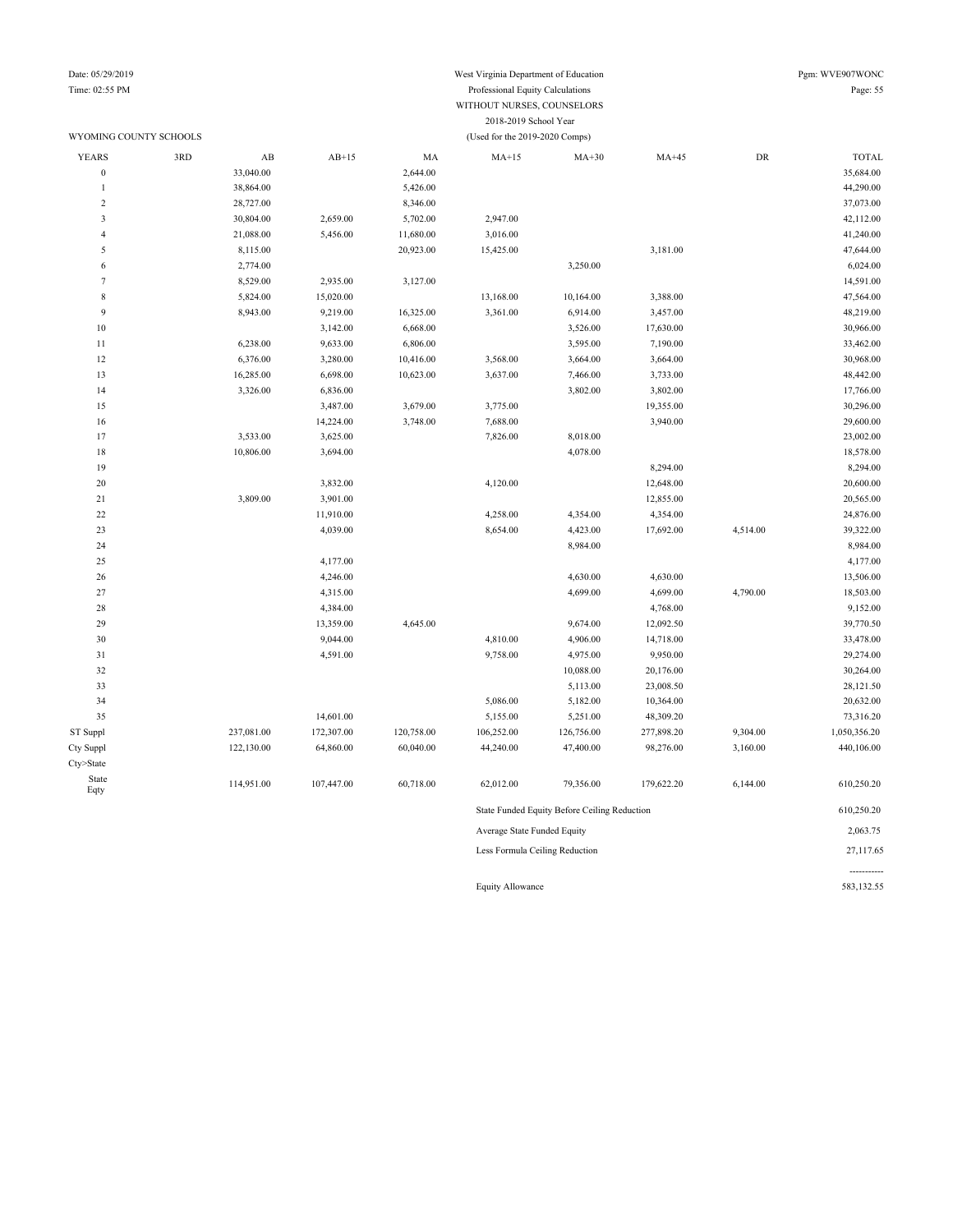-----------

#### Date: 05/29/2019 West Virginia Department of Education Pgm: WVE907WONC Time: 02:55 PM Professional Equity Calculations Page: 55 WITHOUT NURSES, COUNSELORS 2018-2019 School Year

#### WYOMING COUNTY SCHOOLS (Used for the 2019-2020 Comps)

| <b>YEARS</b>            | 3RD | AB         | $AB+15$    | MA         | $MA+15$                        | $MA+30$                                      | $MA+45$    | DR       | <b>TOTAL</b> |
|-------------------------|-----|------------|------------|------------|--------------------------------|----------------------------------------------|------------|----------|--------------|
| $\boldsymbol{0}$        |     | 33,040.00  |            | 2,644.00   |                                |                                              |            |          | 35,684.00    |
| $\mathbf{1}$            |     | 38,864.00  |            | 5,426.00   |                                |                                              |            |          | 44,290.00    |
| $\sqrt{2}$              |     | 28,727.00  |            | 8,346.00   |                                |                                              |            |          | 37,073.00    |
| $\overline{\mathbf{3}}$ |     | 30,804.00  | 2,659.00   | 5,702.00   | 2,947.00                       |                                              |            |          | 42,112.00    |
| $\overline{4}$          |     | 21,088.00  | 5,456.00   | 11,680.00  | 3,016.00                       |                                              |            |          | 41,240.00    |
| 5                       |     | 8,115.00   |            | 20,923.00  | 15,425.00                      |                                              | 3,181.00   |          | 47,644.00    |
| 6                       |     | 2,774.00   |            |            |                                | 3,250.00                                     |            |          | 6,024.00     |
| $\overline{7}$          |     | 8,529.00   | 2,935.00   | 3,127.00   |                                |                                              |            |          | 14,591.00    |
| 8                       |     | 5,824.00   | 15,020.00  |            | 13,168.00                      | 10,164.00                                    | 3,388.00   |          | 47,564.00    |
| 9                       |     | 8,943.00   | 9,219.00   | 16,325.00  | 3,361.00                       | 6,914.00                                     | 3,457.00   |          | 48,219.00    |
| $10\,$                  |     |            | 3,142.00   | 6,668.00   |                                | 3,526.00                                     | 17,630.00  |          | 30,966.00    |
| $11\,$                  |     | 6,238.00   | 9,633.00   | 6,806.00   |                                | 3,595.00                                     | 7,190.00   |          | 33,462.00    |
| 12                      |     | 6,376.00   | 3,280.00   | 10,416.00  | 3,568.00                       | 3,664.00                                     | 3,664.00   |          | 30,968.00    |
| 13                      |     | 16,285.00  | 6,698.00   | 10,623.00  | 3,637.00                       | 7,466.00                                     | 3,733.00   |          | 48,442.00    |
| 14                      |     | 3,326.00   | 6,836.00   |            |                                | 3,802.00                                     | 3,802.00   |          | 17,766.00    |
| 15                      |     |            | 3,487.00   | 3,679.00   | 3,775.00                       |                                              | 19,355.00  |          | 30,296.00    |
| 16                      |     |            | 14,224.00  | 3,748.00   | 7,688.00                       |                                              | 3,940.00   |          | 29,600.00    |
| 17                      |     | 3,533.00   | 3,625.00   |            | 7,826.00                       | 8,018.00                                     |            |          | 23,002.00    |
| 18                      |     | 10,806.00  | 3,694.00   |            |                                | 4,078.00                                     |            |          | 18,578.00    |
| 19                      |     |            |            |            |                                |                                              | 8,294.00   |          | 8,294.00     |
| 20                      |     |            | 3,832.00   |            | 4,120.00                       |                                              | 12,648.00  |          | 20,600.00    |
| 21                      |     | 3,809.00   | 3,901.00   |            |                                |                                              | 12,855.00  |          | 20,565.00    |
| $22\,$                  |     |            | 11,910.00  |            | 4,258.00                       | 4,354.00                                     | 4,354.00   |          | 24,876.00    |
| 23                      |     |            | 4,039.00   |            | 8,654.00                       | 4,423.00                                     | 17,692.00  | 4,514.00 | 39,322.00    |
| 24                      |     |            |            |            |                                | 8,984.00                                     |            |          | 8,984.00     |
| 25                      |     |            | 4,177.00   |            |                                |                                              |            |          | 4,177.00     |
| 26                      |     |            | 4,246.00   |            |                                | 4,630.00                                     | 4,630.00   |          | 13,506.00    |
| 27                      |     |            | 4,315.00   |            |                                | 4,699.00                                     | 4,699.00   | 4,790.00 | 18,503.00    |
| 28                      |     |            | 4,384.00   |            |                                |                                              | 4,768.00   |          | 9,152.00     |
| 29                      |     |            | 13,359.00  | 4,645.00   |                                | 9,674.00                                     | 12,092.50  |          | 39,770.50    |
| 30                      |     |            | 9,044.00   |            | 4,810.00                       | 4,906.00                                     | 14,718.00  |          | 33,478.00    |
| 31                      |     |            | 4,591.00   |            | 9,758.00                       | 4,975.00                                     | 9,950.00   |          | 29,274.00    |
| 32                      |     |            |            |            |                                | 10,088.00                                    | 20,176.00  |          | 30,264.00    |
| 33                      |     |            |            |            |                                | 5,113.00                                     | 23,008.50  |          | 28,121.50    |
| 34                      |     |            |            |            | 5,086.00                       | 5,182.00                                     | 10,364.00  |          | 20,632.00    |
| 35                      |     |            | 14,601.00  |            | 5,155.00                       | 5,251.00                                     | 48,309.20  |          | 73,316.20    |
| ST Suppl                |     | 237,081.00 | 172,307.00 | 120,758.00 | 106,252.00                     | 126,756.00                                   | 277,898.20 | 9,304.00 | 1,050,356.20 |
| Cty Suppl               |     | 122,130.00 | 64,860.00  | 60,040.00  | 44,240.00                      | 47,400.00                                    | 98,276.00  | 3,160.00 | 440,106.00   |
| Cty>State               |     |            |            |            |                                |                                              |            |          |              |
| State<br>Eqty           |     | 114,951.00 | 107,447.00 | 60,718.00  | 62,012.00                      | 79,356.00                                    | 179,622.20 | 6,144.00 | 610,250.20   |
|                         |     |            |            |            |                                | State Funded Equity Before Ceiling Reduction |            |          | 610,250.20   |
|                         |     |            |            |            | Average State Funded Equity    |                                              |            |          | 2,063.75     |
|                         |     |            |            |            | Less Formula Ceiling Reduction |                                              |            |          | 27,117.65    |

Equity Allowance 583,132.55